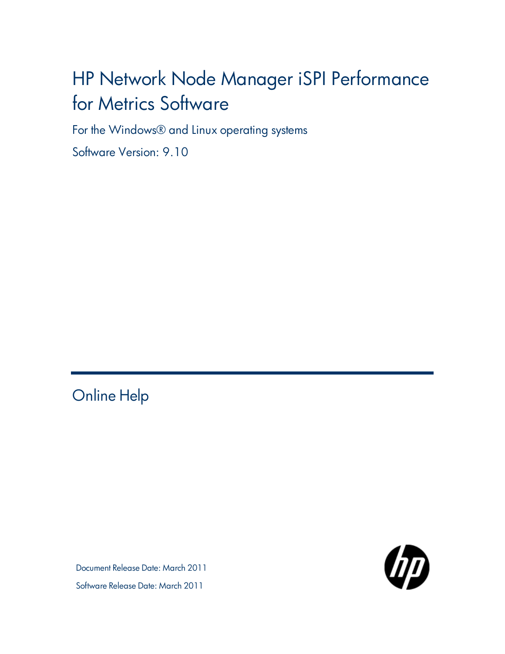# HP Network Node Manager iSPI Performance for Metrics Software

For the Windows® and Linux operating systems

Software Version: 9.10

# <span id="page-0-0"></span>Online Help

Document Release Date: March 2011 Software Release Date: March 2011

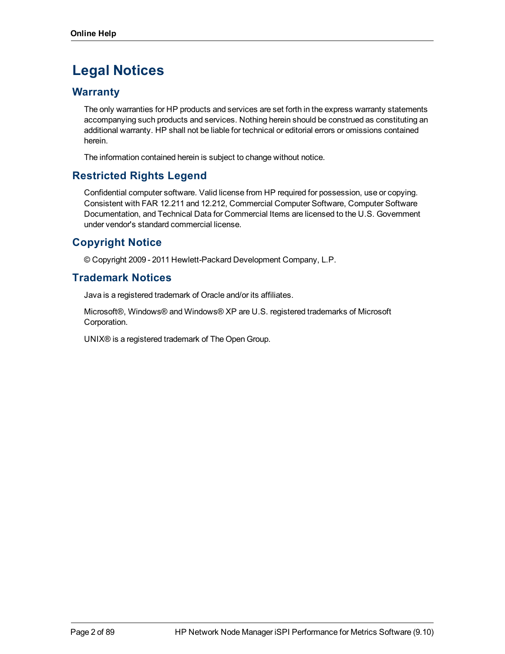# **Legal Notices**

# **Warranty**

The only warranties for HP products and services are set forth in the express warranty statements accompanying such products and services. Nothing herein should be construed as constituting an additional warranty. HP shall not be liable for technical or editorial errors or omissions contained herein.

The information contained herein is subject to change without notice.

# **Restricted Rights Legend**

Confidential computer software. Valid license from HP required for possession, use or copying. Consistent with FAR 12.211 and 12.212, Commercial Computer Software, Computer Software Documentation, and Technical Data for Commercial Items are licensed to the U.S. Government under vendor's standard commercial license.

# **Copyright Notice**

© Copyright 2009 - 2011 Hewlett-Packard Development Company, L.P.

# **Trademark Notices**

Java is a registered trademark of Oracle and/or its affiliates.

Microsoft®, Windows® and Windows® XP are U.S. registered trademarks of Microsoft Corporation.

UNIX® is a registered trademark of The Open Group.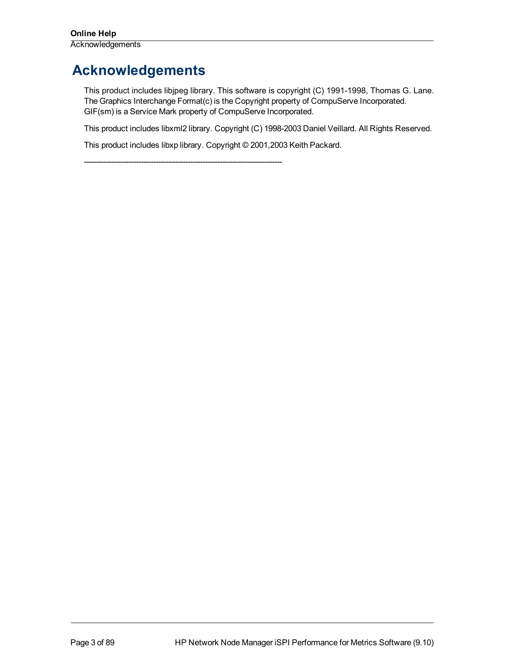# <span id="page-2-0"></span>**Acknowledgements**

This product includes libjpeg library. This software is copyright (C) 1991-1998, Thomas G. Lane. The Graphics Interchange Format(c) is the Copyright property of CompuServe Incorporated. GIF(sm) is a Service Mark property of CompuServe Incorporated.

This product includes libxml2 library. Copyright (C) 1998-2003 Daniel Veillard. All Rights Reserved.

This product includes libxp library. Copyright © 2001,2003 Keith Packard.

--------------------------------------------------------------------------------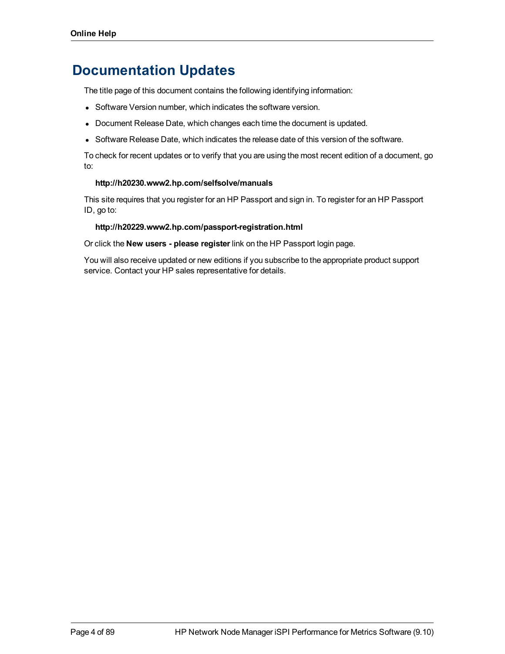# **Documentation Updates**

The title page of this document contains the following identifying information:

- Software Version number, which indicates the software version.
- Document Release Date, which changes each time the document is updated.
- Software Release Date, which indicates the release date of this version of the software.

To check for recent updates or to verify that you are using the most recent edition of a document, go to:

#### **http://h20230.www2.hp.com/selfsolve/manuals**

This site requires that you register for an HP Passport and sign in. To register for an HP Passport ID, go to:

#### **http://h20229.www2.hp.com/passport-registration.html**

Or click the **New users - please register** link on the HP Passport login page.

You will also receive updated or new editions if you subscribe to the appropriate product support service. Contact your HP sales representative for details.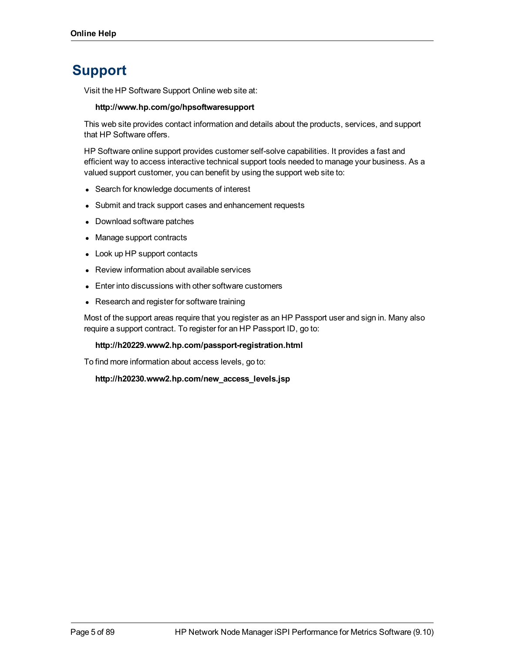# **Support**

Visit the HP Software Support Online web site at:

#### **http://www.hp.com/go/hpsoftwaresupport**

This web site provides contact information and details about the products, services, and support that HP Software offers.

HP Software online support provides customer self-solve capabilities. It provides a fast and efficient way to access interactive technical support tools needed to manage your business. As a valued support customer, you can benefit by using the support web site to:

- Search for knowledge documents of interest
- Submit and track support cases and enhancement requests
- Download software patches
- Manage support contracts
- Look up HP support contacts
- Review information about available services
- Enter into discussions with other software customers
- Research and register for software training

Most of the support areas require that you register as an HP Passport user and sign in. Many also require a support contract. To register for an HP Passport ID, go to:

#### **http://h20229.www2.hp.com/passport-registration.html**

To find more information about access levels, go to:

**http://h20230.www2.hp.com/new\_access\_levels.jsp**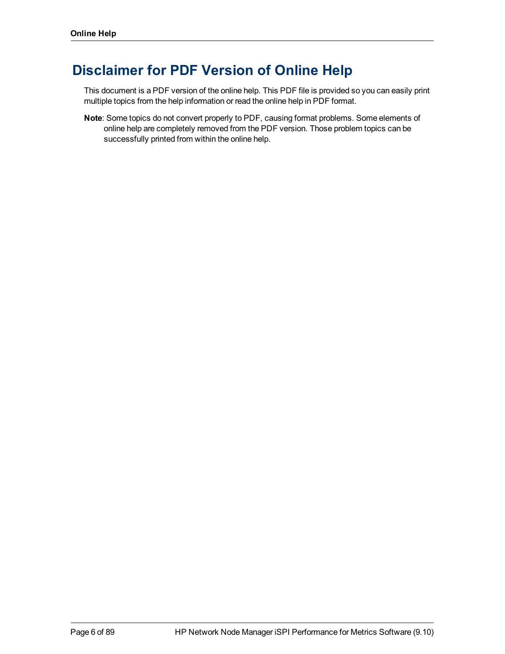# **Disclaimer for PDF Version of Online Help**

This document is a PDF version of the online help. This PDF file is provided so you can easily print multiple topics from the help information or read the online help in PDF format.

**Note**: Some topics do not convert properly to PDF, causing format problems. Some elements of online help are completely removed from the PDF version. Those problem topics can be successfully printed from within the online help.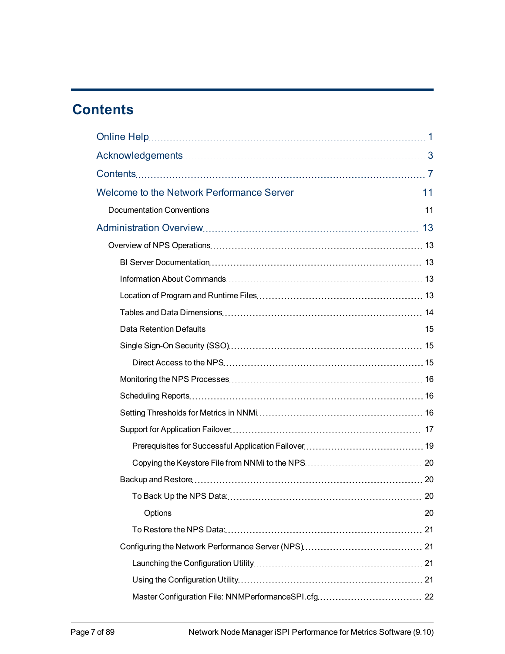# <span id="page-6-0"></span>**Contents**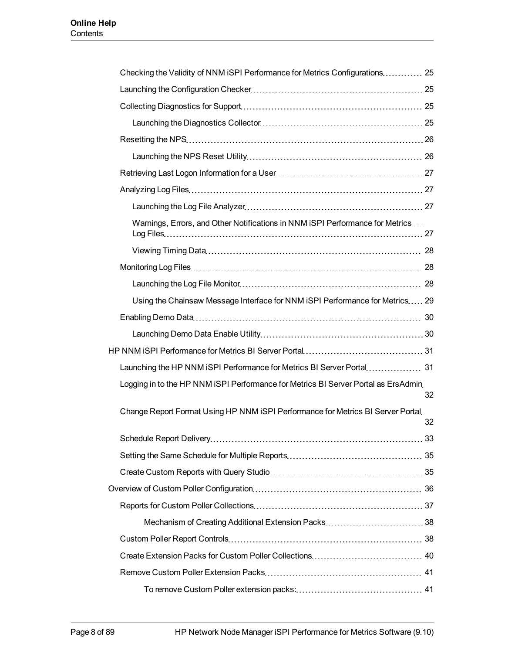| Checking the Validity of NNM iSPI Performance for Metrics Configurations 25        |    |
|------------------------------------------------------------------------------------|----|
|                                                                                    |    |
|                                                                                    |    |
|                                                                                    |    |
|                                                                                    |    |
|                                                                                    |    |
|                                                                                    |    |
|                                                                                    |    |
|                                                                                    |    |
| Warnings, Errors, and Other Notifications in NNM iSPI Performance for Metrics      |    |
|                                                                                    |    |
|                                                                                    |    |
|                                                                                    |    |
| Using the Chainsaw Message Interface for NNM ISPI Performance for Metrics 29       |    |
|                                                                                    |    |
|                                                                                    |    |
|                                                                                    |    |
| Launching the HP NNM iSPI Performance for Metrics BI Server Portal 31              |    |
| Logging in to the HP NNM iSPI Performance for Metrics BI Server Portal as ErsAdmin | 32 |
| Change Report Format Using HP NNM iSPI Performance for Metrics BI Server Portal    | 32 |
|                                                                                    |    |
|                                                                                    |    |
|                                                                                    |    |
|                                                                                    |    |
|                                                                                    |    |
|                                                                                    |    |
|                                                                                    |    |
|                                                                                    |    |
|                                                                                    |    |
|                                                                                    |    |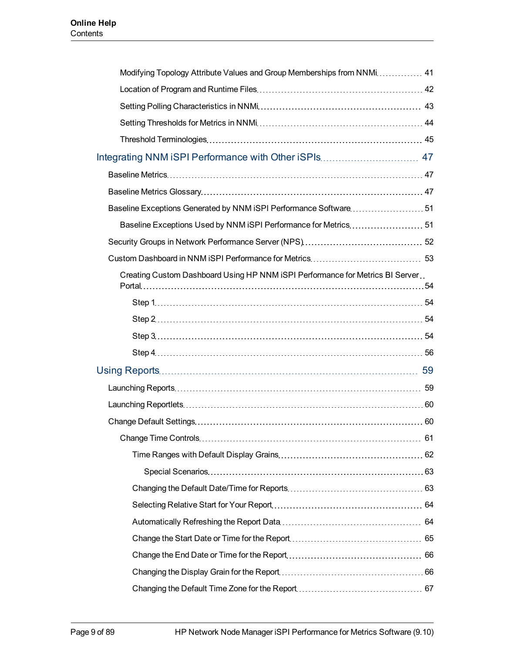| Modifying Topology Attribute Values and Group Memberships from NNMi 41        |  |
|-------------------------------------------------------------------------------|--|
|                                                                               |  |
|                                                                               |  |
|                                                                               |  |
|                                                                               |  |
| Integrating NNM iSPI Performance with Other iSPIs 47                          |  |
|                                                                               |  |
|                                                                               |  |
| Baseline Exceptions Generated by NNM iSPI Performance Software51              |  |
| Baseline Exceptions Used by NNM iSPI Performance for Metrics 51               |  |
|                                                                               |  |
|                                                                               |  |
| Creating Custom Dashboard Using HP NNM iSPI Performance for Metrics BI Server |  |
|                                                                               |  |
|                                                                               |  |
|                                                                               |  |
|                                                                               |  |
|                                                                               |  |
|                                                                               |  |
|                                                                               |  |
|                                                                               |  |
|                                                                               |  |
|                                                                               |  |
|                                                                               |  |
|                                                                               |  |
|                                                                               |  |
|                                                                               |  |
|                                                                               |  |
|                                                                               |  |
|                                                                               |  |
|                                                                               |  |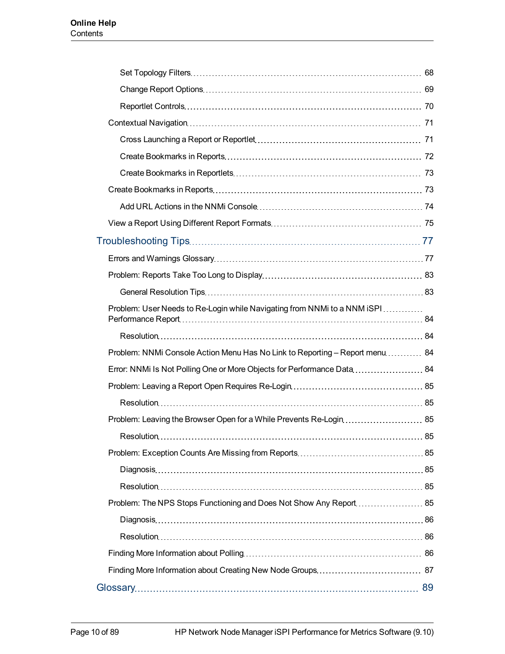| Problem: User Needs to Re-Login while Navigating from NNMi to a NNM iSPI     |  |
|------------------------------------------------------------------------------|--|
|                                                                              |  |
| Problem: NNMi Console Action Menu Has No Link to Reporting - Report menu  84 |  |
| Error: NNMi Is Not Polling One or More Objects for Performance Data 84       |  |
|                                                                              |  |
|                                                                              |  |
|                                                                              |  |
|                                                                              |  |
|                                                                              |  |
|                                                                              |  |
|                                                                              |  |
|                                                                              |  |
|                                                                              |  |
|                                                                              |  |
|                                                                              |  |
|                                                                              |  |
|                                                                              |  |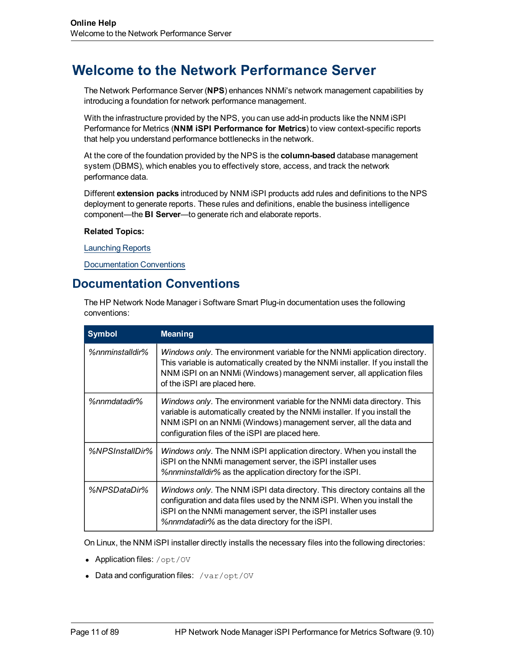# <span id="page-10-0"></span>**Welcome to the Network Performance Server**

The Network Performance Server (**NPS**) enhances NNMi's network management capabilities by introducing a foundation for network performance management.

With the infrastructure provided by the NPS, you can use add-in products like the NNM iSPI Performance for Metrics (**NNM iSPI Performance for Metrics**) to view context-specific reports that help you understand performance bottlenecks in the network.

At the core of the foundation provided by the NPS is the **column-based** database management system (DBMS), which enables you to effectively store, access, and track the network performance data.

Different **extension packs** introduced by NNM iSPI products add rules and definitions to the NPS deployment to generate reports. These rules and definitions, enable the business intelligence component—the **BI Server**—to generate rich and elaborate reports.

#### **Related Topics:**

[Launching](#page-58-1) [Reports](#page-58-1)

<span id="page-10-1"></span>[Documentation](#page-10-1) [Conventions](#page-10-1)

# **Documentation Conventions**

The HP Network Node Manager i Software Smart Plug-in documentation uses the following conventions:

| <b>Symbol</b>          | <b>Meaning</b>                                                                                                                                                                                                                                                                   |
|------------------------|----------------------------------------------------------------------------------------------------------------------------------------------------------------------------------------------------------------------------------------------------------------------------------|
| %nnminstalldir%        | Windows only. The environment variable for the NNMi application directory.<br>This variable is automatically created by the NNMi installer. If you install the<br>NNM iSPI on an NNMi (Windows) management server, all application files<br>of the iSPI are placed here.         |
| %nnmdatadir%           | Windows only. The environment variable for the NNMi data directory. This<br>variable is automatically created by the NNMi installer. If you install the<br>NNM iSPI on an NNMi (Windows) management server, all the data and<br>configuration files of the iSPI are placed here. |
| <i>%NPSInstallDir%</i> | Windows only. The NNM iSPI application directory. When you install the<br>iSPI on the NNMi management server, the iSPI installer uses<br>%nnminstalldir% as the application directory for the iSPI.                                                                              |
| %NPSDataDir%           | Windows only. The NNM iSPI data directory. This directory contains all the<br>configuration and data files used by the NNM iSPI. When you install the<br>iSPI on the NNMi management server, the iSPI installer uses<br>%nnmdatadir% as the data directory for the iSPI.         |

On Linux, the NNM iSPI installer directly installs the necessary files into the following directories:

- Application files:  $\sqrt{\mathrm{opt}/\mathrm{OV}}$
- Data and configuration files:  $/var/opt/ov$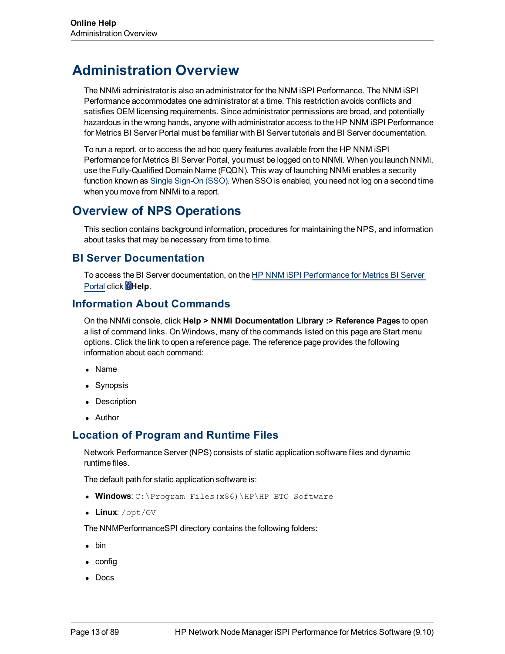# <span id="page-12-0"></span>**Administration Overview**

The NNMi administrator is also an administrator for the NNM iSPI Performance. The NNM iSPI Performance accommodates one administrator at a time. This restriction avoids conflicts and satisfies OEM licensing requirements. Since administrator permissions are broad, and potentially hazardous in the wrong hands, anyone with administrator access to the HP NNM iSPI Performance for Metrics BI Server Portal must be familiar with BI Server tutorials and BI Server documentation.

To run a report, or to access the ad hoc query features available from the HP NNM iSPI Performance for Metrics BI Server Portal, you must be logged on to NNMi. When you launch NNMi, use the Fully-Qualified Domain Name (FQDN). This way of launching NNMi enables a security function known as [Single](#page-14-1) [Sign-On](#page-14-1) [\(SSO\)](#page-14-1). When SSO is enabled, you need not log on a second time when you move from NNMi to a report.

# <span id="page-12-1"></span>**Overview of NPS Operations**

This section contains background information, procedures for maintaining the NPS, and information about tasks that may be necessary from time to time.

# <span id="page-12-2"></span>**BI Server Documentation**

To access the BI Server documentation, on the [HP](#page-30-0) [NNM](#page-30-0) [iSPI](#page-30-0) [Performance](#page-30-0) [for](#page-30-0) [Metrics](#page-30-0) [BI](#page-30-0) [Server](#page-30-0) [Portal](#page-30-0) click **Help**.

# <span id="page-12-3"></span>**Information About Commands**

On the NNMi console, click **Help > NNMi Documentation Library :> Reference Pages** to open a list of command links. On Windows, many of the commands listed on this page are Start menu options. Click the link to open a reference page. The reference page provides the following information about each command:

- Name
- Synopsis
- Description
- Author

# <span id="page-12-4"></span>**Location of Program and Runtime Files**

Network Performance Server (NPS) consists of static application software files and dynamic runtime files.

The default path for static application software is:

- **Windows: C:\Program Files(x86)\HP\HP BTO Software**
- Linux: /opt/0V

The NNMPerformanceSPI directory contains the following folders:

- $\bullet$  bin
- $\bullet$  config
- $\bullet$  Docs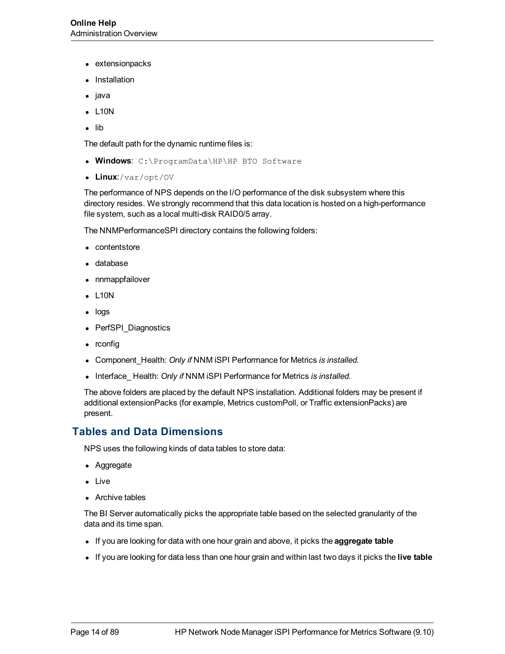- extensionpacks
- **Installation**
- java
- $\bullet$  L10N
- $\bullet$  lib

The default path for the dynamic runtime files is:

- <sup>l</sup> **Windows**: C:\ProgramData\HP\HP BTO Software
- Linux:/var/opt/OV

The performance of NPS depends on the I/O performance of the disk subsystem where this directory resides. We strongly recommend that this data location is hosted on a high-performance file system, such as a local multi-disk RAID0/5 array.

The NNMPerformanceSPI directory contains the following folders:

- $\bullet$  contentstore
- database
- nnmappfailover
- $\bullet$  L10N
- $\bullet$  logs
- PerfSPI Diagnostics
- $\bullet$  rconfig
- **Component\_Health: Only if NNM iSPI Performance for Metrics is installed.**
- **Interface\_Health: Only if NNM iSPI Performance for Metrics is installed.**

The above folders are placed by the default NPS installation. Additional folders may be present if additional extensionPacks (for example, Metrics customPoll, or Traffic extensionPacks) are present.

## <span id="page-13-0"></span>**Tables and Data Dimensions**

NPS uses the following kinds of data tables to store data:

- Aggregate
- Live
- $\bullet$  Archive tables

The BI Server automatically picks the appropriate table based on the selected granularity of the data and its time span.

- If you are looking for data with one hour grain and above, it picks the **aggregate table**
- If you are looking for data less than one hour grain and within last two days it picks the **live table**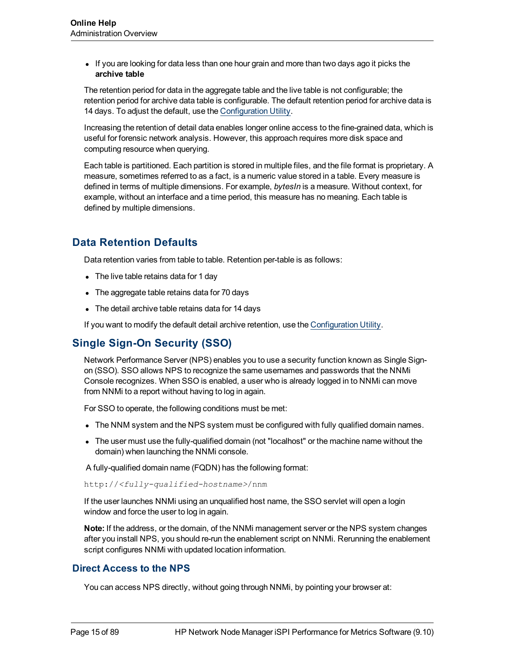• If you are looking for data less than one hour grain and more than two days ago it picks the **archive table**

The retention period for data in the aggregate table and the live table is not configurable; the retention period for archive data table is configurable. The default retention period for archive data is 14 days. To adjust the default, use the [Configuration](#page-20-1) [Utility](#page-20-1).

Increasing the retention of detail data enables longer online access to the fine-grained data, which is useful for forensic network analysis. However, this approach requires more disk space and computing resource when querying.

Each table is partitioned. Each partition is stored in multiple files, and the file format is proprietary. A measure, sometimes referred to as a fact, is a numeric value stored in a table. Every measure is defined in terms of multiple dimensions. For example, *bytesIn* is a measure. Without context, for example, without an interface and a time period, this measure has no meaning. Each table is defined by multiple dimensions.

# <span id="page-14-0"></span>**Data Retention Defaults**

Data retention varies from table to table. Retention per-table is as follows:

- The live table retains data for 1 day
- The aggregate table retains data for 70 days
- The detail archive table retains data for 14 days

<span id="page-14-1"></span>If you want to modify the default detail archive retention, use the [Configuration](#page-20-1) [Utility](#page-20-1).

# **Single Sign-On Security (SSO)**

Network Performance Server (NPS) enables you to use a security function known as Single Signon (SSO). SSO allows NPS to recognize the same usernames and passwords that the NNMi Console recognizes. When SSO is enabled, a user who is already logged in to NNMi can move from NNMi to a report without having to log in again.

For SSO to operate, the following conditions must be met:

- The NNM system and the NPS system must be configured with fully qualified domain names.
- The user must use the fully-qualified domain (not "localhost" or the machine name without the domain) when launching the NNMi console.

A fully-qualified domain name (FQDN) has the following format:

http://*<fully-qualified-hostname>*/nnm

If the user launches NNMi using an unqualified host name, the SSO servlet will open a login window and force the user to log in again.

**Note:** If the address, or the domain, of the NNMi management server or the NPS system changes after you install NPS, you should re-run the enablement script on NNMi. Rerunning the enablement script configures NNMi with updated location information.

#### <span id="page-14-2"></span>**Direct Access to the NPS**

You can access NPS directly, without going through NNMi, by pointing your browser at: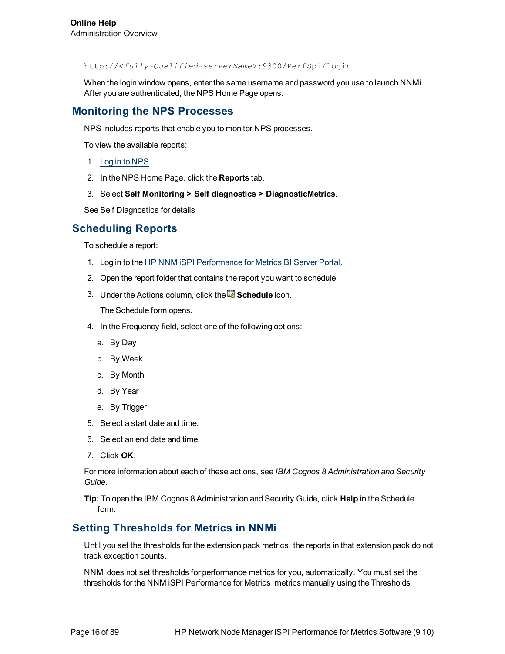http://<*fully-Qualified-serverName*>:9300/PerfSpi/login

When the login window opens, enter the same username and password you use to launch NNMi. After you are authenticated, the NPS Home Page opens.

### <span id="page-15-0"></span>**Monitoring the NPS Processes**

NPS includes reports that enable you to monitor NPS processes.

To view the available reports:

- 1. [Log](#page-14-1) [in](#page-14-1) [to](#page-14-1) [NPS.](#page-14-1)
- 2. In the NPS Home Page, click the **Reports** tab.
- 3. Select **Self Monitoring > Self diagnostics > DiagnosticMetrics**.

<span id="page-15-1"></span>See Self Diagnostics for details

### **Scheduling Reports**

To schedule a report:

- 1. Log in to the [HP](#page-30-1) [NNM](#page-30-1) [iSPI](#page-30-1) [Performance](#page-30-1) [for](#page-30-1) [Metrics](#page-30-1) [BI](#page-30-1) [Server](#page-30-1) [Portal](#page-30-1).
- 2. Open the report folder that contains the report you want to schedule.
- 3. Under the Actions column, click the **Schedule** icon.

The Schedule form opens.

- 4. In the Frequency field, select one of the following options:
	- a. By Day
	- b. By Week
	- c. By Month
	- d. By Year
	- e. By Trigger
- 5. Select a start date and time.
- 6. Select an end date and time.
- 7. Click **OK**.

For more information about each of these actions, see *IBM Cognos 8 Administration and Security Guide*.

**Tip:** To open the IBM Cognos 8 Administration and Security Guide, click **Help** in the Schedule form.

## <span id="page-15-2"></span>**Setting Thresholds for Metrics in NNMi**

Until you set the thresholds for the extension pack metrics, the reports in that extension pack do not track exception counts.

NNMi does not set thresholds for performance metrics for you, automatically. You must set the thresholds for the NNM iSPI Performance for Metrics metrics manually using the Thresholds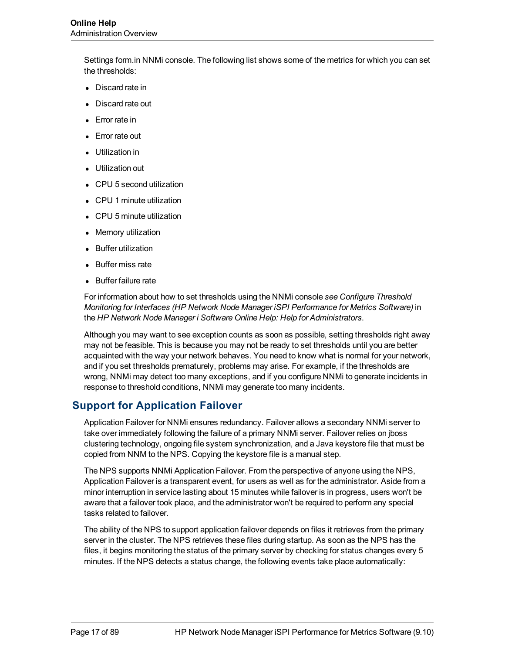Settings form.in NNMi console. The following list shows some of the metrics for which you can set the thresholds:

- Discard rate in
- Discard rate out
- Error rate in
- Error rate out
- <sup>l</sup> Utilization in
- Utilization out
- CPU 5 second utilization
- CPU 1 minute utilization
- CPU 5 minute utilization
- **Memory utilization**
- Buffer utilization
- Buffer miss rate
- **Buffer failure rate**

For information about how to set thresholds using the NNMi console *see Configure Threshold Monitoring for Interfaces (HP Network Node Manager iSPI Performance for Metrics Software)* in the *HP Network Node Manager i Software Online Help: Help for Administrators*.

Although you may want to see exception counts as soon as possible, setting thresholds right away may not be feasible. This is because you may not be ready to set thresholds until you are better acquainted with the way your network behaves. You need to know what is normal for your network, and if you set thresholds prematurely, problems may arise. For example, if the thresholds are wrong, NNMi may detect too many exceptions, and if you configure NNMi to generate incidents in response to threshold conditions, NNMi may generate too many incidents.

## <span id="page-16-0"></span>**Support for Application Failover**

Application Failover for NNMi ensures redundancy. Failover allows a secondary NNMi server to take over immediately following the failure of a primary NNMi server. Failover relies on jboss clustering technology, ongoing file system synchronization, and a Java keystore file that must be copied from NNM to the NPS. Copying the keystore file is a manual step.

The NPS supports NNMi Application Failover. From the perspective of anyone using the NPS, Application Failover is a transparent event, for users as well as for the administrator. Aside from a minor interruption in service lasting about 15 minutes while failover is in progress, users won't be aware that a failover took place, and the administrator won't be required to perform any special tasks related to failover.

The ability of the NPS to support application failover depends on files it retrieves from the primary server in the cluster. The NPS retrieves these files during startup. As soon as the NPS has the files, it begins monitoring the status of the primary server by checking for status changes every 5 minutes. If the NPS detects a status change, the following events take place automatically: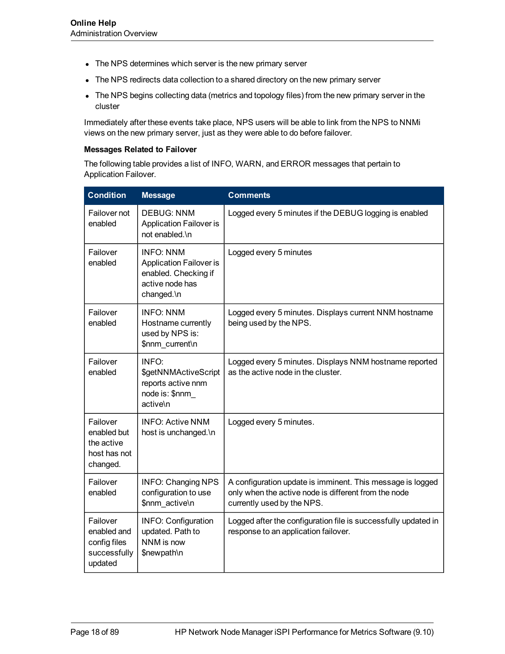- The NPS determines which server is the new primary server
- The NPS redirects data collection to a shared directory on the new primary server
- The NPS begins collecting data (metrics and topology files) from the new primary server in the cluster

Immediately after these events take place, NPS users will be able to link from the NPS to NNMi views on the new primary server, just as they were able to do before failover.

#### **Messages Related to Failover**

The following table provides a list of INFO, WARN, and ERROR messages that pertain to Application Failover.

| <b>Condition</b>                                                   | <b>Message</b>                                                                                              | <b>Comments</b>                                                                                                                                  |
|--------------------------------------------------------------------|-------------------------------------------------------------------------------------------------------------|--------------------------------------------------------------------------------------------------------------------------------------------------|
| Failover not<br>enabled                                            | <b>DEBUG: NNM</b><br><b>Application Failover is</b><br>not enabled.\n                                       | Logged every 5 minutes if the DEBUG logging is enabled                                                                                           |
| Failover<br>enabled                                                | <b>INFO: NNM</b><br><b>Application Failover is</b><br>enabled. Checking if<br>active node has<br>changed.\n | Logged every 5 minutes                                                                                                                           |
| Failover<br>enabled                                                | <b>INFO: NNM</b><br>Hostname currently<br>used by NPS is:<br>\$nnm_current\n                                | Logged every 5 minutes. Displays current NNM hostname<br>being used by the NPS.                                                                  |
| Failover<br>enabled                                                | INFO:<br>\$getNNMActiveScript<br>reports active nnm<br>node is: \$nnm<br>active\n                           | Logged every 5 minutes. Displays NNM hostname reported<br>as the active node in the cluster.                                                     |
| Failover<br>enabled but<br>the active<br>host has not<br>changed.  | <b>INFO: Active NNM</b><br>host is unchanged.\n                                                             | Logged every 5 minutes.                                                                                                                          |
| Failover<br>enabled                                                | <b>INFO: Changing NPS</b><br>configuration to use<br>\$nnm_active\n                                         | A configuration update is imminent. This message is logged<br>only when the active node is different from the node<br>currently used by the NPS. |
| Failover<br>enabled and<br>config files<br>successfully<br>updated | <b>INFO: Configuration</b><br>updated. Path to<br>NNM is now<br>\$newpath\n                                 | Logged after the configuration file is successfully updated in<br>response to an application failover.                                           |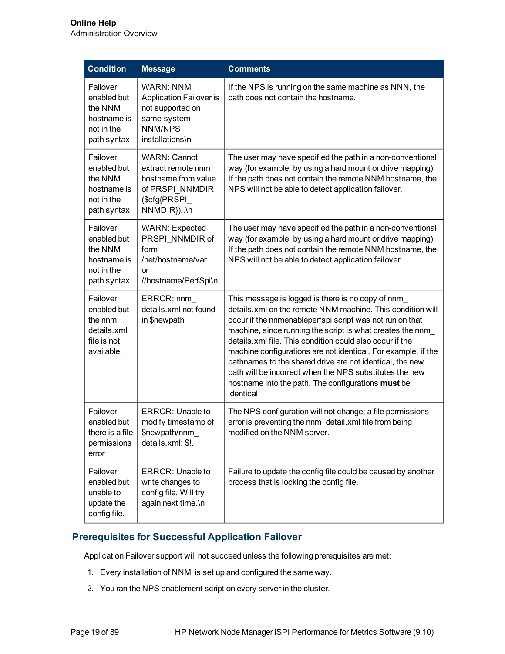| <b>Condition</b>                                                               | <b>Message</b>                                                                                                      | <b>Comments</b>                                                                                                                                                                                                                                                                                                                                                                                                                                                                                                                                                  |
|--------------------------------------------------------------------------------|---------------------------------------------------------------------------------------------------------------------|------------------------------------------------------------------------------------------------------------------------------------------------------------------------------------------------------------------------------------------------------------------------------------------------------------------------------------------------------------------------------------------------------------------------------------------------------------------------------------------------------------------------------------------------------------------|
| Failover<br>enabled but<br>the NNM<br>hostname is<br>not in the<br>path syntax | <b>WARN: NNM</b><br><b>Application Failover is</b><br>not supported on<br>same-system<br>NNM/NPS<br>installations\n | If the NPS is running on the same machine as NNN, the<br>path does not contain the hostname.                                                                                                                                                                                                                                                                                                                                                                                                                                                                     |
| Failover<br>enabled but<br>the NNM<br>hostname is<br>not in the<br>path syntax | <b>WARN: Cannot</b><br>extract remote nnm<br>hostname from value<br>of PRSPI NNMDIR<br>(\$cfg{PRSPI_<br>NNMDIR})\n  | The user may have specified the path in a non-conventional<br>way (for example, by using a hard mount or drive mapping).<br>If the path does not contain the remote NNM hostname, the<br>NPS will not be able to detect application failover.                                                                                                                                                                                                                                                                                                                    |
| Failover<br>enabled but<br>the NNM<br>hostname is<br>not in the<br>path syntax | <b>WARN: Expected</b><br>PRSPI NNMDIR of<br>form<br>/net/hostname/var<br><b>or</b><br>//hostname/PerfSpi\n          | The user may have specified the path in a non-conventional<br>way (for example, by using a hard mount or drive mapping).<br>If the path does not contain the remote NNM hostname, the<br>NPS will not be able to detect application failover.                                                                                                                                                                                                                                                                                                                    |
| Failover<br>enabled but<br>the nnm<br>details.xml<br>file is not<br>available. | ERROR: nnm<br>details.xml not found<br>in \$newpath                                                                 | This message is logged is there is no copy of nnm<br>details.xml on the remote NNM machine. This condition will<br>occur if the nnmenableperfspi script was not run on that<br>machine, since running the script is what creates the nnm<br>details.xml file. This condition could also occur if the<br>machine configurations are not identical. For example, if the<br>pathnames to the shared drive are not identical, the new<br>path will be incorrect when the NPS substitutes the new<br>hostname into the path. The configurations must be<br>identical. |
| Failover<br>enabled but<br>there is a file<br>permissions<br>error             | ERROR: Unable to<br>modify timestamp of<br>\$newpath/nnm<br>details.xml: \$!.                                       | The NPS configuration will not change; a file permissions<br>error is preventing the nnm_detail.xml file from being<br>modified on the NNM server.                                                                                                                                                                                                                                                                                                                                                                                                               |
| Failover<br>enabled but<br>unable to<br>update the<br>config file.             | <b>ERROR: Unable to</b><br>write changes to<br>config file. Will try<br>again next time.\n                          | Failure to update the config file could be caused by another<br>process that is locking the config file.                                                                                                                                                                                                                                                                                                                                                                                                                                                         |

## <span id="page-18-0"></span>**Prerequisites for Successful Application Failover**

Application Failover support will not succeed unless the following prerequisites are met:

- 1. Every installation of NNMi is set up and configured the same way.
- 2. You ran the NPS enablement script on every server in the cluster.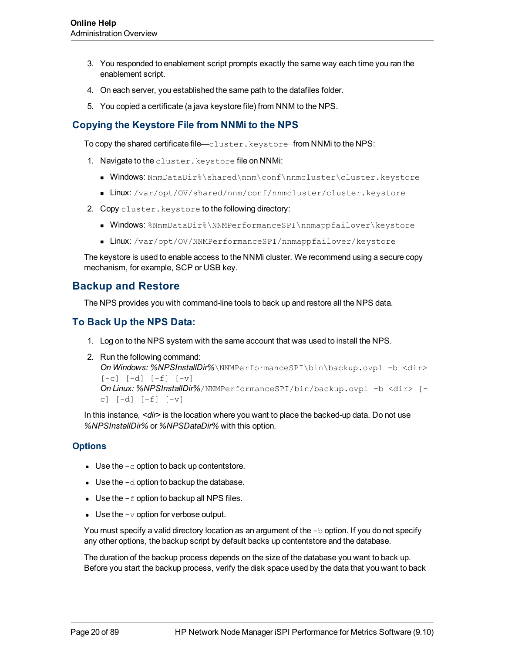- 3. You responded to enablement script prompts exactly the same way each time you ran the enablement script.
- 4. On each server, you established the same path to the datafiles folder.
- 5. You copied a certificate (a java keystore file) from NNM to the NPS.

### <span id="page-19-0"></span>**Copying the Keystore File from NNMi to the NPS**

To copy the shared certificate file—cluster.keystore—from NNMi to the NPS:

- 1. Navigate to the cluster.keystore file on NNMi:
	- Windows: NnmDataDir%\shared\nnm\conf\nnmcluster\cluster.keystore
	- $\blacksquare$  Linux: /var/opt/OV/shared/nnm/conf/nnmcluster/cluster.keystore
- 2. Copy cluster. keystore to the following directory:
	- **Nindows**: %NnmDataDir%\NNMPerformanceSPI\nnmappfailover\keystore
	- **Linux**: /var/opt/OV/NNMPerformanceSPI/nnmappfailover/keystore

The keystore is used to enable access to the NNMi cluster. We recommend using a secure copy mechanism, for example, SCP or USB key.

## <span id="page-19-1"></span>**Backup and Restore**

The NPS provides you with command-line tools to back up and restore all the NPS data.

### <span id="page-19-2"></span>**To Back Up the NPS Data:**

- 1. Log on to the NPS system with the same account that was used to install the NPS.
- 2. Run the following command: *On Windows: %NPSInstallDir%*\NNMPerformanceSPI\bin\backup.ovpl -b <dir>  $[-c]$   $[-d]$   $[-f]$   $[-v]$ *On Linux: %NPSInstallDir%*/NNMPerformanceSPI/bin/backup.ovpl -b <dir> [ c] [-d] [-f] [-v]

In this instance, *<dir>* is the location where you want to place the backed-up data. Do not use *%NPSInstallDir%* or *%NPSDataDir%* with this option.

#### <span id="page-19-3"></span>**Options**

- Use the  $-c$  option to back up contentstore.
- Use the  $-d$  option to backup the database.
- Use the  $-f$  option to backup all NPS files.
- Use the  $-v$  option for verbose output.

You must specify a valid directory location as an argument of the  $-b$  option. If you do not specify any other options, the backup script by default backs up contentstore and the database.

The duration of the backup process depends on the size of the database you want to back up. Before you start the backup process, verify the disk space used by the data that you want to back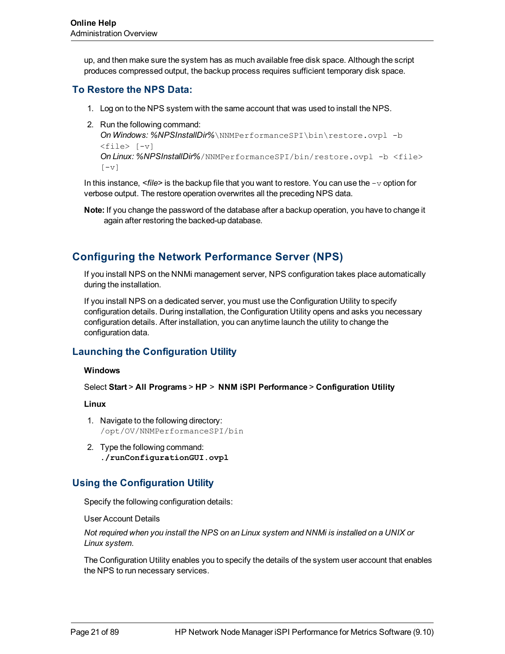up, and then make sure the system has as much available free disk space. Although the script produces compressed output, the backup process requires sufficient temporary disk space.

### <span id="page-20-0"></span>**To Restore the NPS Data:**

- 1. Log on to the NPS system with the same account that was used to install the NPS.
- 2. Run the following command:

```
On Windows: %NPSInstallDir%\NNMPerformanceSPI\bin\restore.ovpl -b
<file> [-v]
On Linux: %NPSInstallDir%/NNMPerformanceSPI/bin/restore.ovpl -b <file>
[-v]
```
In this instance, *<file>* is the backup file that you want to restore. You can use the -v option for verbose output. The restore operation overwrites all the preceding NPS data.

**Note:** If you change the password of the database after a backup operation, you have to change it again after restoring the backed-up database.

# <span id="page-20-1"></span>**Configuring the Network Performance Server (NPS)**

If you install NPS on the NNMi management server, NPS configuration takes place automatically during the installation.

If you install NPS on a dedicated server, you must use the Configuration Utility to specify configuration details. During installation, the Configuration Utility opens and asks you necessary configuration details. After installation, you can anytime launch the utility to change the configuration data.

## <span id="page-20-2"></span>**Launching the Configuration Utility**

#### **Windows**

Select **Start** > **All Programs** > **HP** > **NNM iSPI Performance** > **Configuration Utility**

#### **Linux**

- 1. Navigate to the following directory: /opt/OV/NNMPerformanceSPI/bin
- 2. Type the following command: **./runConfigurationGUI.ovpl**

## <span id="page-20-3"></span>**Using the Configuration Utility**

Specify the following configuration details:

User Account Details

*Not required when you install the NPS on an Linux system and NNMi is installed on a UNIX or Linux system.*

The Configuration Utility enables you to specify the details of the system user account that enables the NPS to run necessary services.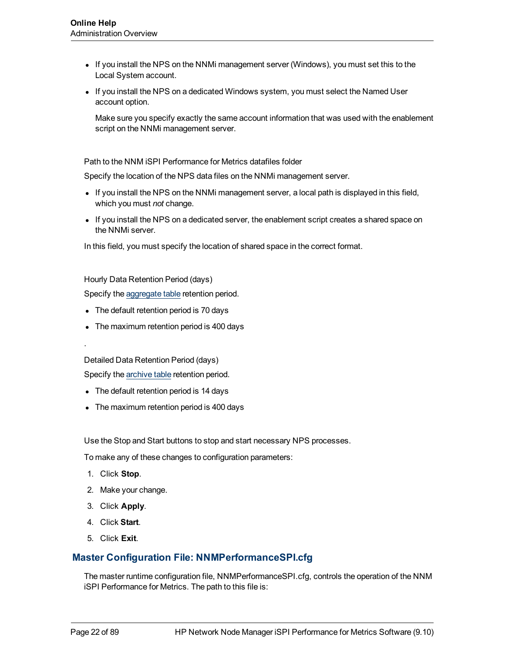- If you install the NPS on the NNMi management server (Windows), you must set this to the Local System account.
- If you install the NPS on a dedicated Windows system, you must select the Named User account option.

Make sure you specify exactly the same account information that was used with the enablement script on the NNMi management server.

Path to the NNM iSPI Performance for Metrics datafiles folder

Specify the location of the NPS data files on the NNMi management server.

- If you install the NPS on the NNMi management server, a local path is displayed in this field, which you must *not* change.
- If you install the NPS on a dedicated server, the enablement script creates a shared space on the NNMi server.

In this field, you must specify the location of shared space in the correct format.

Hourly Data Retention Period (days)

Specify the [aggregate](#page-13-0) [table](#page-13-0) retention period.

- The default retention period is 70 days
- The maximum retention period is 400 days

Detailed Data Retention Period (days)

Specify the [archive](#page-13-0) [table](#page-13-0) retention period.

- The default retention period is 14 days
- The maximum retention period is 400 days

Use the Stop and Start buttons to stop and start necessary NPS processes.

To make any of these changes to configuration parameters:

1. Click **Stop**.

.

- 2. Make your change.
- 3. Click **Apply**.
- 4. Click **Start**.
- 5. Click **Exit**.

## <span id="page-21-0"></span>**Master Configuration File: NNMPerformanceSPI.cfg**

The master runtime configuration file, NNMPerformanceSPI.cfg, controls the operation of the NNM iSPI Performance for Metrics. The path to this file is: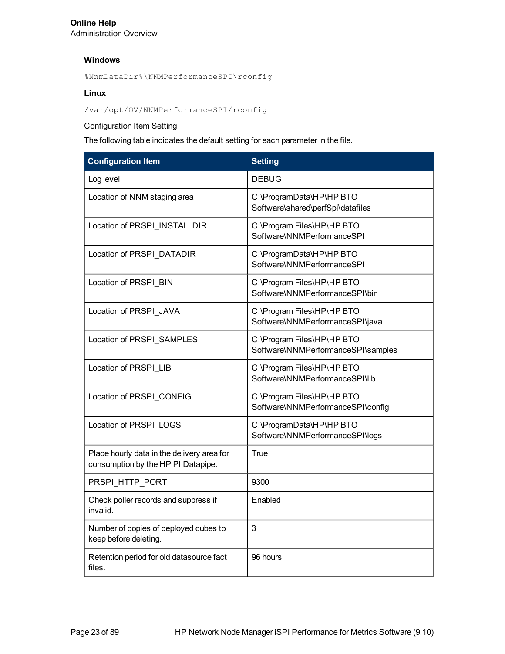#### **Windows**

%NnmDataDir%\NNMPerformanceSPI\rconfig

#### **Linux**

#### /var/opt/OV/NNMPerformanceSPI/rconfig

Configuration Item Setting

The following table indicates the default setting for each parameter in the file.

| <b>Configuration Item</b>                                                        | <b>Setting</b>                                                   |
|----------------------------------------------------------------------------------|------------------------------------------------------------------|
| Log level                                                                        | <b>DEBUG</b>                                                     |
| Location of NNM staging area                                                     | C:\ProgramData\HP\HP BTO<br>Software\shared\perfSpi\datafiles    |
| Location of PRSPI_INSTALLDIR                                                     | C:\Program Files\HP\HP BTO<br>Software\NNMPerformanceSPI         |
| Location of PRSPI DATADIR                                                        | C:\ProgramData\HP\HP BTO<br>Software\NNMPerformanceSPI           |
| Location of PRSPI_BIN                                                            | C:\Program Files\HP\HP BTO<br>Software\NNMPerformanceSPI\bin     |
| Location of PRSPI_JAVA                                                           | C:\Program Files\HP\HP BTO<br>Software\NNMPerformanceSPI\java    |
| Location of PRSPI_SAMPLES                                                        | C:\Program Files\HP\HP BTO<br>Software\NNMPerformanceSPI\samples |
| Location of PRSPI_LIB                                                            | C:\Program Files\HP\HP BTO<br>Software\NNMPerformanceSPI\lib     |
| Location of PRSPI_CONFIG                                                         | C:\Program Files\HP\HP BTO<br>Software\NNMPerformanceSPI\config  |
| Location of PRSPI_LOGS                                                           | C:\ProgramData\HP\HP BTO<br>Software\NNMPerformanceSPI\logs      |
| Place hourly data in the delivery area for<br>consumption by the HP PI Datapipe. | True                                                             |
| PRSPI HTTP PORT                                                                  | 9300                                                             |
| Check poller records and suppress if<br>invalid.                                 | Enabled                                                          |
| Number of copies of deployed cubes to<br>keep before deleting.                   | 3                                                                |
| Retention period for old datasource fact<br>files.                               | 96 hours                                                         |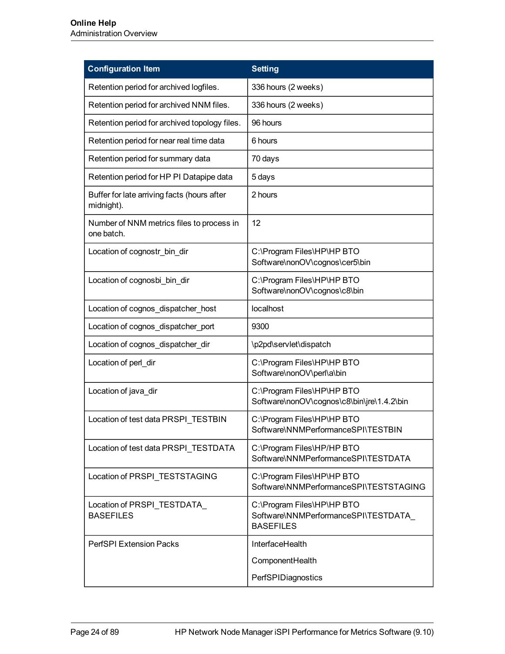| <b>Configuration Item</b>                                 | <b>Setting</b>                                                                        |
|-----------------------------------------------------------|---------------------------------------------------------------------------------------|
| Retention period for archived logfiles.                   | 336 hours (2 weeks)                                                                   |
| Retention period for archived NNM files.                  | 336 hours (2 weeks)                                                                   |
| Retention period for archived topology files.             | 96 hours                                                                              |
| Retention period for near real time data                  | 6 hours                                                                               |
| Retention period for summary data                         | 70 days                                                                               |
| Retention period for HP PI Datapipe data                  | 5 days                                                                                |
| Buffer for late arriving facts (hours after<br>midnight). | 2 hours                                                                               |
| Number of NNM metrics files to process in<br>one batch.   | 12                                                                                    |
| Location of cognostr bin dir                              | C:\Program Files\HP\HP BTO<br>Software\nonOV\cognos\cer5\bin                          |
| Location of cognosbi_bin_dir                              | C:\Program Files\HP\HP BTO<br>Software\nonOV\cognos\c8\bin                            |
| Location of cognos_dispatcher_host                        | localhost                                                                             |
| Location of cognos_dispatcher_port                        | 9300                                                                                  |
| Location of cognos_dispatcher_dir                         | \p2pd\servlet\dispatch                                                                |
| Location of perl_dir                                      | C:\Program Files\HP\HP BTO<br>Software\nonOV\perl\a\bin                               |
| Location of java_dir                                      | C:\Program Files\HP\HP BTO<br>Software\nonOV\cognos\c8\bin\jre\1.4.2\bin              |
| Location of test data PRSPI TESTBIN                       | C:\Program Files\HP\HP BTO<br>Software\NNMPerformanceSPI\TESTBIN                      |
| Location of test data PRSPI TESTDATA                      | C:\Program Files\HP/HP BTO<br>Software\NNMPerformanceSPI\TESTDATA                     |
| Location of PRSPI_TESTSTAGING                             | C:\Program Files\HP\HP BTO<br>Software\NNMPerformanceSPI\TESTSTAGING                  |
| Location of PRSPI_TESTDATA_<br><b>BASEFILES</b>           | C:\Program Files\HP\HP BTO<br>Software\NNMPerformanceSPI\TESTDATA<br><b>BASEFILES</b> |
| <b>PerfSPI Extension Packs</b>                            | InterfaceHealth                                                                       |
|                                                           | ComponentHealth                                                                       |
|                                                           | PerfSPIDiagnostics                                                                    |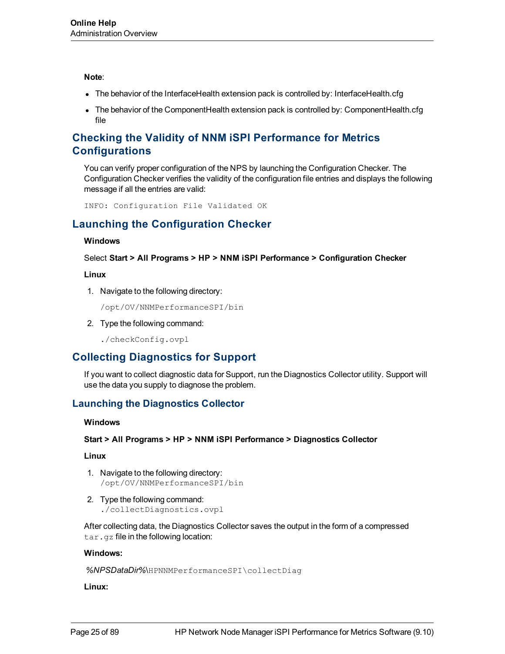#### **Note**:

- The behavior of the InterfaceHealth extension pack is controlled by: InterfaceHealth.cfg
- The behavior of the ComponentHealth extension pack is controlled by: ComponentHealth.cfg file

# <span id="page-24-0"></span>**Checking the Validity of NNM iSPI Performance for Metrics Configurations**

You can verify proper configuration of the NPS by launching the Configuration Checker. The Configuration Checker verifies the validity of the configuration file entries and displays the following message if all the entries are valid:

<span id="page-24-1"></span>INFO: Configuration File Validated OK

# **Launching the Configuration Checker**

#### **Windows**

Select **Start > All Programs > HP > NNM iSPI Performance > Configuration Checker**

#### **Linux**

1. Navigate to the following directory:

/opt/OV/NNMPerformanceSPI/bin

2. Type the following command:

./checkConfig.ovpl

# <span id="page-24-2"></span>**Collecting Diagnostics for Support**

If you want to collect diagnostic data for Support, run the Diagnostics Collector utility. Support will use the data you supply to diagnose the problem.

## <span id="page-24-3"></span>**Launching the Diagnostics Collector**

#### **Windows**

#### **Start > All Programs > HP > NNM iSPI Performance > Diagnostics Collector**

#### **Linux**

- 1. Navigate to the following directory: /opt/OV/NNMPerformanceSPI/bin
- 2. Type the following command: ./collectDiagnostics.ovpl

After collecting data, the Diagnostics Collector saves the output in the form of a compressed tar.gz file in the following location:

#### **Windows:**

*%NPSDataDir%*\HPNNMPerformanceSPI\collectDiag

#### **Linux:**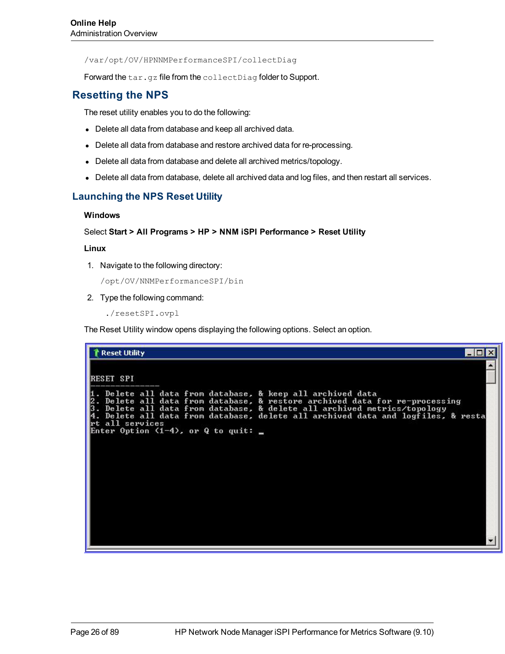/var/opt/OV/HPNNMPerformanceSPI/collectDiag

<span id="page-25-0"></span>Forward the tar.gz file from the collectDiag folder to Support.

# **Resetting the NPS**

The reset utility enables you to do the following:

- Delete all data from database and keep all archived data.
- Delete all data from database and restore archived data for re-processing.
- Delete all data from database and delete all archived metrics/topology.
- Delete all data from database, delete all archived data and log files, and then restart all services.

### <span id="page-25-1"></span>**Launching the NPS Reset Utility**

#### **Windows**

#### Select **Start > All Programs > HP > NNM iSPI Performance > Reset Utility**

#### **Linux**

1. Navigate to the following directory:

/opt/OV/NNMPerformanceSPI/bin

2. Type the following command:

./resetSPI.ovpl

The Reset Utility window opens displaying the following options. Select an option.

| Reset Utility<br>' – I D                                                                                                                                                                                                                                                                                                        |
|---------------------------------------------------------------------------------------------------------------------------------------------------------------------------------------------------------------------------------------------------------------------------------------------------------------------------------|
| RESET SPI<br>1. Delete all data from database, & keep all archived data                                                                                                                                                                                                                                                         |
| 2. Delete all data from database, & restore archived data for re-processing<br>3. Delete all data from database, & delete all archived metrics/topology<br>4. Delete all data from database, delete all archived data and logfiles, & resta<br>rt all services<br>Enter Option $(1-4)$ , or Q to quit: $\overline{\phantom{a}}$ |
|                                                                                                                                                                                                                                                                                                                                 |
|                                                                                                                                                                                                                                                                                                                                 |
|                                                                                                                                                                                                                                                                                                                                 |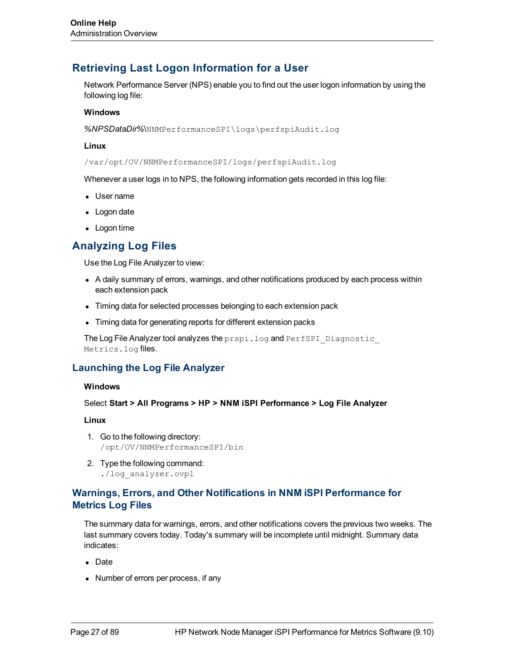# <span id="page-26-0"></span>**Retrieving Last Logon Information for a User**

Network Performance Server (NPS) enable you to find out the user logon information by using the following log file:

#### **Windows**

*%NPSDataDir%*\NNMPerformanceSPI\logs\perfspiAudit.log

#### **Linux**

/var/opt/OV/NNMPerformanceSPI/logs/perfspiAudit.log

Whenever a user logs in to NPS, the following information gets recorded in this log file:

- User name
- Logon date
- <span id="page-26-1"></span> $\bullet$  Logon time

# **Analyzing Log Files**

Use the Log File Analyzer to view:

- A daily summary of errors, warnings, and other notifications produced by each process within each extension pack
- Timing data for selected processes belonging to each extension pack
- Timing data for generating reports for different extension packs

The Log File Analyzer tool analyzes the prspi.log and PerfSPI Diagnostic Metrics.log files.

### <span id="page-26-2"></span>**Launching the Log File Analyzer**

#### **Windows**

Select **Start > All Programs > HP > NNM iSPI Performance > Log File Analyzer**

#### **Linux**

- 1. Go to the following directory: /opt/OV/NNMPerformanceSPI/bin
- 2. Type the following command: ./log\_analyzer.ovpl

### <span id="page-26-3"></span>**Warnings, Errors, and Other Notifications in NNM iSPI Performance for Metrics Log Files**

The summary data for warnings, errors, and other notifications covers the previous two weeks. The last summary covers today. Today's summary will be incomplete until midnight. Summary data indicates:

- Date
- Number of errors per process, if any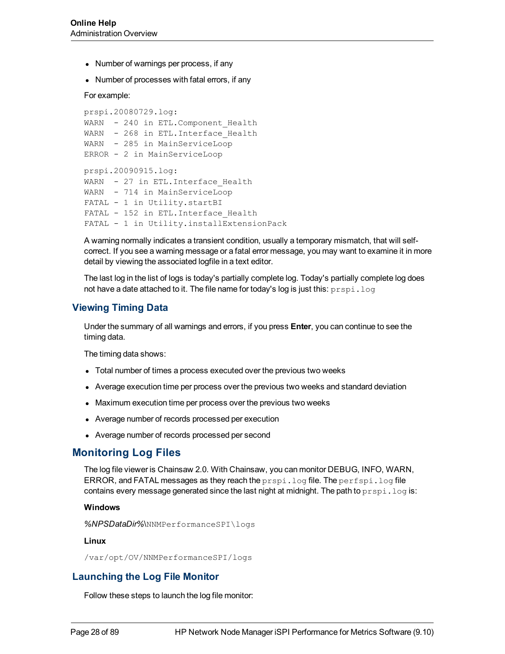- Number of warnings per process, if any
- Number of processes with fatal errors, if any

For example:

```
prspi.20080729.log:
WARN - 240 in ETL. Component Health
WARN - 268 in ETL. Interface Health
WARN - 285 in MainServiceLoop
ERROR - 2 in MainServiceLoop
prspi.20090915.log:
WARN - 27 in ETL. Interface Health
WARN - 714 in MainServiceLoop
FATAL - 1 in Utility.startBI
FATAL - 152 in ETL. Interface Health
FATAL - 1 in Utility. installExtensionPack
```
A warning normally indicates a transient condition, usually a temporary mismatch, that will selfcorrect. If you see a warning message or a fatal error message, you may want to examine it in more detail by viewing the associated logfile in a text editor.

The last log in the list of logs is today's partially complete log. Today's partially complete log does not have a date attached to it. The file name for today's log is just this:  $prspi$ . log

### <span id="page-27-0"></span>**Viewing Timing Data**

Under the summary of all warnings and errors, if you press **Enter**, you can continue to see the timing data.

The timing data shows:

- Total number of times a process executed over the previous two weeks
- Average execution time per process over the previous two weeks and standard deviation
- Maximum execution time per process over the previous two weeks
- Average number of records processed per execution
- <span id="page-27-1"></span>• Average number of records processed per second

## **Monitoring Log Files**

The log file viewer is Chainsaw 2.0. With Chainsaw, you can monitor DEBUG, INFO, WARN, ERROR, and FATAL messages as they reach the prspi.log file. The perfspi.log file contains every message generated since the last night at midnight. The path to  $prspi.log is$ :

#### **Windows**

*%NPSDataDir%*\NNMPerformanceSPI\logs

#### **Linux**

<span id="page-27-2"></span>/var/opt/OV/NNMPerformanceSPI/logs

### **Launching the Log File Monitor**

Follow these steps to launch the log file monitor: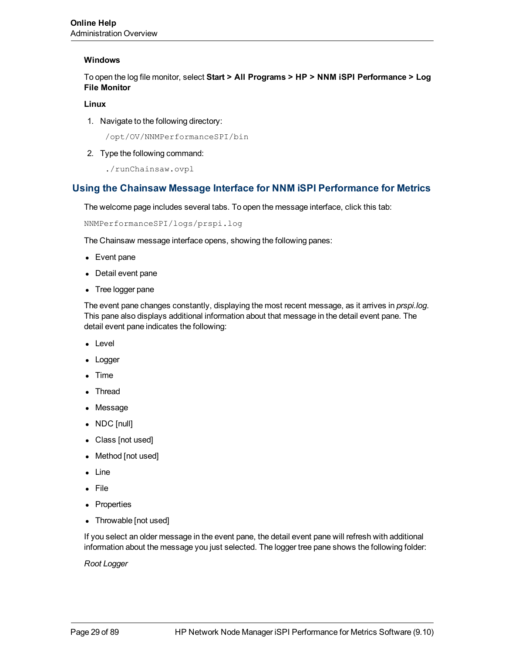#### **Windows**

To open the log file monitor, select **Start > All Programs > HP > NNM iSPI Performance > Log File Monitor**

#### **Linux**

1. Navigate to the following directory:

/opt/OV/NNMPerformanceSPI/bin

2. Type the following command:

./runChainsaw.ovpl

### <span id="page-28-0"></span>**Using the Chainsaw Message Interface for NNM iSPI Performance for Metrics**

The welcome page includes several tabs. To open the message interface, click this tab:

NNMPerformanceSPI/logs/prspi.log

The Chainsaw message interface opens, showing the following panes:

- $\bullet$  Event pane
- Detail event pane
- Tree logger pane

The event pane changes constantly, displaying the most recent message, as it arrives in *prspi.log*. This pane also displays additional information about that message in the detail event pane. The detail event pane indicates the following:

- Level
- Logger
- $\blacksquare$  Time
- **Thread**
- Message
- $\bullet$  NDC [null]
- Class [not used]
- Method [not used]
- Line
- File
- Properties
- Throwable [not used]

If you select an older message in the event pane, the detail event pane will refresh with additional information about the message you just selected. The logger tree pane shows the following folder:

*Root Logger*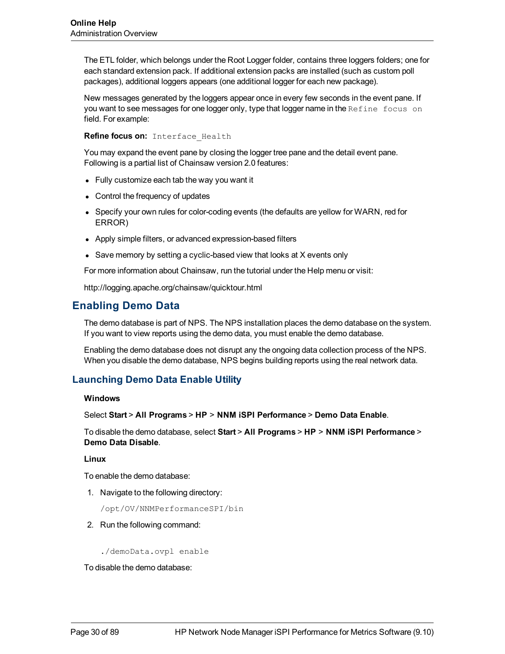The ETL folder, which belongs under the Root Logger folder, contains three loggers folders; one for each standard extension pack. If additional extension packs are installed (such as custom poll packages), additional loggers appears (one additional logger for each new package).

New messages generated by the loggers appear once in every few seconds in the event pane. If you want to see messages for one logger only, type that logger name in the Refine focus on field. For example:

**Refine focus on:** Interface\_Health

You may expand the event pane by closing the logger tree pane and the detail event pane. Following is a partial list of Chainsaw version 2.0 features:

- Fully customize each tab the way you want it
- Control the frequency of updates
- Specify your own rules for color-coding events (the defaults are yellow for WARN, red for ERROR)
- Apply simple filters, or advanced expression-based filters
- Save memory by setting a cyclic-based view that looks at  $X$  events only

For more information about Chainsaw, run the tutorial under the Help menu or visit:

<span id="page-29-0"></span>http://logging.apache.org/chainsaw/quicktour.html

# **Enabling Demo Data**

The demo database is part of NPS. The NPS installation places the demo database on the system. If you want to view reports using the demo data, you must enable the demo database.

Enabling the demo database does not disrupt any the ongoing data collection process of the NPS. When you disable the demo database, NPS begins building reports using the real network data.

### <span id="page-29-1"></span>**Launching Demo Data Enable Utility**

#### **Windows**

Select **Start** > **All Programs** > **HP** > **NNM iSPI Performance** > **Demo Data Enable**.

To disable the demo database, select **Start** > **All Programs** > **HP** > **NNM iSPI Performance** > **Demo Data Disable**.

#### **Linux**

To enable the demo database:

1. Navigate to the following directory:

/opt/OV/NNMPerformanceSPI/bin

2. Run the following command:

./demoData.ovpl enable

To disable the demo database: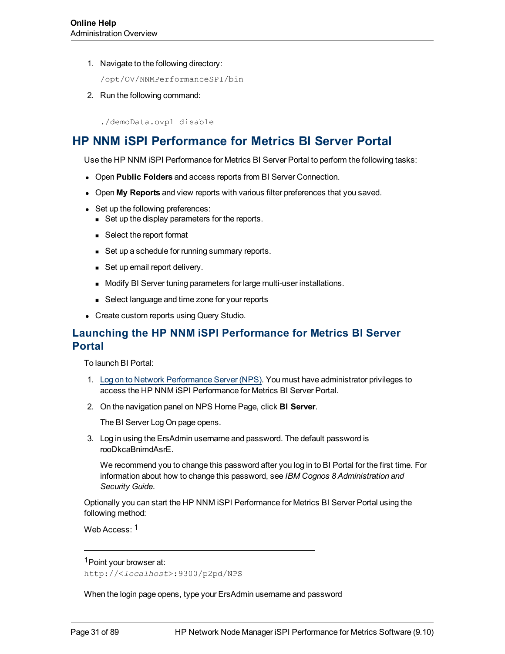1. Navigate to the following directory:

/opt/OV/NNMPerformanceSPI/bin

2. Run the following command:

./demoData.ovpl disable

# <span id="page-30-0"></span>**HP NNM iSPI Performance for Metrics BI Server Portal**

Use the HP NNM iSPI Performance for Metrics BI Server Portal to perform the following tasks:

- **.** Open Public Folders and access reports from BI Server Connection.
- **.** Open My Reports and view reports with various filter preferences that you saved.
- Set up the following preferences:
	- Set up the display parameters for the reports.
	- Select the report format
	- Set up a schedule for running summary reports.
	- Set up email report delivery.
	- Modify BI Server tuning parameters for large multi-user installations.
	- Select language and time zone for your reports
- Create custom reports using Query Studio.

# <span id="page-30-1"></span>**Launching the HP NNM iSPI Performance for Metrics BI Server Portal**

To launch BI Portal:

- 1. [Log](#page-14-1) [on](#page-14-1) [to](#page-14-1) [Network](#page-14-1) [Performance](#page-14-1) [Server](#page-14-1) [\(NPS\)](#page-14-1). You must have administrator privileges to access the HP NNM iSPI Performance for Metrics BI Server Portal.
- 2. On the navigation panel on NPS Home Page, click **BI Server**.

The BI Server Log On page opens.

3. Log in using the ErsAdmin username and password. The default password is rooDkcaBnimdAsrE.

We recommend you to change this password after you log in to BI Portal for the first time. For information about how to change this password, see *IBM Cognos 8 Administration and Security Guide*.

Optionally you can start the HP NNM iSPI Performance for Metrics BI Server Portal using the following method:

Web Access: 1

When the login page opens, type your ErsAdmin username and password

<sup>1</sup>Point your browser at:

http://<*localhost*>:9300/p2pd/NPS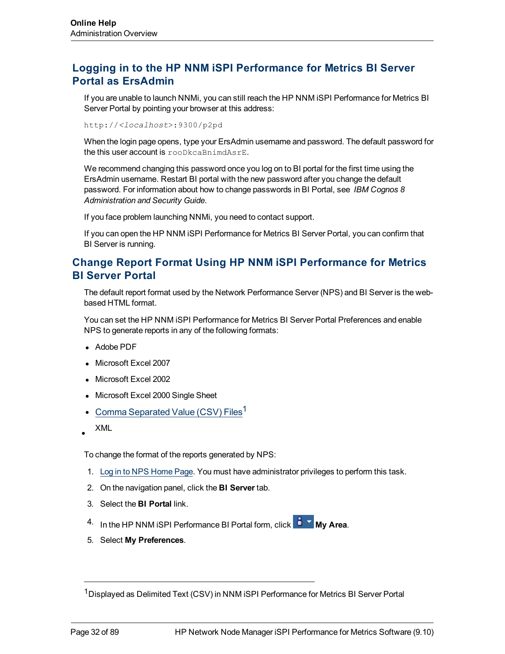# <span id="page-31-0"></span>**Logging in to the HP NNM iSPI Performance for Metrics BI Server Portal as ErsAdmin**

If you are unable to launch NNMi, you can still reach the HP NNM iSPI Performance for Metrics BI Server Portal by pointing your browser at this address:

http://*<localhost*>:9300/p2pd

When the login page opens, type your ErsAdmin username and password. The default password for the this user account is rooDkcaBnimdAsrE.

We recommend changing this password once you log on to BI portal for the first time using the ErsAdmin username. Restart BI portal with the new password after you change the default password. For information about how to change passwords in BI Portal, see *IBM Cognos 8 Administration and Security Guide*.

If you face problem launching NNMi, you need to contact support.

If you can open the HP NNM iSPI Performance for Metrics BI Server Portal, you can confirm that BI Server is running.

# <span id="page-31-1"></span>**Change Report Format Using HP NNM iSPI Performance for Metrics BI Server Portal**

The default report format used by the Network Performance Server (NPS) and BI Server is the webbased HTML format.

You can set the HP NNM iSPI Performance for Metrics BI Server Portal Preferences and enable NPS to generate reports in any of the following formats:

- Adobe PDF
- Microsoft Excel 2007
- Microsoft Excel 2002
- Microsoft Excel 2000 Single Sheet
- Comma Separated Value (CSV) Files<sup>1</sup>
- $\bullet$ XML

To change the format of the reports generated by NPS:

- 1. [Log](#page-14-1) [in](#page-14-1) [to](#page-14-1) [NPS Home](#page-14-1) [Page](#page-14-1). You must have administrator privileges to perform this task.
- 2. On the navigation panel, click the **BI Server** tab.
- 3. Select the **BI Portal** link.
- 4. In the HP NNM iSPI Performance BI Portal form, click **B Y My Area**.
- 5. Select **My Preferences**.

<sup>&</sup>lt;sup>1</sup>Displayed as Delimited Text (CSV) in NNM iSPI Performance for Metrics BI Server Portal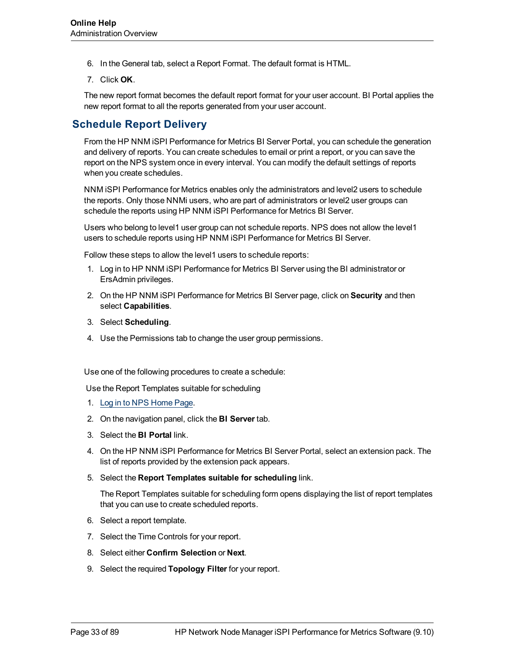- 6. In the General tab, select a Report Format. The default format is HTML.
- 7. Click **OK**.

The new report format becomes the default report format for your user account. BI Portal applies the new report format to all the reports generated from your user account.

# <span id="page-32-0"></span>**Schedule Report Delivery**

From the HP NNM iSPI Performance for Metrics BI Server Portal, you can schedule the generation and delivery of reports. You can create schedules to email or print a report, or you can save the report on the NPS system once in every interval. You can modify the default settings of reports when you create schedules.

NNM iSPI Performance for Metrics enables only the administrators and level2 users to schedule the reports. Only those NNMi users, who are part of administrators or level2 user groups can schedule the reports using HP NNM iSPI Performance for Metrics BI Server.

Users who belong to level1 user group can not schedule reports. NPS does not allow the level1 users to schedule reports using HP NNM iSPI Performance for Metrics BI Server.

Follow these steps to allow the level1 users to schedule reports:

- 1. Log in to HP NNM iSPI Performance for Metrics BI Server using the BI administrator or ErsAdmin privileges.
- 2. On the HP NNM iSPI Performance for Metrics BI Server page, click on **Security** and then select **Capabilities**.
- 3. Select **Scheduling**.
- 4. Use the Permissions tab to change the user group permissions.

Use one of the following procedures to create a schedule:

Use the Report Templates suitable for scheduling

- 1. [Log](#page-14-1) [in](#page-14-1) [to](#page-14-1) [NPS Home](#page-14-1) [Page](#page-14-1).
- 2. On the navigation panel, click the **BI Server** tab.
- 3. Select the **BI Portal** link.
- 4. On the HP NNM iSPI Performance for Metrics BI Server Portal, select an extension pack. The list of reports provided by the extension pack appears.
- 5. Select the **Report Templates suitable for scheduling** link.

The Report Templates suitable for scheduling form opens displaying the list of report templates that you can use to create scheduled reports.

- 6. Select a report template.
- 7. Select the Time Controls for your report.
- 8. Select either **Confirm Selection** or **Next**.
- 9. Select the required **Topology Filter** for your report.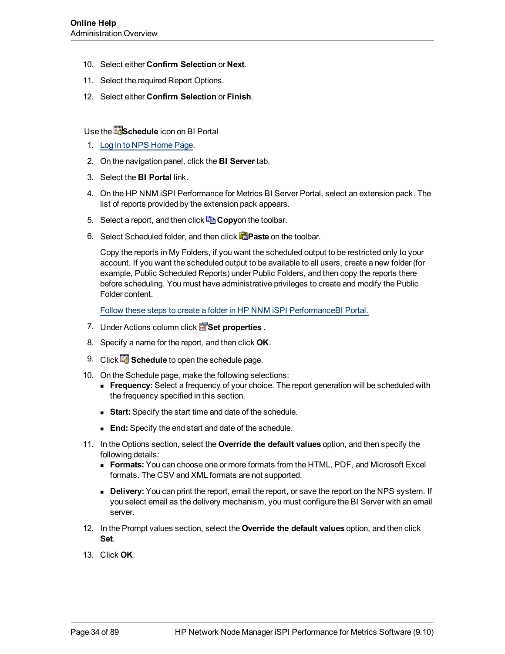- 10. Select either **Confirm Selection** or **Next**.
- 11. Select the required Report Options.
- 12. Select either **Confirm Selection** or **Finish**.

Use the **Edental Schedule** icon on BI Portal

- 1. [Log](#page-14-1) [in](#page-14-1) [to](#page-14-1) [NPS Home](#page-14-1) [Page](#page-14-1).
- 2. On the navigation panel, click the **BI Server** tab.
- 3. Select the **BI Portal** link.
- 4. On the HP NNM iSPI Performance for Metrics BI Server Portal, select an extension pack. The list of reports provided by the extension pack appears.
- 5. Select a report, and then click **Copy**on the toolbar.
- 6. Select Scheduled folder, and then click **Paste** on the toolbar.

Copy the reports in My Folders, if you want the scheduled output to be restricted only to your account. If you want the scheduled output to be available to all users, create a new folder (for example, Public Scheduled Reports) under Public Folders, and then copy the reports there before scheduling. You must have administrative privileges to create and modify the Public Folder content.

[Follow](../../../../../Content/Report_Controls/PerfiSPI_CreateFolderBI.htm) [these](../../../../../Content/Report_Controls/PerfiSPI_CreateFolderBI.htm) [steps](../../../../../Content/Report_Controls/PerfiSPI_CreateFolderBI.htm) [to](../../../../../Content/Report_Controls/PerfiSPI_CreateFolderBI.htm) [create](../../../../../Content/Report_Controls/PerfiSPI_CreateFolderBI.htm) [a](../../../../../Content/Report_Controls/PerfiSPI_CreateFolderBI.htm) [folder](../../../../../Content/Report_Controls/PerfiSPI_CreateFolderBI.htm) [in](../../../../../Content/Report_Controls/PerfiSPI_CreateFolderBI.htm) [HP](../../../../../Content/Report_Controls/PerfiSPI_CreateFolderBI.htm) [NNM](../../../../../Content/Report_Controls/PerfiSPI_CreateFolderBI.htm) [iSPI](../../../../../Content/Report_Controls/PerfiSPI_CreateFolderBI.htm) [PerformanceBI](../../../../../Content/Report_Controls/PerfiSPI_CreateFolderBI.htm) [Portal.](../../../../../Content/Report_Controls/PerfiSPI_CreateFolderBI.htm)

- 7. Under Actions column click **Set properties**.
- 8. Specify a name for the report, and then click **OK**.
- 9. Click **3** Schedule to open the schedule page.
- 10. On the Schedule page, make the following selections:
	- **Frequency:** Select a frequency of your choice. The report generation will be scheduled with the frequency specified in this section.
	- **Start:** Specify the start time and date of the schedule.
	- **End:** Specify the end start and date of the schedule.
- 11. In the Options section, select the **Override the default values** option, and then specify the following details:
	- **Formats:** You can choose one or more formats from the HTML, PDF, and Microsoft Excel formats. The CSV and XML formats are not supported.
	- **Delivery:** You can print the report, email the report, or save the report on the NPS system. If you select email as the delivery mechanism, you must configure the BI Server with an email server.
- 12. In the Prompt values section, select the **Override the default values** option, and then click **Set**.
- 13. Click **OK**.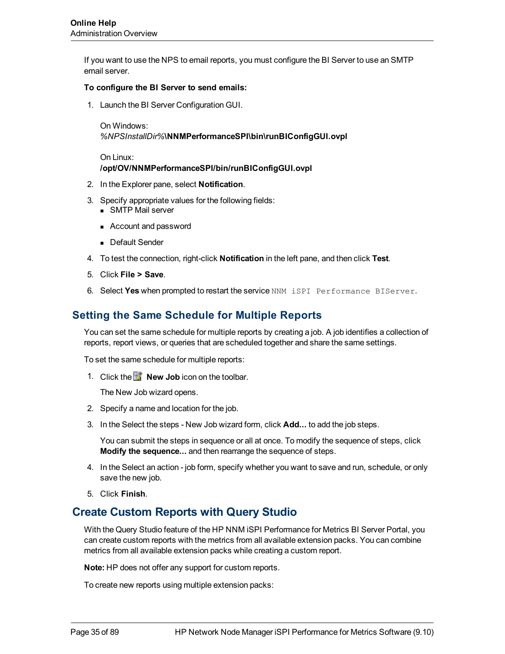If you want to use the NPS to email reports, you must configure the BI Server to use an SMTP email server.

#### **To configure the BI Server to send emails:**

1. Launch the BI Server Configuration GUI.

On Windows: *%NPSInstallDir%***\NNMPerformanceSPI\bin\runBIConfigGUI.ovpl**

On Linux: **/opt/OV/NNMPerformanceSPI/bin/runBIConfigGUI.ovpl**

- 2. In the Explorer pane, select **Notification**.
- 3. Specify appropriate values for the following fields:
	- **NO SMTP Mail server**
	- Account and password
	- Default Sender
- 4. To test the connection, right-click **Notification** in the left pane, and then click **Test**.
- 5. Click **File > Save**.
- 6. Select **Yes** when prompted to restart the service NNM iSPI Performance BIServer.

# <span id="page-34-0"></span>**Setting the Same Schedule for Multiple Reports**

You can set the same schedule for multiple reports by creating a job. A job identifies a collection of reports, report views, or queries that are scheduled together and share the same settings.

To set the same schedule for multiple reports:

1. Click the **New Job** icon on the toolbar.

The New Job wizard opens.

- 2. Specify a name and location for the job.
- 3. In the Select the steps New Job wizard form, click **Add...** to add the job steps.

You can submit the steps in sequence or all at once. To modify the sequence of steps, click **Modify the sequence...** and then rearrange the sequence of steps.

- 4. In the Select an action job form, specify whether you want to save and run, schedule, or only save the new job.
- <span id="page-34-1"></span>5. Click **Finish**.

# **Create Custom Reports with Query Studio**

With the Query Studio feature of the HP NNM iSPI Performance for Metrics BI Server Portal, you can create custom reports with the metrics from all available extension packs. You can combine metrics from all available extension packs while creating a custom report.

**Note:** HP does not offer any support for custom reports.

To create new reports using multiple extension packs: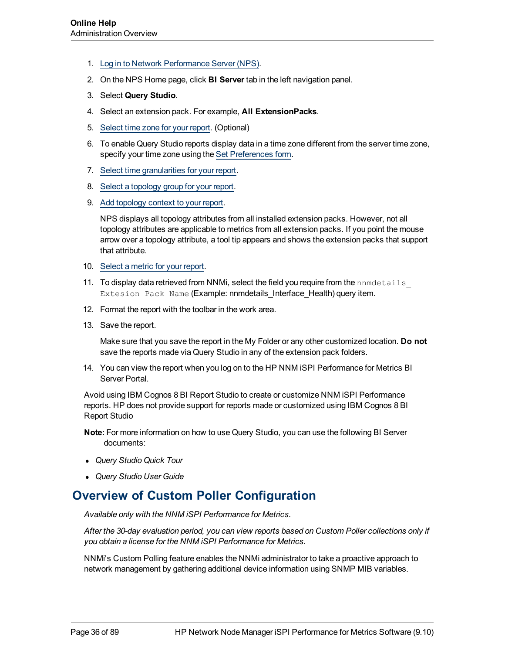- 1. [Log](#page-14-1) [in](#page-14-1) [to](#page-14-1) [Network](#page-14-1) [Performance](#page-14-1) [Server](#page-14-1) [\(NPS\)](#page-14-1).
- 2. On the NPS Home page, click **BI Server** tab in the left navigation panel.
- 3. Select **Query Studio**.
- 4. Select an extension pack. For example, **All ExtensionPacks**.
- 5. [Select](../../../../../Content/Report_Controls/PerfiSPI_QSTimeGran.htm) [time](../../../../../Content/Report_Controls/PerfiSPI_QSTimeGran.htm) [zone](../../../../../Content/Report_Controls/PerfiSPI_QSTimeGran.htm) [for](../../../../../Content/Report_Controls/PerfiSPI_QSTimeGran.htm) [your](../../../../../Content/Report_Controls/PerfiSPI_QSTimeGran.htm) [report](../../../../../Content/Report_Controls/PerfiSPI_QSTimeGran.htm). (Optional)
- 6. To enable Query Studio reports display data in a time zone different from the server time zone, specify your time zone using the [Set](../../../../../Content/Report_Controls/PerfiSPI_Chng_Acc_Sett.htm) [Preferences](../../../../../Content/Report_Controls/PerfiSPI_Chng_Acc_Sett.htm) [form](../../../../../Content/Report_Controls/PerfiSPI_Chng_Acc_Sett.htm).
- 7. [Select](../../../../../Content/Report_Controls/PerfiSPI_QSTimeGran.htm) [time](../../../../../Content/Report_Controls/PerfiSPI_QSTimeGran.htm) [granularities](../../../../../Content/Report_Controls/PerfiSPI_QSTimeGran.htm) [for](../../../../../Content/Report_Controls/PerfiSPI_QSTimeGran.htm) [your](../../../../../Content/Report_Controls/PerfiSPI_QSTimeGran.htm) [report](../../../../../Content/Report_Controls/PerfiSPI_QSTimeGran.htm).
- 8. [Select](../../../../../Content/Report_Controls/PeriSPI_QSTopoGrp.htm) [a](../../../../../Content/Report_Controls/PeriSPI_QSTopoGrp.htm) [topology](../../../../../Content/Report_Controls/PeriSPI_QSTopoGrp.htm) [group](../../../../../Content/Report_Controls/PeriSPI_QSTopoGrp.htm) [for](../../../../../Content/Report_Controls/PeriSPI_QSTopoGrp.htm) [your](../../../../../Content/Report_Controls/PeriSPI_QSTopoGrp.htm) [report.](../../../../../Content/Report_Controls/PeriSPI_QSTopoGrp.htm)
- 9. [Add](../../../../../Content/Report_Controls/PerfiSPI_QSTopoCont.htm) [topology](../../../../../Content/Report_Controls/PerfiSPI_QSTopoCont.htm) [context](../../../../../Content/Report_Controls/PerfiSPI_QSTopoCont.htm) [to](../../../../../Content/Report_Controls/PerfiSPI_QSTopoCont.htm) [your](../../../../../Content/Report_Controls/PerfiSPI_QSTopoCont.htm) [report.](../../../../../Content/Report_Controls/PerfiSPI_QSTopoCont.htm)

NPS displays all topology attributes from all installed extension packs. However, not all topology attributes are applicable to metrics from all extension packs. If you point the mouse arrow over a topology attribute, a tool tip appears and shows the extension packs that support that attribute.

- 10. [Select](../../../../../Content/Report_Controls/PerfiSPI_QSMetric.htm) [a](../../../../../Content/Report_Controls/PerfiSPI_QSMetric.htm) [metric](../../../../../Content/Report_Controls/PerfiSPI_QSMetric.htm) [for](../../../../../Content/Report_Controls/PerfiSPI_QSMetric.htm) [your](../../../../../Content/Report_Controls/PerfiSPI_QSMetric.htm) [report.](../../../../../Content/Report_Controls/PerfiSPI_QSMetric.htm)
- 11. To display data retrieved from NNMi, select the field you require from the nnmdetails Extesion Pack Name (Example: nnmdetails\_Interface\_Health) query item.
- 12. Format the report with the toolbar in the work area.
- 13. Save the report.

Make sure that you save the report in the My Folder or any other customized location. **Do not** save the reports made via Query Studio in any of the extension pack folders.

14. You can view the report when you log on to the HP NNM iSPI Performance for Metrics BI Server Portal.

Avoid using IBM Cognos 8 BI Report Studio to create or customize NNM iSPI Performance reports. HP does not provide support for reports made or customized using IBM Cognos 8 BI Report Studio

**Note:** For more information on how to use Query Studio, you can use the following BI Server documents:

- <sup>l</sup> *Query Studio Quick Tour*
- <span id="page-35-0"></span><sup>l</sup> *Query Studio User Guide*

# **Overview of Custom Poller Configuration**

*Available only with the NNM iSPI Performance for Metrics.*

*After the 30-day evaluation period, you can view reports based on Custom Poller collections only if you obtain a license for the NNM iSPI Performance for Metrics.*

NNMi's Custom Polling feature enables the NNMi administrator to take a proactive approach to network management by gathering additional device information using SNMP MIB variables.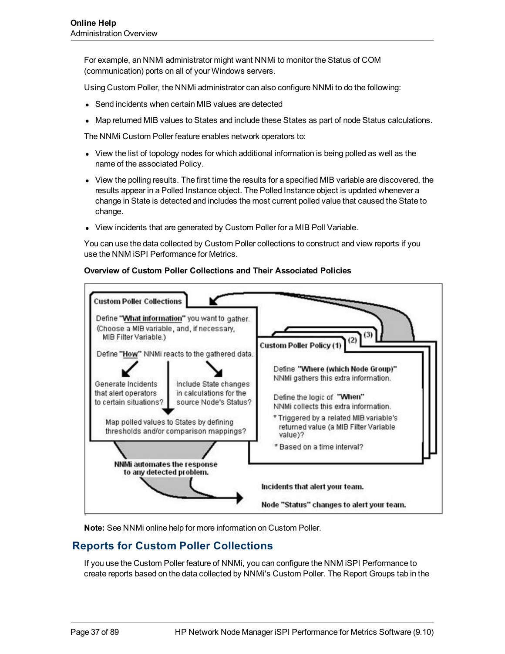For example, an NNMi administrator might want NNMi to monitor the Status of COM (communication) ports on all of your Windows servers.

Using Custom Poller, the NNMi administrator can also configure NNMi to do the following:

- Send incidents when certain MIB values are detected
- Map returned MIB values to States and include these States as part of node Status calculations.

The NNMi Custom Poller feature enables network operators to:

- View the list of topology nodes for which additional information is being polled as well as the name of the associated Policy.
- View the polling results. The first time the results for a specified MIB variable are discovered, the results appear in a Polled Instance object. The Polled Instance object is updated whenever a change in State is detected and includes the most current polled value that caused the State to change.
- View incidents that are generated by Custom Poller for a MIB Poll Variable.

You can use the data collected by Custom Poller collections to construct and view reports if you use the NNM iSPI Performance for Metrics.

#### **Overview of Custom Poller Collections and Their Associated Policies**



**Note:** See NNMi online help for more information on Custom Poller.

## **Reports for Custom Poller Collections**

If you use the Custom Poller feature of NNMi, you can configure the NNM iSPI Performance to create reports based on the data collected by NNMi's Custom Poller. The Report Groups tab in the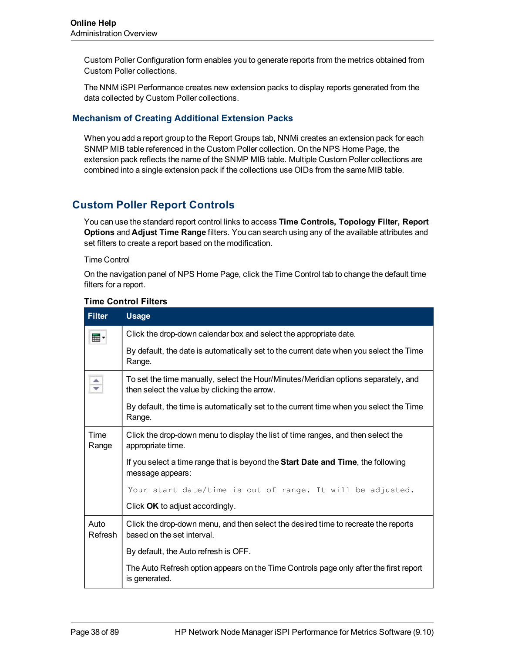Custom Poller Configuration form enables you to generate reports from the metrics obtained from Custom Poller collections.

The NNM iSPI Performance creates new extension packs to display reports generated from the data collected by Custom Poller collections.

## **Mechanism of Creating Additional Extension Packs**

When you add a report group to the Report Groups tab, NNMi creates an extension pack for each SNMP MIB table referenced in the Custom Poller collection. On the NPS Home Page, the extension pack reflects the name of the SNMP MIB table. Multiple Custom Poller collections are combined into a single extension pack if the collections use OIDs from the same MIB table.

# **Custom Poller Report Controls**

You can use the standard report control links to access **Time Controls, Topology Filter, Report Options** and **Adjust Time Range** filters. You can search using any of the available attributes and set filters to create a report based on the modification.

#### Time Control

On the navigation panel of NPS Home Page, click the Time Control tab to change the default time filters for a report.

| <b>Filter</b>        | <b>Usage</b>                                                                                                                       |  |  |  |  |
|----------------------|------------------------------------------------------------------------------------------------------------------------------------|--|--|--|--|
| ⊞ ∙                  | Click the drop-down calendar box and select the appropriate date.                                                                  |  |  |  |  |
|                      | By default, the date is automatically set to the current date when you select the Time<br>Range.                                   |  |  |  |  |
| $\frac{1}{\sqrt{2}}$ | To set the time manually, select the Hour/Minutes/Meridian options separately, and<br>then select the value by clicking the arrow. |  |  |  |  |
|                      | By default, the time is automatically set to the current time when you select the Time<br>Range.                                   |  |  |  |  |
| Time<br>Range        | Click the drop-down menu to display the list of time ranges, and then select the<br>appropriate time.                              |  |  |  |  |
|                      | If you select a time range that is beyond the <b>Start Date and Time</b> , the following<br>message appears:                       |  |  |  |  |
|                      | Your start date/time is out of range. It will be adjusted.                                                                         |  |  |  |  |
|                      | Click OK to adjust accordingly.                                                                                                    |  |  |  |  |
| Auto<br>Refresh      | Click the drop-down menu, and then select the desired time to recreate the reports<br>based on the set interval.                   |  |  |  |  |
|                      | By default, the Auto refresh is OFF.                                                                                               |  |  |  |  |
|                      | The Auto Refresh option appears on the Time Controls page only after the first report<br>is generated.                             |  |  |  |  |

#### **Time Control Filters**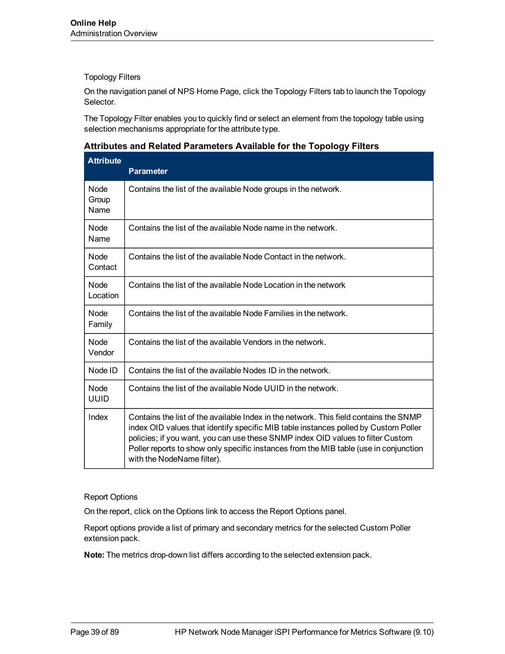### Topology Filters

On the navigation panel of NPS Home Page, click the Topology Filters tab to launch the Topology Selector.

The Topology Filter enables you to quickly find or select an element from the topology table using selection mechanisms appropriate for the attribute type.

### **Attributes and Related Parameters Available for the Topology Filters**

| <b>Attribute</b>             | <b>Parameter</b>                                                                                                                                                                                                                                                                                                                                                                       |
|------------------------------|----------------------------------------------------------------------------------------------------------------------------------------------------------------------------------------------------------------------------------------------------------------------------------------------------------------------------------------------------------------------------------------|
| <b>Node</b><br>Group<br>Name | Contains the list of the available Node groups in the network.                                                                                                                                                                                                                                                                                                                         |
| Node<br>Name                 | Contains the list of the available Node name in the network.                                                                                                                                                                                                                                                                                                                           |
| <b>Node</b><br>Contact       | Contains the list of the available Node Contact in the network.                                                                                                                                                                                                                                                                                                                        |
| Node.<br>Location            | Contains the list of the available Node Location in the network                                                                                                                                                                                                                                                                                                                        |
| <b>Node</b><br>Family        | Contains the list of the available Node Families in the network.                                                                                                                                                                                                                                                                                                                       |
| Node<br>Vendor               | Contains the list of the available Vendors in the network.                                                                                                                                                                                                                                                                                                                             |
| Node ID                      | Contains the list of the available Nodes ID in the network.                                                                                                                                                                                                                                                                                                                            |
| Node<br><b>UUID</b>          | Contains the list of the available Node UUID in the network.                                                                                                                                                                                                                                                                                                                           |
| Index                        | Contains the list of the available Index in the network. This field contains the SNMP<br>index OID values that identify specific MIB table instances polled by Custom Poller<br>policies; if you want, you can use these SNMP index OID values to filter Custom<br>Poller reports to show only specific instances from the MIB table (use in conjunction<br>with the NodeName filter). |

### Report Options

On the report, click on the Options link to access the Report Options panel.

Report options provide a list of primary and secondary metrics for the selected Custom Poller extension pack.

**Note:** The metrics drop-down list differs according to the selected extension pack.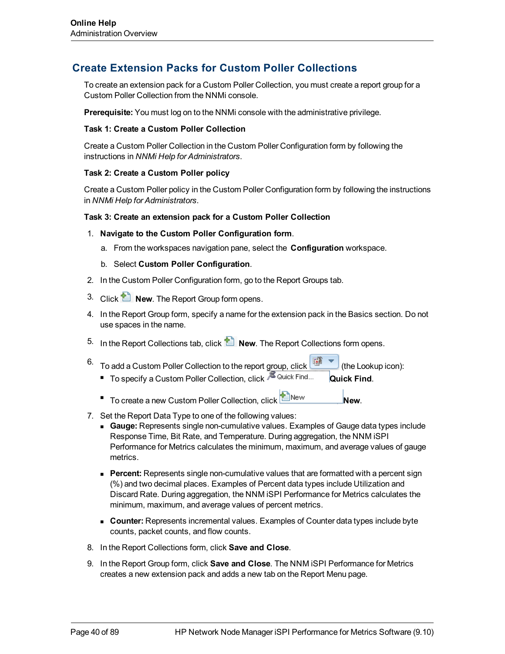## **Create Extension Packs for Custom Poller Collections**

To create an extension pack for a Custom Poller Collection, you must create a report group for a Custom Poller Collection from the NNMi console.

**Prerequisite:** You must log on to the NNMi console with the administrative privilege.

#### **Task 1: Create a Custom Poller Collection**

Create a Custom Poller Collection in the Custom Poller Configuration form by following the instructions in *NNMi Help for Administrators*.

### **Task 2: Create a Custom Poller policy**

Create a Custom Poller policy in the Custom Poller Configuration form by following the instructions in *NNMi Help for Administrators*.

#### **Task 3: Create an extension pack for a Custom Poller Collection**

- 1. **Navigate to the Custom Poller Configuration form**.
	- a. From the workspaces navigation pane, select the **Configuration** workspace.
	- b. Select **Custom Poller Configuration**.
- 2. In the Custom Poller Configuration form, go to the Report Groups tab.
- 3. Click **New**. The Report Group form opens.
- 4. In the Report Group form, specify a name for the extension pack in the Basics section. Do not use spaces in the name.
- <sup>5.</sup> In the Report Collections tab, click **New**. The Report Collections form opens.
- Fo add a Custom Poller Collection to the report group, click (the Lookup icon): ■ To specify a Custom Poller Collection, click <sup>■ Quick Find</sup> Quick Find.
	- **n** To create a new Custom Poller Collection, click **New.** New.
- 7. Set the Report Data Type to one of the following values:
	- **Gauge:** Represents single non-cumulative values. Examples of Gauge data types include Response Time, Bit Rate, and Temperature. During aggregation, the NNM iSPI Performance for Metrics calculates the minimum, maximum, and average values of gauge metrics.
	- **Percent:** Represents single non-cumulative values that are formatted with a percent sign (%) and two decimal places. Examples of Percent data types include Utilization and Discard Rate. During aggregation, the NNM iSPI Performance for Metrics calculates the minimum, maximum, and average values of percent metrics.
	- **Counter:** Represents incremental values. Examples of Counter data types include byte counts, packet counts, and flow counts.
- 8. In the Report Collections form, click **Save and Close**.
- 9. In the Report Group form, click **Save and Close**. The NNM iSPI Performance for Metrics creates a new extension pack and adds a new tab on the Report Menu page.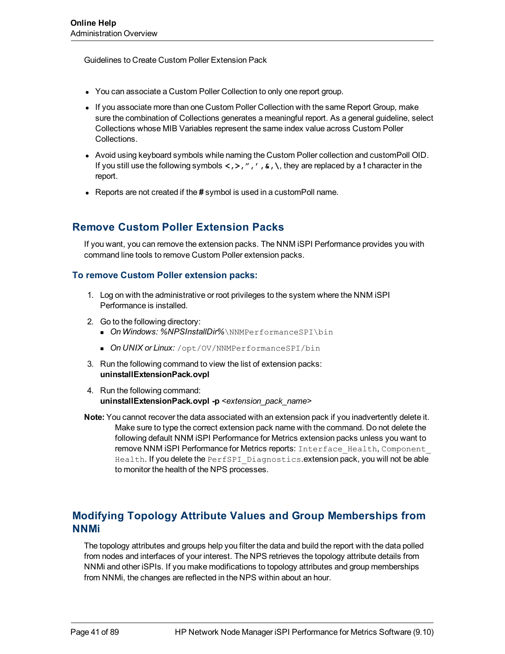Guidelines to Create Custom Poller Extension Pack

- You can associate a Custom Poller Collection to only one report group.
- If you associate more than one Custom Poller Collection with the same Report Group, make sure the combination of Collections generates a meaningful report. As a general guideline, select Collections whose MIB Variables represent the same index value across Custom Poller Collections.
- Avoid using keyboard symbols while naming the Custom Poller collection and customPoll OID. If you still use the following symbols **<,>,",',&,\**, they are replaced by a **!** character in the report.
- **EXECT** Reports are not created if the # symbol is used in a customPoll name.

# **Remove Custom Poller Extension Packs**

If you want, you can remove the extension packs. The NNM iSPI Performance provides you with command line tools to remove Custom Poller extension packs.

## **To remove Custom Poller extension packs:**

- 1. Log on with the administrative or root privileges to the system where the NNM iSPI Performance is installed.
- 2. Go to the following directory:
	- **n** *On Windows: %NPSInstallDir%* \NNMPerformanceSPI \bin
	- **n On UNIX or Linux:** /opt/OV/NNMPerformanceSPI/bin
- 3. Run the following command to view the list of extension packs: **uninstallExtensionPack.ovpl**
- 4. Run the following command: **uninstallExtensionPack.ovpl -p** *<extension\_pack\_name>*
- **Note:** You cannot recover the data associated with an extension pack if you inadvertently delete it. Make sure to type the correct extension pack name with the command. Do not delete the following default NNM iSPI Performance for Metrics extension packs unless you want to remove NNM iSPI Performance for Metrics reports: Interface Health, Component Health. If you delete the PerfSPI Diagnostics.extension pack, you will not be able to monitor the health of the NPS processes.

# **Modifying Topology Attribute Values and Group Memberships from NNMi**

The topology attributes and groups help you filter the data and build the report with the data polled from nodes and interfaces of your interest. The NPS retrieves the topology attribute details from NNMi and other iSPIs. If you make modifications to topology attributes and group memberships from NNMi, the changes are reflected in the NPS within about an hour.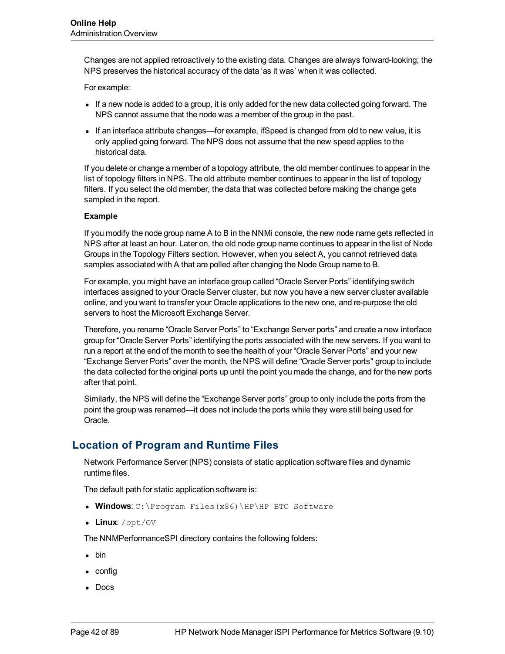Changes are not applied retroactively to the existing data. Changes are always forward-looking; the NPS preserves the historical accuracy of the data 'as it was' when it was collected.

For example:

- If a new node is added to a group, it is only added for the new data collected going forward. The NPS cannot assume that the node was a member of the group in the past.
- If an interface attribute changes—for example, ifSpeed is changed from old to new value, it is only applied going forward. The NPS does not assume that the new speed applies to the historical data.

If you delete or change a member of a topology attribute, the old member continues to appear in the list of topology filters in NPS. The old attribute member continues to appear in the list of topology filters. If you select the old member, the data that was collected before making the change gets sampled in the report.

### **Example**

If you modify the node group name A to B in the NNMi console, the new node name gets reflected in NPS after at least an hour. Later on, the old node group name continues to appear in the list of Node Groups in the Topology Filters section. However, when you select A, you cannot retrieved data samples associated with A that are polled after changing the Node Group name to B.

For example, you might have an interface group called "Oracle Server Ports" identifying switch interfaces assigned to your Oracle Server cluster, but now you have a new server cluster available online, and you want to transfer your Oracle applications to the new one, and re-purpose the old servers to host the Microsoft Exchange Server.

Therefore, you rename "Oracle Server Ports" to "Exchange Server ports" and create a new interface group for "Oracle Server Ports" identifying the ports associated with the new servers. If you want to run a report at the end of the month to see the health of your "Oracle Server Ports" and your new "Exchange Server Ports" over the month, the NPS will define "Oracle Server ports" group to include the data collected for the original ports up until the point you made the change, and for the new ports after that point.

Similarly, the NPS will define the "Exchange Server ports" group to only include the ports from the point the group was renamed—it does not include the ports while they were still being used for Oracle.

# **Location of Program and Runtime Files**

Network Performance Server (NPS) consists of static application software files and dynamic runtime files.

The default path for static application software is:

- **Windows**: C:\Program Files(x86)\HP\HP BTO Software
- Linux: /opt/0V

The NNMPerformanceSPI directory contains the following folders:

- $\bullet\,$  bin
- $\bullet$  config
- Docs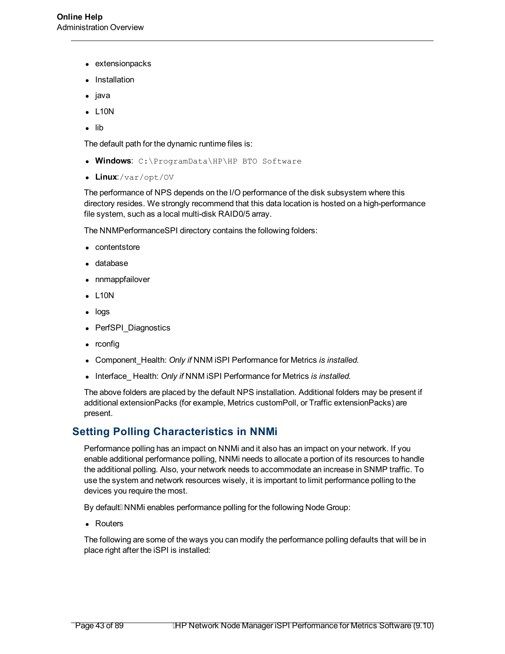- extensionpacks
- **Installation**
- java
- $\bullet$  L10N
- $\bullet$  lib

The default path for the dynamic runtime files is:

- **Windows**: C:\ProgramData\HP\HP BTO Software
- Linux:/var/opt/OV

The performance of NPS depends on the I/O performance of the disk subsystem where this directory resides. We strongly recommend that this data location is hosted on a high-performance file system, such as a local multi-disk RAID0/5 array.

The NNMPerformanceSPI directory contains the following folders:

- contentstore
- database
- nnmappfailover
- <sup>l</sup> L10N
- logs
- PerfSPI Diagnostics
- $\bullet$  rconfig
- <sup>l</sup> Component\_Health: *Only if* NNM iSPI Performance for Metrics *is installed.*
- **Interface\_Health: Only if NNM iSPI Performance for Metrics is installed.**

The above folders are placed by the default NPS installation. Additional folders may be present if additional extensionPacks (for example, Metrics customPoll, or Traffic extensionPacks) are present.

## **Setting Polling Characteristics in NNMi**

Performance polling has an impact on NNMi and it also has an impact on your network. If you enable additional performance polling, NNMi needs to allocate a portion of its resources to handle the additional polling. Also, your network needs to accommodate an increase in SNMP traffic. To use the system and network resources wisely, it is important to limit performance polling to the devices you require the most.

By default ENNMi enables performance polling for the following Node Group:

• Routers

The following are some of the ways you can modify the performance polling defaults that will be in place right after the iSPI is installed: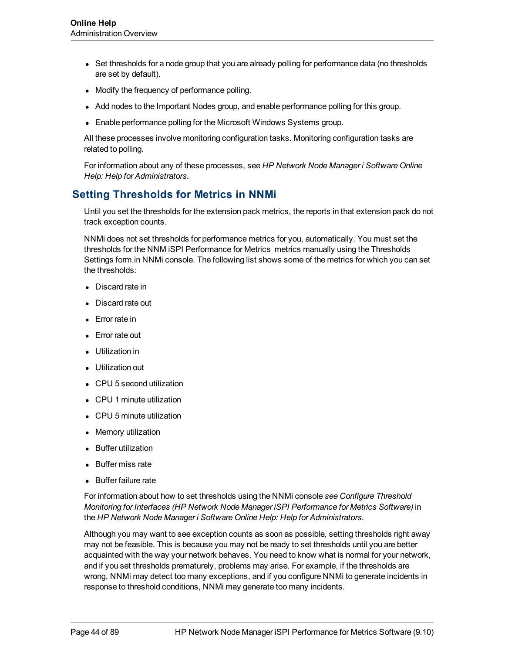- Set thresholds for a node group that you are already polling for performance data (no thresholds are set by default).
- Modify the frequency of performance polling.
- Add nodes to the Important Nodes group, and enable performance polling for this group.
- Enable performance polling for the Microsoft Windows Systems group.

All these processes involve monitoring configuration tasks. Monitoring configuration tasks are related to polling.

For information about any of these processes, see *HP Network Node Manager i Software Online Help: Help for Administrators*.

# **Setting Thresholds for Metrics in NNMi**

Until you set the thresholds for the extension pack metrics, the reports in that extension pack do not track exception counts.

NNMi does not set thresholds for performance metrics for you, automatically. You must set the thresholds for the NNM iSPI Performance for Metrics metrics manually using the Thresholds Settings form.in NNMi console. The following list shows some of the metrics for which you can set the thresholds:

- Discard rate in
- Discard rate out
- $\bullet$  Error rate in
- Error rate out
- Utilization in
- Utilization out
- CPU 5 second utilization
- CPU 1 minute utilization
- CPU 5 minute utilization
- Memory utilization
- **Buffer utilization**
- Buffer miss rate
- Buffer failure rate

For information about how to set thresholds using the NNMi console *see Configure Threshold Monitoring for Interfaces (HP Network Node Manager iSPI Performance for Metrics Software)* in the *HP Network Node Manager i Software Online Help: Help for Administrators*.

Although you may want to see exception counts as soon as possible, setting thresholds right away may not be feasible. This is because you may not be ready to set thresholds until you are better acquainted with the way your network behaves. You need to know what is normal for your network, and if you set thresholds prematurely, problems may arise. For example, if the thresholds are wrong, NNMi may detect too many exceptions, and if you configure NNMi to generate incidents in response to threshold conditions, NNMi may generate too many incidents.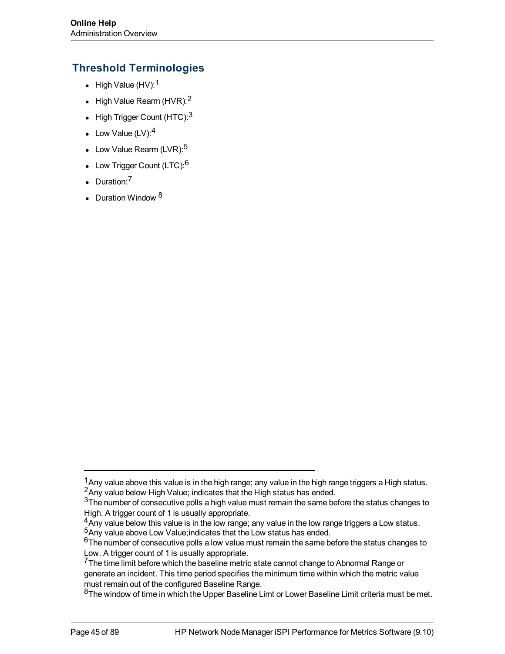# **Threshold Terminologies**

- High Value  $(HV)$ :<sup>1</sup>
- High Value Rearm (HVR): $2$
- High Trigger Count (HTC):  $3$
- Low Value  $(LV):<sup>4</sup>$
- Low Value Rearm (LVR): $5$
- Low Trigger Count (LTC): $6$
- $\bullet$  Duration:<sup>7</sup>
- Duration Window  $8$

 $1$ Any value above this value is in the high range; any value in the high range triggers a High status. <sup>2</sup>Any value below High Value; indicates that the High status has ended.

 $3$ The number of consecutive polls a high value must remain the same before the status changes to High. A trigger count of 1 is usually appropriate.

 $4A_{\text{N}}$  value below this value is in the low range; any value in the low range triggers a Low status. <sup>5</sup>Any value above Low Value;indicates that the Low status has ended.

 $6$ The number of consecutive polls a low value must remain the same before the status changes to Low. A trigger count of 1 is usually appropriate.

 $7$ The time limit before which the baseline metric state cannot change to Abnormal Range or generate an incident. This time period specifies the minimum time within which the metric value must remain out of the configured Baseline Range.

 $8$ The window of time in which the Upper Baseline Limt or Lower Baseline Limit criteria must be met.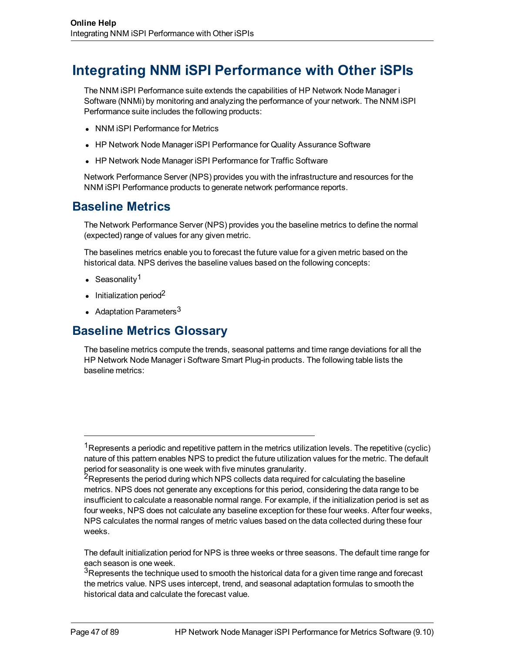# **Integrating NNM iSPI Performance with Other iSPIs**

The NNM iSPI Performance suite extends the capabilities of HP Network Node Manager i Software (NNMi) by monitoring and analyzing the performance of your network. The NNM iSPI Performance suite includes the following products:

- NNM iSPI Performance for Metrics
- HP Network Node Manager iSPI Performance for Quality Assurance Software
- HP Network Node Manager iSPI Performance for Traffic Software

Network Performance Server (NPS) provides you with the infrastructure and resources for the NNM iSPI Performance products to generate network performance reports.

# **Baseline Metrics**

The Network Performance Server (NPS) provides you the baseline metrics to define the normal (expected) range of values for any given metric.

The baselines metrics enable you to forecast the future value for a given metric based on the historical data. NPS derives the baseline values based on the following concepts:

- Seasonality<sup>1</sup>
- $\cdot$  Initialization period<sup>2</sup>
- Adaptation Parameters<sup>3</sup>

# **Baseline Metrics Glossary**

The baseline metrics compute the trends, seasonal patterns and time range deviations for all the HP Network Node Manager i Software Smart Plug-in products. The following table lists the baseline metrics:

The default initialization period for NPS is three weeks or three seasons. The default time range for each season is one week.

 $3R$ epresents the technique used to smooth the historical data for a given time range and forecast the metrics value. NPS uses intercept, trend, and seasonal adaptation formulas to smooth the historical data and calculate the forecast value.

<sup>&</sup>lt;sup>1</sup>Represents a periodic and repetitive pattern in the metrics utilization levels. The repetitive (cyclic) nature of this pattern enables NPS to predict the future utilization values for the metric. The default period for seasonality is one week with five minutes granularity.

<sup>&</sup>lt;sup>2</sup>Represents the period during which NPS collects data required for calculating the baseline metrics. NPS does not generate any exceptions for this period, considering the data range to be insufficient to calculate a reasonable normal range. For example, if the initialization period is set as four weeks, NPS does not calculate any baseline exception for these four weeks. After four weeks, NPS calculates the normal ranges of metric values based on the data collected during these four weeks.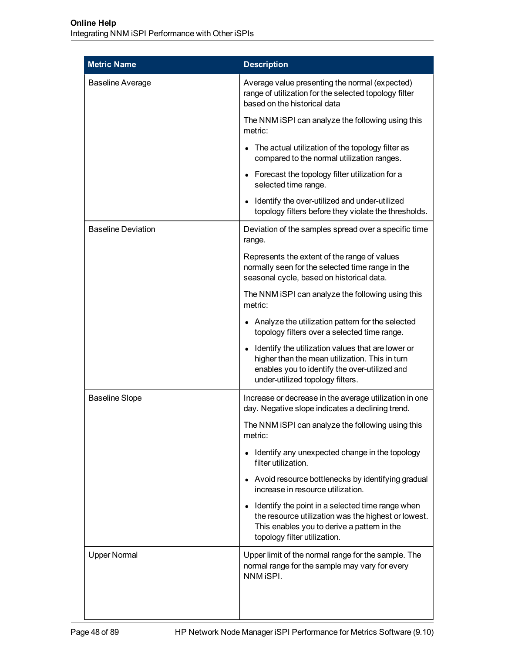| <b>Metric Name</b>        | <b>Description</b>                                                                                                                                                                                    |  |
|---------------------------|-------------------------------------------------------------------------------------------------------------------------------------------------------------------------------------------------------|--|
| <b>Baseline Average</b>   | Average value presenting the normal (expected)<br>range of utilization for the selected topology filter<br>based on the historical data                                                               |  |
|                           | The NNM iSPI can analyze the following using this<br>metric:                                                                                                                                          |  |
|                           | The actual utilization of the topology filter as<br>compared to the normal utilization ranges.                                                                                                        |  |
|                           | Forecast the topology filter utilization for a<br>$\bullet$<br>selected time range.                                                                                                                   |  |
|                           | Identify the over-utilized and under-utilized<br>$\bullet$<br>topology filters before they violate the thresholds.                                                                                    |  |
| <b>Baseline Deviation</b> | Deviation of the samples spread over a specific time<br>range.                                                                                                                                        |  |
|                           | Represents the extent of the range of values<br>normally seen for the selected time range in the<br>seasonal cycle, based on historical data.                                                         |  |
|                           | The NNM iSPI can analyze the following using this<br>metric:                                                                                                                                          |  |
|                           | Analyze the utilization pattern for the selected<br>topology filters over a selected time range.                                                                                                      |  |
|                           | Identify the utilization values that are lower or<br>$\bullet$<br>higher than the mean utilization. This in turn<br>enables you to identify the over-utilized and<br>under-utilized topology filters. |  |
| <b>Baseline Slope</b>     | Increase or decrease in the average utilization in one<br>day. Negative slope indicates a declining trend.                                                                                            |  |
|                           | The NNM iSPI can analyze the following using this<br>metric:                                                                                                                                          |  |
|                           | Identify any unexpected change in the topology<br>filter utilization.                                                                                                                                 |  |
|                           | Avoid resource bottlenecks by identifying gradual<br>$\bullet$<br>increase in resource utilization.                                                                                                   |  |
|                           | Identify the point in a selected time range when<br>$\bullet$<br>the resource utilization was the highest or lowest.<br>This enables you to derive a pattern in the<br>topology filter utilization.   |  |
| <b>Upper Normal</b>       | Upper limit of the normal range for the sample. The<br>normal range for the sample may vary for every<br>NNM iSPI.                                                                                    |  |
|                           |                                                                                                                                                                                                       |  |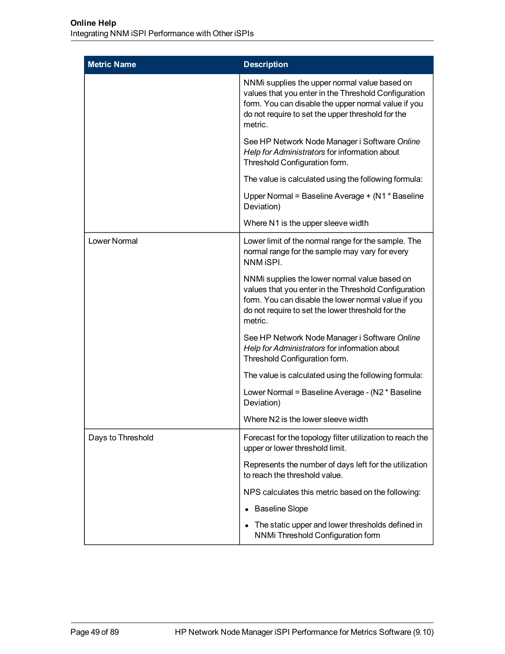| <b>Metric Name</b> | <b>Description</b>                                                                                                                                                                                                           |  |
|--------------------|------------------------------------------------------------------------------------------------------------------------------------------------------------------------------------------------------------------------------|--|
|                    | NNMi supplies the upper normal value based on<br>values that you enter in the Threshold Configuration<br>form. You can disable the upper normal value if you<br>do not require to set the upper threshold for the<br>metric. |  |
|                    | See HP Network Node Manager i Software Online<br>Help for Administrators for information about<br>Threshold Configuration form.                                                                                              |  |
|                    | The value is calculated using the following formula:                                                                                                                                                                         |  |
|                    | Upper Normal = Baseline Average + (N1 * Baseline<br>Deviation)                                                                                                                                                               |  |
|                    | Where N1 is the upper sleeve width                                                                                                                                                                                           |  |
| Lower Normal       | Lower limit of the normal range for the sample. The<br>normal range for the sample may vary for every<br>NNM iSPI.                                                                                                           |  |
|                    | NNMi supplies the lower normal value based on<br>values that you enter in the Threshold Configuration<br>form. You can disable the lower normal value if you<br>do not require to set the lower threshold for the<br>metric. |  |
|                    | See HP Network Node Manager i Software Online<br>Help for Administrators for information about<br>Threshold Configuration form.                                                                                              |  |
|                    | The value is calculated using the following formula:                                                                                                                                                                         |  |
|                    | Lower Normal = Baseline Average - (N2 * Baseline<br>Deviation)                                                                                                                                                               |  |
|                    | Where N2 is the lower sleeve width                                                                                                                                                                                           |  |
| Days to Threshold  | Forecast for the topology filter utilization to reach the<br>upper or lower threshold limit.                                                                                                                                 |  |
|                    | Represents the number of days left for the utilization<br>to reach the threshold value.                                                                                                                                      |  |
|                    | NPS calculates this metric based on the following:                                                                                                                                                                           |  |
|                    | <b>Baseline Slope</b>                                                                                                                                                                                                        |  |
|                    | The static upper and lower thresholds defined in<br>NNMi Threshold Configuration form                                                                                                                                        |  |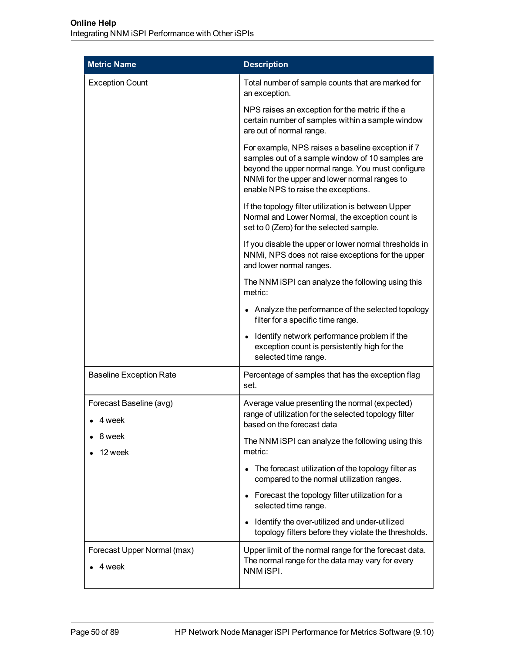| <b>Metric Name</b>                          | <b>Description</b>                                                                                                                                                                                                                                 |  |
|---------------------------------------------|----------------------------------------------------------------------------------------------------------------------------------------------------------------------------------------------------------------------------------------------------|--|
| <b>Exception Count</b>                      | Total number of sample counts that are marked for<br>an exception.                                                                                                                                                                                 |  |
|                                             | NPS raises an exception for the metric if the a<br>certain number of samples within a sample window<br>are out of normal range.                                                                                                                    |  |
|                                             | For example, NPS raises a baseline exception if 7<br>samples out of a sample window of 10 samples are<br>beyond the upper normal range. You must configure<br>NNMi for the upper and lower normal ranges to<br>enable NPS to raise the exceptions. |  |
|                                             | If the topology filter utilization is between Upper<br>Normal and Lower Normal, the exception count is<br>set to 0 (Zero) for the selected sample.                                                                                                 |  |
|                                             | If you disable the upper or lower normal thresholds in<br>NNMi, NPS does not raise exceptions for the upper<br>and lower normal ranges.                                                                                                            |  |
|                                             | The NNM iSPI can analyze the following using this<br>metric:                                                                                                                                                                                       |  |
|                                             | • Analyze the performance of the selected topology<br>filter for a specific time range.                                                                                                                                                            |  |
|                                             | Identify network performance problem if the<br>$\bullet$<br>exception count is persistently high for the<br>selected time range.                                                                                                                   |  |
| <b>Baseline Exception Rate</b>              | Percentage of samples that has the exception flag<br>set.                                                                                                                                                                                          |  |
| Forecast Baseline (avg)<br>$\bullet$ 4 week | Average value presenting the normal (expected)<br>range of utilization for the selected topology filter<br>based on the forecast data                                                                                                              |  |
| 8 week<br>12 week                           | The NNM iSPI can analyze the following using this<br>metric:                                                                                                                                                                                       |  |
|                                             | • The forecast utilization of the topology filter as<br>compared to the normal utilization ranges.                                                                                                                                                 |  |
|                                             | • Forecast the topology filter utilization for a<br>selected time range.                                                                                                                                                                           |  |
|                                             | Identify the over-utilized and under-utilized<br>$\bullet$<br>topology filters before they violate the thresholds.                                                                                                                                 |  |
| Forecast Upper Normal (max)<br>4 week       | Upper limit of the normal range for the forecast data.<br>The normal range for the data may vary for every<br>NNM iSPI.                                                                                                                            |  |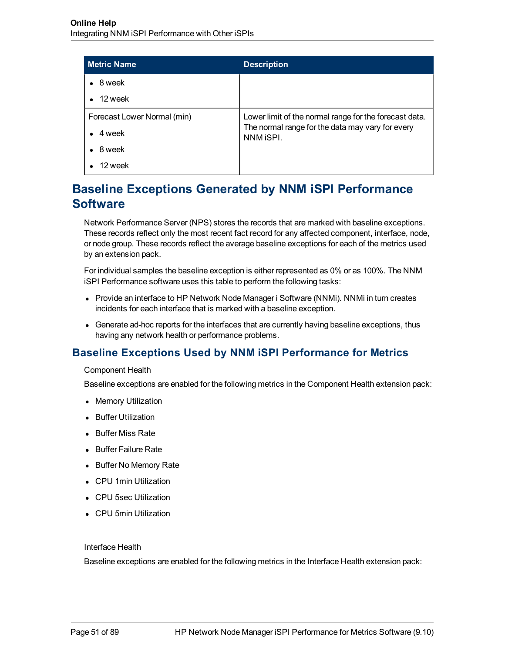| <b>Metric Name</b>          | <b>Description</b>                                            |
|-----------------------------|---------------------------------------------------------------|
| 8 week                      |                                                               |
| 12 week                     |                                                               |
| Forecast Lower Normal (min) | Lower limit of the normal range for the forecast data.        |
| 4 week                      | The normal range for the data may vary for every<br>NNM ISPI. |
| 8 week                      |                                                               |
| 12 week                     |                                                               |

# **Baseline Exceptions Generated by NNM iSPI Performance Software**

Network Performance Server (NPS) stores the records that are marked with baseline exceptions. These records reflect only the most recent fact record for any affected component, interface, node, or node group. These records reflect the average baseline exceptions for each of the metrics used by an extension pack.

For individual samples the baseline exception is either represented as 0% or as 100%. The NNM iSPI Performance software uses this table to perform the following tasks:

- Provide an interface to HP Network Node Manager i Software (NNMi). NNMi in turn creates incidents for each interface that is marked with a baseline exception.
- Generate ad-hoc reports for the interfaces that are currently having baseline exceptions, thus having any network health or performance problems.

# **Baseline Exceptions Used by NNM iSPI Performance for Metrics**

Component Health

Baseline exceptions are enabled for the following metrics in the Component Health extension pack:

- Memory Utilization
- **•** Buffer Utilization
- Buffer Miss Rate
- Buffer Failure Rate
- Buffer No Memory Rate
- CPU 1min Utilization
- CPU 5sec Utilization
- CPU 5min Utilization

#### Interface Health

Baseline exceptions are enabled for the following metrics in the Interface Health extension pack: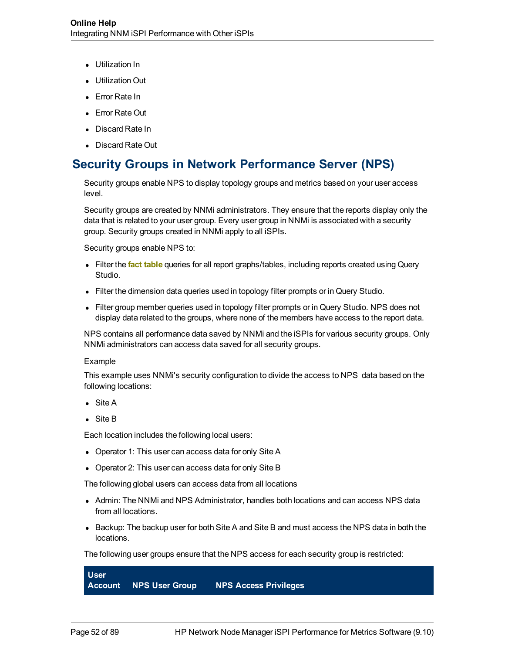- Utilization In
- **Utilization Out**
- Error Rate In
- Error Rate Out
- Discard Rate In
- Discard Rate Out

# **Security Groups in Network Performance Server (NPS)**

Security groups enable NPS to display topology groups and metrics based on your user access level.

Security groups are created by NNMi administrators. They ensure that the reports display only the data that is related to your user group. Every user group in NNMi is associated with a security group. Security groups created in NNMi apply to all iSPIs.

Security groups enable NPS to:

- Filter the **fact table** queries for all report graphs/tables, including reports created using Query Studio.
- Filter the dimension data queries used in topology filter prompts or in Query Studio.
- Filter group member queries used in topology filter prompts or in Query Studio. NPS does not display data related to the groups, where none of the members have access to the report data.

NPS contains all performance data saved by NNMi and the iSPIs for various security groups. Only NNMi administrators can access data saved for all security groups.

#### Example

This example uses NNMi's security configuration to divide the access to NPS data based on the following locations:

- $\bullet$  Site A
- $\bullet$  Site B

Each location includes the following local users:

- Operator 1: This user can access data for only Site A
- Operator 2: This user can access data for only Site B

The following global users can access data from all locations

- Admin: The NNMi and NPS Administrator, handles both locations and can access NPS data from all locations.
- Backup: The backup user for both Site A and Site B and must access the NPS data in both the locations.

The following user groups ensure that the NPS access for each security group is restricted:

| <b>User</b> |                               |                              |  |
|-------------|-------------------------------|------------------------------|--|
|             | <b>Account NPS User Group</b> | <b>NPS Access Privileges</b> |  |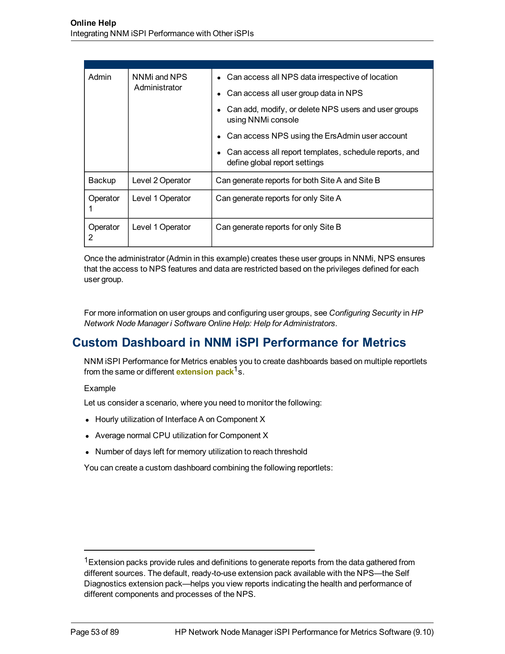| Admin         | NNMi and NPS<br>Administrator | Can access all NPS data irrespective of location<br>Can access all user group data in NPS |
|---------------|-------------------------------|-------------------------------------------------------------------------------------------|
|               |                               |                                                                                           |
|               |                               | Can add, modify, or delete NPS users and user groups<br>using NNMi console                |
|               |                               | Can access NPS using the ErsAdmin user account                                            |
|               |                               | Can access all report templates, schedule reports, and<br>define global report settings   |
| Backup        | Level 2 Operator              | Can generate reports for both Site A and Site B                                           |
| Operator      | Level 1 Operator              | Can generate reports for only Site A                                                      |
| Operator<br>2 | Level 1 Operator              | Can generate reports for only Site B                                                      |

Once the administrator (Admin in this example) creates these user groups in NNMi, NPS ensures that the access to NPS features and data are restricted based on the privileges defined for each user group.

For more information on user groups and configuring user groups, see *Configuring Security* in *HP Network Node Manager i Software Online Help: Help for Administrators*.

# **Custom Dashboard in NNM iSPI Performance for Metrics**

NNM iSPI Performance for Metrics enables you to create dashboards based on multiple reportlets from the same or different **extension pack**<sup>1</sup>s.

### Example

Let us consider a scenario, where you need to monitor the following:

- Hourly utilization of Interface A on Component X
- Average normal CPU utilization for Component X
- Number of days left for memory utilization to reach threshold

You can create a custom dashboard combining the following reportlets:

 $1$ Extension packs provide rules and definitions to generate reports from the data gathered from different sources. The default, ready-to-use extension pack available with the NPS—the Self Diagnostics extension pack—helps you view reports indicating the health and performance of different components and processes of the NPS.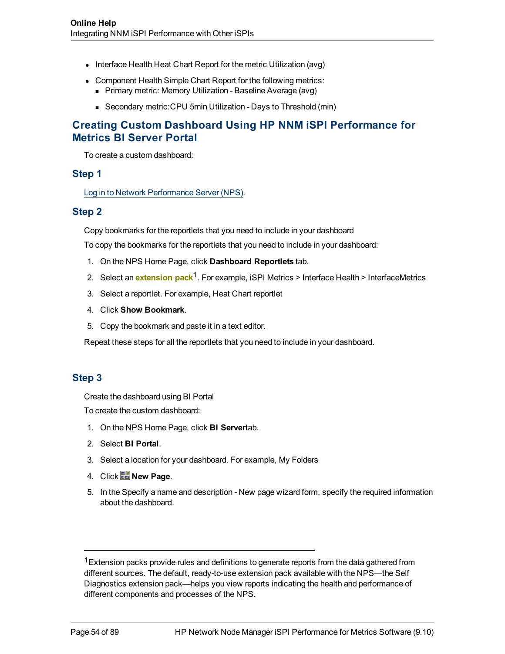- Interface Health Heat Chart Report for the metric Utilization (avg)
- Component Health Simple Chart Report for the following metrics: **Primary metric: Memory Utilization - Baseline Average (avg)** 
	- Secondary metric:CPU 5min Utilization Days to Threshold (min)

## **Creating Custom Dashboard Using HP NNM iSPI Performance for Metrics BI Server Portal**

To create a custom dashboard:

## **Step 1**

[Log](#page-14-0) [in](#page-14-0) [to](#page-14-0) [Network](#page-14-0) [Performance](#page-14-0) [Server](#page-14-0) [\(NPS\).](#page-14-0)

### **Step 2**

Copy bookmarks for the reportlets that you need to include in your dashboard

To copy the bookmarks for the reportlets that you need to include in your dashboard:

- 1. On the NPS Home Page, click **Dashboard Reportlets** tab.
- 2. Select an **extension pack**<sup>1</sup>. For example, iSPI Metrics > Interface Health > InterfaceMetrics
- 3. Select a reportlet. For example, Heat Chart reportlet
- 4. Click **Show Bookmark**.
- 5. Copy the bookmark and paste it in a text editor.

Repeat these steps for all the reportlets that you need to include in your dashboard.

## **Step 3**

Create the dashboard using BI Portal

To create the custom dashboard:

- 1. On the NPS Home Page, click **BI Server**tab.
- 2. Select **BI Portal**.
- 3. Select a location for your dashboard. For example, My Folders
- 4. Click **in** New Page.
- 5. In the Specify a name and description New page wizard form, specify the required information about the dashboard.

 $1$ Extension packs provide rules and definitions to generate reports from the data gathered from different sources. The default, ready-to-use extension pack available with the NPS—the Self Diagnostics extension pack—helps you view reports indicating the health and performance of different components and processes of the NPS.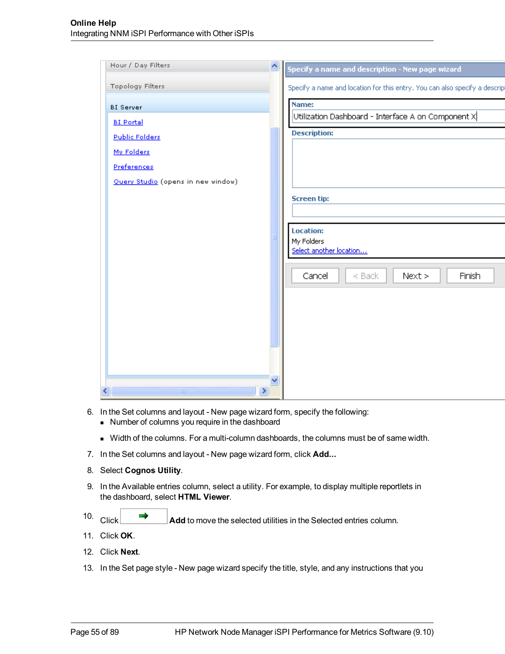| Hour / Day Filters                 | ∧ | Specify a name and description - New page wizard                           |
|------------------------------------|---|----------------------------------------------------------------------------|
| <b>Topology Filters</b>            |   | Specify a name and location for this entry. You can also specify a descrip |
| <b>BI</b> Server                   |   | Name:                                                                      |
| <b>BI Portal</b>                   |   | Utilization Dashboard - Interface A on Component X                         |
| <b>Public Folders</b>              |   | <b>Description:</b>                                                        |
| My Folders                         |   |                                                                            |
| Preferences                        |   |                                                                            |
| Query Studio (opens in new window) |   |                                                                            |
|                                    |   | <b>Screen tip:</b>                                                         |
|                                    |   |                                                                            |
|                                    |   | <b>Location:</b>                                                           |
|                                    |   | My Folders                                                                 |
|                                    |   | Select another location                                                    |
|                                    |   | Cancel<br>Finish<br>$<$ Back<br>Next                                       |
|                                    |   |                                                                            |
|                                    |   |                                                                            |
|                                    |   |                                                                            |
|                                    |   |                                                                            |
|                                    |   |                                                                            |
|                                    |   |                                                                            |
| $\,$<br>$\mathop{\rm III}$         |   |                                                                            |

- 6. In the Set columns and layout New page wizard form, specify the following:
	- <sup>n</sup> Number of columns you require in the dashboard
	- <sup>n</sup> Width of the columns. For a multi-column dashboards, the columns must be of same width.
- 7. In the Set columns and layout New page wizard form, click **Add...**
- 8. Select **Cognos Utility**.
- 9. In the Available entries column, select a utility. For example, to display multiple reportlets in the dashboard, select **HTML Viewer**.
- 10. Click **Add** to move the selected utilities in the Selected entries column.
- 11. Click **OK**.
- 12. Click **Next**.
- 13. In the Set page style New page wizard specify the title, style, and any instructions that you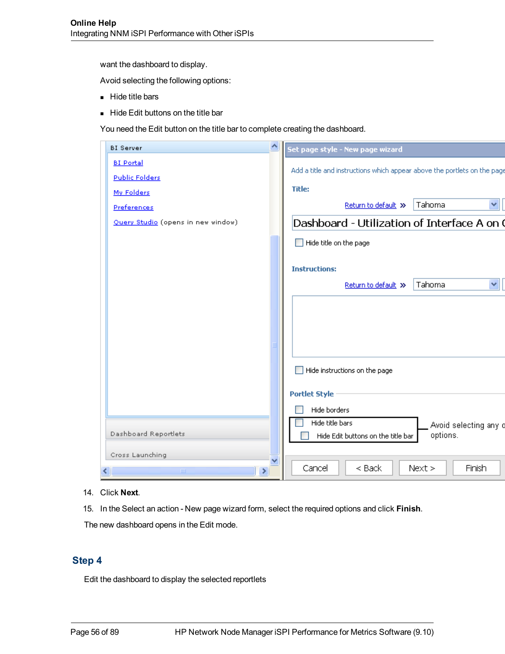want the dashboard to display.

Avoid selecting the following options:

- Hide title bars
- Hide Edit buttons on the title bar

You need the Edit button on the title bar to complete creating the dashboard.

| <b>BI</b> Server                   | Set page style - New page wizard                                                         |
|------------------------------------|------------------------------------------------------------------------------------------|
| <b>BI Portal</b>                   | Add a title and instructions which appear above the portlets on the pag                  |
| <b>Public Folders</b>              |                                                                                          |
| My Folders                         | <b>Title:</b>                                                                            |
| Preferences                        | Tahoma<br>$\vee$<br>Return to default >>                                                 |
| Query Studio (opens in new window) | Dashboard - Utilization of Interface A on                                                |
|                                    | Hide title on the page                                                                   |
|                                    | <b>Instructions:</b>                                                                     |
|                                    | Tahoma<br>$\checkmark$<br>Return to default >>                                           |
|                                    |                                                                                          |
|                                    |                                                                                          |
|                                    |                                                                                          |
|                                    | Hide instructions on the page                                                            |
|                                    | <b>Portlet Style</b>                                                                     |
|                                    | Hide borders                                                                             |
| Dashboard Reportlets               | Hide title bars<br>Avoid selecting any<br>options.<br>Hide Edit buttons on the title bar |
| Cross Launching                    |                                                                                          |
| ×<br>HH.                           | Cancel<br>$<$ Back<br>Finish<br>Next                                                     |

14. Click **Next**.

15. In the Select an action - New page wizard form, select the required options and click **Finish**.

The new dashboard opens in the Edit mode.

## **Step 4**

Edit the dashboard to display the selected reportlets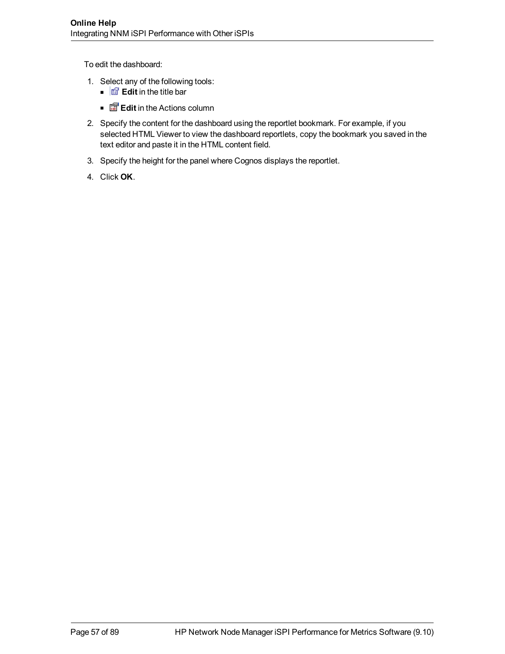To edit the dashboard:

- 1. Select any of the following tools:
	- $\blacksquare$   $\blacksquare$  **Edit** in the title bar
	- **Edit** in the Actions column
- 2. Specify the content for the dashboard using the reportlet bookmark. For example, if you selected HTML Viewer to view the dashboard reportlets, copy the bookmark you saved in the text editor and paste it in the HTML content field.
- 3. Specify the height for the panel where Cognos displays the reportlet.
- 4. Click **OK**.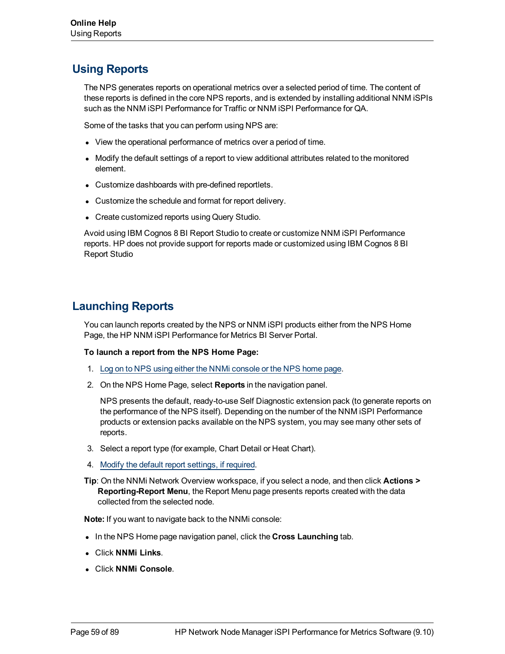# **Using Reports**

The NPS generates reports on operational metrics over a selected period of time. The content of these reports is defined in the core NPS reports, and is extended by installing additional NNM iSPIs such as the NNM iSPI Performance for Traffic or NNM iSPI Performance for QA.

Some of the tasks that you can perform using NPS are:

- View the operational performance of metrics over a period of time.
- Modify the default settings of a report to view additional attributes related to the monitored element.
- Customize dashboards with pre-defined reportlets.
- Customize the schedule and format for report delivery.
- Create customized reports using Query Studio.

Avoid using IBM Cognos 8 BI Report Studio to create or customize NNM iSPI Performance reports. HP does not provide support for reports made or customized using IBM Cognos 8 BI Report Studio

# <span id="page-58-0"></span>**Launching Reports**

You can launch reports created by the NPS or NNM iSPI products either from the NPS Home Page, the HP NNM iSPI Performance for Metrics BI Server Portal.

#### **To launch a report from the NPS Home Page:**

- 1. [Log](#page-14-0) [on](#page-14-0) [to](#page-14-0) [NPS](#page-14-0) [using](#page-14-0) [either](#page-14-0) [the](#page-14-0) [NNMi](#page-14-0) [console](#page-14-0) [or](#page-14-0) [the](#page-14-0) [NPS home](#page-14-0) [page](#page-14-0).
- 2. On the NPS Home Page, select **Reports** in the navigation panel.

NPS presents the default, ready-to-use Self Diagnostic extension pack (to generate reports on the performance of the NPS itself). Depending on the number of the NNM iSPI Performance products or extension packs available on the NPS system, you may see many other sets of reports.

- 3. Select a report type (for example, Chart Detail or Heat Chart).
- 4. [Modify](#page-59-0) [the](#page-59-0) [default](#page-59-0) [report](#page-59-0) [settings,](#page-59-0) [if](#page-59-0) [required](#page-59-0).
- **Tip**: On the NNMi Network Overview workspace, if you select a node, and then click **Actions > Reporting-Report Menu**, the Report Menu page presents reports created with the data collected from the selected node.

**Note:** If you want to navigate back to the NNMi console:

- In the NPS Home page navigation panel, click the **Cross Launching** tab.
- <sup>l</sup> Click **NNMi Links**.
- <sup>l</sup> Click **NNMi Console**.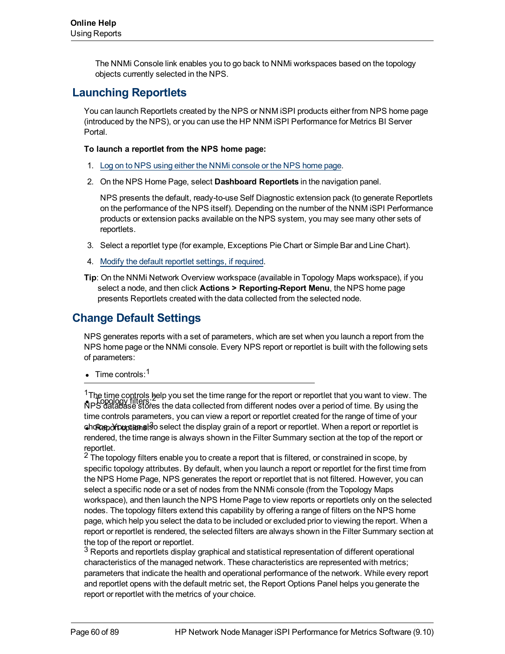The NNMi Console link enables you to go back to NNMi workspaces based on the topology objects currently selected in the NPS.

# **Launching Reportlets**

You can launch Reportlets created by the NPS or NNM iSPI products either from NPS home page (introduced by the NPS), or you can use the HP NNM iSPI Performance for Metrics BI Server Portal.

### **To launch a reportlet from the NPS home page:**

- 1. [Log](#page-14-0) [on](#page-14-0) [to](#page-14-0) [NPS](#page-14-0) [using](#page-14-0) [either](#page-14-0) [the](#page-14-0) [NNMi](#page-14-0) [console](#page-14-0) [or](#page-14-0) [the](#page-14-0) [NPS home](#page-14-0) [page](#page-14-0).
- 2. On the NPS Home Page, select **Dashboard Reportlets** in the navigation panel.

NPS presents the default, ready-to-use Self Diagnostic extension pack (to generate Reportlets on the performance of the NPS itself). Depending on the number of the NNM iSPI Performance products or extension packs available on the NPS system, you may see many other sets of reportlets.

- 3. Select a reportlet type (for example, Exceptions Pie Chart or Simple Bar and Line Chart).
- 4. [Modify](../../../../../Content/Report_Controls/PerfiSPI_DefSettings_Reportlets.htm) [the](../../../../../Content/Report_Controls/PerfiSPI_DefSettings_Reportlets.htm) [default](../../../../../Content/Report_Controls/PerfiSPI_DefSettings_Reportlets.htm) [reportlet](../../../../../Content/Report_Controls/PerfiSPI_DefSettings_Reportlets.htm) [settings,](../../../../../Content/Report_Controls/PerfiSPI_DefSettings_Reportlets.htm) [if](../../../../../Content/Report_Controls/PerfiSPI_DefSettings_Reportlets.htm) [required.](../../../../../Content/Report_Controls/PerfiSPI_DefSettings_Reportlets.htm)
- **Tip**: On the NNMi Network Overview workspace (available in Topology Maps workspace), if you select a node, and then click **Actions > Reporting-Report Menu**, the NPS home page presents Reportlets created with the data collected from the selected node.

# <span id="page-59-0"></span>**Change Default Settings**

NPS generates reports with a set of parameters, which are set when you launch a report from the NPS home page or the NNMi console. Every NPS report or reportlet is built with the following sets of parameters:

 $\bullet$  Time controls:  $1$ 

The time complished by the store the time range for the report of reportiet that you want to view. The stores<br>NPS database stores the data collected from different nodes over a period of time. By using the **choftep∂rouptams!**so select the display grain of a report or reportlet. When a report or reportlet is  $1$ The time controls help you set the time range for the report or reportlet that you want to view. The time controls parameters, you can view a report or reportlet created for the range of time of your rendered, the time range is always shown in the Filter Summary section at the top of the report or reportlet.

<sup>2</sup> The topology filters enable you to create a report that is filtered, or constrained in scope, by specific topology attributes. By default, when you launch a report or reportlet for the first time from the NPS Home Page, NPS generates the report or reportlet that is not filtered. However, you can select a specific node or a set of nodes from the NNMi console (from the Topology Maps workspace), and then launch the NPS Home Page to view reports or reportlets only on the selected nodes. The topology filters extend this capability by offering a range of filters on the NPS home page, which help you select the data to be included or excluded prior to viewing the report. When a report or reportlet is rendered, the selected filters are always shown in the Filter Summary section at the top of the report or reportlet.

 $3$  Reports and reportlets display graphical and statistical representation of different operational characteristics of the managed network. These characteristics are represented with metrics; parameters that indicate the health and operational performance of the network. While every report and reportlet opens with the default metric set, the Report Options Panel helps you generate the report or reportlet with the metrics of your choice.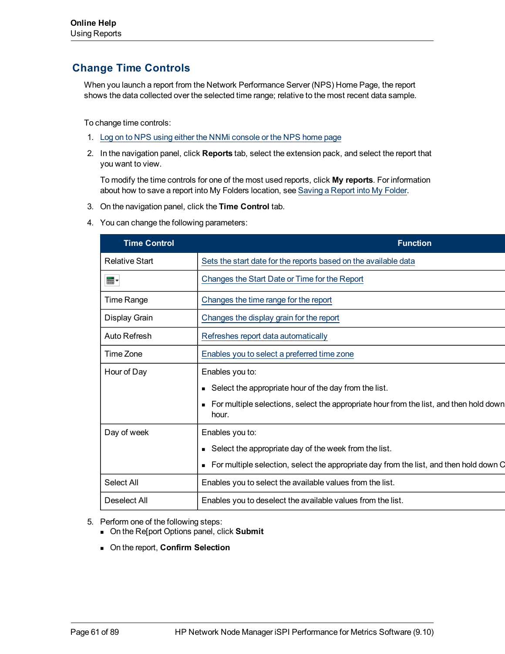# <span id="page-60-0"></span>**Change Time Controls**

When you launch a report from the Network Performance Server (NPS) Home Page, the report shows the data collected over the selected time range; relative to the most recent data sample.

To change time controls:

- 1. [Log](#page-14-0) [on](#page-14-0) [to](#page-14-0) [NPS](#page-14-0) [using](#page-14-0) [either](#page-14-0) [the](#page-14-0) [NNMi](#page-14-0) [console](#page-14-0) [or](#page-14-0) [the](#page-14-0) [NPS home](#page-14-0) [page](#page-14-0)
- 2. In the navigation panel, click **Reports** tab, select the extension pack, and select the report that you want to view.

To modify the time controls for one of the most used reports, click **My reports**. For information about how to save a report into My Folders location, see [Saving](../../../../../Content/Report_Controls/PerfiSPI_RepoView_MyFolder.htm) [a](../../../../../Content/Report_Controls/PerfiSPI_RepoView_MyFolder.htm) [Report](../../../../../Content/Report_Controls/PerfiSPI_RepoView_MyFolder.htm) [into](../../../../../Content/Report_Controls/PerfiSPI_RepoView_MyFolder.htm) [My](../../../../../Content/Report_Controls/PerfiSPI_RepoView_MyFolder.htm) [Folder.](../../../../../Content/Report_Controls/PerfiSPI_RepoView_MyFolder.htm)

- 3. On the navigation panel, click the **Time Control** tab.
- 4. You can change the following parameters:

| <b>Time Control</b>   | <b>Function</b>                                                                                   |  |  |  |
|-----------------------|---------------------------------------------------------------------------------------------------|--|--|--|
| <b>Relative Start</b> | Sets the start date for the reports based on the available data                                   |  |  |  |
| ⊞▼                    | Changes the Start Date or Time for the Report                                                     |  |  |  |
| Time Range            | Changes the time range for the report                                                             |  |  |  |
| Display Grain         | Changes the display grain for the report                                                          |  |  |  |
| Auto Refresh          | Refreshes report data automatically                                                               |  |  |  |
| Time Zone             | Enables you to select a preferred time zone                                                       |  |  |  |
| Hour of Day           | Enables you to:                                                                                   |  |  |  |
|                       | ■ Select the appropriate hour of the day from the list.                                           |  |  |  |
|                       | • For multiple selections, select the appropriate hour from the list, and then hold down<br>hour. |  |  |  |
| Day of week           | Enables you to:                                                                                   |  |  |  |
|                       | • Select the appropriate day of the week from the list.                                           |  |  |  |
|                       | • For multiple selection, select the appropriate day from the list, and then hold down C          |  |  |  |
| Select All            | Enables you to select the available values from the list.                                         |  |  |  |
| Deselect All          | Enables you to deselect the available values from the list.                                       |  |  |  |
|                       |                                                                                                   |  |  |  |

- 5. Perform one of the following steps:
	- <sup>n</sup> On the Re[port Options panel, click **Submit**
	- <sup>n</sup> On the report, **Confirm Selection**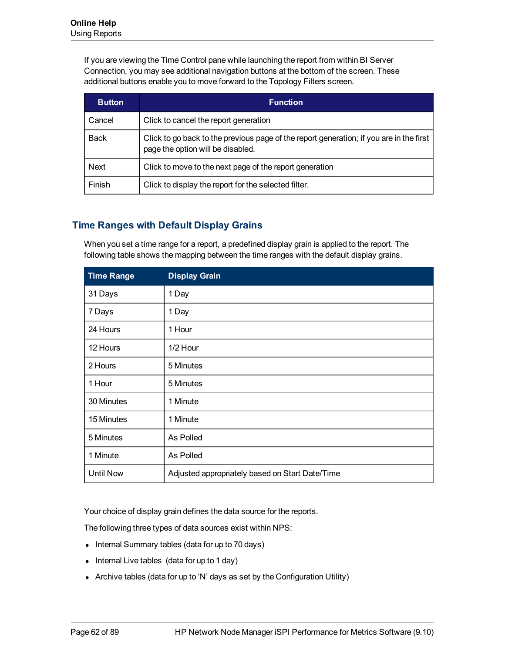If you are viewing the Time Control pane while launching the report from within BI Server Connection, you may see additional navigation buttons at the bottom of the screen. These additional buttons enable you to move forward to the Topology Filters screen.

| <b>Button</b> | <b>Function</b>                                                                                                              |
|---------------|------------------------------------------------------------------------------------------------------------------------------|
| Cancel        | Click to cancel the report generation                                                                                        |
| <b>Back</b>   | Click to go back to the previous page of the report generation; if you are in the first<br>page the option will be disabled. |
| <b>Next</b>   | Click to move to the next page of the report generation                                                                      |
| Finish        | Click to display the report for the selected filter.                                                                         |

## <span id="page-61-0"></span>**Time Ranges with Default Display Grains**

When you set a time range for a report, a predefined display grain is applied to the report. The following table shows the mapping between the time ranges with the default display grains.

| <b>Time Range</b> | <b>Display Grain</b>                            |
|-------------------|-------------------------------------------------|
| 31 Days           | 1 Day                                           |
| 7 Days            | 1 Day                                           |
| 24 Hours          | 1 Hour                                          |
| 12 Hours          | 1/2 Hour                                        |
| 2 Hours           | 5 Minutes                                       |
| 1 Hour            | 5 Minutes                                       |
| 30 Minutes        | 1 Minute                                        |
| 15 Minutes        | 1 Minute                                        |
| 5 Minutes         | As Polled                                       |
| 1 Minute          | As Polled                                       |
| <b>Until Now</b>  | Adjusted appropriately based on Start Date/Time |

Your choice of display grain defines the data source for the reports.

The following three types of data sources exist within NPS:

- Internal Summary tables (data for up to 70 days)
- $\bullet$  Internal Live tables (data for up to 1 day)
- Archive tables (data for up to 'N' days as set by the Configuration Utility)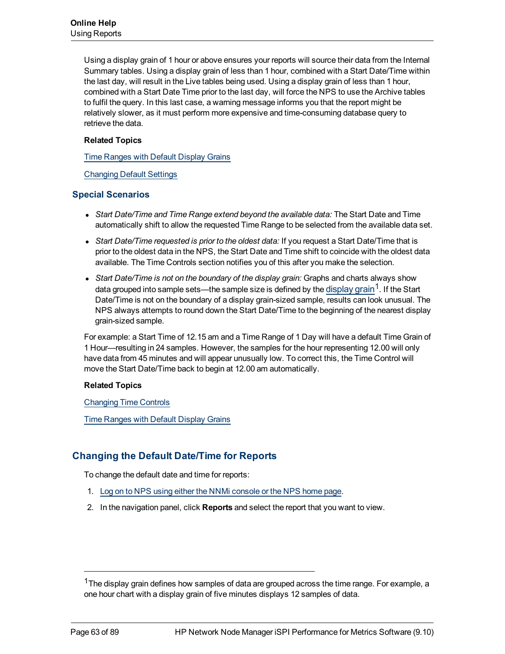Using a display grain of 1 hour or above ensures your reports will source their data from the Internal Summary tables. Using a display grain of less than 1 hour, combined with a Start Date/Time within the last day, will result in the Live tables being used. Using a display grain of less than 1 hour, combined with a Start Date Time prior to the last day, will force the NPS to use the Archive tables to fulfil the query. In this last case, a warning message informs you that the report might be relatively slower, as it must perform more expensive and time-consuming database query to retrieve the data.

### **Related Topics**

[Time](#page-61-0) [Ranges](#page-61-0) [with](#page-61-0) [Default](#page-61-0) [Display](#page-61-0) [Grains](#page-61-0)

[Changing](#page-59-0) [Default](#page-59-0) [Settings](#page-59-0)

## **Special Scenarios**

- <sup>l</sup> *Start Date/Time and Time Range extend beyond the available data:* The Start Date and Time automatically shift to allow the requested Time Range to be selected from the available data set.
- **Start Date/Time requested is prior to the oldest data: If you request a Start Date/Time that is** prior to the oldest data in the NPS, the Start Date and Time shift to coincide with the oldest data available. The Time Controls section notifies you of this after you make the selection.
- **Start Date/Time is not on the boundary of the display grain: Graphs and charts always show** data grouped into sample sets—the sample size is defined by the display grain<sup>1</sup>. If the Start Date/Time is not on the boundary of a display grain-sized sample, results can look unusual. The NPS always attempts to round down the Start Date/Time to the beginning of the nearest display grain-sized sample.

For example: a Start Time of 12.15 am and a Time Range of 1 Day will have a default Time Grain of 1 Hour—resulting in 24 samples. However, the samples for the hour representing 12.00 will only have data from 45 minutes and will appear unusually low. To correct this, the Time Control will move the Start Date/Time back to begin at 12.00 am automatically.

### **Related Topics**

[Changing](#page-60-0) [Time](#page-60-0) [Controls](#page-60-0)

[Time](#page-61-0) [Ranges](#page-61-0) [with](#page-61-0) [Default](#page-61-0) [Display](#page-61-0) [Grains](#page-61-0)

## **Changing the Default Date/Time for Reports**

To change the default date and time for reports:

- 1. [Log](#page-14-0) [on](#page-14-0) [to](#page-14-0) [NPS](#page-14-0) [using](#page-14-0) [either](#page-14-0) [the](#page-14-0) [NNMi](#page-14-0) [console](#page-14-0) [or](#page-14-0) [the](#page-14-0) [NPS home](#page-14-0) [page](#page-14-0).
- 2. In the navigation panel, click **Reports** and select the report that you want to view.

<sup>&</sup>lt;sup>1</sup>The display grain defines how samples of data are grouped across the time range. For example, a one hour chart with a display grain of five minutes displays 12 samples of data.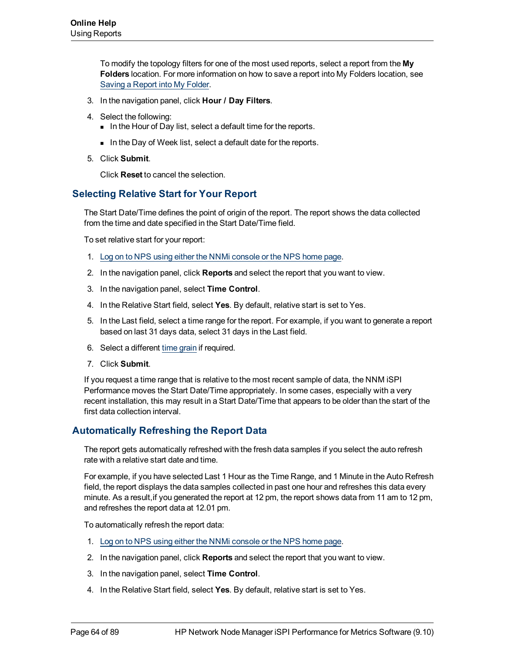To modify the topology filters for one of the most used reports, select a report from the **My Folders** location. For more information on how to save a report into My Folders location, see [Saving](../../../../../Content/Report_Controls/PerfiSPI_RepoView_MyFolder.htm) [a](../../../../../Content/Report_Controls/PerfiSPI_RepoView_MyFolder.htm) [Report](../../../../../Content/Report_Controls/PerfiSPI_RepoView_MyFolder.htm) [into](../../../../../Content/Report_Controls/PerfiSPI_RepoView_MyFolder.htm) [My](../../../../../Content/Report_Controls/PerfiSPI_RepoView_MyFolder.htm) [Folder.](../../../../../Content/Report_Controls/PerfiSPI_RepoView_MyFolder.htm)

- 3. In the navigation panel, click **Hour / Day Filters**.
- 4. Select the following:
	- In the Hour of Day list, select a default time for the reports.
	- In the Day of Week list, select a default date for the reports.
- 5. Click **Submit**.

Click **Reset** to cancel the selection.

## <span id="page-63-0"></span>**Selecting Relative Start for Your Report**

The Start Date/Time defines the point of origin of the report. The report shows the data collected from the time and date specified in the Start Date/Time field.

To set relative start for your report:

- 1. [Log](#page-14-0) [on](#page-14-0) [to](#page-14-0) [NPS](#page-14-0) [using](#page-14-0) [either](#page-14-0) [the](#page-14-0) [NNMi](#page-14-0) [console](#page-14-0) [or](#page-14-0) [the](#page-14-0) [NPS home](#page-14-0) [page](#page-14-0).
- 2. In the navigation panel, click **Reports** and select the report that you want to view.
- 3. In the navigation panel, select **Time Control**.
- 4. In the Relative Start field, select **Yes**. By default, relative start is set to Yes.
- 5. In the Last field, select a time range for the report. For example, if you want to generate a report based on last 31 days data, select 31 days in the Last field.
- 6. Select a different [time](#page-61-0) [grain](#page-61-0) if required.
- 7. Click **Submit**.

If you request a time range that is relative to the most recent sample of data, the NNM iSPI Performance moves the Start Date/Time appropriately. In some cases, especially with a very recent installation, this may result in a Start Date/Time that appears to be older than the start of the first data collection interval.

## <span id="page-63-1"></span>**Automatically Refreshing the Report Data**

The report gets automatically refreshed with the fresh data samples if you select the auto refresh rate with a relative start date and time.

For example, if you have selected Last 1 Hour as the Time Range, and 1 Minute in the Auto Refresh field, the report displays the data samples collected in past one hour and refreshes this data every minute. As a result,if you generated the report at 12 pm, the report shows data from 11 am to 12 pm, and refreshes the report data at 12.01 pm.

To automatically refresh the report data:

- 1. [Log](#page-14-0) [on](#page-14-0) [to](#page-14-0) [NPS](#page-14-0) [using](#page-14-0) [either](#page-14-0) [the](#page-14-0) [NNMi](#page-14-0) [console](#page-14-0) [or](#page-14-0) [the](#page-14-0) [NPS home](#page-14-0) [page](#page-14-0).
- 2. In the navigation panel, click **Reports** and select the report that you want to view.
- 3. In the navigation panel, select **Time Control**.
- 4. In the Relative Start field, select **Yes**. By default, relative start is set to Yes.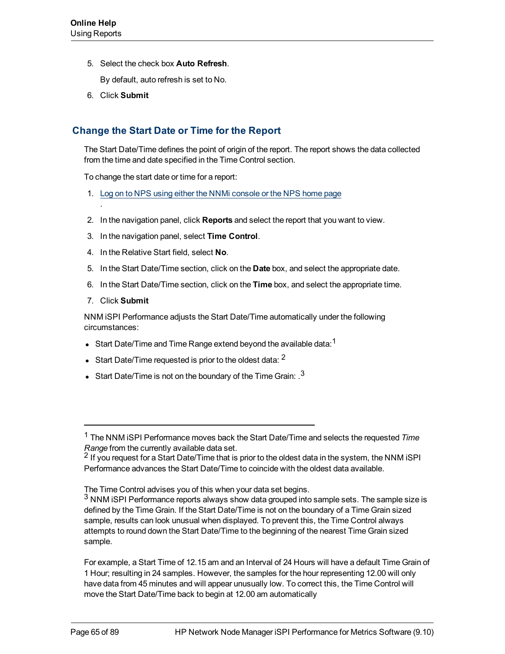5. Select the check box **Auto Refresh**.

By default, auto refresh is set to No.

6. Click **Submit**

## <span id="page-64-0"></span>**Change the Start Date or Time for the Report**

The Start Date/Time defines the point of origin of the report. The report shows the data collected from the time and date specified in the Time Control section.

To change the start date or time for a report:

- 1. [Log](#page-14-0) [on](#page-14-0) [to](#page-14-0) [NPS](#page-14-0) [using](#page-14-0) [either](#page-14-0) [the](#page-14-0) [NNMi](#page-14-0) [console](#page-14-0) [or](#page-14-0) [the](#page-14-0) [NPS home](#page-14-0) [page](#page-14-0)
- 2. In the navigation panel, click **Reports** and select the report that you want to view.
- 3. In the navigation panel, select **Time Control**.
- 4. In the Relative Start field, select **No**.
- 5. In the Start Date/Time section, click on the **Date** box, and select the appropriate date.
- 6. In the Start Date/Time section, click on the **Time** box, and select the appropriate time.
- 7. Click **Submit**

.

NNM iSPI Performance adjusts the Start Date/Time automatically under the following circumstances:

- **Start Date/Time and Time Range extend beyond the available data:**<sup>1</sup>
- Start Date/Time requested is prior to the oldest data:  $2$
- **Start Date/Time is not on the boundary of the Time Grain:**  $^{3}$

<sup>1</sup> The NNM iSPI Performance moves back the Start Date/Time and selects the requested *Time Range* from the currently available data set.

<sup>&</sup>lt;sup>2</sup> If you request for a Start Date/Time that is prior to the oldest data in the system, the NNM iSPI Performance advances the Start Date/Time to coincide with the oldest data available.

The Time Control advises you of this when your data set begins.

 $3$  NNM iSPI Performance reports always show data grouped into sample sets. The sample size is defined by the Time Grain. If the Start Date/Time is not on the boundary of a Time Grain sized sample, results can look unusual when displayed. To prevent this, the Time Control always attempts to round down the Start Date/Time to the beginning of the nearest Time Grain sized sample.

For example, a Start Time of 12.15 am and an Interval of 24 Hours will have a default Time Grain of 1 Hour; resulting in 24 samples. However, the samples for the hour representing 12.00 will only have data from 45 minutes and will appear unusually low. To correct this, the Time Control will move the Start Date/Time back to begin at 12.00 am automatically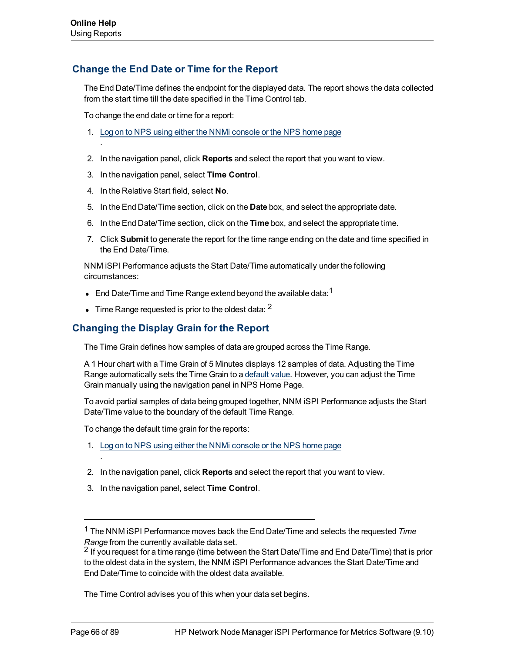.

## **Change the End Date or Time for the Report**

The End Date/Time defines the endpoint for the displayed data. The report shows the data collected from the start time till the date specified in the Time Control tab.

To change the end date or time for a report:

- 1. [Log](#page-14-0) [on](#page-14-0) [to](#page-14-0) [NPS](#page-14-0) [using](#page-14-0) [either](#page-14-0) [the](#page-14-0) [NNMi](#page-14-0) [console](#page-14-0) [or](#page-14-0) [the](#page-14-0) [NPS home](#page-14-0) [page](#page-14-0)
- 2. In the navigation panel, click **Reports** and select the report that you want to view.
- 3. In the navigation panel, select **Time Control**.
- 4. In the Relative Start field, select **No**.
- 5. In the End Date/Time section, click on the **Date** box, and select the appropriate date.
- 6. In the End Date/Time section, click on the **Time** box, and select the appropriate time.
- 7. Click **Submit** to generate the report for the time range ending on the date and time specified in the End Date/Time.

NNM iSPI Performance adjusts the Start Date/Time automatically under the following circumstances:

- End Date/Time and Time Range extend beyond the available data:  $1$
- $\bullet$  Time Range requested is prior to the oldest data:  $^2$

## <span id="page-65-0"></span>**Changing the Display Grain for the Report**

The Time Grain defines how samples of data are grouped across the Time Range.

A 1 Hour chart with a Time Grain of 5 Minutes displays 12 samples of data. Adjusting the Time Range automatically sets the Time Grain to a [default](#page-61-0) [value.](#page-61-0) However, you can adjust the Time Grain manually using the navigation panel in NPS Home Page.

To avoid partial samples of data being grouped together, NNM iSPI Performance adjusts the Start Date/Time value to the boundary of the default Time Range.

To change the default time grain for the reports:

- 1. [Log](#page-14-0) [on](#page-14-0) [to](#page-14-0) [NPS](#page-14-0) [using](#page-14-0) [either](#page-14-0) [the](#page-14-0) [NNMi](#page-14-0) [console](#page-14-0) [or](#page-14-0) [the](#page-14-0) [NPS home](#page-14-0) [page](#page-14-0)
- 2. In the navigation panel, click **Reports** and select the report that you want to view.
- 3. In the navigation panel, select **Time Control**.

The Time Control advises you of this when your data set begins.

.

<sup>1</sup> The NNM iSPI Performance moves back the End Date/Time and selects the requested *Time Range* from the currently available data set.

<sup>&</sup>lt;sup>2</sup> If you request for a time range (time between the Start Date/Time and End Date/Time) that is prior to the oldest data in the system, the NNM iSPI Performance advances the Start Date/Time and End Date/Time to coincide with the oldest data available.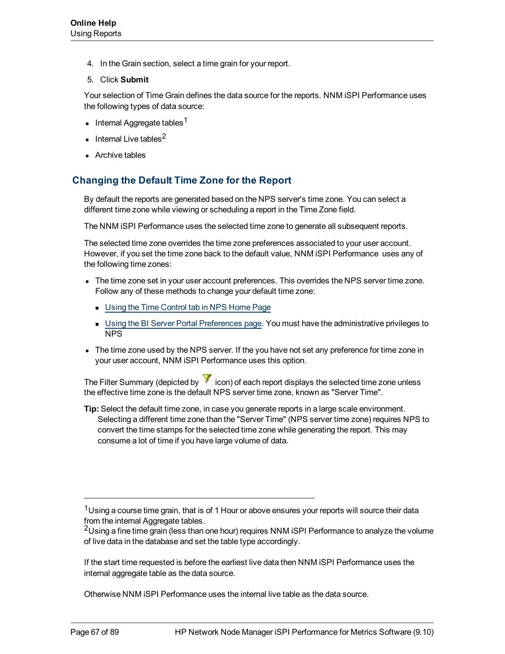- 4. In the Grain section, select a time grain for your report.
- 5. Click **Submit**

Your selection of Time Grain defines the data source for the reports. NNM iSPI Performance uses the following types of data source:

- Internal Aggregate tables<sup>1</sup>
- $\bullet$  Internal Live tables<sup>2</sup>
- Archive tables

## <span id="page-66-0"></span>**Changing the Default Time Zone for the Report**

By default the reports are generated based on the NPS server's time zone. You can select a different time zone while viewing or scheduling a report in the Time Zone field.

The NNM iSPI Performance uses the selected time zone to generate all subsequent reports.

The selected time zone overrides the time zone preferences associated to your user account. However, if you set the time zone back to the default value, NNM iSPI Performance uses any of the following time zones:

- The time zone set in your user account preferences. This overrides the NPS server time zone. Follow any of these methods to change your default time zone:
	- **Dubit [Using](../../../../../Content/Report_Controls/PerfiSPI_NPSTimeZone.htm) [the](../../../../../Content/Report_Controls/PerfiSPI_NPSTimeZone.htm) [Time](../../../../../Content/Report_Controls/PerfiSPI_NPSTimeZone.htm) [Control](../../../../../Content/Report_Controls/PerfiSPI_NPSTimeZone.htm) [tab](../../../../../Content/Report_Controls/PerfiSPI_NPSTimeZone.htm) [in](../../../../../Content/Report_Controls/PerfiSPI_NPSTimeZone.htm) [NPS Home](../../../../../Content/Report_Controls/PerfiSPI_NPSTimeZone.htm) [Page](../../../../../Content/Report_Controls/PerfiSPI_NPSTimeZone.htm)**
	- **Diang [the](../../../../../Content/Report_Controls/PerfiSPI_Chng_Acc_Sett.htm) [BI Server](../../../../../Content/Report_Controls/PerfiSPI_Chng_Acc_Sett.htm) [Portal](../../../../../Content/Report_Controls/PerfiSPI_Chng_Acc_Sett.htm) [Preferences](../../../../../Content/Report_Controls/PerfiSPI_Chng_Acc_Sett.htm) [page](../../../../../Content/Report_Controls/PerfiSPI_Chng_Acc_Sett.htm). You must have the administrative privileges to** NPS
- The time zone used by the NPS server. If the you have not set any preference for time zone in your user account, NNM iSPI Performance uses this option.

The Filter Summary (depicted by  $\widehat{V}$  icon) of each report displays the selected time zone unless the effective time zone is the default NPS server time zone, known as "Server Time".

**Tip:** Select the default time zone, in case you generate reports in a large scale environment. Selecting a different time zone than the "Server Time" (NPS server time zone) requires NPS to convert the time stamps for the selected time zone while generating the report. This may consume a lot of time if you have large volume of data.

Otherwise NNM iSPI Performance uses the internal live table as the data source.

<sup>&</sup>lt;sup>1</sup>Using a course time grain, that is of 1 Hour or above ensures your reports will source their data from the internal Aggregate tables.

 $2$ Using a fine time grain (less than one hour) requires NNM iSPI Performance to analyze the volume of live data in the database and set the table type accordingly.

If the start time requested is before the earliest live data then NNM iSPI Performance uses the internal aggregate table as the data source.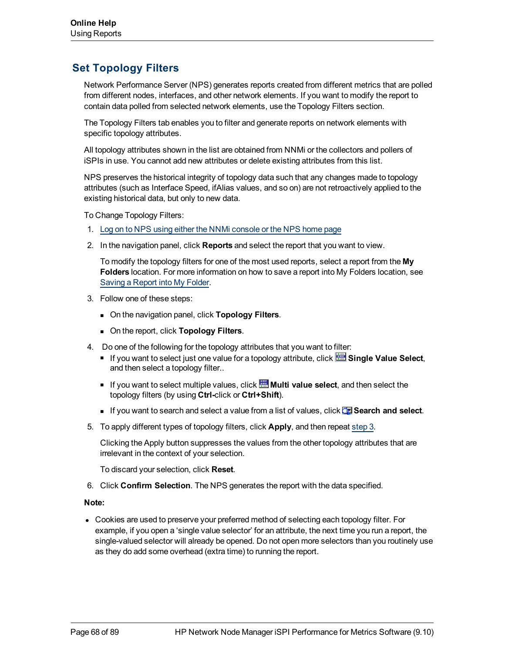# **Set Topology Filters**

Network Performance Server (NPS) generates reports created from different metrics that are polled from different nodes, interfaces, and other network elements. If you want to modify the report to contain data polled from selected network elements, use the Topology Filters section.

The Topology Filters tab enables you to filter and generate reports on network elements with specific topology attributes.

All topology attributes shown in the list are obtained from NNMi or the collectors and pollers of iSPIs in use. You cannot add new attributes or delete existing attributes from this list.

NPS preserves the historical integrity of topology data such that any changes made to topology attributes (such as Interface Speed, ifAlias values, and so on) are not retroactively applied to the existing historical data, but only to new data.

To Change Topology Filters:

- 1. [Log](#page-14-0) [on](#page-14-0) [to](#page-14-0) [NPS](#page-14-0) [using](#page-14-0) [either](#page-14-0) [the](#page-14-0) [NNMi](#page-14-0) [console](#page-14-0) [or](#page-14-0) [the](#page-14-0) [NPS home](#page-14-0) [page](#page-14-0)
- 2. In the navigation panel, click **Reports** and select the report that you want to view.

To modify the topology filters for one of the most used reports, select a report from the **My Folders** location. For more information on how to save a report into My Folders location, see [Saving](../../../../../Content/Report_Controls/PerfiSPI_RepoView_MyFolder.htm) [a](../../../../../Content/Report_Controls/PerfiSPI_RepoView_MyFolder.htm) [Report](../../../../../Content/Report_Controls/PerfiSPI_RepoView_MyFolder.htm) [into](../../../../../Content/Report_Controls/PerfiSPI_RepoView_MyFolder.htm) [My](../../../../../Content/Report_Controls/PerfiSPI_RepoView_MyFolder.htm) [Folder.](../../../../../Content/Report_Controls/PerfiSPI_RepoView_MyFolder.htm)

- 3. Follow one of these steps:
	- **n** On the navigation panel, click **Topology Filters**.
	- **n** On the report, click **Topology Filters**.
- <span id="page-67-0"></span>4. Do one of the following for the topology attributes that you want to filter:
	- If you want to select just one value for a topology attribute, click **Single Value Select**, and then select a topology filter..
	- If you want to select multiple values, click **Multi value select**, and then select the topology filters (by using **Ctrl-**click or **Ctrl+Shift**).
	- <sup>n</sup> If you want to search and select a value from a list of values, click **Search and select**.
- 5. To apply different types of topology filters, click **Apply**, and then repeat [step](#page-67-0) [3](#page-67-0).

Clicking the Apply button suppresses the values from the other topology attributes that are irrelevant in the context of your selection.

To discard your selection, click **Reset**.

6. Click **Confirm Selection**. The NPS generates the report with the data specified.

#### **Note:**

• Cookies are used to preserve your preferred method of selecting each topology filter. For example, if you open a 'single value selector' for an attribute, the next time you run a report, the single-valued selector will already be opened. Do not open more selectors than you routinely use as they do add some overhead (extra time) to running the report.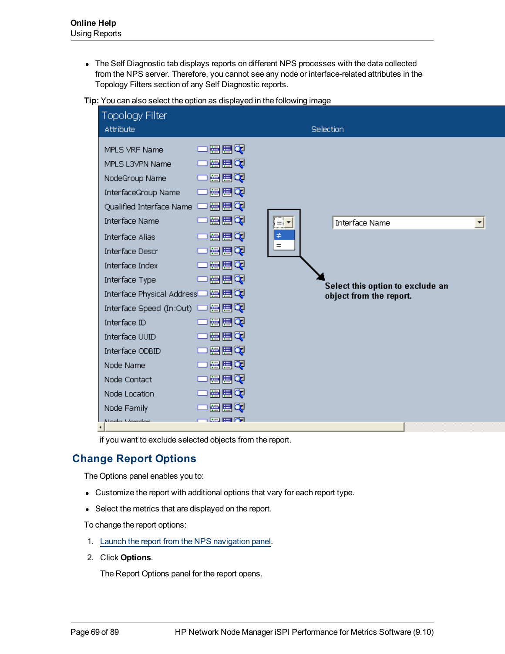• The Self Diagnostic tab displays reports on different NPS processes with the data collected from the NPS server. Therefore, you cannot see any node or interface-related attributes in the Topology Filters section of any Self Diagnostic reports.

**Tip:** You can also select the option as displayed in the following image

|   | <b>Topology Filter</b><br>Attribute                                                                                                                                                                                                                                                                                                                                                                                            |                                                                                                                                                   |                               | <b>Selection</b>                          |                                  |   |
|---|--------------------------------------------------------------------------------------------------------------------------------------------------------------------------------------------------------------------------------------------------------------------------------------------------------------------------------------------------------------------------------------------------------------------------------|---------------------------------------------------------------------------------------------------------------------------------------------------|-------------------------------|-------------------------------------------|----------------------------------|---|
| ٠ | MPLS VRF Name<br>MPLS L3VPN Name<br>NodeGroup Name<br>InterfaceGroup Name<br>Qualified Interface Name<br><b>Interface Name</b><br>Interface Alias<br><b>Interface Descr</b><br>Interface Index<br>Interface Type<br>Interface Physical Address <sup>1</sup> 图图图<br>Interface Speed (In:Out) [<br>Interface ID<br>Interface UUID<br>Interface ODBID<br>Node Name<br>Node Contact<br>Node Location<br>Node Family<br>Mode Unider | 僵僵硬<br>墨呂の<br>墨呂の<br>一團團で<br>冒出的<br>医胃硬<br>医胃硬<br>医医叉<br>医胃硬<br>一層間で<br>團盟の<br>墨呂の<br>墨呂の<br>墨墨图<br>冒出军<br>冒出の<br>冒電の<br>医胃硬<br><b>Les Barton</b> | <u>iel t</u><br>$\neq$<br>$=$ | Interface Name<br>object from the report. | Select this option to exclude an | ▼ |

if you want to exclude selected objects from the report.

# **Change Report Options**

The Options panel enables you to:

- Customize the report with additional options that vary for each report type.
- Select the metrics that are displayed on the report.

To change the report options:

- 1. [Launch](#page-58-0) [the](#page-58-0) [report](#page-58-0) [from](#page-58-0) [the](#page-58-0) [NPS navigation](#page-58-0) [panel](#page-58-0).
- 2. Click **Options**.

The Report Options panel for the report opens.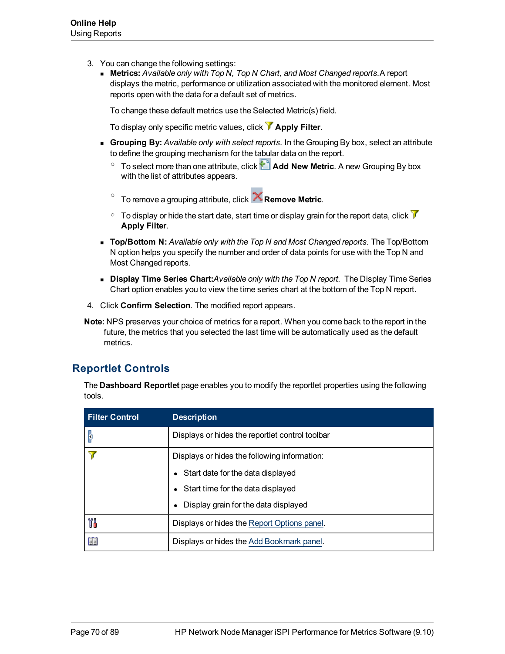- 3. You can change the following settings:
	- **Netrics:** *Available only with Top N, Top N Chart, and Most Changed reports. A report* displays the metric, performance or utilization associated with the monitored element. Most reports open with the data for a default set of metrics.

To change these default metrics use the Selected Metric(s) field.

To display only specific metric values, click **Apply Filter**.

- **Grouping By:** Available only with select reports. In the Grouping By box, select an attribute to define the grouping mechanism for the tabular data on the report.
	- <sup>o</sup> To select more than one attribute, click **Add New Metric**. A new Grouping By box with the list of attributes appears.
	- o To remove a grouping attribute, click **Remove Metric**.
	- $\circ$  To display or hide the start date, start time or display grain for the report data, click  $\mathcal V$ **Apply Filter**.
- **n Top/Bottom N:** *Available only with the Top N and Most Changed reports. The Top/Bottom* N option helps you specify the number and order of data points for use with the Top N and Most Changed reports.
- **Display Time Series Chart:***Available only with the Top N report.* The Display Time Series Chart option enables you to view the time series chart at the bottom of the Top N report.
- 4. Click **Confirm Selection**. The modified report appears.

**Note:** NPS preserves your choice of metrics for a report. When you come back to the report in the future, the metrics that you selected the last time will be automatically used as the default metrics.

# **Reportlet Controls**

The **Dashboard Reportlet** page enables you to modify the reportlet properties using the following tools.

| <b>Filter Control</b> | <b>Description</b>                              |  |  |  |
|-----------------------|-------------------------------------------------|--|--|--|
| p                     | Displays or hides the reportlet control toolbar |  |  |  |
|                       | Displays or hides the following information:    |  |  |  |
|                       | • Start date for the data displayed             |  |  |  |
|                       | Start time for the data displayed               |  |  |  |
|                       | Display grain for the data displayed            |  |  |  |
| Ył                    | Displays or hides the Report Options panel.     |  |  |  |
| 頧                     | Displays or hides the Add Bookmark panel.       |  |  |  |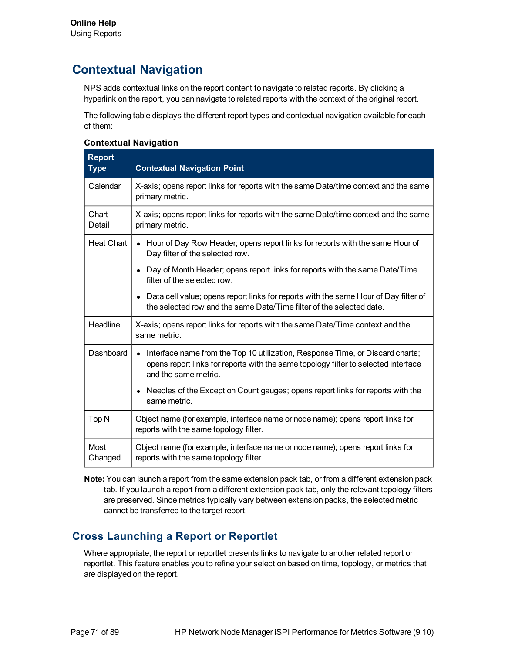# <span id="page-70-0"></span>**Contextual Navigation**

NPS adds contextual links on the report content to navigate to related reports. By clicking a hyperlink on the report, you can navigate to related reports with the context of the original report.

The following table displays the different report types and contextual navigation available for each of them:

### **Contextual Navigation**

| <b>Report</b><br><b>Type</b> | <b>Contextual Navigation Point</b>                                                                                                                                                          |  |  |
|------------------------------|---------------------------------------------------------------------------------------------------------------------------------------------------------------------------------------------|--|--|
| Calendar                     | X-axis; opens report links for reports with the same Date/time context and the same<br>primary metric.                                                                                      |  |  |
| Chart<br>Detail              | X-axis; opens report links for reports with the same Date/time context and the same<br>primary metric.                                                                                      |  |  |
| <b>Heat Chart</b>            | • Hour of Day Row Header; opens report links for reports with the same Hour of<br>Day filter of the selected row.                                                                           |  |  |
|                              | Day of Month Header; opens report links for reports with the same Date/Time<br>$\bullet$<br>filter of the selected row.                                                                     |  |  |
|                              | Data cell value; opens report links for reports with the same Hour of Day filter of<br>$\bullet$<br>the selected row and the same Date/Time filter of the selected date.                    |  |  |
| Headline                     | X-axis; opens report links for reports with the same Date/Time context and the<br>same metric.                                                                                              |  |  |
| Dashboard                    | Interface name from the Top 10 utilization, Response Time, or Discard charts;<br>opens report links for reports with the same topology filter to selected interface<br>and the same metric. |  |  |
|                              | Needles of the Exception Count gauges; opens report links for reports with the<br>$\bullet$<br>same metric.                                                                                 |  |  |
| Top <sub>N</sub>             | Object name (for example, interface name or node name); opens report links for<br>reports with the same topology filter.                                                                    |  |  |
| Most<br>Changed              | Object name (for example, interface name or node name); opens report links for<br>reports with the same topology filter.                                                                    |  |  |

**Note:** You can launch a report from the same extension pack tab, or from a different extension pack tab. If you launch a report from a different extension pack tab, only the relevant topology filters are preserved. Since metrics typically vary between extension packs, the selected metric cannot be transferred to the target report.

# **Cross Launching a Report or Reportlet**

Where appropriate, the report or reportlet presents links to navigate to another related report or reportlet. This feature enables you to refine your selection based on time, topology, or metrics that are displayed on the report.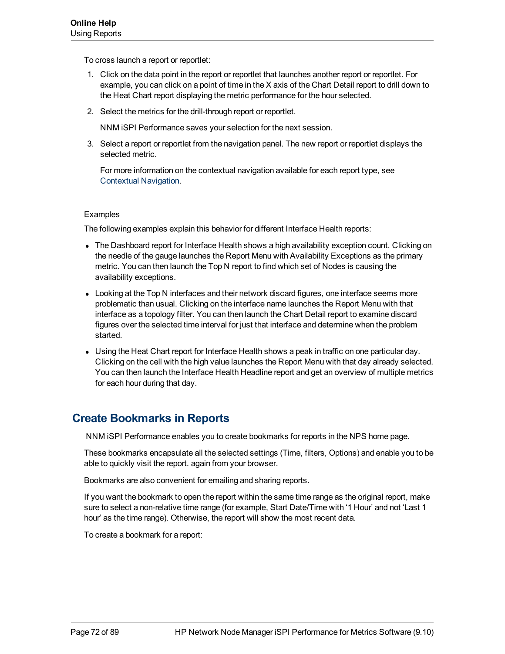To cross launch a report or reportlet:

- 1. Click on the data point in the report or reportlet that launches another report or reportlet. For example, you can click on a point of time in the X axis of the Chart Detail report to drill down to the Heat Chart report displaying the metric performance for the hour selected.
- 2. Select the metrics for the drill-through report or reportlet.

NNM iSPI Performance saves your selection for the next session.

3. Select a report or reportlet from the navigation panel. The new report or reportlet displays the selected metric.

For more information on the contextual navigation available for each report type, see [Contextual](#page-70-0) [Navigation.](#page-70-0)

#### Examples

The following examples explain this behavior for different Interface Health reports:

- The Dashboard report for Interface Health shows a high availability exception count. Clicking on the needle of the gauge launches the Report Menu with Availability Exceptions as the primary metric. You can then launch the Top N report to find which set of Nodes is causing the availability exceptions.
- Looking at the Top N interfaces and their network discard figures, one interface seems more problematic than usual. Clicking on the interface name launches the Report Menu with that interface as a topology filter. You can then launch the Chart Detail report to examine discard figures over the selected time interval for just that interface and determine when the problem started.
- Using the Heat Chart report for Interface Health shows a peak in traffic on one particular day. Clicking on the cell with the high value launches the Report Menu with that day already selected. You can then launch the Interface Health Headline report and get an overview of multiple metrics for each hour during that day.

# **Create Bookmarks in Reports**

NNM iSPI Performance enables you to create bookmarks for reports in the NPS home page.

These bookmarks encapsulate all the selected settings (Time, filters, Options) and enable you to be able to quickly visit the report. again from your browser.

Bookmarks are also convenient for emailing and sharing reports.

If you want the bookmark to open the report within the same time range as the original report, make sure to select a non-relative time range (for example, Start Date/Time with '1 Hour' and not 'Last 1 hour' as the time range). Otherwise, the report will show the most recent data.

To create a bookmark for a report: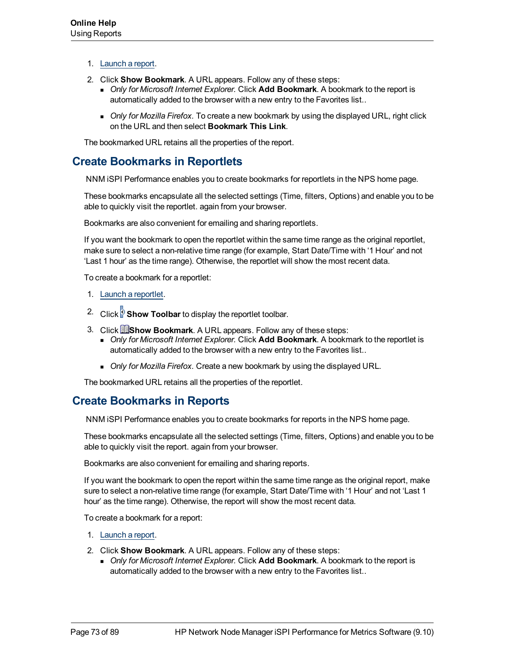- 1. [Launch](#page-58-0) [a](#page-58-0) [report.](#page-58-0)
- 2. Click **Show Bookmark**. A URL appears. Follow any of these steps:
	- **n** *Only for Microsoft Internet Explorer.* Click **Add Bookmark**. A bookmark to the report is automatically added to the browser with a new entry to the Favorites list..
	- **Drivish** *Only for Mozilla Firefox*. To create a new bookmark by using the displayed URL, right click on the URL and then select **Bookmark This Link**.

<span id="page-72-1"></span>The bookmarked URL retains all the properties of the report.

## **Create Bookmarks in Reportlets**

NNM iSPI Performance enables you to create bookmarks for reportlets in the NPS home page.

These bookmarks encapsulate all the selected settings (Time, filters, Options) and enable you to be able to quickly visit the reportlet. again from your browser.

Bookmarks are also convenient for emailing and sharing reportlets.

If you want the bookmark to open the reportlet within the same time range as the original reportlet, make sure to select a non-relative time range (for example, Start Date/Time with '1 Hour' and not 'Last 1 hour' as the time range). Otherwise, the reportlet will show the most recent data.

To create a bookmark for a reportlet:

- 1. [Launch](#page-58-0) [a](#page-58-0) [reportlet](#page-58-0).
- <sup>2.</sup> Click **Show Toolbar** to display the reportlet toolbar.
- 3. Click **Bookmark**. A URL appears. Follow any of these steps:
	- **n** *Only for Microsoft Internet Explorer.* Click **Add Bookmark**. A bookmark to the reportlet is automatically added to the browser with a new entry to the Favorites list..
	- **n** *Only for Mozilla Firefox.* Create a new bookmark by using the displayed URL.

<span id="page-72-0"></span>The bookmarked URL retains all the properties of the reportlet.

## **Create Bookmarks in Reports**

NNM iSPI Performance enables you to create bookmarks for reports in the NPS home page.

These bookmarks encapsulate all the selected settings (Time, filters, Options) and enable you to be able to quickly visit the report. again from your browser.

Bookmarks are also convenient for emailing and sharing reports.

If you want the bookmark to open the report within the same time range as the original report, make sure to select a non-relative time range (for example, Start Date/Time with '1 Hour' and not 'Last 1 hour' as the time range). Otherwise, the report will show the most recent data.

To create a bookmark for a report:

- 1. [Launch](#page-58-0) [a](#page-58-0) [report.](#page-58-0)
- 2. Click **Show Bookmark**. A URL appears. Follow any of these steps:
	- **n** *Only for Microsoft Internet Explorer.* Click **Add Bookmark**. A bookmark to the report is automatically added to the browser with a new entry to the Favorites list..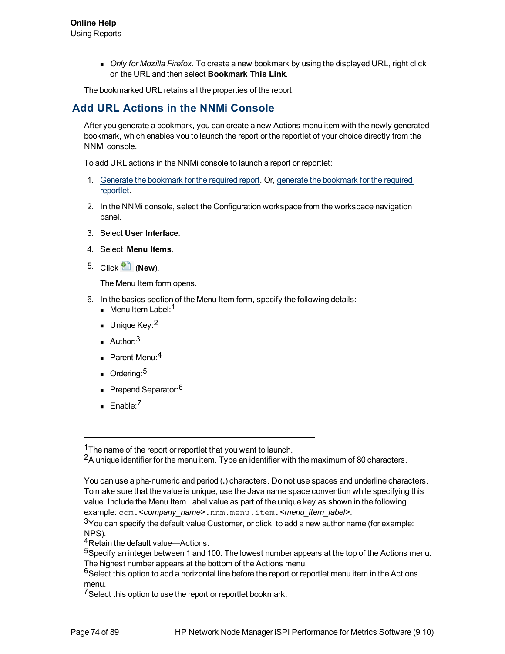**Driver** *Only for Mozilla Firefox*. To create a new bookmark by using the displayed URL, right click on the URL and then select **Bookmark This Link**.

The bookmarked URL retains all the properties of the report.

## **Add URL Actions in the NNMi Console**

After you generate a bookmark, you can create a new Actions menu item with the newly generated bookmark, which enables you to launch the report or the reportlet of your choice directly from the NNMi console.

To add URL actions in the NNMi console to launch a report or reportlet:

- 1. [Generate](#page-72-0) [the](#page-72-0) [bookmark](#page-72-0) [for](#page-72-0) [the](#page-72-0) [required](#page-72-0) [report](#page-72-0). Or, [generate](#page-72-1) [the](#page-72-1) [bookmark](#page-72-1) [for](#page-72-1) [the](#page-72-1) [required](#page-72-1) [reportlet.](#page-72-1)
- 2. In the NNMi console, select the Configuration workspace from the workspace navigation panel.
- 3. Select **User Interface**.
- 4. Select **Menu Items**.
- 5. Click (**New**).

The Menu Item form opens.

- 6. In the basics section of the Menu Item form, specify the following details:
	- Menu Item Label:<sup>1</sup>
	- Unique Key:  $2$
	- Author:  $3$
	- $\blacksquare$  Parent Menu: 4
	- $O$ rdering:<sup>5</sup>
	- Prepend Separator:<sup>6</sup>
	- $E$ nable:<sup>7</sup>

<sup>&</sup>lt;sup>1</sup>The name of the report or reportlet that you want to launch.

<sup>&</sup>lt;sup>2</sup>A unique identifier for the menu item. Type an identifier with the maximum of 80 characters.

You can use alpha-numeric and period (**.**) characters. Do not use spaces and underline characters. To make sure that the value is unique, use the Java name space convention while specifying this value. Include the Menu Item Label value as part of the unique key as shown in the following example: com.*<company\_name>*.nnm.menu.item.*<menu\_item\_label>*.

 $3$ You can specify the default value Customer, or click to add a new author name (for example: NPS).

<sup>&</sup>lt;sup>4</sup>Retain the default value—Actions.

<sup>5</sup>Specify an integer between 1 and 100. The lowest number appears at the top of the Actions menu. The highest number appears at the bottom of the Actions menu.

 $6$ Select this option to add a horizontal line before the report or reportlet menu item in the Actions menu.

<sup>&</sup>lt;sup>7</sup>Select this option to use the report or reportlet bookmark.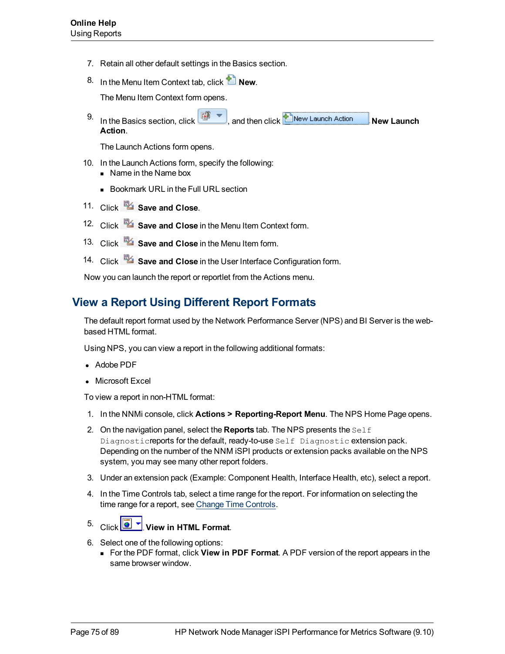- 7. Retain all other default settings in the Basics section.
- 8. In the Menu Item Context tab, click **Lew.**

The Menu Item Context form opens.

9. In the Basics section, click  $\boxed{\bullet}$ , and then click **New Launch Action** New Launch **Action**.

The Launch Actions form opens.

- 10. In the Launch Actions form, specify the following:
	- $\blacksquare$  Name in the Name box
	- **Bookmark URL in the Full URL section**
- 11. Click **Save and Close**.
- 12. Click **Save and Close** in the Menu Item Context form.
- 13. Click **Save and Close** in the Menu Item form.
- 14. Click **Save and Close** in the User Interface Configuration form.

Now you can launch the report or reportlet from the Actions menu.

## **View a Report Using Different Report Formats**

The default report format used by the Network Performance Server (NPS) and BI Server is the webbased HTML format.

Using NPS, you can view a report in the following additional formats:

- Adobe PDF
- Microsoft Excel

To view a report in non-HTML format:

- 1. In the NNMi console, click **Actions > Reporting-Report Menu**. The NPS Home Page opens.
- 2. On the navigation panel, select the **Reports** tab. The NPS presents the Self Diagnosticreports for the default, ready-to-use Self Diagnostic extension pack. Depending on the number of the NNM iSPI products or extension packs available on the NPS system, you may see many other report folders.
- 3. Under an extension pack (Example: Component Health, Interface Health, etc), select a report.
- 4. In the Time Controls tab, select a time range for the report. For information on selecting the time range for a report, see [Change](#page-60-0) [Time](#page-60-0) [Controls](#page-60-0).
- 
- 5. Click **I**  $\bullet$  **View in HTML Format.**
- 6. Select one of the following options:
	- <sup>n</sup> For the PDF format, click **View in PDF Format**. A PDF version of the report appears in the same browser window.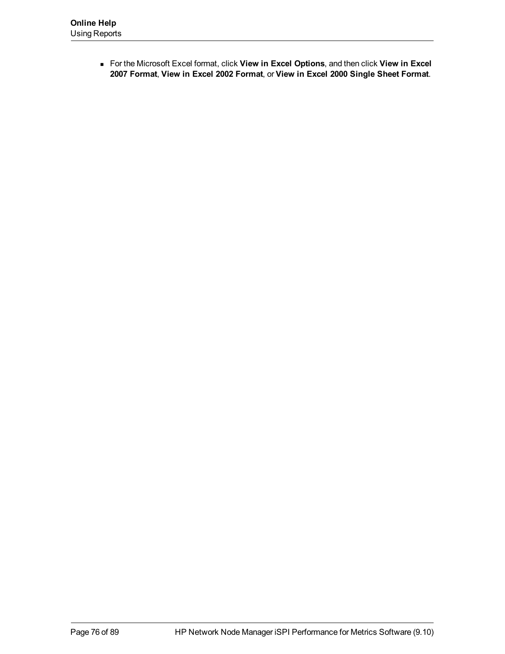<sup>n</sup> For the Microsoft Excel format, click **View in Excel Options**, and then click **View in Excel 2007 Format**, **View in Excel 2002 Format**, or **View in Excel 2000 Single Sheet Format**.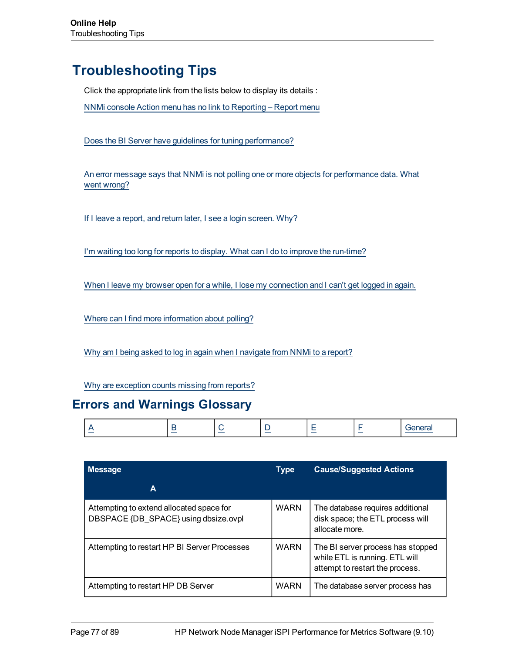# **Troubleshooting Tips**

Click the appropriate link from the lists below to display its details :

[NNMi](#page-83-0) [console](#page-83-0) [Action](#page-83-0) [menu](#page-83-0) [has](#page-83-0) [no](#page-83-0) [link](#page-83-0) [to](#page-83-0) [Reporting](#page-83-0) [–](#page-83-0) [Report](#page-83-0) [menu](#page-83-0)

[Does](../../../../../Content/Trouble_Shooting_Tips/PerfSPI_TSG_001.htm) [the](../../../../../Content/Trouble_Shooting_Tips/PerfSPI_TSG_001.htm) [BI](../../../../../Content/Trouble_Shooting_Tips/PerfSPI_TSG_001.htm) [Server](../../../../../Content/Trouble_Shooting_Tips/PerfSPI_TSG_001.htm) [have](../../../../../Content/Trouble_Shooting_Tips/PerfSPI_TSG_001.htm) [guidelines](../../../../../Content/Trouble_Shooting_Tips/PerfSPI_TSG_001.htm) [for](../../../../../Content/Trouble_Shooting_Tips/PerfSPI_TSG_001.htm) [tuning](../../../../../Content/Trouble_Shooting_Tips/PerfSPI_TSG_001.htm) [performance?](../../../../../Content/Trouble_Shooting_Tips/PerfSPI_TSG_001.htm)

[An](#page-83-1) [error](#page-83-1) [message](#page-83-1) [says](#page-83-1) [that](#page-83-1) [NNMi](#page-83-1) [is](#page-83-1) [not](#page-83-1) [polling](#page-83-1) [one](#page-83-1) [or](#page-83-1) [more](#page-83-1) [objects](#page-83-1) [for](#page-83-1) [performance](#page-83-1) [data.](#page-83-1) [What](#page-83-1) [went](#page-83-1) [wrong?](#page-83-1)

[If](#page-84-0) [I](#page-84-0) [leave](#page-84-0) [a](#page-84-0) [report,](#page-84-0) [and](#page-84-0) [return](#page-84-0) [later,](#page-84-0) [I](#page-84-0) [see](#page-84-0) [a](#page-84-0) [login](#page-84-0) [screen.](#page-84-0) [Why?](#page-84-0)

[I'm](#page-82-0) [waiting](#page-82-0) [too](#page-82-0) [long](#page-82-0) [for](#page-82-0) [reports](#page-82-0) [to](#page-82-0) [display.](#page-82-0) [What](#page-82-0) [can](#page-82-0) [I](#page-82-0) [do](#page-82-0) [to](#page-82-0) [improve](#page-82-0) [the](#page-82-0) [run-time?](#page-82-0)

[When](#page-84-1) [I](#page-84-1) [leave](#page-84-1) [my](#page-84-1) [browser](#page-84-1) [open](#page-84-1) [for](#page-84-1) [a](#page-84-1) [while,](#page-84-1) [I](#page-84-1) [lose](#page-84-1) [my](#page-84-1) [connection](#page-84-1) [and](#page-84-1) [I](#page-84-1) [can't](#page-84-1) [get](#page-84-1) [logged](#page-84-1) [in](#page-84-1) [again.](#page-84-1)

[Where](#page-85-0) [can](#page-85-0) [I](#page-85-0) [find](#page-85-0) [more](#page-85-0) [information](#page-85-0) [about](#page-85-0) [polling?](#page-85-0)

[Why](#page-83-2) [am](#page-83-2) [I](#page-83-2) [being](#page-83-2) [asked](#page-83-2) [to](#page-83-2) [log](#page-83-2) [in](#page-83-2) [again](#page-83-2) [when](#page-83-2) I [navigate](#page-83-2) [from](#page-83-2) [NNMi](#page-83-2) to [a](#page-83-2) [report?](#page-83-2)

[Why](#page-84-2) [are](#page-84-2) [exception](#page-84-2) [counts](#page-84-2) [missing](#page-84-2) [from](#page-84-2) [reports?](#page-84-2)

## **Errors and Warnings Glossary**

<span id="page-76-1"></span>

|  | _ |  |  | $\sim$ | $\sim$ |  |
|--|---|--|--|--------|--------|--|
|--|---|--|--|--------|--------|--|

<span id="page-76-0"></span>

| <b>Message</b>                                                                   | <b>Type</b> | <b>Cause/Suggested Actions</b>                                                                         |
|----------------------------------------------------------------------------------|-------------|--------------------------------------------------------------------------------------------------------|
| A                                                                                |             |                                                                                                        |
| Attempting to extend allocated space for<br>DBSPACE {DB SPACE} using dbsize.ovpl | <b>WARN</b> | The database requires additional<br>disk space; the ETL process will<br>allocate more.                 |
| Attempting to restart HP BI Server Processes                                     | <b>WARN</b> | The BI server process has stopped<br>while ETL is running. ETL will<br>attempt to restart the process. |
| Attempting to restart HP DB Server                                               | <b>WARN</b> | The database server process has                                                                        |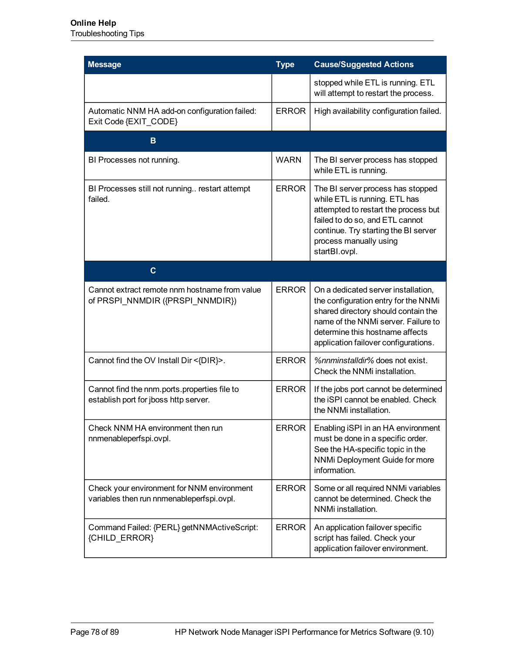<span id="page-77-1"></span><span id="page-77-0"></span>

| <b>Message</b>                                                                          | <b>Type</b>  | <b>Cause/Suggested Actions</b>                                                                                                                                                                                                       |
|-----------------------------------------------------------------------------------------|--------------|--------------------------------------------------------------------------------------------------------------------------------------------------------------------------------------------------------------------------------------|
|                                                                                         |              | stopped while ETL is running. ETL<br>will attempt to restart the process.                                                                                                                                                            |
| Automatic NNM HA add-on configuration failed:<br>Exit Code {EXIT_CODE}                  | <b>ERROR</b> | High availability configuration failed.                                                                                                                                                                                              |
| в                                                                                       |              |                                                                                                                                                                                                                                      |
| BI Processes not running.                                                               | <b>WARN</b>  | The BI server process has stopped<br>while ETL is running.                                                                                                                                                                           |
| BI Processes still not running restart attempt<br>failed.                               | <b>ERROR</b> | The BI server process has stopped<br>while ETL is running. ETL has<br>attempted to restart the process but<br>failed to do so, and ETL cannot<br>continue. Try starting the BI server<br>process manually using<br>startBI.ovpl.     |
| $\mathbf{C}$                                                                            |              |                                                                                                                                                                                                                                      |
| Cannot extract remote nnm hostname from value<br>of PRSPI_NNMDIR ({PRSPI_NNMDIR})       | <b>ERROR</b> | On a dedicated server installation,<br>the configuration entry for the NNMi<br>shared directory should contain the<br>name of the NNMi server. Failure to<br>determine this hostname affects<br>application failover configurations. |
| Cannot find the OV Install Dir <{DIR}>.                                                 | <b>ERROR</b> | %nnminstalldir% does not exist.<br>Check the NNMi installation.                                                                                                                                                                      |
| Cannot find the nnm.ports.properties file to<br>establish port for jboss http server.   | <b>ERROR</b> | If the jobs port cannot be determined<br>the iSPI cannot be enabled. Check<br>the NNMi installation.                                                                                                                                 |
| Check NNM HA environment then run<br>nnmenableperfspi.ovpl.                             | <b>ERROR</b> | Enabling iSPI in an HA environment<br>must be done in a specific order.<br>See the HA-specific topic in the<br>NNMi Deployment Guide for more<br>information.                                                                        |
| Check your environment for NNM environment<br>variables then run nnmenableperfspi.ovpl. | <b>ERROR</b> | Some or all required NNMi variables<br>cannot be determined. Check the<br>NNMi installation.                                                                                                                                         |
| Command Failed: {PERL} getNNMActiveScript:<br>{CHILD_ERROR}                             | <b>ERROR</b> | An application failover specific<br>script has failed. Check your<br>application failover environment.                                                                                                                               |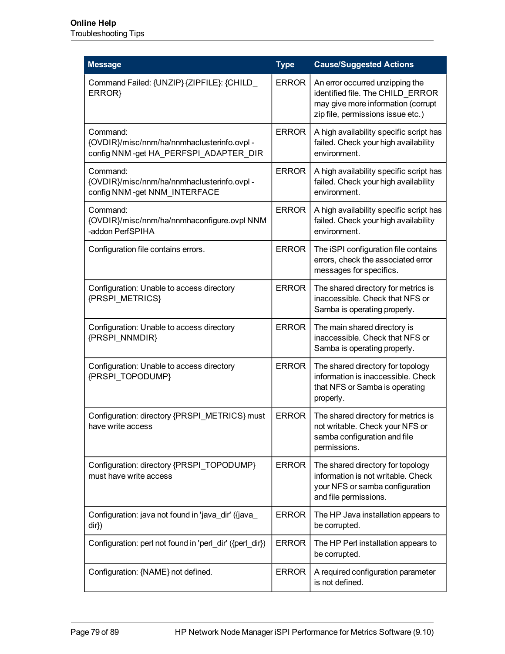| <b>Message</b>                                                                                   | <b>Type</b>  | <b>Cause/Suggested Actions</b>                                                                                                                 |
|--------------------------------------------------------------------------------------------------|--------------|------------------------------------------------------------------------------------------------------------------------------------------------|
| Command Failed: {UNZIP} {ZIPFILE}: {CHILD<br>ERROR}                                              | <b>ERROR</b> | An error occurred unzipping the<br>identified file. The CHILD ERROR<br>may give more information (corrupt<br>zip file, permissions issue etc.) |
| Command:<br>{OVDIR}/misc/nnm/ha/nnmhaclusterinfo.ovpl -<br>config NNM-get HA PERFSPI ADAPTER DIR | <b>ERROR</b> | A high availability specific script has<br>failed. Check your high availability<br>environment.                                                |
| Command:<br>{OVDIR}/misc/nnm/ha/nnmhaclusterinfo.ovpl -<br>config NNM -get NNM_INTERFACE         | <b>ERROR</b> | A high availability specific script has<br>failed. Check your high availability<br>environment.                                                |
| Command:<br>{OVDIR}/misc/nnm/ha/nnmhaconfigure.ovpl NNM<br>-addon PerfSPIHA                      | <b>ERROR</b> | A high availability specific script has<br>failed. Check your high availability<br>environment.                                                |
| Configuration file contains errors.                                                              | <b>ERROR</b> | The iSPI configuration file contains<br>errors, check the associated error<br>messages for specifics.                                          |
| Configuration: Unable to access directory<br>{PRSPI METRICS}                                     | <b>ERROR</b> | The shared directory for metrics is<br>inaccessible. Check that NFS or<br>Samba is operating properly.                                         |
| Configuration: Unable to access directory<br>{PRSPI NNMDIR}                                      | <b>ERROR</b> | The main shared directory is<br>inaccessible. Check that NFS or<br>Samba is operating properly.                                                |
| Configuration: Unable to access directory<br>{PRSPI TOPODUMP}                                    | <b>ERROR</b> | The shared directory for topology<br>information is inaccessible. Check<br>that NFS or Samba is operating<br>properly.                         |
| Configuration: directory {PRSPI_METRICS} must<br>have write access                               | <b>ERROR</b> | The shared directory for metrics is<br>not writable. Check your NFS or<br>samba configuration and file<br>permissions.                         |
| Configuration: directory {PRSPI_TOPODUMP}<br>must have write access                              | <b>ERROR</b> | The shared directory for topology<br>information is not writable. Check<br>your NFS or samba configuration<br>and file permissions.            |
| Configuration: java not found in 'java_dir' ({java_<br>dir})                                     | <b>ERROR</b> | The HP Java installation appears to<br>be corrupted.                                                                                           |
| Configuration: perl not found in 'perl_dir' ({perl_dir})                                         | <b>ERROR</b> | The HP Perl installation appears to<br>be corrupted.                                                                                           |
| Configuration: {NAME} not defined.                                                               | <b>ERROR</b> | A required configuration parameter<br>is not defined.                                                                                          |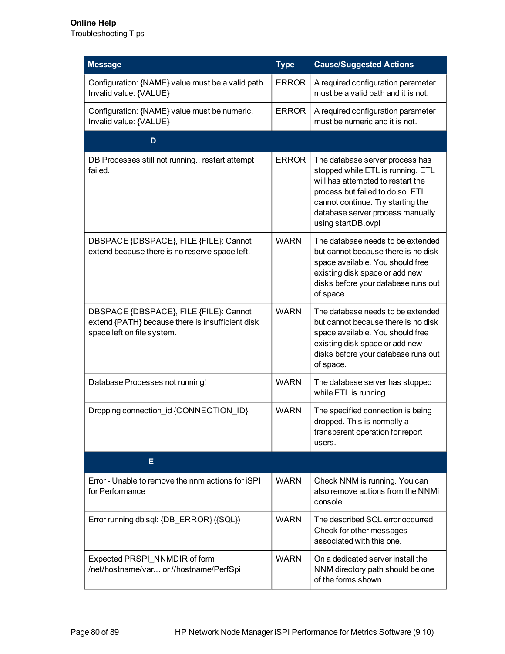## **Online Help**

Troubleshooting Tips

<span id="page-79-1"></span><span id="page-79-0"></span>

| <b>Message</b>                                                                                                           | <b>Type</b>  | <b>Cause/Suggested Actions</b>                                                                                                                                                                                                               |
|--------------------------------------------------------------------------------------------------------------------------|--------------|----------------------------------------------------------------------------------------------------------------------------------------------------------------------------------------------------------------------------------------------|
| Configuration: {NAME} value must be a valid path.<br>Invalid value: {VALUE}                                              | <b>ERROR</b> | A required configuration parameter<br>must be a valid path and it is not.                                                                                                                                                                    |
| Configuration: {NAME} value must be numeric.<br>Invalid value: {VALUE}                                                   | <b>ERROR</b> | A required configuration parameter<br>must be numeric and it is not.                                                                                                                                                                         |
| D                                                                                                                        |              |                                                                                                                                                                                                                                              |
| DB Processes still not running restart attempt<br>failed.                                                                | <b>ERROR</b> | The database server process has<br>stopped while ETL is running. ETL<br>will has attempted to restart the<br>process but failed to do so. ETL<br>cannot continue. Try starting the<br>database server process manually<br>using startDB.ovpl |
| DBSPACE {DBSPACE}, FILE {FILE}: Cannot<br>extend because there is no reserve space left.                                 | <b>WARN</b>  | The database needs to be extended<br>but cannot because there is no disk<br>space available. You should free<br>existing disk space or add new<br>disks before your database runs out<br>of space.                                           |
| DBSPACE {DBSPACE}, FILE {FILE}: Cannot<br>extend {PATH} because there is insufficient disk<br>space left on file system. | <b>WARN</b>  | The database needs to be extended<br>but cannot because there is no disk<br>space available. You should free<br>existing disk space or add new<br>disks before your database runs out<br>of space.                                           |
| Database Processes not running!                                                                                          | <b>WARN</b>  | The database server has stopped<br>while ETL is running                                                                                                                                                                                      |
| Dropping connection_id {CONNECTION_ID}                                                                                   | <b>WARN</b>  | The specified connection is being<br>dropped. This is normally a<br>transparent operation for report<br>users.                                                                                                                               |
| E.                                                                                                                       |              |                                                                                                                                                                                                                                              |
| Error - Unable to remove the nnm actions for iSPI<br>for Performance                                                     | <b>WARN</b>  | Check NNM is running. You can<br>also remove actions from the NNMi<br>console.                                                                                                                                                               |
| Error running dbisql: {DB ERROR} ({SQL})                                                                                 | <b>WARN</b>  | The described SQL error occurred.<br>Check for other messages<br>associated with this one.                                                                                                                                                   |
| Expected PRSPI_NNMDIR of form<br>/net/hostname/var or //hostname/PerfSpi                                                 | <b>WARN</b>  | On a dedicated server install the<br>NNM directory path should be one<br>of the forms shown.                                                                                                                                                 |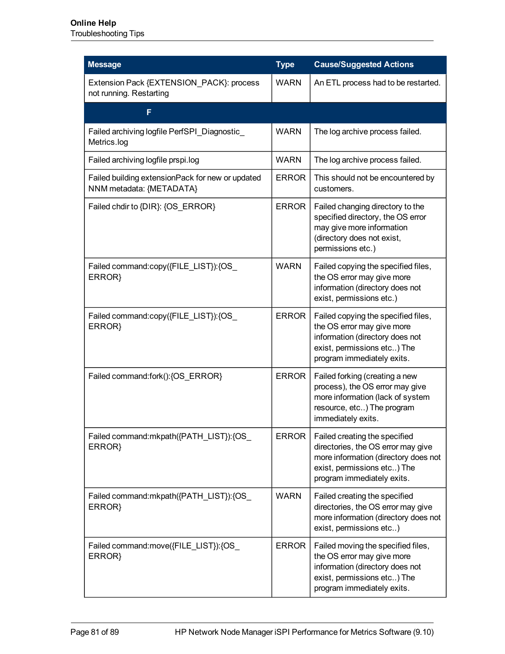<span id="page-80-0"></span>

| <b>Message</b>                                                               | <b>Type</b>  | <b>Cause/Suggested Actions</b>                                                                                                                                           |
|------------------------------------------------------------------------------|--------------|--------------------------------------------------------------------------------------------------------------------------------------------------------------------------|
| Extension Pack {EXTENSION_PACK}: process<br>not running. Restarting          | <b>WARN</b>  | An ETL process had to be restarted.                                                                                                                                      |
| F                                                                            |              |                                                                                                                                                                          |
| Failed archiving logfile PerfSPI_Diagnostic_<br>Metrics.log                  | <b>WARN</b>  | The log archive process failed.                                                                                                                                          |
| Failed archiving logfile prspi.log                                           | <b>WARN</b>  | The log archive process failed.                                                                                                                                          |
| Failed building extensionPack for new or updated<br>NNM metadata: {METADATA} | <b>ERROR</b> | This should not be encountered by<br>customers.                                                                                                                          |
| Failed chdir to {DIR}: {OS_ERROR}                                            | <b>ERROR</b> | Failed changing directory to the<br>specified directory, the OS error<br>may give more information<br>(directory does not exist,<br>permissions etc.)                    |
| Failed command:copy({FILE_LIST}):{OS_<br>ERROR}                              | <b>WARN</b>  | Failed copying the specified files,<br>the OS error may give more<br>information (directory does not<br>exist, permissions etc.)                                         |
| Failed command:copy({FILE_LIST}):{OS_<br>ERROR}                              | <b>ERROR</b> | Failed copying the specified files,<br>the OS error may give more<br>information (directory does not<br>exist, permissions etc) The<br>program immediately exits.        |
| Failed command:fork():{OS_ERROR}                                             | <b>ERROR</b> | Failed forking (creating a new<br>process), the OS error may give<br>more information (lack of system<br>resource, etc) The program<br>immediately exits.                |
| Failed command: mkpath({PATH_LIST}): {OS_<br>ERROR}                          | <b>ERROR</b> | Failed creating the specified<br>directories, the OS error may give<br>more information (directory does not<br>exist, permissions etc) The<br>program immediately exits. |
| Failed command: mkpath({PATH_LIST}): {OS_<br>ERROR}                          | <b>WARN</b>  | Failed creating the specified<br>directories, the OS error may give<br>more information (directory does not<br>exist, permissions etc)                                   |
| Failed command:move({FILE_LIST}):{OS_<br>ERROR}                              | <b>ERROR</b> | Failed moving the specified files,<br>the OS error may give more<br>information (directory does not<br>exist, permissions etc) The<br>program immediately exits.         |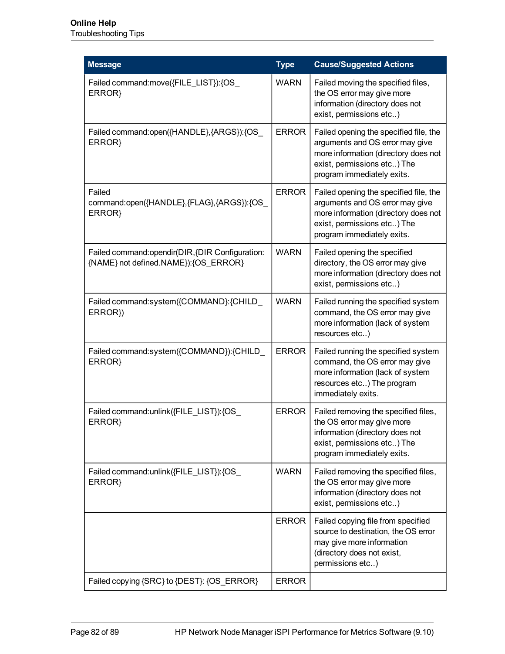| <b>Message</b>                                                                            | <b>Type</b>  | <b>Cause/Suggested Actions</b>                                                                                                                                                 |
|-------------------------------------------------------------------------------------------|--------------|--------------------------------------------------------------------------------------------------------------------------------------------------------------------------------|
| Failed command:move({FILE_LIST}):{OS_<br>ERROR}                                           | <b>WARN</b>  | Failed moving the specified files,<br>the OS error may give more<br>information (directory does not<br>exist, permissions etc)                                                 |
| Failed command: open({HANDLE}, {ARGS}): {OS_<br>ERROR}                                    | <b>ERROR</b> | Failed opening the specified file, the<br>arguments and OS error may give<br>more information (directory does not<br>exist, permissions etc) The<br>program immediately exits. |
| Failed<br>command:open({HANDLE},{FLAG},{ARGS}):{OS<br>ERROR}                              | <b>ERROR</b> | Failed opening the specified file, the<br>arguments and OS error may give<br>more information (directory does not<br>exist, permissions etc) The<br>program immediately exits. |
| Failed command: opendir(DIR, {DIR Configuration:<br>{NAME} not defined.NAME}): {OS_ERROR} | <b>WARN</b>  | Failed opening the specified<br>directory, the OS error may give<br>more information (directory does not<br>exist, permissions etc)                                            |
| Failed command:system({COMMAND}:{CHILD_<br>ERROR})                                        | <b>WARN</b>  | Failed running the specified system<br>command, the OS error may give<br>more information (lack of system<br>resources etc)                                                    |
| Failed command:system({COMMAND}):{CHILD_<br>ERROR}                                        | <b>ERROR</b> | Failed running the specified system<br>command, the OS error may give<br>more information (lack of system<br>resources etc) The program<br>immediately exits.                  |
| Failed command:unlink({FILE_LIST}):{OS_<br>ERROR}                                         | <b>ERROR</b> | Failed removing the specified files,<br>the OS error may give more<br>information (directory does not<br>exist, permissions etc) The<br>program immediately exits.             |
| Failed command: unlink({FILE_LIST}): {OS_<br>ERROR}                                       | <b>WARN</b>  | Failed removing the specified files,<br>the OS error may give more<br>information (directory does not<br>exist, permissions etc)                                               |
|                                                                                           | <b>ERROR</b> | Failed copying file from specified<br>source to destination, the OS error<br>may give more information<br>(directory does not exist,<br>permissions etc)                       |
| Failed copying {SRC} to {DEST}: {OS_ERROR}                                                | <b>ERROR</b> |                                                                                                                                                                                |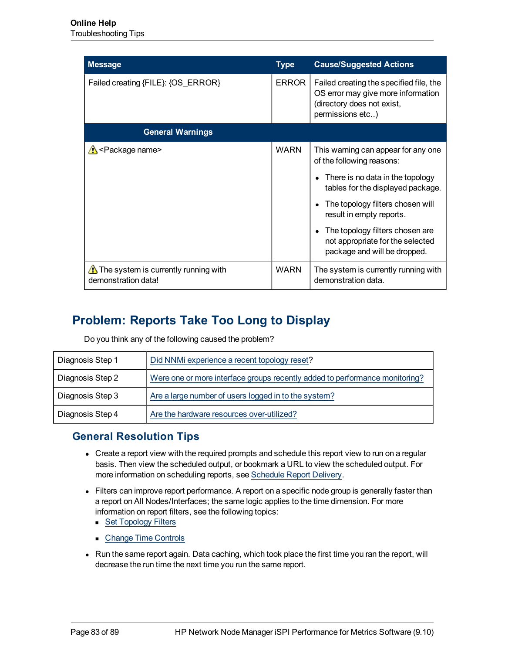<span id="page-82-1"></span>

| <b>Message</b>                                                          | <b>Type</b>  | <b>Cause/Suggested Actions</b>                                                                                                  |
|-------------------------------------------------------------------------|--------------|---------------------------------------------------------------------------------------------------------------------------------|
| Failed creating {FILE}: {OS_ERROR}                                      | <b>ERROR</b> | Failed creating the specified file, the<br>OS error may give more information<br>(directory does not exist,<br>permissions etc) |
| <b>General Warnings</b>                                                 |              |                                                                                                                                 |
| A <package name=""></package>                                           | <b>WARN</b>  | This warning can appear for any one<br>of the following reasons:                                                                |
|                                                                         |              | There is no data in the topology<br>tables for the displayed package.                                                           |
|                                                                         |              | The topology filters chosen will<br>result in empty reports.                                                                    |
|                                                                         |              | The topology filters chosen are<br>not appropriate for the selected<br>package and will be dropped.                             |
| $\triangle$ The system is currently running with<br>demonstration data! | <b>WARN</b>  | The system is currently running with<br>demonstration data.                                                                     |

# <span id="page-82-0"></span>**Problem: Reports Take Too Long to Display**

Do you think any of the following caused the problem?

| Diagnosis Step 1 | Did NNMi experience a recent topology reset?                                |
|------------------|-----------------------------------------------------------------------------|
| Diagnosis Step 2 | Were one or more interface groups recently added to performance monitoring? |
| Diagnosis Step 3 | Are a large number of users logged in to the system?                        |
| Diagnosis Step 4 | Are the hardware resources over-utilized?                                   |

## **General Resolution Tips**

- Create a report view with the required prompts and schedule this report view to run on a regular basis. Then view the scheduled output, or bookmark a URL to view the scheduled output. For more information on scheduling reports, see [Schedule](#page-32-0) [Report](#page-32-0) [Delivery.](#page-32-0)
- Filters can improve report performance. A report on a specific node group is generally faster than a report on All Nodes/Interfaces; the same logic applies to the time dimension. For more information on report filters, see the following topics:
	- [Set](#page-67-0) [Topology](#page-67-0) [Filters](#page-67-0)
	- [Change](#page-60-0) [Time](#page-60-0) [Controls](#page-60-0)
- Run the same report again. Data caching, which took place the first time you ran the report, will decrease the run time the next time you run the same report.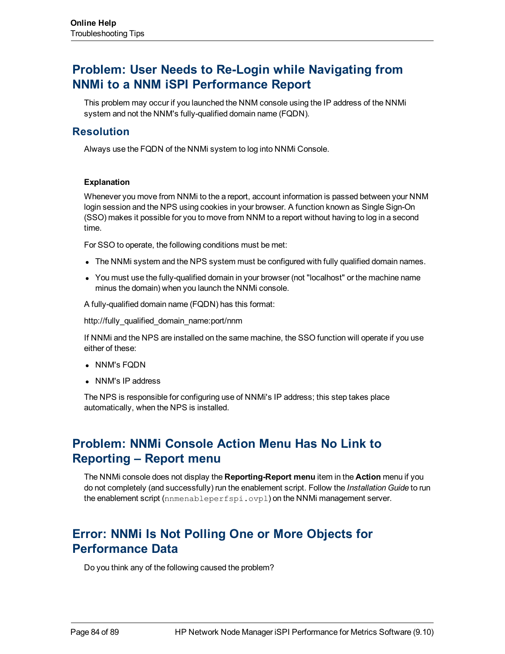## <span id="page-83-2"></span>**Problem: User Needs to Re-Login while Navigating from NNMi to a NNM iSPI Performance Report**

This problem may occur if you launched the NNM console using the IP address of the NNMi system and not the NNM's fully-qualified domain name (FQDN).

### **Resolution**

Always use the FQDN of the NNMi system to log into NNMi Console.

#### **Explanation**

Whenever you move from NNMi to the a report, account information is passed between your NNM login session and the NPS using cookies in your browser. A function known as Single Sign-On (SSO) makes it possible for you to move from NNM to a report without having to log in a second time.

For SSO to operate, the following conditions must be met:

- The NNMi system and the NPS system must be configured with fully qualified domain names.
- You must use the fully-qualified domain in your browser (not "localhost" or the machine name minus the domain) when you launch the NNMi console.

A fully-qualified domain name (FQDN) has this format:

http://fully\_qualified\_domain\_name:port/nnm

If NNMi and the NPS are installed on the same machine, the SSO function will operate if you use either of these:

- NNM's FQDN
- NNM's IP address

The NPS is responsible for configuring use of NNMi's IP address; this step takes place automatically, when the NPS is installed.

## <span id="page-83-0"></span>**Problem: NNMi Console Action Menu Has No Link to Reporting – Report menu**

The NNMi console does not display the **Reporting-Report menu** item in the **Action** menu if you do not completely (and successfully) run the enablement script. Follow the *Installation Guide* to run the enablement script (nnmenableperfspi.ovpl) on the NNMi management server.

## <span id="page-83-1"></span>**Error: NNMi Is Not Polling One or More Objects for Performance Data**

Do you think any of the following caused the problem?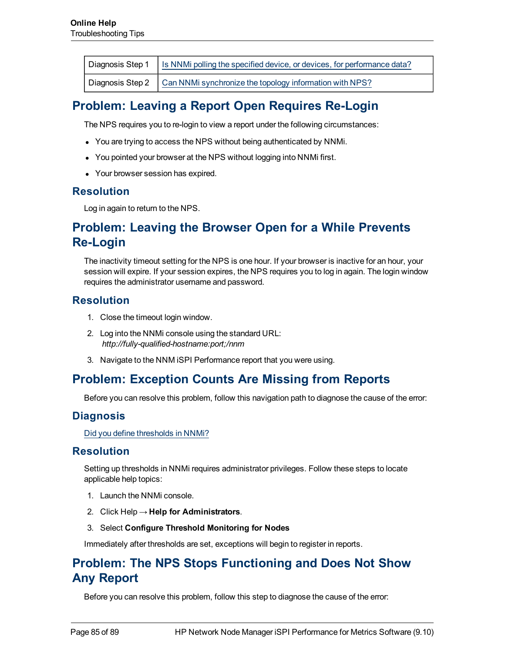| Diagnosis Step 1   Is NNMi polling the specified device, or devices, for performance data? |
|--------------------------------------------------------------------------------------------|
| Diagnosis Step 2   Can NNMi synchronize the topology information with NPS?                 |

# <span id="page-84-0"></span>**Problem: Leaving a Report Open Requires Re-Login**

The NPS requires you to re-login to view a report under the following circumstances:

- You are trying to access the NPS without being authenticated by NNMi.
- You pointed your browser at the NPS without logging into NNMi first.
- Your browser session has expired.

#### **Resolution**

<span id="page-84-1"></span>Log in again to return to the NPS.

## **Problem: Leaving the Browser Open for a While Prevents Re-Login**

The inactivity timeout setting for the NPS is one hour. If your browser is inactive for an hour, your session will expire. If your session expires, the NPS requires you to log in again. The login window requires the administrator username and password.

### **Resolution**

- 1. Close the timeout login window.
- 2. Log into the NNMi console using the standard URL: *http://fully-qualified-hostname:port;/nnm*
- <span id="page-84-2"></span>3. Navigate to the NNM iSPI Performance report that you were using.

## **Problem: Exception Counts Are Missing from Reports**

Before you can resolve this problem, follow this navigation path to diagnose the cause of the error:

### **Diagnosis**

[Did](../../../../../Content/Trouble_Shooting_Tips/PerfSpi_TSG_1201.htm) [you](../../../../../Content/Trouble_Shooting_Tips/PerfSpi_TSG_1201.htm) [define](../../../../../Content/Trouble_Shooting_Tips/PerfSpi_TSG_1201.htm) [thresholds](../../../../../Content/Trouble_Shooting_Tips/PerfSpi_TSG_1201.htm) [in](../../../../../Content/Trouble_Shooting_Tips/PerfSpi_TSG_1201.htm) [NNMi?](../../../../../Content/Trouble_Shooting_Tips/PerfSpi_TSG_1201.htm)

### **Resolution**

Setting up thresholds in NNMi requires administrator privileges. Follow these steps to locate applicable help topics:

- 1. Launch the NNMi console.
- 2. Click Help → **Help for Administrators**.
- 3. Select **Configure Threshold Monitoring for Nodes**

Immediately after thresholds are set, exceptions will begin to register in reports.

## **Problem: The NPS Stops Functioning and Does Not Show Any Report**

Before you can resolve this problem, follow this step to diagnose the cause of the error: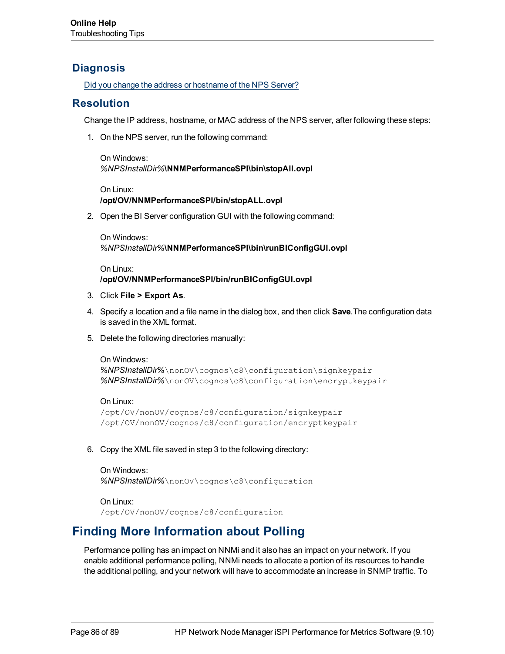## **Diagnosis**

[Did](../../../../../Content/Trouble_Shooting_Tips/PerfSpi_TSG_12101.htm) [you](../../../../../Content/Trouble_Shooting_Tips/PerfSpi_TSG_12101.htm) [change](../../../../../Content/Trouble_Shooting_Tips/PerfSpi_TSG_12101.htm) [the](../../../../../Content/Trouble_Shooting_Tips/PerfSpi_TSG_12101.htm) [address](../../../../../Content/Trouble_Shooting_Tips/PerfSpi_TSG_12101.htm) [or](../../../../../Content/Trouble_Shooting_Tips/PerfSpi_TSG_12101.htm) [hostname](../../../../../Content/Trouble_Shooting_Tips/PerfSpi_TSG_12101.htm) [of](../../../../../Content/Trouble_Shooting_Tips/PerfSpi_TSG_12101.htm) [the](../../../../../Content/Trouble_Shooting_Tips/PerfSpi_TSG_12101.htm) [NPS Server?](../../../../../Content/Trouble_Shooting_Tips/PerfSpi_TSG_12101.htm)

## **Resolution**

Change the IP address, hostname, or MAC address of the NPS server, after following these steps:

1. On the NPS server, run the following command:

On Windows: *%NPSInstallDir%***\NNMPerformanceSPI\bin\stopAll.ovpl**

On Linux: **/opt/OV/NNMPerformanceSPI/bin/stopALL.ovpl**

2. Open the BI Server configuration GUI with the following command:

On Windows: *%NPSInstallDir%***\NNMPerformanceSPI\bin\runBIConfigGUI.ovpl**

On Linux: **/opt/OV/NNMPerformanceSPI/bin/runBIConfigGUI.ovpl**

- 3. Click **File > Export As**.
- 4. Specify a location and a file name in the dialog box, and then click **Save**.The configuration data is saved in the XML format.
- 5. Delete the following directories manually:

```
On Windows:
%NPSInstallDir%\nonOV\cognos\c8\configuration\signkeypair
%NPSInstallDir%\nonOV\cognos\c8\configuration\encryptkeypair
```
On Linux: /opt/OV/nonOV/cognos/c8/configuration/signkeypair /opt/OV/nonOV/cognos/c8/configuration/encryptkeypair

6. Copy the XML file saved in step 3 to the following directory:

On Windows: *%NPSInstallDir%*\nonOV\cognos\c8\configuration

```
On Linux:
/opt/OV/nonOV/cognos/c8/configuration
```
## <span id="page-85-0"></span>**Finding More Information about Polling**

Performance polling has an impact on NNMi and it also has an impact on your network. If you enable additional performance polling, NNMi needs to allocate a portion of its resources to handle the additional polling, and your network will have to accommodate an increase in SNMP traffic. To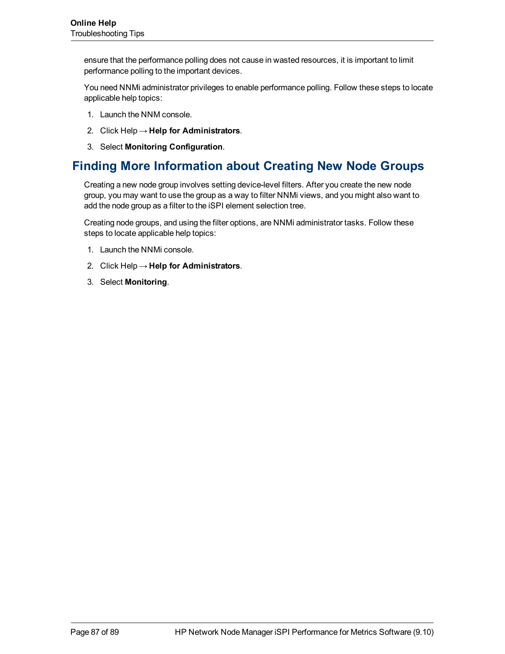ensure that the performance polling does not cause in wasted resources, it is important to limit performance polling to the important devices.

You need NNMi administrator privileges to enable performance polling. Follow these steps to locate applicable help topics:

- 1. Launch the NNM console.
- 2. Click Help → **Help for Administrators**.
- 3. Select **Monitoring Configuration**.

## **Finding More Information about Creating New Node Groups**

Creating a new node group involves setting device-level filters. After you create the new node group, you may want to use the group as a way to filter NNMi views, and you might also want to add the node group as a filter to the iSPI element selection tree.

Creating node groups, and using the filter options, are NNMi administrator tasks. Follow these steps to locate applicable help topics:

- 1. Launch the NNMi console.
- 2. Click Help → **Help for Administrators**.
- 3. Select **Monitoring**.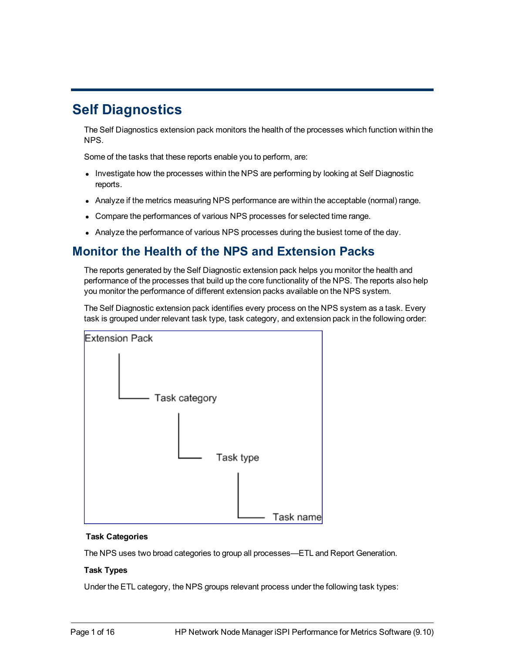# **Self Diagnostics**

The Self Diagnostics extension pack monitors the health of the processes which function within the NPS.

Some of the tasks that these reports enable you to perform, are:

- Investigate how the processes within the NPS are performing by looking at Self Diagnostic reports.
- Analyze if the metrics measuring NPS performance are within the acceptable (normal) range.
- Compare the performances of various NPS processes for selected time range.
- Analyze the performance of various NPS processes during the busiest tome of the day.

## **Monitor the Health of the NPS and Extension Packs**

The reports generated by the Self Diagnostic extension pack helps you monitor the health and performance of the processes that build up the core functionality of the NPS. The reports also help you monitor the performance of different extension packs available on the NPS system.

The Self Diagnostic extension pack identifies every process on the NPS system as a task. Every task is grouped under relevant task type, task category, and extension pack in the following order:



#### **Task Categories**

The NPS uses two broad categories to group all processes—ETL and Report Generation.

#### **Task Types**

Under the ETL category, the NPS groups relevant process under the following task types: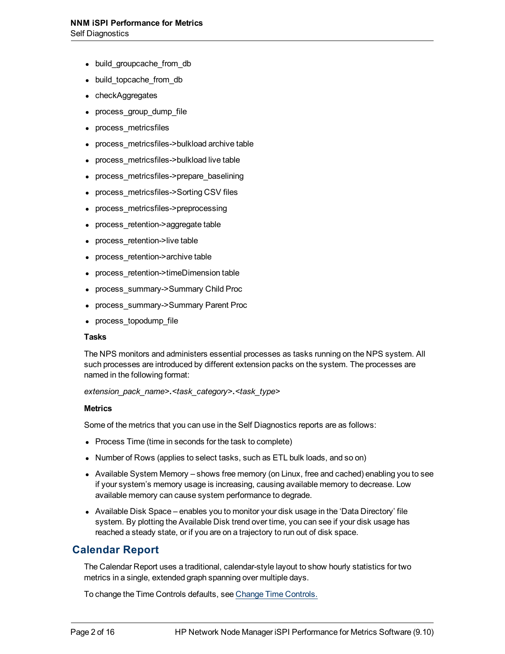- build\_groupcache\_from\_db
- build\_topcache\_from\_db
- checkAggregates
- process\_group\_dump\_file
- <sup>l</sup> process\_metricsfiles
- process\_metricsfiles->bulkload archive table
- process\_metricsfiles->bulkload live table
- <sup>l</sup> process\_metricsfiles->prepare\_baselining
- process\_metricsfiles->Sorting CSV files
- process\_metricsfiles->preprocessing
- process\_retention->aggregate table
- process\_retention->live table
- process\_retention->archive table
- <sup>l</sup> process\_retention->timeDimension table
- <sup>l</sup> process\_summary->Summary Child Proc
- <sup>l</sup> process\_summary->Summary Parent Proc
- process\_topodump\_file

#### **Tasks**

The NPS monitors and administers essential processes as tasks running on the NPS system. All such processes are introduced by different extension packs on the system. The processes are named in the following format:

*extension\_pack\_name>***.***<task\_category>***.***<task\_type>*

#### **Metrics**

Some of the metrics that you can use in the Self Diagnostics reports are as follows:

- Process Time (time in seconds for the task to complete)
- Number of Rows (applies to select tasks, such as ETL bulk loads, and so on)
- Available System Memory shows free memory (on Linux, free and cached) enabling you to see if your system's memory usage is increasing, causing available memory to decrease. Low available memory can cause system performance to degrade.
- Available Disk Space enables you to monitor your disk usage in the 'Data Directory' file system. By plotting the Available Disk trend over time, you can see if your disk usage has reached a steady state, or if you are on a trajectory to run out of disk space.

### **Calendar Report**

The Calendar Report uses a traditional, calendar-style layout to show hourly statistics for two metrics in a single, extended graph spanning over multiple days.

To change the Time Controls defaults, see [Change](../../../../../../../Content/Report_Controls/PerfiSPI_ChgTimeCtrl_Reports.htm) [Time](../../../../../../../Content/Report_Controls/PerfiSPI_ChgTimeCtrl_Reports.htm) [Controls.](../../../../../../../Content/Report_Controls/PerfiSPI_ChgTimeCtrl_Reports.htm)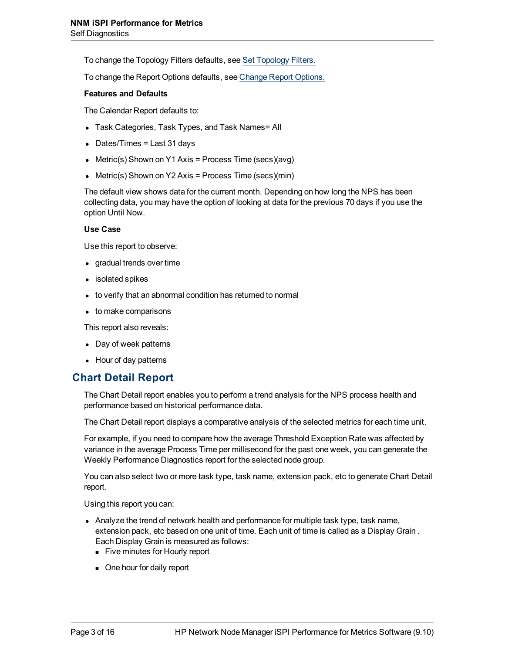To change the Topology Filters defaults, see [Set](../../../../../../../Content/Report_Controls/PerfiSPI_ChgTopo_Reports.htm) [Topology](../../../../../../../Content/Report_Controls/PerfiSPI_ChgTopo_Reports.htm) [Filters.](../../../../../../../Content/Report_Controls/PerfiSPI_ChgTopo_Reports.htm)

To change the Report Options defaults, see [Change](../../../../../../../Content/Report_Controls/PerfiSPI_ChgMetric_Reports.htm) [Report](../../../../../../../Content/Report_Controls/PerfiSPI_ChgMetric_Reports.htm) [Options.](../../../../../../../Content/Report_Controls/PerfiSPI_ChgMetric_Reports.htm)

#### **Features and Defaults**

The Calendar Report defaults to:

- Task Categories, Task Types, and Task Names= All
- $\bullet$  Dates/Times = Last 31 days
- Metric(s) Shown on Y1 Axis = Process Time (secs)(avg)
- Metric(s) Shown on Y2 Axis = Process Time (secs)(min)

The default view shows data for the current month. Depending on how long the NPS has been collecting data, you may have the option of looking at data for the previous 70 days if you use the option Until Now.

#### **Use Case**

Use this report to observe:

- gradual trends over time
- isolated spikes
- to verify that an abnormal condition has returned to normal
- $\bullet$  to make comparisons

This report also reveals:

- Day of week patterns
- Hour of day patterns

#### **Chart Detail Report**

The Chart Detail report enables you to perform a trend analysis for the NPS process health and performance based on historical performance data.

The Chart Detail report displays a comparative analysis of the selected metrics for each time unit.

For example, if you need to compare how the average Threshold Exception Rate was affected by variance in the average Process Time per millisecond for the past one week, you can generate the Weekly Performance Diagnostics report for the selected node group.

You can also select two or more task type, task name, extension pack, etc to generate Chart Detail report.

Using this report you can:

- Analyze the trend of network health and performance for multiple task type, task name, extension pack, etc based on one unit of time. Each unit of time is called as a Display Grain . Each Display Grain is measured as follows:
	- Five minutes for Hourly report
	- One hour for daily report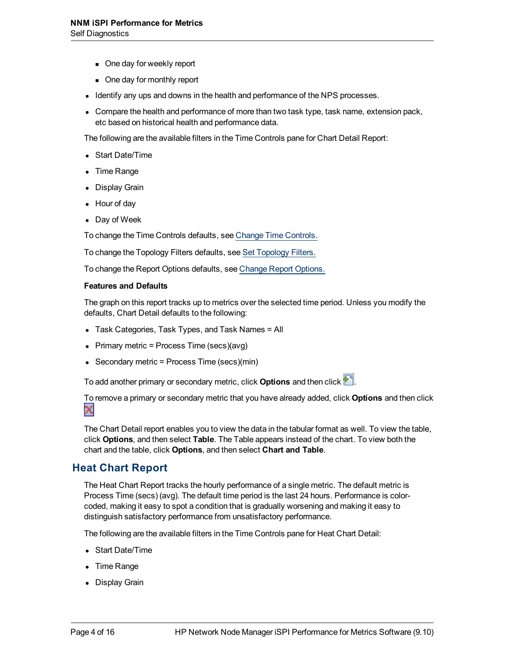- One day for weekly report
- One day for monthly report
- Identify any ups and downs in the health and performance of the NPS processes.
- Compare the health and performance of more than two task type, task name, extension pack, etc based on historical health and performance data.

The following are the available filters in the Time Controls pane for Chart Detail Report:

- Start Date/Time
- Time Range
- Display Grain
- Hour of day
- Day of Week

To change the Time Controls defaults, see [Change](../../../../../../../Content/Report_Controls/PerfiSPI_ChgTimeCtrl_Reports.htm) [Time](../../../../../../../Content/Report_Controls/PerfiSPI_ChgTimeCtrl_Reports.htm) [Controls.](../../../../../../../Content/Report_Controls/PerfiSPI_ChgTimeCtrl_Reports.htm)

To change the Topology Filters defaults, see [Set](../../../../../../../Content/Report_Controls/PerfiSPI_ChgTopo_Reports.htm) [Topology](../../../../../../../Content/Report_Controls/PerfiSPI_ChgTopo_Reports.htm) [Filters.](../../../../../../../Content/Report_Controls/PerfiSPI_ChgTopo_Reports.htm)

To change the Report Options defaults, see [Change](../../../../../../../Content/Report_Controls/PerfiSPI_ChgMetric_Reports.htm) [Report](../../../../../../../Content/Report_Controls/PerfiSPI_ChgMetric_Reports.htm) [Options.](../../../../../../../Content/Report_Controls/PerfiSPI_ChgMetric_Reports.htm)

#### **Features and Defaults**

The graph on this report tracks up to metrics over the selected time period. Unless you modify the defaults, Chart Detail defaults to the following:

- Task Categories, Task Types, and Task Names = All
- <sup>l</sup> Primary metric = Process Time (secs)(avg)
- Secondary metric = Process Time (secs)(min)

To add another primary or secondary metric, click **Options** and then click .

To remove a primary or secondary metric that you have already added, click **Options** and then click  $\boldsymbol{\times}$ 

The Chart Detail report enables you to view the data in the tabular format as well. To view the table, click **Options**, and then select **Table**. The Table appears instead of the chart. To view both the chart and the table, click **Options**, and then select **Chart and Table**.

#### **Heat Chart Report**

The Heat Chart Report tracks the hourly performance of a single metric. The default metric is Process Time (secs) (avg). The default time period is the last 24 hours. Performance is colorcoded, making it easy to spot a condition that is gradually worsening and making it easy to distinguish satisfactory performance from unsatisfactory performance.

The following are the available filters in the Time Controls pane for Heat Chart Detail:

- Start Date/Time
- Time Range
- Display Grain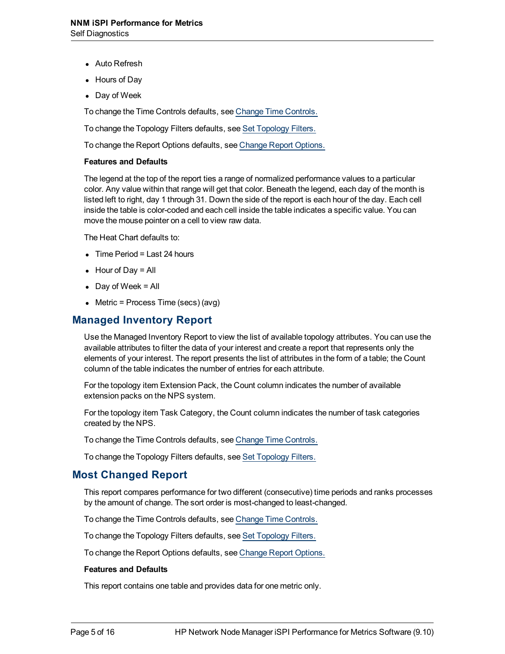- Auto Refresh
- **Hours of Dav**
- Day of Week

To change the Time Controls defaults, see [Change](../../../../../../../Content/Report_Controls/PerfiSPI_ChgTimeCtrl_Reports.htm) [Time](../../../../../../../Content/Report_Controls/PerfiSPI_ChgTimeCtrl_Reports.htm) [Controls.](../../../../../../../Content/Report_Controls/PerfiSPI_ChgTimeCtrl_Reports.htm)

To change the Topology Filters defaults, see [Set](../../../../../../../Content/Report_Controls/PerfiSPI_ChgTopo_Reports.htm) [Topology](../../../../../../../Content/Report_Controls/PerfiSPI_ChgTopo_Reports.htm) [Filters.](../../../../../../../Content/Report_Controls/PerfiSPI_ChgTopo_Reports.htm)

To change the Report Options defaults, see [Change](../../../../../../../Content/Report_Controls/PerfiSPI_ChgMetric_Reports.htm) [Report](../../../../../../../Content/Report_Controls/PerfiSPI_ChgMetric_Reports.htm) [Options.](../../../../../../../Content/Report_Controls/PerfiSPI_ChgMetric_Reports.htm)

#### **Features and Defaults**

The legend at the top of the report ties a range of normalized performance values to a particular color. Any value within that range will get that color. Beneath the legend, each day of the month is listed left to right, day 1 through 31. Down the side of the report is each hour of the day. Each cell inside the table is color-coded and each cell inside the table indicates a specific value. You can move the mouse pointer on a cell to view raw data.

The Heat Chart defaults to:

- $\bullet$  Time Period = Last 24 hours
- $\bullet$  Hour of Day = All
- $\bullet$  Day of Week = All
- $\bullet$  Metric = Process Time (secs) (avg)

### **Managed Inventory Report**

Use the Managed Inventory Report to view the list of available topology attributes. You can use the available attributes to filter the data of your interest and create a report that represents only the elements of your interest. The report presents the list of attributes in the form of a table; the Count column of the table indicates the number of entries for each attribute.

For the topology item Extension Pack, the Count column indicates the number of available extension packs on the NPS system.

For the topology item Task Category, the Count column indicates the number of task categories created by the NPS.

To change the Time Controls defaults, see [Change](../../../../../../../Content/Report_Controls/PerfiSPI_ChgTimeCtrl_Reports.htm) [Time](../../../../../../../Content/Report_Controls/PerfiSPI_ChgTimeCtrl_Reports.htm) [Controls.](../../../../../../../Content/Report_Controls/PerfiSPI_ChgTimeCtrl_Reports.htm)

To change the Topology Filters defaults, see [Set](../../../../../../../Content/Report_Controls/PerfiSPI_ChgTopo_Reports.htm) [Topology](../../../../../../../Content/Report_Controls/PerfiSPI_ChgTopo_Reports.htm) [Filters.](../../../../../../../Content/Report_Controls/PerfiSPI_ChgTopo_Reports.htm)

#### **Most Changed Report**

This report compares performance for two different (consecutive) time periods and ranks processes by the amount of change. The sort order is most-changed to least-changed.

To change the Time Controls defaults, see [Change](../../../../../../../Content/Report_Controls/PerfiSPI_ChgTimeCtrl_Reports.htm) [Time](../../../../../../../Content/Report_Controls/PerfiSPI_ChgTimeCtrl_Reports.htm) [Controls.](../../../../../../../Content/Report_Controls/PerfiSPI_ChgTimeCtrl_Reports.htm)

To change the Topology Filters defaults, see [Set](../../../../../../../Content/Report_Controls/PerfiSPI_ChgTopo_Reports.htm) [Topology](../../../../../../../Content/Report_Controls/PerfiSPI_ChgTopo_Reports.htm) [Filters.](../../../../../../../Content/Report_Controls/PerfiSPI_ChgTopo_Reports.htm)

To change the Report Options defaults, see [Change](../../../../../../../Content/Report_Controls/PerfiSPI_ChgMetric_Reports.htm) [Report](../../../../../../../Content/Report_Controls/PerfiSPI_ChgMetric_Reports.htm) [Options.](../../../../../../../Content/Report_Controls/PerfiSPI_ChgMetric_Reports.htm)

#### **Features and Defaults**

This report contains one table and provides data for one metric only.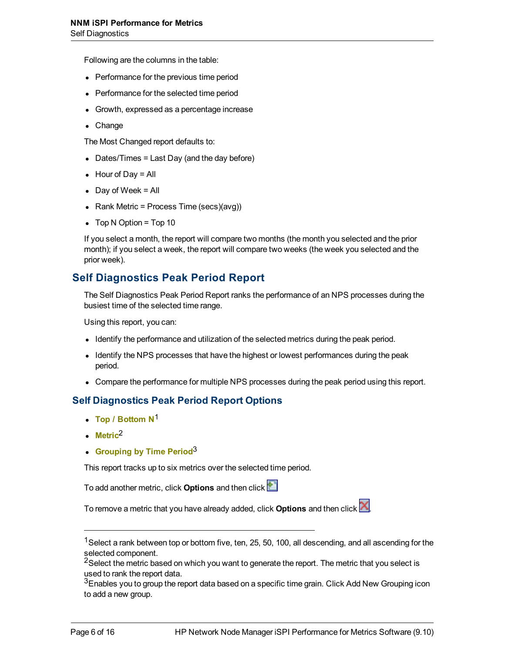Following are the columns in the table:

- Performance for the previous time period
- Performance for the selected time period
- Growth, expressed as a percentage increase
- $\bullet$  Change

The Most Changed report defaults to:

- $\bullet$  Dates/Times = Last Day (and the day before)
- $\bullet$  Hour of Day = All
- $\bullet$  Day of Week = All
- Rank Metric = Process Time (secs)(avg))
- $\bullet$  Top N Option = Top 10

If you select a month, the report will compare two months (the month you selected and the prior month); if you select a week, the report will compare two weeks (the week you selected and the prior week).

### **Self Diagnostics Peak Period Report**

The Self Diagnostics Peak Period Report ranks the performance of an NPS processes during the busiest time of the selected time range.

Using this report, you can:

- Identify the performance and utilization of the selected metrics during the peak period.
- Identify the NPS processes that have the highest or lowest performances during the peak period.
- Compare the performance for multiple NPS processes during the peak period using this report.

#### **Self Diagnostics Peak Period Report Options**

- <sup>l</sup> **Top / Bottom N**<sup>1</sup>
- <sup>l</sup> **Metric**2
- **e** Grouping by Time Period<sup>3</sup>

This report tracks up to six metrics over the selected time period.

To add another metric, click **Options** and then click

To remove a metric that you have already added, click **Options** and then click .

<sup>&</sup>lt;sup>1</sup>Select a rank between top or bottom five, ten, 25, 50, 100, all descending, and all ascending for the selected component.

 $^{2}$ Select the metric based on which you want to generate the report. The metric that you select is used to rank the report data.

 $3$ Enables you to group the report data based on a specific time grain. Click Add New Grouping icon to add a new group.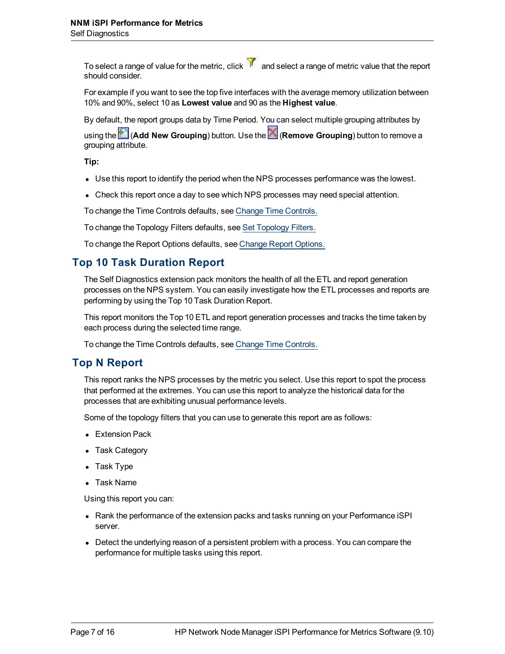To select a range of value for the metric, click  $\mathcal{V}$  and select a range of metric value that the report should consider.

For example if you want to see the top five interfaces with the average memory utilization between 10% and 90%, select 10 as **Lowest value** and 90 as the **Highest value**.

By default, the report groups data by Time Period. You can select multiple grouping attributes by

using the (**Add New Grouping**) button. Use the (**Remove Grouping**) button to remove a grouping attribute.

**Tip:**

- Use this report to identify the period when the NPS processes performance was the lowest.
- Check this report once a day to see which NPS processes may need special attention.

To change the Time Controls defaults, see [Change](../../../../../../../Content/Report_Controls/PerfiSPI_ChgTimeCtrl_Reports.htm) [Time](../../../../../../../Content/Report_Controls/PerfiSPI_ChgTimeCtrl_Reports.htm) [Controls.](../../../../../../../Content/Report_Controls/PerfiSPI_ChgTimeCtrl_Reports.htm)

To change the Topology Filters defaults, see [Set](../../../../../../../Content/Report_Controls/PerfiSPI_ChgTopo_Reports.htm) [Topology](../../../../../../../Content/Report_Controls/PerfiSPI_ChgTopo_Reports.htm) [Filters.](../../../../../../../Content/Report_Controls/PerfiSPI_ChgTopo_Reports.htm)

To change the Report Options defaults, see [Change](../../../../../../../Content/Report_Controls/PerfiSPI_ChgMetric_Reports.htm) [Report](../../../../../../../Content/Report_Controls/PerfiSPI_ChgMetric_Reports.htm) [Options.](../../../../../../../Content/Report_Controls/PerfiSPI_ChgMetric_Reports.htm)

## **Top 10 Task Duration Report**

The Self Diagnostics extension pack monitors the health of all the ETL and report generation processes on the NPS system. You can easily investigate how the ETL processes and reports are performing by using the Top 10 Task Duration Report.

This report monitors the Top 10 ETL and report generation processes and tracks the time taken by each process during the selected time range.

To change the Time Controls defaults, see [Change](../../../../../../../Content/Report_Controls/PerfiSPI_ChgTimeCtrl_Reports.htm) [Time](../../../../../../../Content/Report_Controls/PerfiSPI_ChgTimeCtrl_Reports.htm) [Controls.](../../../../../../../Content/Report_Controls/PerfiSPI_ChgTimeCtrl_Reports.htm)

### **Top N Report**

This report ranks the NPS processes by the metric you select. Use this report to spot the process that performed at the extremes. You can use this report to analyze the historical data for the processes that are exhibiting unusual performance levels.

Some of the topology filters that you can use to generate this report are as follows:

- Extension Pack
- Task Category
- Task Type
- Task Name

Using this report you can:

- Rank the performance of the extension packs and tasks running on your Performance iSPI server.
- Detect the underlying reason of a persistent problem with a process. You can compare the performance for multiple tasks using this report.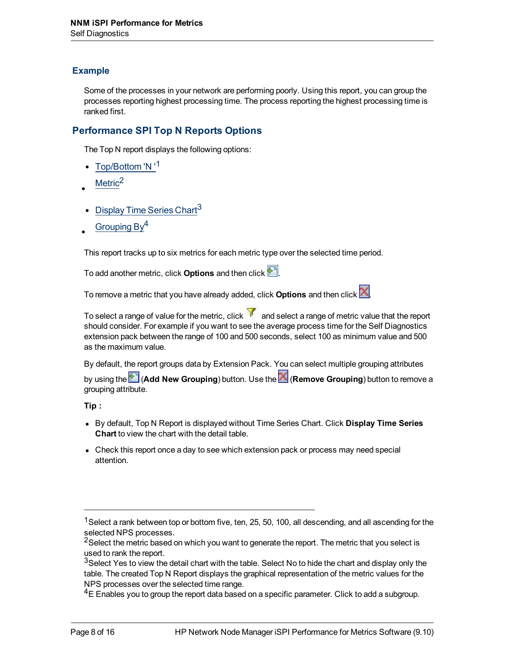#### **Example**

Some of the processes in your network are performing poorly. Using this report, you can group the processes reporting highest processing time. The process reporting the highest processing time is ranked first.

#### **Performance SPI Top N Reports Options**

The Top N report displays the following options:

- Top/Bottom 'N '<sup>1</sup>
- $Metric<sup>2</sup>$
- Display Time Series Chart<sup>3</sup>
- Grouping  $By<sup>4</sup>$

This report tracks up to six metrics for each metric type over the selected time period.

To add another metric, click **Options** and then click .

To remove a metric that you have already added, click **Options** and then click .

To select a range of value for the metric, click  $\overline{V}$  and select a range of metric value that the report should consider. For example if you want to see the average process time for the Self Diagnostics extension pack between the range of 100 and 500 seconds, select 100 as minimum value and 500 as the maximum value.

By default, the report groups data by Extension Pack. You can select multiple grouping attributes

by using the (**Add New Grouping**) button. Use the (**Remove Grouping**) button to remove a grouping attribute.

**Tip :**

- **.** By default, Top N Report is displayed without Time Series Chart. Click Display Time Series **Chart** to view the chart with the detail table.
- Check this report once a day to see which extension pack or process may need special attention.

<sup>&</sup>lt;sup>1</sup>Select a rank between top or bottom five, ten, 25, 50, 100, all descending, and all ascending for the selected NPS processes.

<sup>&</sup>lt;sup>2</sup>Select the metric based on which you want to generate the report. The metric that you select is used to rank the report.

<sup>3</sup>Select Yes to view the detail chart with the table. Select No to hide the chart and display only the table. The created Top N Report displays the graphical representation of the metric values for the NPS processes over the selected time range.

 $4E$  Enables you to group the report data based on a specific parameter. Click to add a subgroup.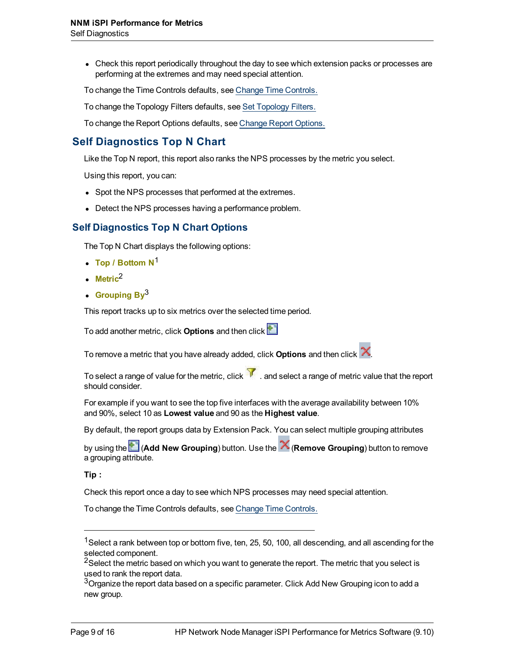• Check this report periodically throughout the day to see which extension packs or processes are performing at the extremes and may need special attention.

To change the Time Controls defaults, see [Change](../../../../../../../Content/Report_Controls/PerfiSPI_ChgTimeCtrl_Reports.htm) [Time](../../../../../../../Content/Report_Controls/PerfiSPI_ChgTimeCtrl_Reports.htm) [Controls.](../../../../../../../Content/Report_Controls/PerfiSPI_ChgTimeCtrl_Reports.htm)

To change the Topology Filters defaults, see [Set](../../../../../../../Content/Report_Controls/PerfiSPI_ChgTopo_Reports.htm) [Topology](../../../../../../../Content/Report_Controls/PerfiSPI_ChgTopo_Reports.htm) [Filters.](../../../../../../../Content/Report_Controls/PerfiSPI_ChgTopo_Reports.htm)

To change the Report Options defaults, see [Change](../../../../../../../Content/Report_Controls/PerfiSPI_ChgMetric_Reports.htm) [Report](../../../../../../../Content/Report_Controls/PerfiSPI_ChgMetric_Reports.htm) [Options.](../../../../../../../Content/Report_Controls/PerfiSPI_ChgMetric_Reports.htm)

## **Self Diagnostics Top N Chart**

Like the Top N report, this report also ranks the NPS processes by the metric you select.

Using this report, you can:

- Spot the NPS processes that performed at the extremes.
- Detect the NPS processes having a performance problem.

#### **Self Diagnostics Top N Chart Options**

The Top N Chart displays the following options:

- <sup>l</sup> **Top / Bottom N**<sup>1</sup>
- $\cdot$  Metric<sup>2</sup>
- **Grouping By**<sup>3</sup>

This report tracks up to six metrics over the selected time period.

To add another metric, click **Options** and then click

To remove a metric that you have already added, click **Options** and then click .

To select a range of value for the metric, click  $\mathcal{V}$  . and select a range of metric value that the report should consider.

For example if you want to see the top five interfaces with the average availability between 10% and 90%, select 10 as **Lowest value** and 90 as the **Highest value**.

By default, the report groups data by Extension Pack. You can select multiple grouping attributes

by using the (**Add New Grouping**) button. Use the (**Remove Grouping**) button to remove a grouping attribute.

**Tip :**

Check this report once a day to see which NPS processes may need special attention.

To change the Time Controls defaults, see [Change](../../../../../../../../Content/Report_Controls/PerfiSPI_ChgTimeCtrl_Reports.htm) [Time](../../../../../../../../Content/Report_Controls/PerfiSPI_ChgTimeCtrl_Reports.htm) [Controls.](../../../../../../../../Content/Report_Controls/PerfiSPI_ChgTimeCtrl_Reports.htm)

<sup>&</sup>lt;sup>1</sup>Select a rank between top or bottom five, ten, 25, 50, 100, all descending, and all ascending for the selected component.

 $^{2}$ Select the metric based on which you want to generate the report. The metric that you select is used to rank the report data.

 $3$ Organize the report data based on a specific parameter. Click Add New Grouping icon to add a new group.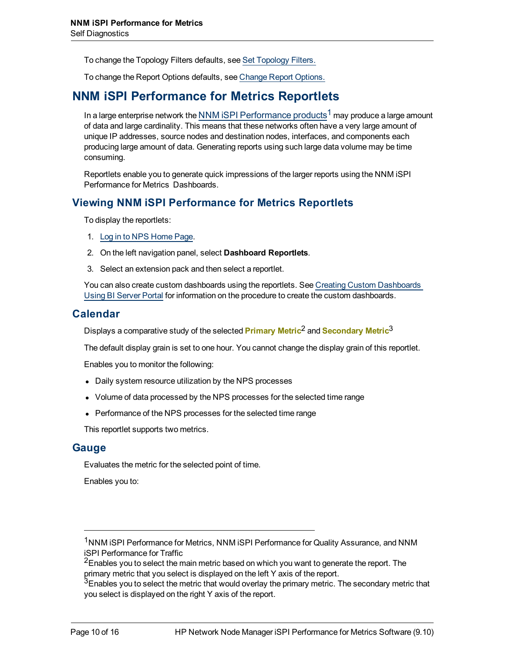To change the Topology Filters defaults, see [Set](../../../../../../../../Content/Report_Controls/PerfiSPI_ChgTopo_Reports.htm) [Topology](../../../../../../../../Content/Report_Controls/PerfiSPI_ChgTopo_Reports.htm) [Filters.](../../../../../../../../Content/Report_Controls/PerfiSPI_ChgTopo_Reports.htm)

To change the Report Options defaults, see [Change](../../../../../../../../Content/Report_Controls/PerfiSPI_ChgMetric_Reports.htm) [Report](../../../../../../../../Content/Report_Controls/PerfiSPI_ChgMetric_Reports.htm) [Options.](../../../../../../../../Content/Report_Controls/PerfiSPI_ChgMetric_Reports.htm)

## **NNM iSPI Performance for Metrics Reportlets**

In a large enterprise network the NNM iSPI Performance products<sup>1</sup> may produce a large amount of data and large cardinality. This means that these networks often have a very large amount of unique IP addresses, source nodes and destination nodes, interfaces, and components each producing large amount of data. Generating reports using such large data volume may be time consuming.

Reportlets enable you to generate quick impressions of the larger reports using the NNM iSPI Performance for Metrics Dashboards.

### **Viewing NNM iSPI Performance for Metrics Reportlets**

To display the reportlets:

- 1. [Log](../../../../../../Administration/Content/Administration/PerfSPI_Admin_LoggingSSO.htm) [in](../../../../../../Administration/Content/Administration/PerfSPI_Admin_LoggingSSO.htm) [to](../../../../../../Administration/Content/Administration/PerfSPI_Admin_LoggingSSO.htm) [NPS](../../../../../../Administration/Content/Administration/PerfSPI_Admin_LoggingSSO.htm) [Home](../../../../../../Administration/Content/Administration/PerfSPI_Admin_LoggingSSO.htm) [Page](../../../../../../Administration/Content/Administration/PerfSPI_Admin_LoggingSSO.htm).
- 2. On the left navigation panel, select **Dashboard Reportlets**.
- 3. Select an extension pack and then select a reportlet.

You can also create custom dashboards using the reportlets. See [Creating](../../../../../../Administration/Content/Integration_iSPI/nnmPerfSPI_CreateCustDash.htm) [Custom](../../../../../../Administration/Content/Integration_iSPI/nnmPerfSPI_CreateCustDash.htm) [Dashboards](../../../../../../Administration/Content/Integration_iSPI/nnmPerfSPI_CreateCustDash.htm) [Using](../../../../../../Administration/Content/Integration_iSPI/nnmPerfSPI_CreateCustDash.htm) [BI Server](../../../../../../Administration/Content/Integration_iSPI/nnmPerfSPI_CreateCustDash.htm) [Portal](../../../../../../Administration/Content/Integration_iSPI/nnmPerfSPI_CreateCustDash.htm) for information on the procedure to create the custom dashboards.

#### **Calendar**

Displays a comparative study of the selected **Primary Metric**<sup>2</sup> and **Secondary Metric**<sup>3</sup>

The default display grain is set to one hour. You cannot change the display grain of this reportlet.

Enables you to monitor the following:

- Daily system resource utilization by the NPS processes
- Volume of data processed by the NPS processes for the selected time range
- Performance of the NPS processes for the selected time range

This reportlet supports two metrics.

#### **Gauge**

Evaluates the metric for the selected point of time.

Enables you to:

<sup>&</sup>lt;sup>1</sup>NNM ISPI Performance for Metrics, NNM ISPI Performance for Quality Assurance, and NNM iSPI Performance for Traffic

<sup>&</sup>lt;sup>2</sup>Enables you to select the main metric based on which you want to generate the report. The primary metric that you select is displayed on the left Y axis of the report.

 $3$ Enables you to select the metric that would overlay the primary metric. The secondary metric that you select is displayed on the right Y axis of the report.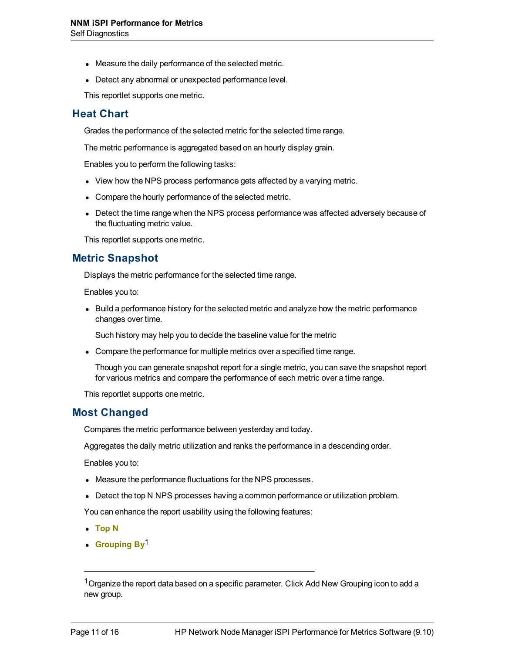- Measure the daily performance of the selected metric.
- Detect any abnormal or unexpected performance level.

This reportlet supports one metric.

### **Heat Chart**

Grades the performance of the selected metric for the selected time range.

The metric performance is aggregated based on an hourly display grain.

Enables you to perform the following tasks:

- View how the NPS process performance gets affected by a varying metric.
- Compare the hourly performance of the selected metric.
- Detect the time range when the NPS process performance was affected adversely because of the fluctuating metric value.

This reportlet supports one metric.

#### **Metric Snapshot**

Displays the metric performance for the selected time range.

Enables you to:

• Build a performance history for the selected metric and analyze how the metric performance changes over time.

Such history may help you to decide the baseline value for the metric

• Compare the performance for multiple metrics over a specified time range.

Though you can generate snapshot report for a single metric, you can save the snapshot report for various metrics and compare the performance of each metric over a time range.

This reportlet supports one metric.

#### **Most Changed**

Compares the metric performance between yesterday and today.

Aggregates the daily metric utilization and ranks the performance in a descending order.

Enables you to:

- Measure the performance fluctuations for the NPS processes.
- Detect the top N NPS processes having a common performance or utilization problem.

You can enhance the report usability using the following features:

- <sup>l</sup> **Top N**
- **Grouping By**<sup>1</sup>

<sup>&</sup>lt;sup>1</sup> Organize the report data based on a specific parameter. Click Add New Grouping icon to add a new group.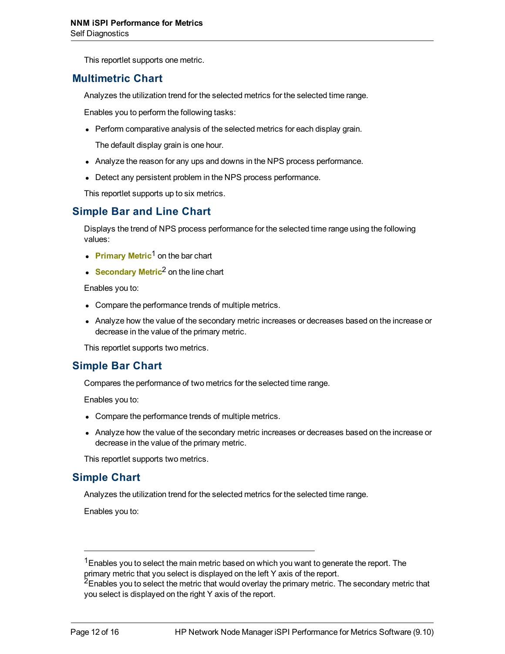This reportlet supports one metric.

### **Multimetric Chart**

Analyzes the utilization trend for the selected metrics for the selected time range.

Enables you to perform the following tasks:

• Perform comparative analysis of the selected metrics for each display grain.

The default display grain is one hour.

- Analyze the reason for any ups and downs in the NPS process performance.
- Detect any persistent problem in the NPS process performance.

This reportlet supports up to six metrics.

### **Simple Bar and Line Chart**

Displays the trend of NPS process performance for the selected time range using the following values:

- **Primary Metric<sup>1</sup> on the bar chart**
- **Secondary Metric<sup>2</sup> on the line chart**

Enables you to:

- Compare the performance trends of multiple metrics.
- Analyze how the value of the secondary metric increases or decreases based on the increase or decrease in the value of the primary metric.

This reportlet supports two metrics.

#### **Simple Bar Chart**

Compares the performance of two metrics for the selected time range.

Enables you to:

- Compare the performance trends of multiple metrics.
- Analyze how the value of the secondary metric increases or decreases based on the increase or decrease in the value of the primary metric.

This reportlet supports two metrics.

#### **Simple Chart**

Analyzes the utilization trend for the selected metrics for the selected time range.

Enables you to:

 $1$ Enables you to select the main metric based on which you want to generate the report. The primary metric that you select is displayed on the left Y axis of the report.

<sup>&</sup>lt;sup>2</sup>Enables you to select the metric that would overlay the primary metric. The secondary metric that you select is displayed on the right Y axis of the report.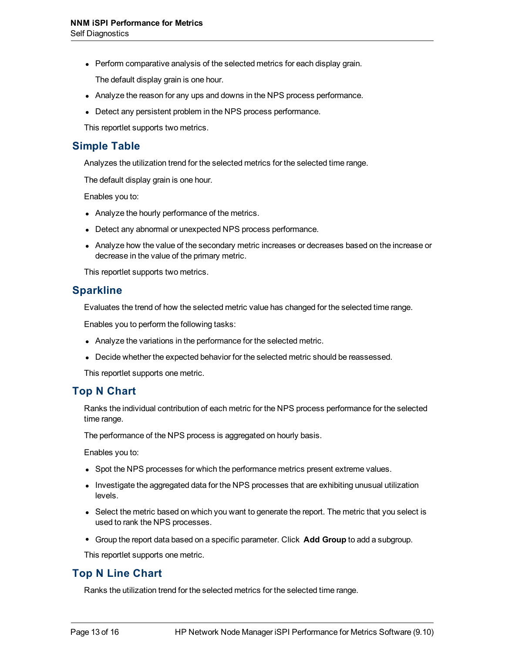• Perform comparative analysis of the selected metrics for each display grain.

The default display grain is one hour.

- Analyze the reason for any ups and downs in the NPS process performance.
- Detect any persistent problem in the NPS process performance.

This reportlet supports two metrics.

### **Simple Table**

Analyzes the utilization trend for the selected metrics for the selected time range.

The default display grain is one hour.

Enables you to:

- Analyze the hourly performance of the metrics.
- Detect any abnormal or unexpected NPS process performance.
- Analyze how the value of the secondary metric increases or decreases based on the increase or decrease in the value of the primary metric.

This reportlet supports two metrics.

### **Sparkline**

Evaluates the trend of how the selected metric value has changed for the selected time range.

Enables you to perform the following tasks:

- Analyze the variations in the performance for the selected metric.
- Decide whether the expected behavior for the selected metric should be reassessed.

This reportlet supports one metric.

### **Top N Chart**

Ranks the individual contribution of each metric for the NPS process performance for the selected time range.

The performance of the NPS process is aggregated on hourly basis.

Enables you to:

- Spot the NPS processes for which the performance metrics present extreme values.
- Investigate the aggregated data for the NPS processes that are exhibiting unusual utilization levels.
- Select the metric based on which you want to generate the report. The metric that you select is used to rank the NPS processes.
- <sup>l</sup> Group the report data based on a specific parameter. Click **Add Group** to add a subgroup.

This reportlet supports one metric.

### **Top N Line Chart**

Ranks the utilization trend for the selected metrics for the selected time range.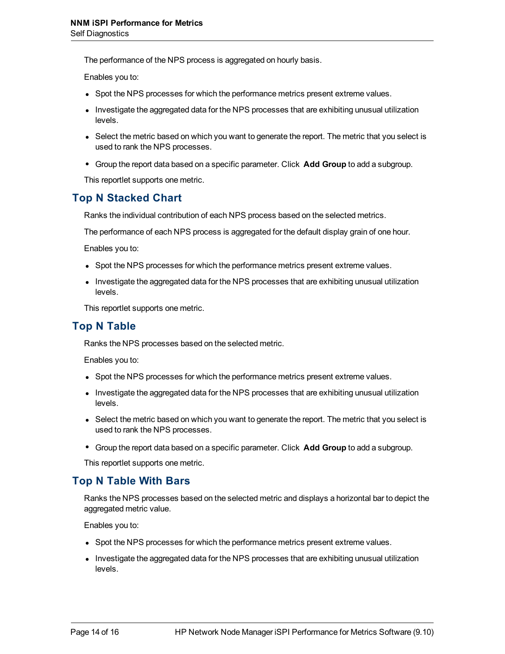The performance of the NPS process is aggregated on hourly basis.

Enables you to:

- Spot the NPS processes for which the performance metrics present extreme values.
- Investigate the aggregated data for the NPS processes that are exhibiting unusual utilization levels.
- Select the metric based on which you want to generate the report. The metric that you select is used to rank the NPS processes.
- <sup>l</sup> Group the report data based on a specific parameter. Click **Add Group** to add a subgroup.

This reportlet supports one metric.

### **Top N Stacked Chart**

Ranks the individual contribution of each NPS process based on the selected metrics.

The performance of each NPS process is aggregated for the default display grain of one hour.

Enables you to:

- Spot the NPS processes for which the performance metrics present extreme values.
- Investigate the aggregated data for the NPS processes that are exhibiting unusual utilization levels.

This reportlet supports one metric.

#### **Top N Table**

Ranks the NPS processes based on the selected metric.

Enables you to:

- Spot the NPS processes for which the performance metrics present extreme values.
- Investigate the aggregated data for the NPS processes that are exhibiting unusual utilization levels.
- Select the metric based on which you want to generate the report. The metric that you select is used to rank the NPS processes.
- <sup>l</sup> Group the report data based on a specific parameter. Click **Add Group** to add a subgroup.

This reportlet supports one metric.

#### **Top N Table With Bars**

Ranks the NPS processes based on the selected metric and displays a horizontal bar to depict the aggregated metric value.

Enables you to:

- Spot the NPS processes for which the performance metrics present extreme values.
- Investigate the aggregated data for the NPS processes that are exhibiting unusual utilization levels.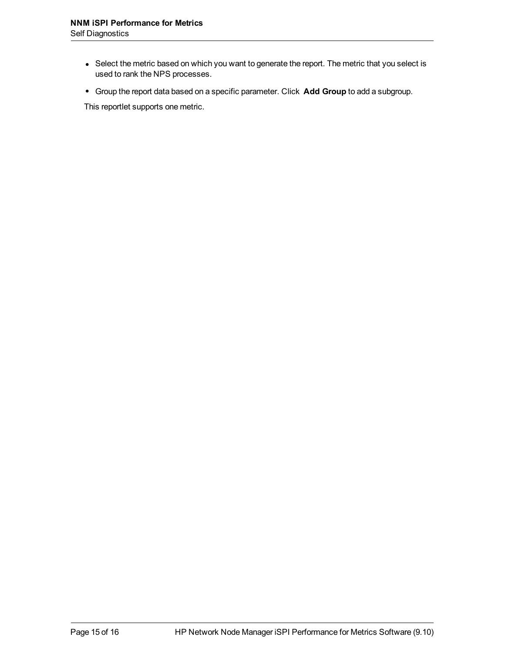- Select the metric based on which you want to generate the report. The metric that you select is used to rank the NPS processes.
- <sup>l</sup> Group the report data based on a specific parameter. Click **Add Group** to add a subgroup.

This reportlet supports one metric.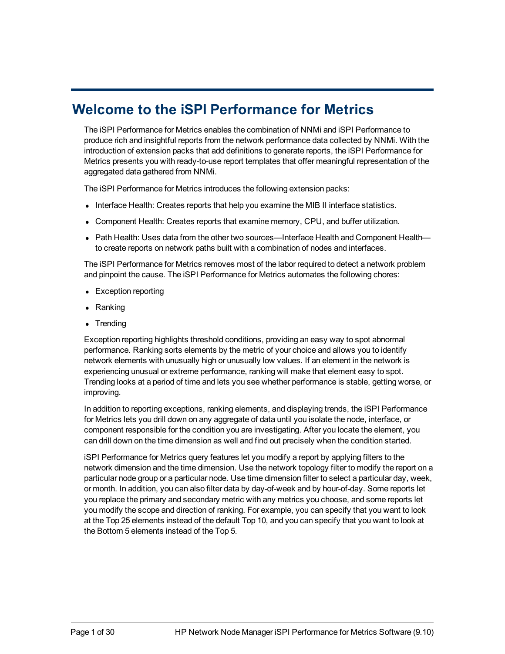# **Welcome to the iSPI Performance for Metrics**

The iSPI Performance for Metrics enables the combination of NNMi and iSPI Performance to produce rich and insightful reports from the network performance data collected by NNMi. With the introduction of extension packs that add definitions to generate reports, the iSPI Performance for Metrics presents you with ready-to-use report templates that offer meaningful representation of the aggregated data gathered from NNMi.

The iSPI Performance for Metrics introduces the following extension packs:

- Interface Health: Creates reports that help you examine the MIB II interface statistics.
- <sup>l</sup> Component Health: Creates reports that examine memory, CPU, and buffer utilization.
- <sup>l</sup> Path Health: Uses data from the other two sources—Interface Health and Component Health to create reports on network paths built with a combination of nodes and interfaces.

The iSPI Performance for Metrics removes most of the labor required to detect a network problem and pinpoint the cause. The iSPI Performance for Metrics automates the following chores:

- Exception reporting
- Ranking
- **Trending**

Exception reporting highlights threshold conditions, providing an easy way to spot abnormal performance. Ranking sorts elements by the metric of your choice and allows you to identify network elements with unusually high or unusually low values. If an element in the network is experiencing unusual or extreme performance, ranking will make that element easy to spot. Trending looks at a period of time and lets you see whether performance is stable, getting worse, or improving.

In addition to reporting exceptions, ranking elements, and displaying trends, the iSPI Performance for Metrics lets you drill down on any aggregate of data until you isolate the node, interface, or component responsible for the condition you are investigating. After you locate the element, you can drill down on the time dimension as well and find out precisely when the condition started.

iSPI Performance for Metrics query features let you modify a report by applying filters to the network dimension and the time dimension. Use the network topology filter to modify the report on a particular node group or a particular node. Use time dimension filter to select a particular day, week, or month. In addition, you can also filter data by day-of-week and by hour-of-day. Some reports let you replace the primary and secondary metric with any metrics you choose, and some reports let you modify the scope and direction of ranking. For example, you can specify that you want to look at the Top 25 elements instead of the default Top 10, and you can specify that you want to look at the Bottom 5 elements instead of the Top 5.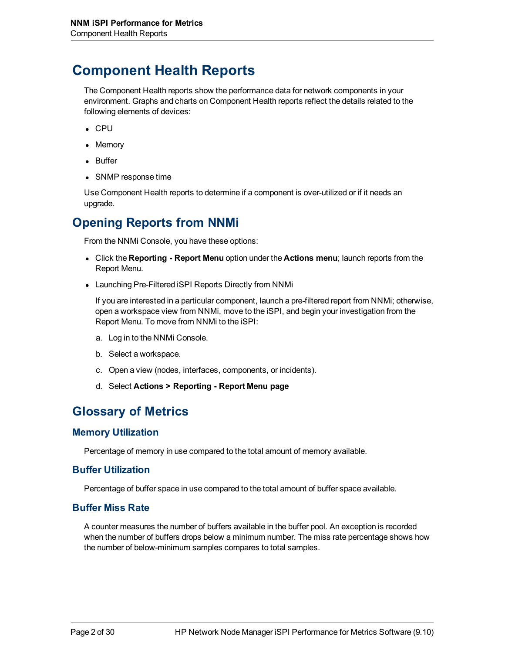# **Component Health Reports**

The Component Health reports show the performance data for network components in your environment. Graphs and charts on Component Health reports reflect the details related to the following elements of devices:

- $\cdot$  CPU
- Memory
- Buffer
- SNMP response time

Use Component Health reports to determine if a component is over-utilized or if it needs an upgrade.

# **Opening Reports from NNMi**

From the NNMi Console, you have these options:

- <sup>l</sup> Click the **Reporting Report Menu** option under the **Actions menu**; launch reports from the Report Menu.
- Launching Pre-Filtered iSPI Reports Directly from NNMi

If you are interested in a particular component, launch a pre-filtered report from NNMi; otherwise, open a workspace view from NNMi, move to the iSPI, and begin your investigation from the Report Menu. To move from NNMi to the iSPI:

- a. Log in to the NNMi Console.
- b. Select a workspace.
- c. Open a view (nodes, interfaces, components, or incidents).
- d. Select **Actions > Reporting Report Menu page**

## **Glossary of Metrics**

#### **Memory Utilization**

Percentage of memory in use compared to the total amount of memory available.

#### **Buffer Utilization**

Percentage of buffer space in use compared to the total amount of buffer space available.

#### **Buffer Miss Rate**

A counter measures the number of buffers available in the buffer pool. An exception is recorded when the number of buffers drops below a minimum number. The miss rate percentage shows how the number of below-minimum samples compares to total samples.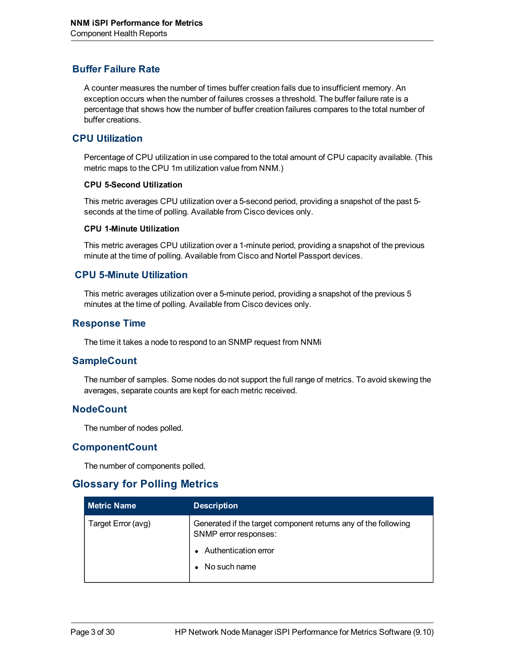#### **Buffer Failure Rate**

A counter measures the number of times buffer creation fails due to insufficient memory. An exception occurs when the number of failures crosses a threshold. The buffer failure rate is a percentage that shows how the number of buffer creation failures compares to the total number of buffer creations.

#### **CPU Utilization**

Percentage of CPU utilization in use compared to the total amount of CPU capacity available. (This metric maps to the CPU 1m utilization value from NNM.)

#### **CPU 5-Second Utilization**

This metric averages CPU utilization over a 5-second period, providing a snapshot of the past 5 seconds at the time of polling. Available from Cisco devices only.

#### **CPU 1-Minute Utilization**

This metric averages CPU utilization over a 1-minute period, providing a snapshot of the previous minute at the time of polling. Available from Cisco and Nortel Passport devices.

#### **CPU 5-Minute Utilization**

This metric averages utilization over a 5-minute period, providing a snapshot of the previous 5 minutes at the time of polling. Available from Cisco devices only.

#### **Response Time**

The time it takes a node to respond to an SNMP request from NNMi

#### **SampleCount**

The number of samples. Some nodes do not support the full range of metrics. To avoid skewing the averages, separate counts are kept for each metric received.

#### **NodeCount**

The number of nodes polled.

#### **ComponentCount**

The number of components polled.

#### **Glossary for Polling Metrics**

| <b>Metric Name</b> | <b>Description</b>                                                                      |
|--------------------|-----------------------------------------------------------------------------------------|
| Target Error (avg) | Generated if the target component returns any of the following<br>SNMP error responses: |
|                    | Authentication error                                                                    |
|                    | No such name                                                                            |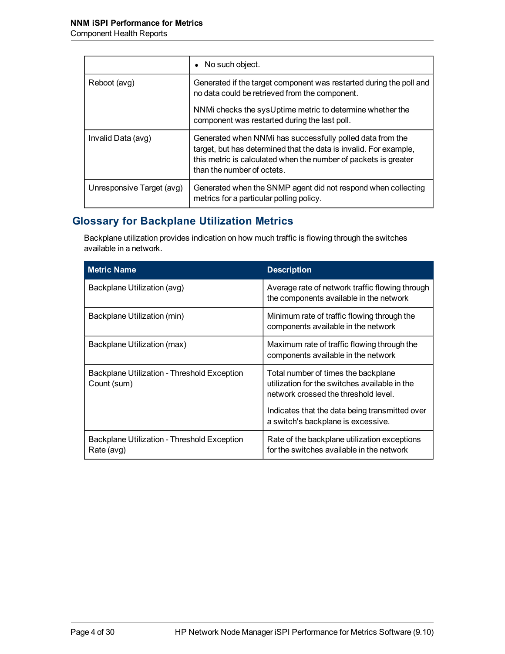|                           | • No such object.                                                                                                                                                                                                               |
|---------------------------|---------------------------------------------------------------------------------------------------------------------------------------------------------------------------------------------------------------------------------|
| Reboot (avg)              | Generated if the target component was restarted during the poll and<br>no data could be retrieved from the component.                                                                                                           |
|                           | NNMi checks the sysUptime metric to determine whether the<br>component was restarted during the last poll.                                                                                                                      |
| Invalid Data (avg)        | Generated when NNMi has successfully polled data from the<br>target, but has determined that the data is invalid. For example,<br>this metric is calculated when the number of packets is greater<br>than the number of octets. |
| Unresponsive Target (avg) | Generated when the SNMP agent did not respond when collecting<br>metrics for a particular polling policy.                                                                                                                       |

## **Glossary for Backplane Utilization Metrics**

Backplane utilization provides indication on how much traffic is flowing through the switches available in a network.

| <b>Metric Name</b>                                         | <b>Description</b>                                                                                                                                                             |
|------------------------------------------------------------|--------------------------------------------------------------------------------------------------------------------------------------------------------------------------------|
| Backplane Utilization (avg)                                | Average rate of network traffic flowing through<br>the components available in the network                                                                                     |
| Backplane Utilization (min)                                | Minimum rate of traffic flowing through the<br>components available in the network                                                                                             |
| Backplane Utilization (max)                                | Maximum rate of traffic flowing through the<br>components available in the network                                                                                             |
| Backplane Utilization - Threshold Exception<br>Count (sum) | Total number of times the backplane<br>utilization for the switches available in the<br>network crossed the threshold level.<br>Indicates that the data being transmitted over |
|                                                            | a switch's backplane is excessive.                                                                                                                                             |
| Backplane Utilization - Threshold Exception<br>Rate (avg)  | Rate of the backplane utilization exceptions<br>for the switches available in the network                                                                                      |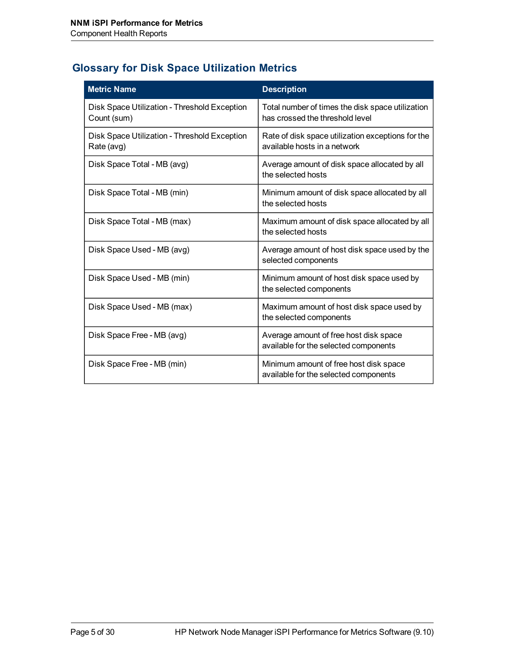## **Glossary for Disk Space Utilization Metrics**

| <b>Metric Name</b>                                          | <b>Description</b>                                                                  |
|-------------------------------------------------------------|-------------------------------------------------------------------------------------|
| Disk Space Utilization - Threshold Exception<br>Count (sum) | Total number of times the disk space utilization<br>has crossed the threshold level |
| Disk Space Utilization - Threshold Exception<br>Rate (avg)  | Rate of disk space utilization exceptions for the<br>available hosts in a network   |
| Disk Space Total - MB (avg)                                 | Average amount of disk space allocated by all<br>the selected hosts                 |
| Disk Space Total - MB (min)                                 | Minimum amount of disk space allocated by all<br>the selected hosts                 |
| Disk Space Total - MB (max)                                 | Maximum amount of disk space allocated by all<br>the selected hosts                 |
| Disk Space Used - MB (avg)                                  | Average amount of host disk space used by the<br>selected components                |
| Disk Space Used - MB (min)                                  | Minimum amount of host disk space used by<br>the selected components                |
| Disk Space Used - MB (max)                                  | Maximum amount of host disk space used by<br>the selected components                |
| Disk Space Free - MB (avg)                                  | Average amount of free host disk space<br>available for the selected components     |
| Disk Space Free - MB (min)                                  | Minimum amount of free host disk space<br>available for the selected components     |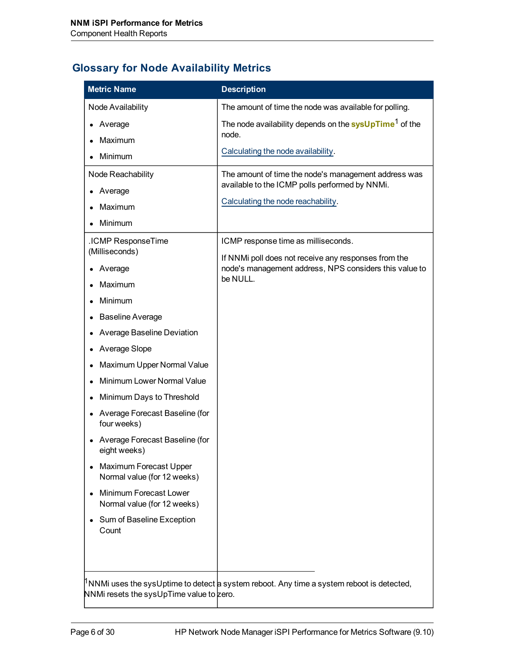## **Glossary for Node Availability Metrics**

| <b>Metric Name</b>                                           | <b>Description</b>                                                                           |
|--------------------------------------------------------------|----------------------------------------------------------------------------------------------|
| Node Availability                                            | The amount of time the node was available for polling.                                       |
| Average                                                      | The node availability depends on the sysUpTime <sup>1</sup> of the                           |
| Maximum                                                      | node.                                                                                        |
| Minimum                                                      | Calculating the node availability.                                                           |
| Node Reachability                                            | The amount of time the node's management address was                                         |
| Average                                                      | available to the ICMP polls performed by NNMi.                                               |
| Maximum                                                      | Calculating the node reachability.                                                           |
| Minimum                                                      |                                                                                              |
| .ICMP ResponseTime                                           | ICMP response time as milliseconds.                                                          |
| (Milliseconds)                                               | If NNMi poll does not receive any responses from the                                         |
| Average                                                      | node's management address, NPS considers this value to<br>be NULL.                           |
| Maximum                                                      |                                                                                              |
| Minimum                                                      |                                                                                              |
| <b>Baseline Average</b>                                      |                                                                                              |
| Average Baseline Deviation                                   |                                                                                              |
| Average Slope                                                |                                                                                              |
| Maximum Upper Normal Value                                   |                                                                                              |
| Minimum Lower Normal Value                                   |                                                                                              |
| Minimum Days to Threshold                                    |                                                                                              |
| Average Forecast Baseline (for<br>four weeks)                |                                                                                              |
| Average Forecast Baseline (for<br>eight weeks)               |                                                                                              |
| <b>Maximum Forecast Upper</b><br>Normal value (for 12 weeks) |                                                                                              |
| Minimum Forecast Lower<br>Normal value (for 12 weeks)        |                                                                                              |
| Sum of Baseline Exception<br>Count                           |                                                                                              |
| NNMi resets the sysUpTime value to zero.                     | $1$ NNMi uses the sysUptime to detect a system reboot. Any time a system reboot is detected, |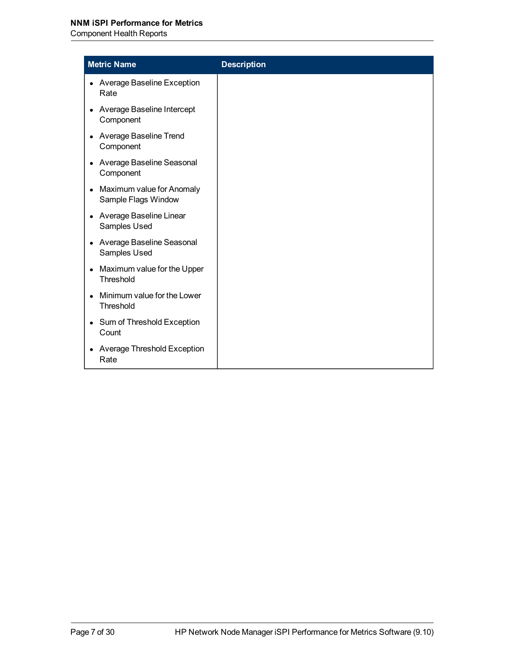Component Health Reports

| <b>Metric Name</b>                                            | <b>Description</b> |
|---------------------------------------------------------------|--------------------|
| <b>Average Baseline Exception</b><br>Rate                     |                    |
| Average Baseline Intercept<br>Component                       |                    |
| Average Baseline Trend<br>$\bullet$<br>Component              |                    |
| Average Baseline Seasonal<br>$\bullet$<br>Component           |                    |
| Maximum value for Anomaly<br>$\bullet$<br>Sample Flags Window |                    |
| Average Baseline Linear<br>$\bullet$<br>Samples Used          |                    |
| Average Baseline Seasonal<br>$\bullet$<br>Samples Used        |                    |
| Maximum value for the Upper<br>$\bullet$<br>Threshold         |                    |
| Minimum value for the Lower<br>Threshold                      |                    |
| Sum of Threshold Exception<br>$\bullet$<br>Count              |                    |
| Average Threshold Exception<br>$\bullet$<br>Rate              |                    |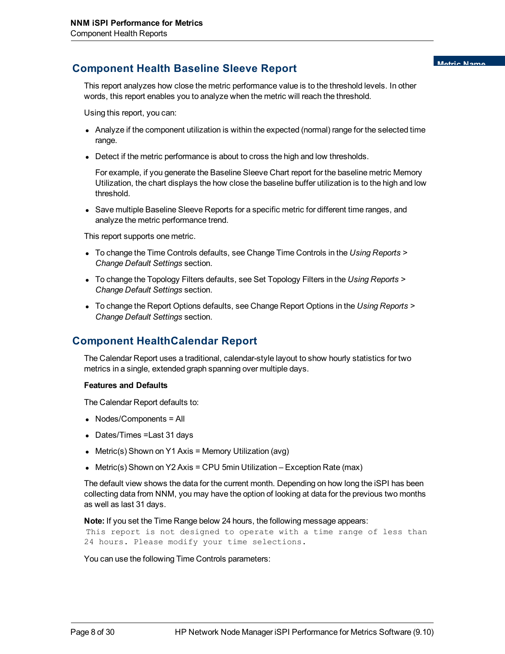# **Component Health Baseline Sleeve Report Component Matric Name**

This report analyzes how close the metric performance value is to the threshold levels. In other words, this report enables you to analyze when the metric will reach the threshold.

Using this report, you can:

- Analyze if the component utilization is within the expected (normal) range for the selected time range.
- Detect if the metric performance is about to cross the high and low thresholds.

For example, if you generate the Baseline Sleeve Chart report for the baseline metric Memory Utilization, the chart displays the how close the baseline buffer utilization is to the high and low threshold.

• Save multiple Baseline Sleeve Reports for a specific metric for different time ranges, and analyze the metric performance trend.

This report supports one metric.

- To change the Time Controls defaults, see Change Time Controls in the *Using Reports* > *Change Default Settings* section.
- To change the Topology Filters defaults, see Set Topology Filters in the *Using Reports* > *Change Default Settings* section.
- To change the Report Options defaults, see Change Report Options in the *Using Reports* > *Change Default Settings* section.

### **Component HealthCalendar Report**

The Calendar Report uses a traditional, calendar-style layout to show hourly statistics for two metrics in a single, extended graph spanning over multiple days.

#### **Features and Defaults**

The Calendar Report defaults to:

- $\bullet$  Nodes/Components = All
- Dates/Times = Last 31 days
- Metric(s) Shown on Y1 Axis = Memory Utilization (avg)
- Metric(s) Shown on Y2 Axis = CPU 5min Utilization Exception Rate (max)

The default view shows the data for the current month. Depending on how long the iSPI has been collecting data from NNM, you may have the option of looking at data for the previous two months as well as last 31 days.

**Note:** If you set the Time Range below 24 hours, the following message appears:

This report is not designed to operate with a time range of less than 24 hours. Please modify your time selections.

You can use the following Time Controls parameters: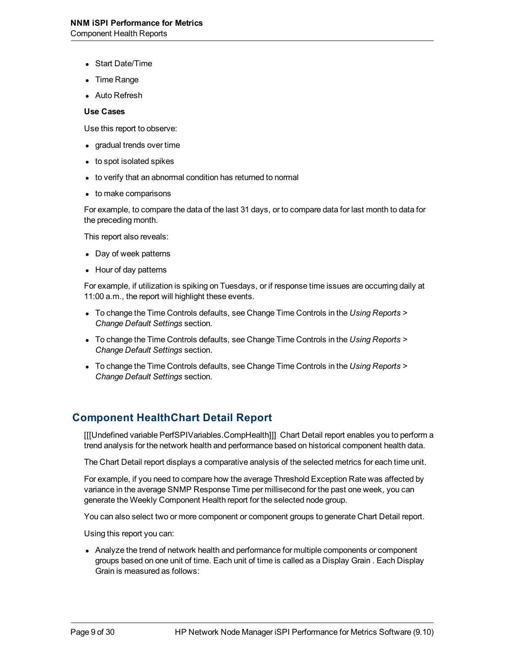- Start Date/Time
- **Time Range**
- **Auto Refresh**

#### **Use Cases**

Use this report to observe:

- gradual trends over time
- $\bullet$  to spot isolated spikes
- to verify that an abnormal condition has returned to normal
- to make comparisons

For example, to compare the data of the last 31 days, or to compare data for last month to data for the preceding month.

This report also reveals:

- Day of week patterns
- Hour of day patterns

For example, if utilization is spiking on Tuesdays, or if response time issues are occurring daily at 11:00 a.m., the report will highlight these events.

- To change the Time Controls defaults, see Change Time Controls in the *Using Reports* > *Change Default Settings* section.
- **To change the Time Controls defaults, see Change Time Controls in the** *Using Reports* **>** *Change Default Settings* section.
- To change the Time Controls defaults, see Change Time Controls in the *Using Reports* > *Change Default Settings* section.

### **Component HealthChart Detail Report**

[[[Undefined variable PerfSPIVariables.CompHealth]]] Chart Detail report enables you to perform a trend analysis for the network health and performance based on historical component health data.

The Chart Detail report displays a comparative analysis of the selected metrics for each time unit.

For example, if you need to compare how the average Threshold Exception Rate was affected by variance in the average SNMP Response Time per millisecond for the past one week, you can generate the Weekly Component Health report for the selected node group.

You can also select two or more component or component groups to generate Chart Detail report.

Using this report you can:

• Analyze the trend of network health and performance for multiple components or component groups based on one unit of time. Each unit of time is called as a Display Grain . Each Display Grain is measured as follows: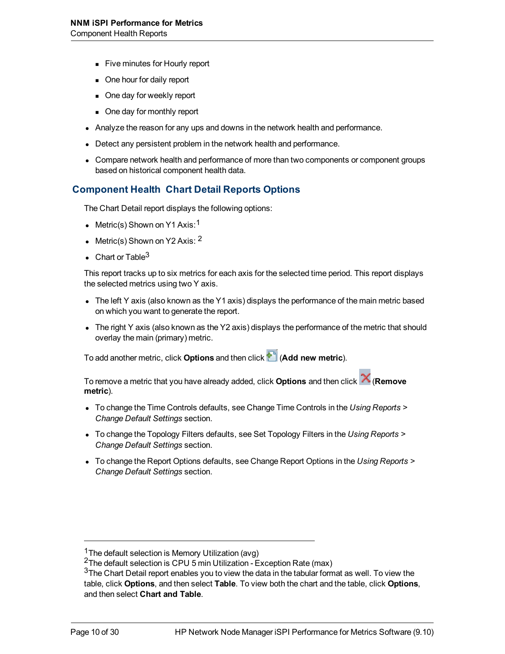- **Five minutes for Hourly report**
- One hour for daily report
- One day for weekly report
- One day for monthly report
- Analyze the reason for any ups and downs in the network health and performance.
- Detect any persistent problem in the network health and performance.
- Compare network health and performance of more than two components or component groups based on historical component health data.

#### **Component Health Chart Detail Reports Options**

The Chart Detail report displays the following options:

- Metric(s) Shown on Y1 Axis:  $1$
- Metric(s) Shown on Y2 Axis:  $2$
- Chart or Table<sup>3</sup>

This report tracks up to six metrics for each axis for the selected time period. This report displays the selected metrics using two Y axis.

- $\bullet$  The left Y axis (also known as the Y1 axis) displays the performance of the main metric based on which you want to generate the report.
- The right Y axis (also known as the Y2 axis) displays the performance of the metric that should overlay the main (primary) metric.

To add another metric, click **Options** and then click (**Add new metric**).

To remove a metric that you have already added, click **Options** and then click (**Remove metric**).

- **To change the Time Controls defaults, see Change Time Controls in the** *Using Reports* **>** *Change Default Settings* section.
- To change the Topology Filters defaults, see Set Topology Filters in the *Using Reports* > *Change Default Settings* section.
- **To change the Report Options defaults, see Change Report Options in the Using Reports >** *Change Default Settings* section.

<sup>&</sup>lt;sup>1</sup>The default selection is Memory Utilization (avg)

<sup>2</sup>The default selection is CPU 5 min Utilization - Exception Rate (max)

 $3$ The Chart Detail report enables you to view the data in the tabular format as well. To view the table, click **Options**, and then select **Table**. To view both the chart and the table, click **Options**, and then select **Chart and Table**.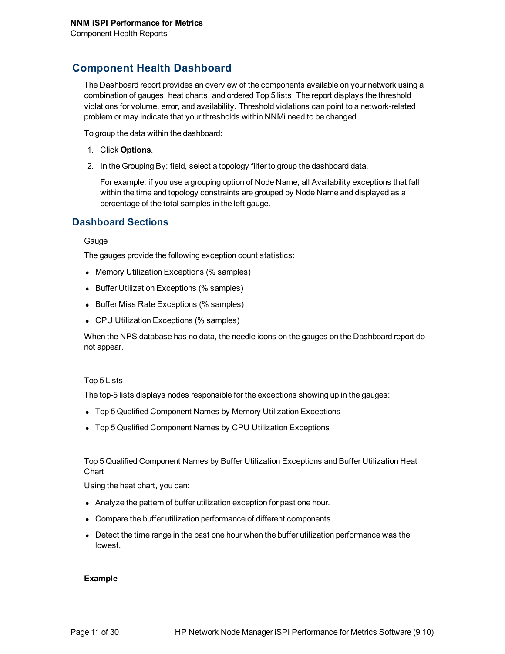### **Component Health Dashboard**

The Dashboard report provides an overview of the components available on your network using a combination of gauges, heat charts, and ordered Top 5 lists. The report displays the threshold violations for volume, error, and availability. Threshold violations can point to a network-related problem or may indicate that your thresholds within NNMi need to be changed.

To group the data within the dashboard:

- 1. Click **Options**.
- 2. In the Grouping By: field, select a topology filter to group the dashboard data.

For example: if you use a grouping option of Node Name, all Availability exceptions that fall within the time and topology constraints are grouped by Node Name and displayed as a percentage of the total samples in the left gauge.

#### **Dashboard Sections**

**Gauge** 

The gauges provide the following exception count statistics:

- Memory Utilization Exceptions (% samples)
- Buffer Utilization Exceptions (% samples)
- Buffer Miss Rate Exceptions (% samples)
- CPU Utilization Exceptions (% samples)

When the NPS database has no data, the needle icons on the gauges on the Dashboard report do not appear.

#### Top 5 Lists

The top-5 lists displays nodes responsible for the exceptions showing up in the gauges:

- Top 5 Qualified Component Names by Memory Utilization Exceptions
- Top 5 Qualified Component Names by CPU Utilization Exceptions

Top 5 Qualified Component Names by Buffer Utilization Exceptions and Buffer Utilization Heat **Chart** 

Using the heat chart, you can:

- Analyze the pattern of buffer utilization exception for past one hour.
- Compare the buffer utilization performance of different components.
- Detect the time range in the past one hour when the buffer utilization performance was the lowest.

#### **Example**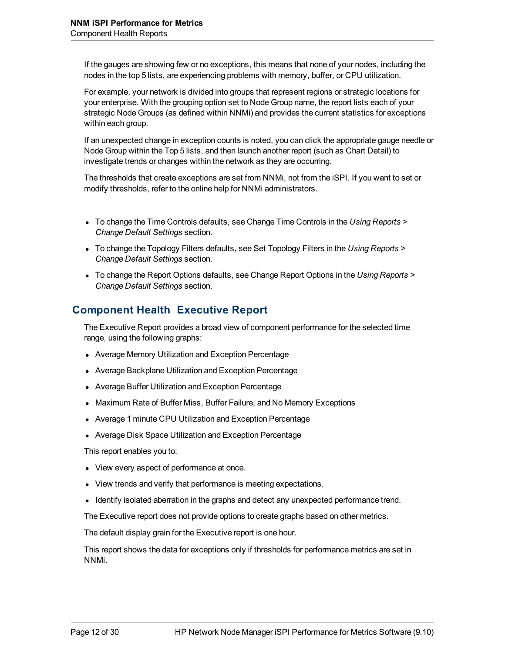If the gauges are showing few or no exceptions, this means that none of your nodes, including the nodes in the top 5 lists, are experiencing problems with memory, buffer, or CPU utilization.

For example, your network is divided into groups that represent regions or strategic locations for your enterprise. With the grouping option set to Node Group name, the report lists each of your strategic Node Groups (as defined within NNMi) and provides the current statistics for exceptions within each group.

If an unexpected change in exception counts is noted, you can click the appropriate gauge needle or Node Group within the Top 5 lists, and then launch another report (such as Chart Detail) to investigate trends or changes within the network as they are occurring.

The thresholds that create exceptions are set from NNMi, not from the iSPI. If you want to set or modify thresholds, refer to the online help for NNMi administrators.

- To change the Time Controls defaults, see Change Time Controls in the *Using Reports* > *Change Default Settings* section.
- To change the Topology Filters defaults, see Set Topology Filters in the *Using Reports* > *Change Default Settings* section.
- To change the Report Options defaults, see Change Report Options in the *Using Reports* > *Change Default Settings* section.

### **Component Health Executive Report**

The Executive Report provides a broad view of component performance for the selected time range, using the following graphs:

- Average Memory Utilization and Exception Percentage
- Average Backplane Utilization and Exception Percentage
- Average Buffer Utilization and Exception Percentage
- Maximum Rate of Buffer Miss, Buffer Failure, and No Memory Exceptions
- Average 1 minute CPU Utilization and Exception Percentage
- Average Disk Space Utilization and Exception Percentage

This report enables you to:

- View every aspect of performance at once.
- View trends and verify that performance is meeting expectations.
- Identify isolated aberration in the graphs and detect any unexpected performance trend.

The Executive report does not provide options to create graphs based on other metrics.

The default display grain for the Executive report is one hour.

This report shows the data for exceptions only if thresholds for performance metrics are set in NNMi.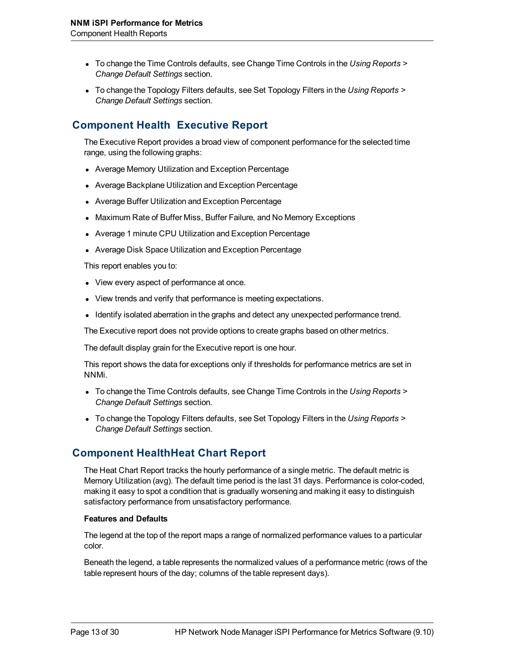- To change the Time Controls defaults, see Change Time Controls in the *Using Reports* > *Change Default Settings* section.
- To change the Topology Filters defaults, see Set Topology Filters in the *Using Reports* > *Change Default Settings* section.

### **Component Health Executive Report**

The Executive Report provides a broad view of component performance for the selected time range, using the following graphs:

- Average Memory Utilization and Exception Percentage
- Average Backplane Utilization and Exception Percentage
- Average Buffer Utilization and Exception Percentage
- Maximum Rate of Buffer Miss, Buffer Failure, and No Memory Exceptions
- Average 1 minute CPU Utilization and Exception Percentage
- Average Disk Space Utilization and Exception Percentage

This report enables you to:

- View every aspect of performance at once.
- View trends and verify that performance is meeting expectations.
- Identify isolated aberration in the graphs and detect any unexpected performance trend.

The Executive report does not provide options to create graphs based on other metrics.

The default display grain for the Executive report is one hour.

This report shows the data for exceptions only if thresholds for performance metrics are set in NNMi.

- To change the Time Controls defaults, see Change Time Controls in the *Using Reports* > *Change Default Settings* section.
- To change the Topology Filters defaults, see Set Topology Filters in the *Using Reports* > *Change Default Settings* section.

### **Component HealthHeat Chart Report**

The Heat Chart Report tracks the hourly performance of a single metric. The default metric is Memory Utilization (avg). The default time period is the last 31 days. Performance is color-coded, making it easy to spot a condition that is gradually worsening and making it easy to distinguish satisfactory performance from unsatisfactory performance.

#### **Features and Defaults**

The legend at the top of the report maps a range of normalized performance values to a particular color.

Beneath the legend, a table represents the normalized values of a performance metric (rows of the table represent hours of the day; columns of the table represent days).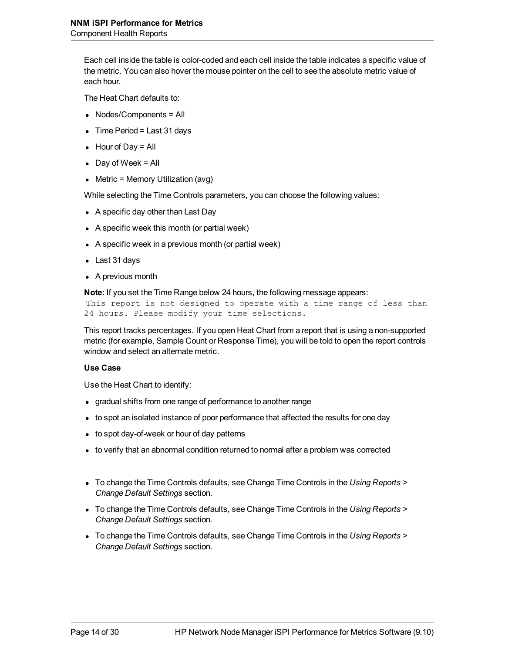Each cell inside the table is color-coded and each cell inside the table indicates a specific value of the metric. You can also hover the mouse pointer on the cell to see the absolute metric value of each hour.

The Heat Chart defaults to:

- $\bullet$  Nodes/Components = All
- $\bullet$  Time Period = Last 31 days
- $\bullet$  Hour of Day = All
- $\bullet$  Day of Week = All
- $\bullet$  Metric = Memory Utilization (avg)

While selecting the Time Controls parameters, you can choose the following values:

- A specific day other than Last Day
- $\bullet$  A specific week this month (or partial week)
- $\bullet$  A specific week in a previous month (or partial week)
- Last 31 days
- $\bullet$  A previous month

**Note:** If you set the Time Range below 24 hours, the following message appears:

This report is not designed to operate with a time range of less than 24 hours. Please modify your time selections.

This report tracks percentages. If you open Heat Chart from a report that is using a non-supported metric (for example, Sample Count or Response Time), you will be told to open the report controls window and select an alternate metric.

#### **Use Case**

Use the Heat Chart to identify:

- gradual shifts from one range of performance to another range
- to spot an isolated instance of poor performance that affected the results for one day
- $\bullet$  to spot day-of-week or hour of day patterns
- to verify that an abnormal condition returned to normal after a problem was corrected
- To change the Time Controls defaults, see Change Time Controls in the *Using Reports* > *Change Default Settings* section.
- To change the Time Controls defaults, see Change Time Controls in the *Using Reports* > *Change Default Settings* section.
- To change the Time Controls defaults, see Change Time Controls in the *Using Reports* > *Change Default Settings* section.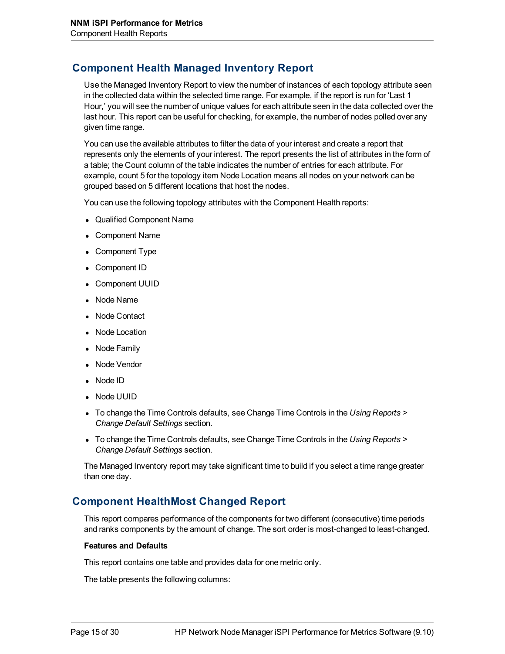### **Component Health Managed Inventory Report**

Use the Managed Inventory Report to view the number of instances of each topology attribute seen in the collected data within the selected time range. For example, if the report is run for 'Last 1 Hour,' you will see the number of unique values for each attribute seen in the data collected over the last hour. This report can be useful for checking, for example, the number of nodes polled over any given time range.

You can use the available attributes to filter the data of your interest and create a report that represents only the elements of your interest. The report presents the list of attributes in the form of a table; the Count column of the table indicates the number of entries for each attribute. For example, count 5 for the topology item Node Location means all nodes on your network can be grouped based on 5 different locations that host the nodes.

You can use the following topology attributes with the Component Health reports:

- Qualified Component Name
- Component Name
- **Component Type**
- Component ID
- Component UUID
- Node Name
- Node Contact
- Node Location
- Node Family
- Node Vendor
- $\bullet$  Node ID
- Node UUID
- **To change the Time Controls defaults, see Change Time Controls in the** *Using Reports* **>** *Change Default Settings* section.
- To change the Time Controls defaults, see Change Time Controls in the *Using Reports* > *Change Default Settings* section.

The Managed Inventory report may take significant time to build if you select a time range greater than one day.

### **Component HealthMost Changed Report**

This report compares performance of the components for two different (consecutive) time periods and ranks components by the amount of change. The sort order is most-changed to least-changed.

#### **Features and Defaults**

This report contains one table and provides data for one metric only.

The table presents the following columns: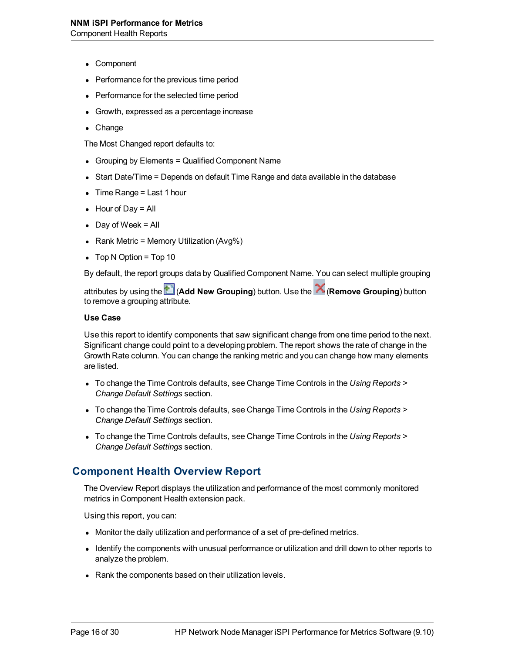- Component
- <sup>l</sup> Performance for the previous time period
- Performance for the selected time period
- Growth, expressed as a percentage increase
- Change

The Most Changed report defaults to:

- Grouping by Elements  $=$  Qualified Component Name
- Start Date/Time = Depends on default Time Range and data available in the database
- $\bullet$  Time Range = Last 1 hour
- $\bullet$  Hour of Day = All
- Day of Week  $=$  All
- Rank Metric = Memory Utilization (Avg%)
- $\bullet$  Top N Option = Top 10

By default, the report groups data by Qualified Component Name. You can select multiple grouping

attributes by using the (**Add New Grouping**) button. Use the (**Remove Grouping**) button to remove a grouping attribute.

#### **Use Case**

Use this report to identify components that saw significant change from one time period to the next. Significant change could point to a developing problem. The report shows the rate of change in the Growth Rate column. You can change the ranking metric and you can change how many elements are listed.

- To change the Time Controls defaults, see Change Time Controls in the *Using Reports* > *Change Default Settings* section.
- To change the Time Controls defaults, see Change Time Controls in the *Using Reports* > *Change Default Settings* section.
- **To change the Time Controls defaults, see Change Time Controls in the** *Using Reports* **>** *Change Default Settings* section.

### **Component Health Overview Report**

The Overview Report displays the utilization and performance of the most commonly monitored metrics in Component Health extension pack.

Using this report, you can:

- Monitor the daily utilization and performance of a set of pre-defined metrics.
- Identify the components with unusual performance or utilization and drill down to other reports to analyze the problem.
- Rank the components based on their utilization levels.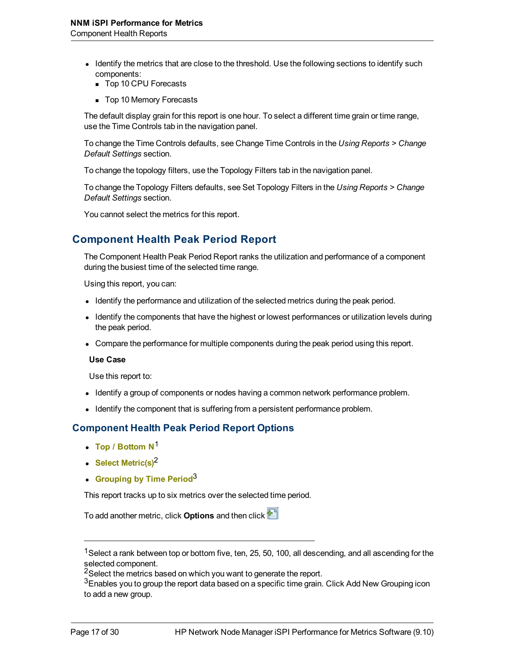- Identify the metrics that are close to the threshold. Use the following sections to identify such components:
	- Top 10 CPU Forecasts
	- Top 10 Memory Forecasts

The default display grain for this report is one hour. To select a different time grain or time range, use the Time Controls tab in the navigation panel.

To change the Time Controls defaults, see Change Time Controls in the *Using Reports > Change Default Settings* section.

To change the topology filters, use the Topology Filters tab in the navigation panel.

To change the Topology Filters defaults, see Set Topology Filters in the *Using Reports > Change Default Settings* section.

You cannot select the metrics for this report.

### **Component Health Peak Period Report**

The Component Health Peak Period Report ranks the utilization and performance of a component during the busiest time of the selected time range.

Using this report, you can:

- Identify the performance and utilization of the selected metrics during the peak period.
- Identify the components that have the highest or lowest performances or utilization levels during the peak period.
- Compare the performance for multiple components during the peak period using this report.

#### **Use Case**

Use this report to:

- Identify a group of components or nodes having a common network performance problem.
- Identify the component that is suffering from a persistent performance problem.

#### **Component Health Peak Period Report Options**

- <sup>l</sup> **Top / Bottom N**<sup>1</sup>
- **Select Metric(s)<sup>2</sup>**
- **Grouping by Time Period**<sup>3</sup>

This report tracks up to six metrics over the selected time period.

To add another metric, click **Options** and then click

<sup>&</sup>lt;sup>1</sup>Select a rank between top or bottom five, ten, 25, 50, 100, all descending, and all ascending for the selected component.

 $2$ Select the metrics based on which you want to generate the report.

 $3$ Enables you to group the report data based on a specific time grain. Click Add New Grouping icon to add a new group.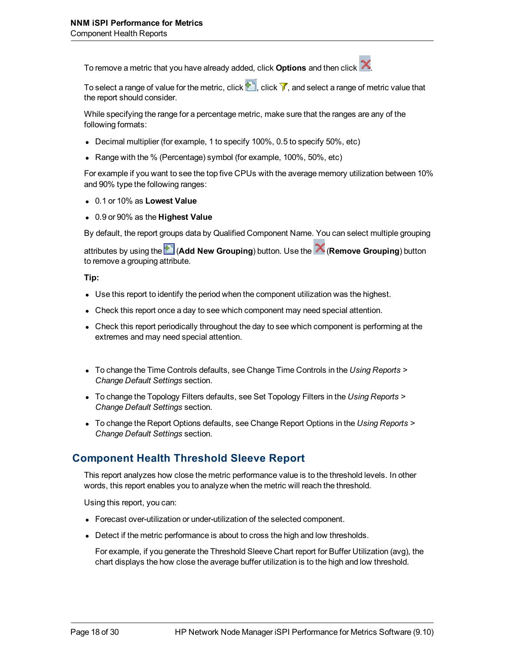To remove a metric that you have already added, click **Options** and then click .

To select a range of value for the metric, click  $\mathbb{L}$ , click  $\mathbb{V}$ , and select a range of metric value that the report should consider.

While specifying the range for a percentage metric, make sure that the ranges are any of the following formats:

- **Decimal multiplier (for example, 1 to specify 100%, 0.5 to specify 50%, etc)**
- Range with the % (Percentage) symbol (for example,  $100\%$ ,  $50\%$ , etc)

For example if you want to see the top five CPUs with the average memory utilization between 10% and 90% type the following ranges:

- <sup>l</sup> 0.1 or 10% as **Lowest Value**
- <sup>l</sup> 0.9 or 90% as the **Highest Value**

By default, the report groups data by Qualified Component Name. You can select multiple grouping

attributes by using the (**Add New Grouping**) button. Use the (**Remove Grouping**) button to remove a grouping attribute.

**Tip:**

- Use this report to identify the period when the component utilization was the highest.
- Check this report once a day to see which component may need special attention.
- Check this report periodically throughout the day to see which component is performing at the extremes and may need special attention.
- To change the Time Controls defaults, see Change Time Controls in the *Using Reports* > *Change Default Settings* section.
- To change the Topology Filters defaults, see Set Topology Filters in the *Using Reports* > *Change Default Settings* section.
- To change the Report Options defaults, see Change Report Options in the *Using Reports* > *Change Default Settings* section.

### **Component Health Threshold Sleeve Report**

This report analyzes how close the metric performance value is to the threshold levels. In other words, this report enables you to analyze when the metric will reach the threshold.

Using this report, you can:

- Forecast over-utilization or under-utilization of the selected component.
- Detect if the metric performance is about to cross the high and low thresholds.

For example, if you generate the Threshold Sleeve Chart report for Buffer Utilization (avg), the chart displays the how close the average buffer utilization is to the high and low threshold.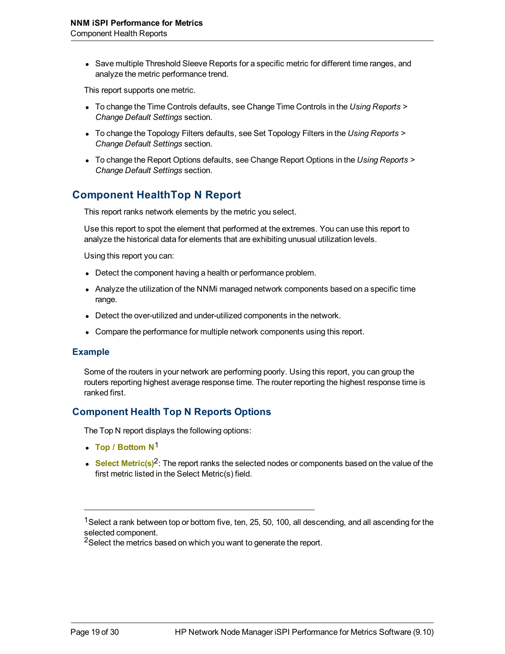• Save multiple Threshold Sleeve Reports for a specific metric for different time ranges, and analyze the metric performance trend.

This report supports one metric.

- To change the Time Controls defaults, see Change Time Controls in the *Using Reports* > *Change Default Settings* section.
- To change the Topology Filters defaults, see Set Topology Filters in the *Using Reports* > *Change Default Settings* section.
- <sup>l</sup> To change the Report Options defaults, see Change Report Options in the *Using Reports > Change Default Settings* section.

### **Component HealthTop N Report**

This report ranks network elements by the metric you select.

Use this report to spot the element that performed at the extremes. You can use this report to analyze the historical data for elements that are exhibiting unusual utilization levels.

Using this report you can:

- Detect the component having a health or performance problem.
- Analyze the utilization of the NNMi managed network components based on a specific time range.
- Detect the over-utilized and under-utilized components in the network.
- Compare the performance for multiple network components using this report.

#### **Example**

Some of the routers in your network are performing poorly. Using this report, you can group the routers reporting highest average response time. The router reporting the highest response time is ranked first.

#### **Component Health Top N Reports Options**

The Top N report displays the following options:

- Top / Bottom N<sup>1</sup>
- Select Metric(s)<sup>2</sup>: The report ranks the selected nodes or components based on the value of the first metric listed in the Select Metric(s) field.

<sup>&</sup>lt;sup>1</sup>Select a rank between top or bottom five, ten, 25, 50, 100, all descending, and all ascending for the selected component.

<sup>&</sup>lt;sup>2</sup>Select the metrics based on which you want to generate the report.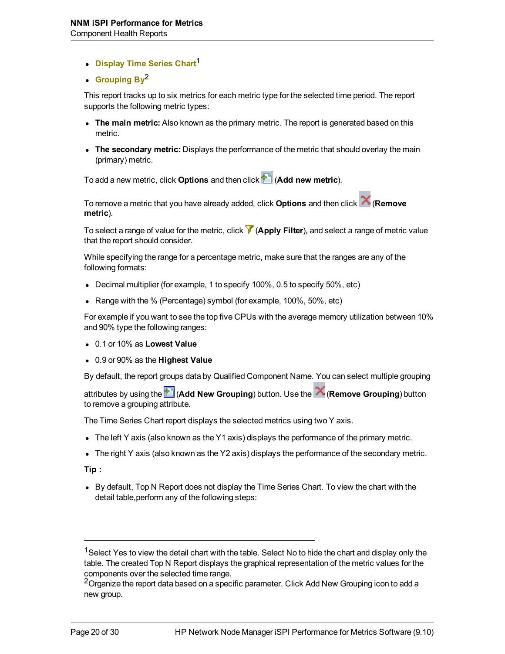- **Display Time Series Chart1**
- **Grouping By<sup>2</sup>**

This report tracks up to six metrics for each metric type for the selected time period. The report supports the following metric types:

- **The main metric:** Also known as the primary metric. The report is generated based on this metric.
- **The secondary metric:** Displays the performance of the metric that should overlay the main (primary) metric.

To add a new metric, click **Options** and then click (**Add new metric**).

To remove a metric that you have already added, click **Options** and then click (**Remove metric**).

To select a range of value for the metric, click (**Apply Filter**), and select a range of metric value that the report should consider.

While specifying the range for a percentage metric, make sure that the ranges are any of the following formats:

- Decimal multiplier (for example, 1 to specify 100%, 0.5 to specify 50%, etc)
- Range with the % (Percentage) symbol (for example, 100%, 50%, etc)

For example if you want to see the top five CPUs with the average memory utilization between 10% and 90% type the following ranges:

- <sup>l</sup> 0.1 or 10% as **Lowest Value**
- <sup>l</sup> 0.9 or 90% as the **Highest Value**

By default, the report groups data by Qualified Component Name. You can select multiple grouping

attributes by using the (**Add New Grouping**) button. Use the (**Remove Grouping**) button to remove a grouping attribute.

The Time Series Chart report displays the selected metrics using two Y axis.

- The left Y axis (also known as the Y1 axis) displays the performance of the primary metric.
- The right Y axis (also known as the Y2 axis) displays the performance of the secondary metric.

**Tip :**

• By default, Top N Report does not display the Time Series Chart. To view the chart with the detail table,perform any of the following steps:

<sup>&</sup>lt;sup>1</sup>Select Yes to view the detail chart with the table. Select No to hide the chart and display only the table. The created Top N Report displays the graphical representation of the metric values for the components over the selected time range.

<sup>&</sup>lt;sup>2</sup>Organize the report data based on a specific parameter. Click Add New Grouping icon to add a new group.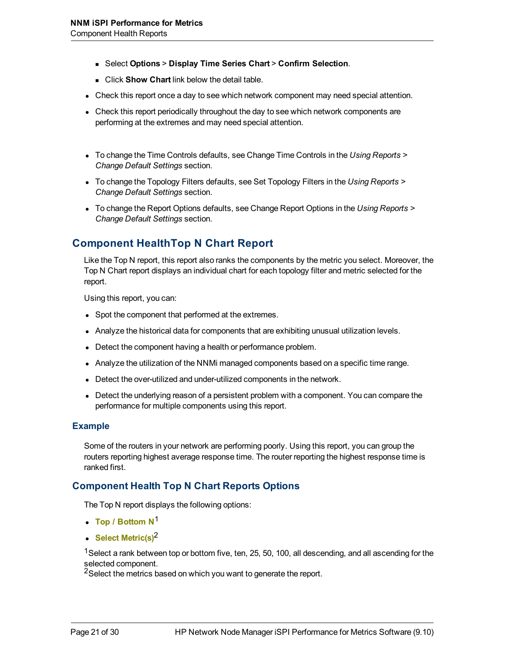- <sup>n</sup> Select **Options** > **Display Time Series Chart** > **Confirm Selection**.
- **EXECUTE:** Click **Show Chart** link below the detail table.
- Check this report once a day to see which network component may need special attention.
- Check this report periodically throughout the day to see which network components are performing at the extremes and may need special attention.
- To change the Time Controls defaults, see Change Time Controls in the *Using Reports* > *Change Default Settings* section.
- **To change the Topology Filters defaults, see Set Topology Filters in the Using Reports >** *Change Default Settings* section.
- To change the Report Options defaults, see Change Report Options in the *Using Reports* > *Change Default Settings* section.

### **Component HealthTop N Chart Report**

Like the Top N report, this report also ranks the components by the metric you select. Moreover, the Top N Chart report displays an individual chart for each topology filter and metric selected for the report.

Using this report, you can:

- Spot the component that performed at the extremes.
- Analyze the historical data for components that are exhibiting unusual utilization levels.
- $\bullet$  Detect the component having a health or performance problem.
- Analyze the utilization of the NNMi managed components based on a specific time range.
- Detect the over-utilized and under-utilized components in the network.
- Detect the underlying reason of a persistent problem with a component. You can compare the performance for multiple components using this report.

#### **Example**

Some of the routers in your network are performing poorly. Using this report, you can group the routers reporting highest average response time. The router reporting the highest response time is ranked first.

#### **Component Health Top N Chart Reports Options**

The Top N report displays the following options:

- <sup>l</sup> **Top / Bottom N**<sup>1</sup>
- **Select Metric(s)<sup>2</sup>**

<sup>1</sup>Select a rank between top or bottom five, ten, 25, 50, 100, all descending, and all ascending for the selected component.

<sup>2</sup>Select the metrics based on which you want to generate the report.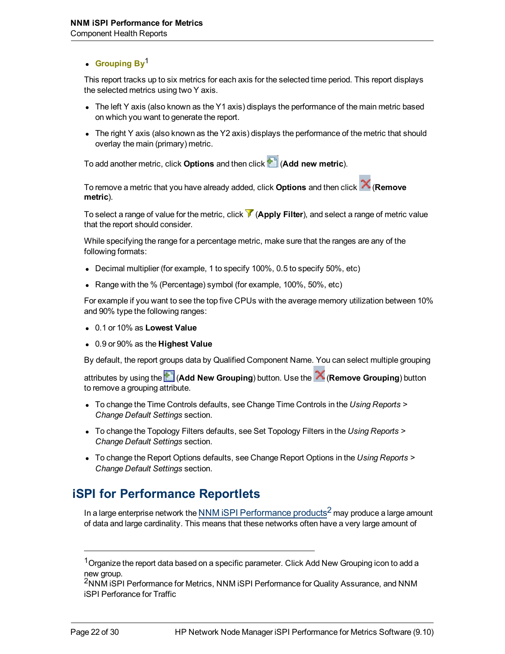#### **c** Grouping By<sup>1</sup>

This report tracks up to six metrics for each axis for the selected time period. This report displays the selected metrics using two Y axis.

- $\bullet$  The left Y axis (also known as the Y1 axis) displays the performance of the main metric based on which you want to generate the report.
- The right Y axis (also known as the Y2 axis) displays the performance of the metric that should overlay the main (primary) metric.

To add another metric, click **Options** and then click (**Add new metric**).

To remove a metric that you have already added, click **Options** and then click (**Remove metric**).

To select a range of value for the metric, click (**Apply Filter**), and select a range of metric value that the report should consider.

While specifying the range for a percentage metric, make sure that the ranges are any of the following formats:

- Decimal multiplier (for example, 1 to specify 100%, 0.5 to specify 50%, etc)
- Range with the % (Percentage) symbol (for example,  $100\%$ ,  $50\%$ , etc)

For example if you want to see the top five CPUs with the average memory utilization between 10% and 90% type the following ranges:

- <sup>l</sup> 0.1 or 10% as **Lowest Value**
- <sup>l</sup> 0.9 or 90% as the **Highest Value**

By default, the report groups data by Qualified Component Name. You can select multiple grouping

attributes by using the (**Add New Grouping**) button. Use the (**Remove Grouping**) button to remove a grouping attribute.

- To change the Time Controls defaults, see Change Time Controls in the *Using Reports* > *Change Default Settings* section.
- To change the Topology Filters defaults, see Set Topology Filters in the *Using Reports* > *Change Default Settings* section.
- To change the Report Options defaults, see Change Report Options in the *Using Reports* > *Change Default Settings* section.

# **iSPI for Performance Reportlets**

In a large enterprise network the NNM iSPI Performance products<sup>2</sup> may produce a large amount of data and large cardinality. This means that these networks often have a very large amount of

 $1$ Organize the report data based on a specific parameter. Click Add New Grouping icon to add a new group.

<sup>&</sup>lt;sup>2</sup>NNM ISPI Performance for Metrics, NNM ISPI Performance for Quality Assurance, and NNM iSPI Perforance for Traffic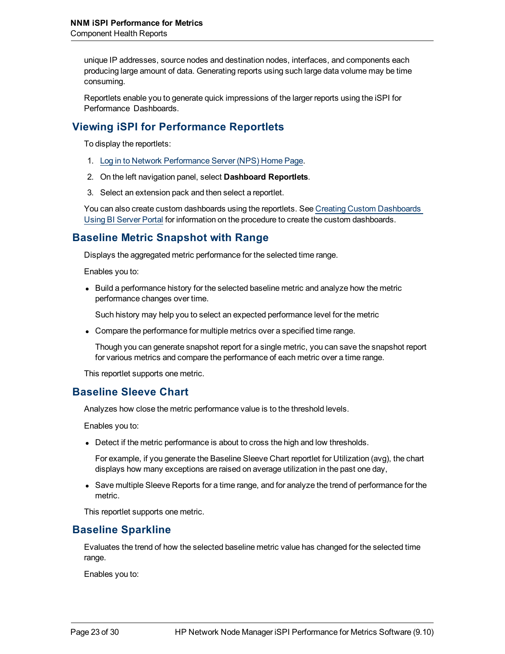unique IP addresses, source nodes and destination nodes, interfaces, and components each producing large amount of data. Generating reports using such large data volume may be time consuming.

Reportlets enable you to generate quick impressions of the larger reports using the iSPI for Performance Dashboards.

### **Viewing iSPI for Performance Reportlets**

To display the reportlets:

- 1. [Log](../../../../../../Administration/Content/Administration/PerfSPI_Admin_LoggingSSO.htm) [in](../../../../../../Administration/Content/Administration/PerfSPI_Admin_LoggingSSO.htm) [to](../../../../../../Administration/Content/Administration/PerfSPI_Admin_LoggingSSO.htm) [Network](../../../../../../Administration/Content/Administration/PerfSPI_Admin_LoggingSSO.htm) [Performance](../../../../../../Administration/Content/Administration/PerfSPI_Admin_LoggingSSO.htm) [Server](../../../../../../Administration/Content/Administration/PerfSPI_Admin_LoggingSSO.htm) [\(NPS\) Home](../../../../../../Administration/Content/Administration/PerfSPI_Admin_LoggingSSO.htm) [Page.](../../../../../../Administration/Content/Administration/PerfSPI_Admin_LoggingSSO.htm)
- 2. On the left navigation panel, select **Dashboard Reportlets**.
- 3. Select an extension pack and then select a reportlet.

You can also create custom dashboards using the reportlets. See [Creating](../../../../../../Administration/Content/Integration_iSPI/nnmPerfSPI_CreateCustDash.htm) [Custom](../../../../../../Administration/Content/Integration_iSPI/nnmPerfSPI_CreateCustDash.htm) [Dashboards](../../../../../../Administration/Content/Integration_iSPI/nnmPerfSPI_CreateCustDash.htm) [Using](../../../../../../Administration/Content/Integration_iSPI/nnmPerfSPI_CreateCustDash.htm) [BI Server](../../../../../../Administration/Content/Integration_iSPI/nnmPerfSPI_CreateCustDash.htm) [Portal](../../../../../../Administration/Content/Integration_iSPI/nnmPerfSPI_CreateCustDash.htm) for information on the procedure to create the custom dashboards.

### **Baseline Metric Snapshot with Range**

Displays the aggregated metric performance for the selected time range.

Enables you to:

 $\bullet$  Build a performance history for the selected baseline metric and analyze how the metric performance changes over time.

Such history may help you to select an expected performance level for the metric

• Compare the performance for multiple metrics over a specified time range.

Though you can generate snapshot report for a single metric, you can save the snapshot report for various metrics and compare the performance of each metric over a time range.

This reportlet supports one metric.

### **Baseline Sleeve Chart**

Analyzes how close the metric performance value is to the threshold levels.

Enables you to:

• Detect if the metric performance is about to cross the high and low thresholds.

For example, if you generate the Baseline Sleeve Chart reportlet for Utilization (avg), the chart displays how many exceptions are raised on average utilization in the past one day,

• Save multiple Sleeve Reports for a time range, and for analyze the trend of performance for the metric.

This reportlet supports one metric.

### **Baseline Sparkline**

Evaluates the trend of how the selected baseline metric value has changed for the selected time range.

Enables you to: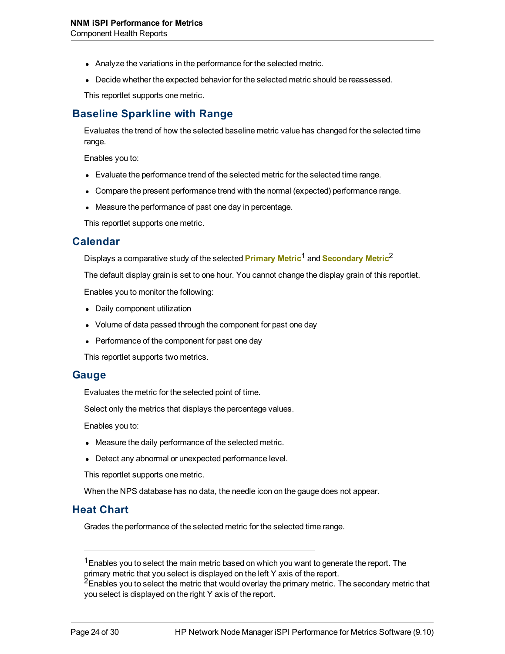- Analyze the variations in the performance for the selected metric.
- Decide whether the expected behavior for the selected metric should be reassessed.

This reportlet supports one metric.

### **Baseline Sparkline with Range**

Evaluates the trend of how the selected baseline metric value has changed for the selected time range.

Enables you to:

- Evaluate the performance trend of the selected metric for the selected time range.
- Compare the present performance trend with the normal (expected) performance range.
- Measure the performance of past one day in percentage.

This reportlet supports one metric.

#### **Calendar**

Displays a comparative study of the selected **Primary Metric**<sup>1</sup> and **Secondary Metric**<sup>2</sup>

The default display grain is set to one hour. You cannot change the display grain of this reportlet.

Enables you to monitor the following:

- Daily component utilization
- Volume of data passed through the component for past one day
- Performance of the component for past one day

This reportlet supports two metrics.

#### **Gauge**

Evaluates the metric for the selected point of time.

Select only the metrics that displays the percentage values.

Enables you to:

- Measure the daily performance of the selected metric.
- Detect any abnormal or unexpected performance level.

This reportlet supports one metric.

When the NPS database has no data, the needle icon on the gauge does not appear.

#### **Heat Chart**

Grades the performance of the selected metric for the selected time range.

 $1$ Enables you to select the main metric based on which you want to generate the report. The primary metric that you select is displayed on the left Y axis of the report.

<sup>&</sup>lt;sup>2</sup>Enables you to select the metric that would overlay the primary metric. The secondary metric that you select is displayed on the right Y axis of the report.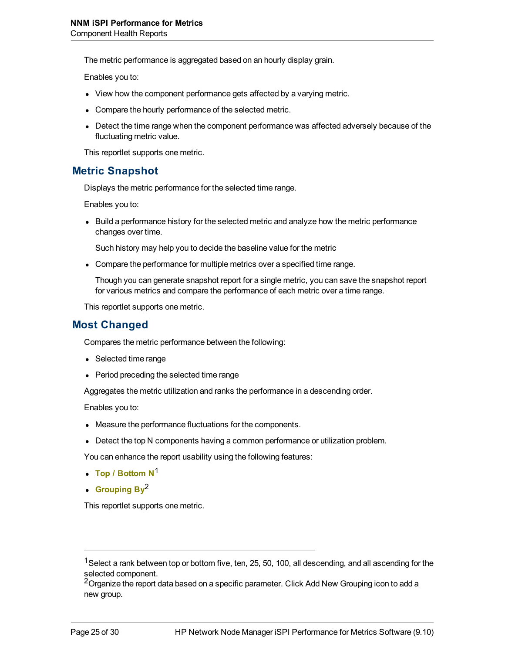The metric performance is aggregated based on an hourly display grain.

Enables you to:

- View how the component performance gets affected by a varying metric.
- Compare the hourly performance of the selected metric.
- Detect the time range when the component performance was affected adversely because of the fluctuating metric value.

This reportlet supports one metric.

#### **Metric Snapshot**

Displays the metric performance for the selected time range.

Enables you to:

• Build a performance history for the selected metric and analyze how the metric performance changes over time.

Such history may help you to decide the baseline value for the metric

• Compare the performance for multiple metrics over a specified time range.

Though you can generate snapshot report for a single metric, you can save the snapshot report for various metrics and compare the performance of each metric over a time range.

This reportlet supports one metric.

#### **Most Changed**

Compares the metric performance between the following:

- Selected time range
- Period preceding the selected time range

Aggregates the metric utilization and ranks the performance in a descending order.

Enables you to:

- Measure the performance fluctuations for the components.
- Detect the top N components having a common performance or utilization problem.

You can enhance the report usability using the following features:

- <sup>l</sup> **Top / Bottom N**<sup>1</sup>
- Grouping By<sup>2</sup>

This reportlet supports one metric.

<sup>&</sup>lt;sup>1</sup>Select a rank between top or bottom five, ten, 25, 50, 100, all descending, and all ascending for the selected component.

<sup>&</sup>lt;sup>2</sup>Organize the report data based on a specific parameter. Click Add New Grouping icon to add a new group.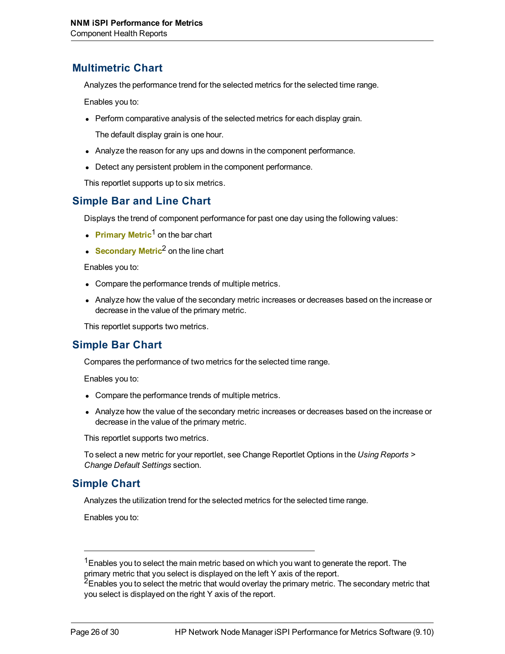### **Multimetric Chart**

Analyzes the performance trend for the selected metrics for the selected time range.

Enables you to:

• Perform comparative analysis of the selected metrics for each display grain.

The default display grain is one hour.

- Analyze the reason for any ups and downs in the component performance.
- Detect any persistent problem in the component performance.

This reportlet supports up to six metrics.

### **Simple Bar and Line Chart**

Displays the trend of component performance for past one day using the following values:

- **Primary Metric<sup>1</sup> on the bar chart**
- **Secondary Metric**<sup>2</sup> on the line chart

Enables you to:

- Compare the performance trends of multiple metrics.
- Analyze how the value of the secondary metric increases or decreases based on the increase or decrease in the value of the primary metric.

This reportlet supports two metrics.

### **Simple Bar Chart**

Compares the performance of two metrics for the selected time range.

Enables you to:

- Compare the performance trends of multiple metrics.
- Analyze how the value of the secondary metric increases or decreases based on the increase or decrease in the value of the primary metric.

This reportlet supports two metrics.

To select a new metric for your reportlet, see Change Reportlet Options in the *Using Reports > Change Default Settings* section.

### **Simple Chart**

Analyzes the utilization trend for the selected metrics for the selected time range.

Enables you to:

<sup>&</sup>lt;sup>1</sup> Enables you to select the main metric based on which you want to generate the report. The primary metric that you select is displayed on the left Y axis of the report.

<sup>&</sup>lt;sup>2</sup>Enables you to select the metric that would overlay the primary metric. The secondary metric that you select is displayed on the right Y axis of the report.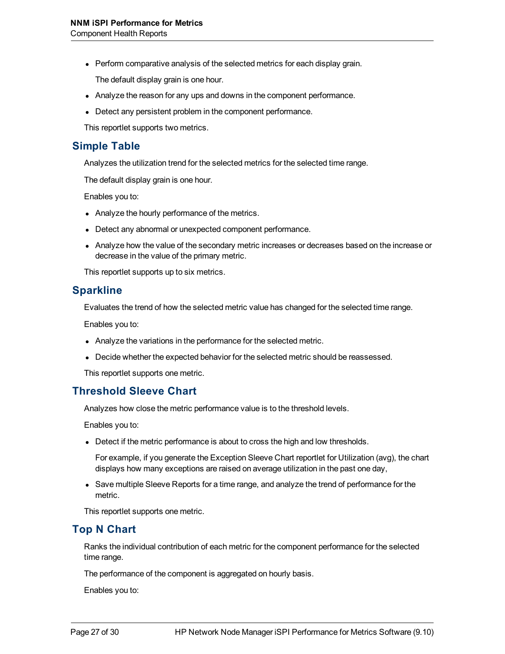• Perform comparative analysis of the selected metrics for each display grain.

The default display grain is one hour.

- Analyze the reason for any ups and downs in the component performance.
- Detect any persistent problem in the component performance.

This reportlet supports two metrics.

#### **Simple Table**

Analyzes the utilization trend for the selected metrics for the selected time range.

The default display grain is one hour.

Enables you to:

- Analyze the hourly performance of the metrics.
- Detect any abnormal or unexpected component performance.
- Analyze how the value of the secondary metric increases or decreases based on the increase or decrease in the value of the primary metric.

This reportlet supports up to six metrics.

#### **Sparkline**

Evaluates the trend of how the selected metric value has changed for the selected time range.

Enables you to:

- Analyze the variations in the performance for the selected metric.
- Decide whether the expected behavior for the selected metric should be reassessed.

This reportlet supports one metric.

### **Threshold Sleeve Chart**

Analyzes how close the metric performance value is to the threshold levels.

Enables you to:

• Detect if the metric performance is about to cross the high and low thresholds.

For example, if you generate the Exception Sleeve Chart reportlet for Utilization (avg), the chart displays how many exceptions are raised on average utilization in the past one day,

• Save multiple Sleeve Reports for a time range, and analyze the trend of performance for the metric.

This reportlet supports one metric.

### **Top N Chart**

Ranks the individual contribution of each metric for the component performance for the selected time range.

The performance of the component is aggregated on hourly basis.

Enables you to: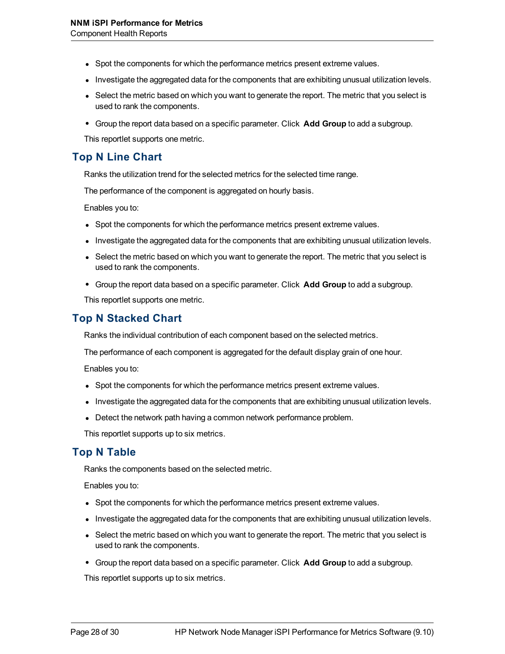- Spot the components for which the performance metrics present extreme values.
- Investigate the aggregated data for the components that are exhibiting unusual utilization levels.
- Select the metric based on which you want to generate the report. The metric that you select is used to rank the components.
- <sup>l</sup> Group the report data based on a specific parameter. Click **Add Group** to add a subgroup.

This reportlet supports one metric.

#### **Top N Line Chart**

Ranks the utilization trend for the selected metrics for the selected time range.

The performance of the component is aggregated on hourly basis.

Enables you to:

- Spot the components for which the performance metrics present extreme values.
- Investigate the aggregated data for the components that are exhibiting unusual utilization levels.
- Select the metric based on which you want to generate the report. The metric that you select is used to rank the components.
- <sup>l</sup> Group the report data based on a specific parameter. Click **Add Group** to add a subgroup.

This reportlet supports one metric.

### **Top N Stacked Chart**

Ranks the individual contribution of each component based on the selected metrics.

The performance of each component is aggregated for the default display grain of one hour.

Enables you to:

- Spot the components for which the performance metrics present extreme values.
- Investigate the aggregated data for the components that are exhibiting unusual utilization levels.
- Detect the network path having a common network performance problem.

This reportlet supports up to six metrics.

### **Top N Table**

Ranks the components based on the selected metric.

Enables you to:

- Spot the components for which the performance metrics present extreme values.
- Investigate the aggregated data for the components that are exhibiting unusual utilization levels.
- Select the metric based on which you want to generate the report. The metric that you select is used to rank the components.
- <sup>l</sup> Group the report data based on a specific parameter. Click **Add Group** to add a subgroup.

This reportlet supports up to six metrics.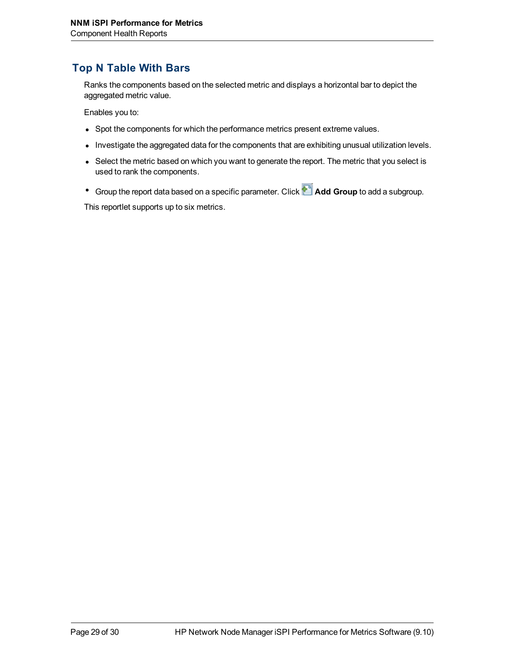### **Top N Table With Bars**

Ranks the components based on the selected metric and displays a horizontal bar to depict the aggregated metric value.

Enables you to:

- Spot the components for which the performance metrics present extreme values.
- Investigate the aggregated data for the components that are exhibiting unusual utilization levels.
- Select the metric based on which you want to generate the report. The metric that you select is used to rank the components.
- <sup>•</sup> Group the report data based on a specific parameter. Click **Add Group** to add a subgroup.

This reportlet supports up to six metrics.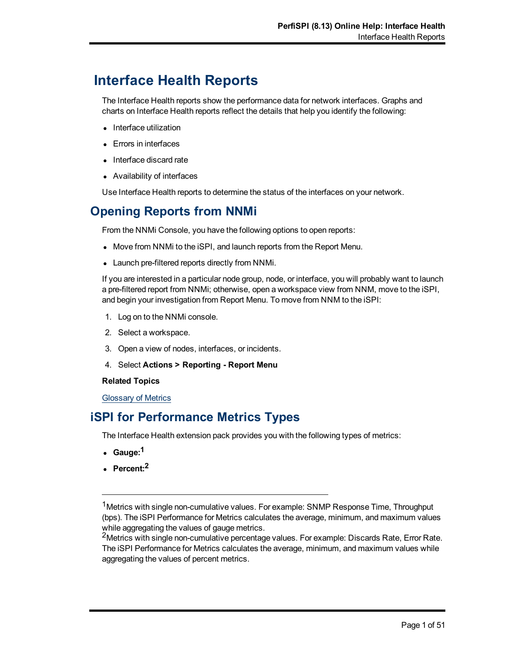# **Interface Health Reports**

The Interface Health reports show the performance data for network interfaces. Graphs and charts on Interface Health reports reflect the details that help you identify the following:

- Interface utilization
- Errors in interfaces
- Interface discard rate
- Availability of interfaces

Use Interface Health reports to determine the status of the interfaces on your network.

# **Opening Reports from NNMi**

From the NNMi Console, you have the following options to open reports:

- Move from NNMi to the iSPI, and launch reports from the Report Menu.
- Launch pre-filtered reports directly from NNMi.

If you are interested in a particular node group, node, or interface, you will probably want to launch a pre-filtered report from NNMi; otherwise, open a workspace view from NNM, move to the iSPI, and begin your investigation from Report Menu. To move from NNM to the iSPI:

- 1. Log on to the NNMi console.
- 2. Select a workspace.
- 3. Open a view of nodes, interfaces, or incidents.
- 4. Select **Actions > Reporting Report Menu**

#### **Related Topics**

<span id="page-134-0"></span>[Glossary](#page-134-0) [of](#page-134-0) [Metrics](#page-134-0)

# **iSPI for Performance Metrics Types**

The Interface Health extension pack provides you with the following types of metrics:

- <sup>l</sup> **Gauge:1**
- <sup>l</sup> **Percent:2**

<sup>2</sup>Metrics with single non-cumulative percentage values. For example: Discards Rate, Error Rate. The iSPI Performance for Metrics calculates the average, minimum, and maximum values while aggregating the values of percent metrics.

<sup>&</sup>lt;sup>1</sup>Metrics with single non-cumulative values. For example: SNMP Response Time, Throughput (bps). The iSPI Performance for Metrics calculates the average, minimum, and maximum values while aggregating the values of gauge metrics.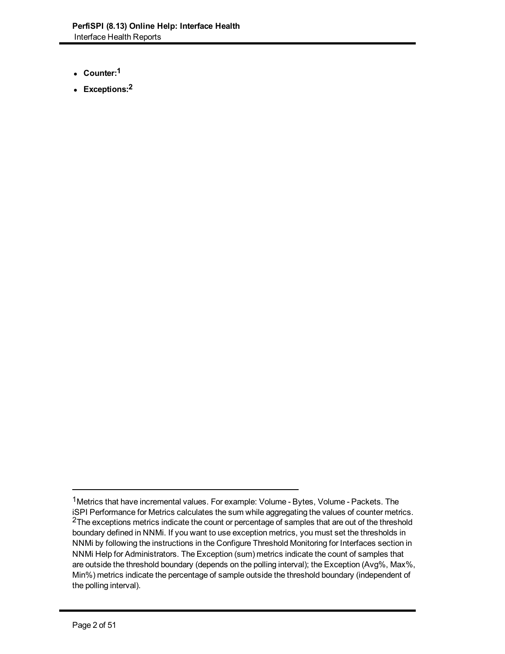- <sup>l</sup> **Counter:1**
- <sup>l</sup> **Exceptions:2**

<sup>&</sup>lt;sup>1</sup>Metrics that have incremental values. For example: Volume - Bytes, Volume - Packets. The iSPI Performance for Metrics calculates the sum while aggregating the values of counter metrics. <sup>2</sup>The exceptions metrics indicate the count or percentage of samples that are out of the threshold boundary defined in NNMi. If you want to use exception metrics, you must set the thresholds in NNMi by following the instructions in the Configure Threshold Monitoring for Interfaces section in NNMi Help for Administrators. The Exception (sum) metrics indicate the count of samples that are outside the threshold boundary (depends on the polling interval); the Exception (Avg%, Max%, Min%) metrics indicate the percentage of sample outside the threshold boundary (independent of the polling interval).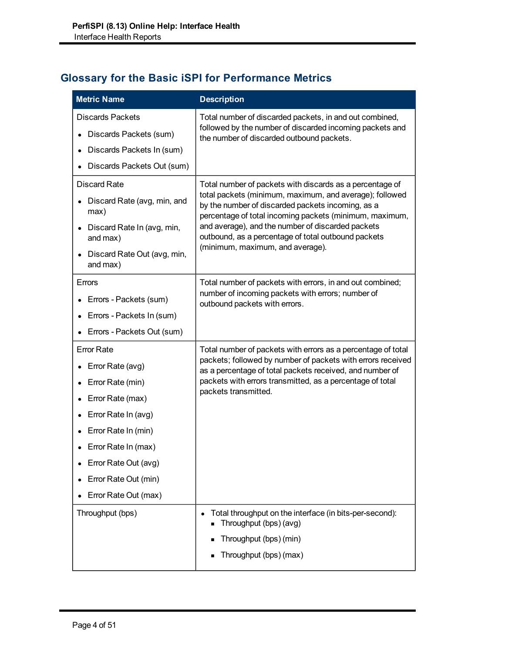# **Glossary for the Basic iSPI for Performance Metrics**

| <b>Metric Name</b>                      | <b>Description</b>                                                                                                                                                      |
|-----------------------------------------|-------------------------------------------------------------------------------------------------------------------------------------------------------------------------|
| Discards Packets                        | Total number of discarded packets, in and out combined,                                                                                                                 |
| Discards Packets (sum)                  | followed by the number of discarded incoming packets and<br>the number of discarded outbound packets.                                                                   |
| Discards Packets In (sum)               |                                                                                                                                                                         |
| Discards Packets Out (sum)              |                                                                                                                                                                         |
| <b>Discard Rate</b>                     | Total number of packets with discards as a percentage of                                                                                                                |
| Discard Rate (avg, min, and<br>max)     | total packets (minimum, maximum, and average); followed<br>by the number of discarded packets incoming, as a<br>percentage of total incoming packets (minimum, maximum, |
| Discard Rate In (avg, min,<br>and max)  | and average), and the number of discarded packets<br>outbound, as a percentage of total outbound packets                                                                |
| Discard Rate Out (avg, min,<br>and max) | (minimum, maximum, and average).                                                                                                                                        |
| Errors                                  | Total number of packets with errors, in and out combined;                                                                                                               |
| Errors - Packets (sum)                  | number of incoming packets with errors; number of<br>outbound packets with errors.                                                                                      |
| Errors - Packets In (sum)               |                                                                                                                                                                         |
| Errors - Packets Out (sum)              |                                                                                                                                                                         |
| <b>Error Rate</b>                       | Total number of packets with errors as a percentage of total                                                                                                            |
| Error Rate (avg)                        | packets; followed by number of packets with errors received<br>as a percentage of total packets received, and number of                                                 |
| Error Rate (min)                        | packets with errors transmitted, as a percentage of total                                                                                                               |
| Error Rate (max)                        | packets transmitted.                                                                                                                                                    |
| Error Rate In (avg)                     |                                                                                                                                                                         |
| Error Rate In (min)                     |                                                                                                                                                                         |
| Error Rate In (max)                     |                                                                                                                                                                         |
| Error Rate Out (avg)                    |                                                                                                                                                                         |
| Error Rate Out (min)                    |                                                                                                                                                                         |
| Error Rate Out (max)                    |                                                                                                                                                                         |
| Throughput (bps)                        | Total throughput on the interface (in bits-per-second):<br>$\bullet$<br>Throughput (bps) (avg)                                                                          |
|                                         | Throughput (bps) (min)                                                                                                                                                  |
|                                         | Throughput (bps) (max)                                                                                                                                                  |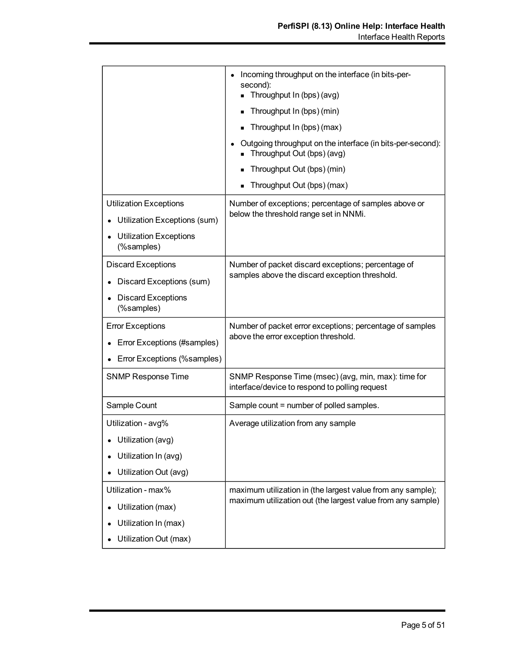|                                                                                                              | Incoming throughput on the interface (in bits-per-<br>$\bullet$<br>second):<br>Throughput In (bps) (avg)<br>Throughput In (bps) (min)<br>Throughput In (bps) (max)<br>Outgoing throughput on the interface (in bits-per-second):<br>Throughput Out (bps) (avg)<br>Throughput Out (bps) (min)<br>Throughput Out (bps) (max) |
|--------------------------------------------------------------------------------------------------------------|----------------------------------------------------------------------------------------------------------------------------------------------------------------------------------------------------------------------------------------------------------------------------------------------------------------------------|
| <b>Utilization Exceptions</b><br>Utilization Exceptions (sum)<br><b>Utilization Exceptions</b><br>(%samples) | Number of exceptions; percentage of samples above or<br>below the threshold range set in NNMi.                                                                                                                                                                                                                             |
| <b>Discard Exceptions</b><br>Discard Exceptions (sum)<br><b>Discard Exceptions</b><br>(%samples)             | Number of packet discard exceptions; percentage of<br>samples above the discard exception threshold.                                                                                                                                                                                                                       |
| <b>Error Exceptions</b><br>Error Exceptions (#samples)<br>Error Exceptions (%samples)                        | Number of packet error exceptions; percentage of samples<br>above the error exception threshold.                                                                                                                                                                                                                           |
| <b>SNMP Response Time</b>                                                                                    | SNMP Response Time (msec) (avg, min, max): time for<br>interface/device to respond to polling request                                                                                                                                                                                                                      |
| Sample Count                                                                                                 | Sample count = number of polled samples.                                                                                                                                                                                                                                                                                   |
| Utilization - avg%<br>Utilization (avg)<br>Utilization In (avg)<br>Utilization Out (avg)                     | Average utilization from any sample                                                                                                                                                                                                                                                                                        |
| Utilization - max%<br>Utilization (max)<br>Utilization In (max)<br>Utilization Out (max)                     | maximum utilization in (the largest value from any sample);<br>maximum utilization out (the largest value from any sample)                                                                                                                                                                                                 |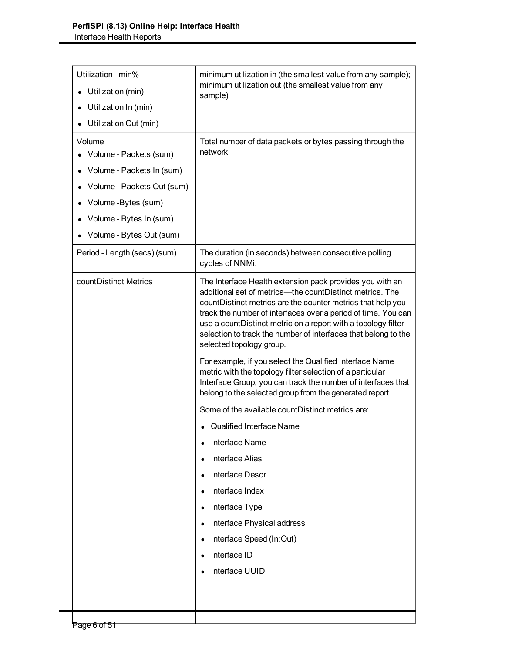| Utilization - min%<br>minimum utilization in (the smallest value from any sample);<br>minimum utilization out (the smallest value from any<br>Utilization (min)<br>sample)<br>Utilization In (min)<br>Utilization Out (min)<br>Volume<br>Total number of data packets or bytes passing through the<br>network<br>Volume - Packets (sum)<br>Volume - Packets In (sum)<br>Volume - Packets Out (sum)<br>Volume -Bytes (sum)<br>Volume - Bytes In (sum)<br>Volume - Bytes Out (sum)<br>The duration (in seconds) between consecutive polling<br>Period - Length (secs) (sum)<br>cycles of NNMi.<br>countDistinct Metrics<br>The Interface Health extension pack provides you with an<br>additional set of metrics-the countDistinct metrics. The<br>countDistinct metrics are the counter metrics that help you<br>track the number of interfaces over a period of time. You can<br>use a countDistinct metric on a report with a topology filter<br>selection to track the number of interfaces that belong to the<br>selected topology group.<br>For example, if you select the Qualified Interface Name<br>metric with the topology filter selection of a particular<br>Interface Group, you can track the number of interfaces that<br>belong to the selected group from the generated report.<br>Some of the available countDistinct metrics are:<br><b>Qualified Interface Name</b><br>Interface Name<br><b>Interface Alias</b><br><b>Interface Descr</b><br>Interface Index<br>Interface Type<br>$\bullet$<br>Interface Physical address<br>Interface Speed (In:Out)<br>Interface ID<br>Interface UUID |  |
|------------------------------------------------------------------------------------------------------------------------------------------------------------------------------------------------------------------------------------------------------------------------------------------------------------------------------------------------------------------------------------------------------------------------------------------------------------------------------------------------------------------------------------------------------------------------------------------------------------------------------------------------------------------------------------------------------------------------------------------------------------------------------------------------------------------------------------------------------------------------------------------------------------------------------------------------------------------------------------------------------------------------------------------------------------------------------------------------------------------------------------------------------------------------------------------------------------------------------------------------------------------------------------------------------------------------------------------------------------------------------------------------------------------------------------------------------------------------------------------------------------------------------------------------------------------------------------------------------------|--|
|                                                                                                                                                                                                                                                                                                                                                                                                                                                                                                                                                                                                                                                                                                                                                                                                                                                                                                                                                                                                                                                                                                                                                                                                                                                                                                                                                                                                                                                                                                                                                                                                            |  |
|                                                                                                                                                                                                                                                                                                                                                                                                                                                                                                                                                                                                                                                                                                                                                                                                                                                                                                                                                                                                                                                                                                                                                                                                                                                                                                                                                                                                                                                                                                                                                                                                            |  |
|                                                                                                                                                                                                                                                                                                                                                                                                                                                                                                                                                                                                                                                                                                                                                                                                                                                                                                                                                                                                                                                                                                                                                                                                                                                                                                                                                                                                                                                                                                                                                                                                            |  |
|                                                                                                                                                                                                                                                                                                                                                                                                                                                                                                                                                                                                                                                                                                                                                                                                                                                                                                                                                                                                                                                                                                                                                                                                                                                                                                                                                                                                                                                                                                                                                                                                            |  |
|                                                                                                                                                                                                                                                                                                                                                                                                                                                                                                                                                                                                                                                                                                                                                                                                                                                                                                                                                                                                                                                                                                                                                                                                                                                                                                                                                                                                                                                                                                                                                                                                            |  |
|                                                                                                                                                                                                                                                                                                                                                                                                                                                                                                                                                                                                                                                                                                                                                                                                                                                                                                                                                                                                                                                                                                                                                                                                                                                                                                                                                                                                                                                                                                                                                                                                            |  |
|                                                                                                                                                                                                                                                                                                                                                                                                                                                                                                                                                                                                                                                                                                                                                                                                                                                                                                                                                                                                                                                                                                                                                                                                                                                                                                                                                                                                                                                                                                                                                                                                            |  |
|                                                                                                                                                                                                                                                                                                                                                                                                                                                                                                                                                                                                                                                                                                                                                                                                                                                                                                                                                                                                                                                                                                                                                                                                                                                                                                                                                                                                                                                                                                                                                                                                            |  |
|                                                                                                                                                                                                                                                                                                                                                                                                                                                                                                                                                                                                                                                                                                                                                                                                                                                                                                                                                                                                                                                                                                                                                                                                                                                                                                                                                                                                                                                                                                                                                                                                            |  |
|                                                                                                                                                                                                                                                                                                                                                                                                                                                                                                                                                                                                                                                                                                                                                                                                                                                                                                                                                                                                                                                                                                                                                                                                                                                                                                                                                                                                                                                                                                                                                                                                            |  |
|                                                                                                                                                                                                                                                                                                                                                                                                                                                                                                                                                                                                                                                                                                                                                                                                                                                                                                                                                                                                                                                                                                                                                                                                                                                                                                                                                                                                                                                                                                                                                                                                            |  |
|                                                                                                                                                                                                                                                                                                                                                                                                                                                                                                                                                                                                                                                                                                                                                                                                                                                                                                                                                                                                                                                                                                                                                                                                                                                                                                                                                                                                                                                                                                                                                                                                            |  |
|                                                                                                                                                                                                                                                                                                                                                                                                                                                                                                                                                                                                                                                                                                                                                                                                                                                                                                                                                                                                                                                                                                                                                                                                                                                                                                                                                                                                                                                                                                                                                                                                            |  |
|                                                                                                                                                                                                                                                                                                                                                                                                                                                                                                                                                                                                                                                                                                                                                                                                                                                                                                                                                                                                                                                                                                                                                                                                                                                                                                                                                                                                                                                                                                                                                                                                            |  |
|                                                                                                                                                                                                                                                                                                                                                                                                                                                                                                                                                                                                                                                                                                                                                                                                                                                                                                                                                                                                                                                                                                                                                                                                                                                                                                                                                                                                                                                                                                                                                                                                            |  |
|                                                                                                                                                                                                                                                                                                                                                                                                                                                                                                                                                                                                                                                                                                                                                                                                                                                                                                                                                                                                                                                                                                                                                                                                                                                                                                                                                                                                                                                                                                                                                                                                            |  |
|                                                                                                                                                                                                                                                                                                                                                                                                                                                                                                                                                                                                                                                                                                                                                                                                                                                                                                                                                                                                                                                                                                                                                                                                                                                                                                                                                                                                                                                                                                                                                                                                            |  |
|                                                                                                                                                                                                                                                                                                                                                                                                                                                                                                                                                                                                                                                                                                                                                                                                                                                                                                                                                                                                                                                                                                                                                                                                                                                                                                                                                                                                                                                                                                                                                                                                            |  |
|                                                                                                                                                                                                                                                                                                                                                                                                                                                                                                                                                                                                                                                                                                                                                                                                                                                                                                                                                                                                                                                                                                                                                                                                                                                                                                                                                                                                                                                                                                                                                                                                            |  |
|                                                                                                                                                                                                                                                                                                                                                                                                                                                                                                                                                                                                                                                                                                                                                                                                                                                                                                                                                                                                                                                                                                                                                                                                                                                                                                                                                                                                                                                                                                                                                                                                            |  |
|                                                                                                                                                                                                                                                                                                                                                                                                                                                                                                                                                                                                                                                                                                                                                                                                                                                                                                                                                                                                                                                                                                                                                                                                                                                                                                                                                                                                                                                                                                                                                                                                            |  |
|                                                                                                                                                                                                                                                                                                                                                                                                                                                                                                                                                                                                                                                                                                                                                                                                                                                                                                                                                                                                                                                                                                                                                                                                                                                                                                                                                                                                                                                                                                                                                                                                            |  |
|                                                                                                                                                                                                                                                                                                                                                                                                                                                                                                                                                                                                                                                                                                                                                                                                                                                                                                                                                                                                                                                                                                                                                                                                                                                                                                                                                                                                                                                                                                                                                                                                            |  |
|                                                                                                                                                                                                                                                                                                                                                                                                                                                                                                                                                                                                                                                                                                                                                                                                                                                                                                                                                                                                                                                                                                                                                                                                                                                                                                                                                                                                                                                                                                                                                                                                            |  |
|                                                                                                                                                                                                                                                                                                                                                                                                                                                                                                                                                                                                                                                                                                                                                                                                                                                                                                                                                                                                                                                                                                                                                                                                                                                                                                                                                                                                                                                                                                                                                                                                            |  |
|                                                                                                                                                                                                                                                                                                                                                                                                                                                                                                                                                                                                                                                                                                                                                                                                                                                                                                                                                                                                                                                                                                                                                                                                                                                                                                                                                                                                                                                                                                                                                                                                            |  |
|                                                                                                                                                                                                                                                                                                                                                                                                                                                                                                                                                                                                                                                                                                                                                                                                                                                                                                                                                                                                                                                                                                                                                                                                                                                                                                                                                                                                                                                                                                                                                                                                            |  |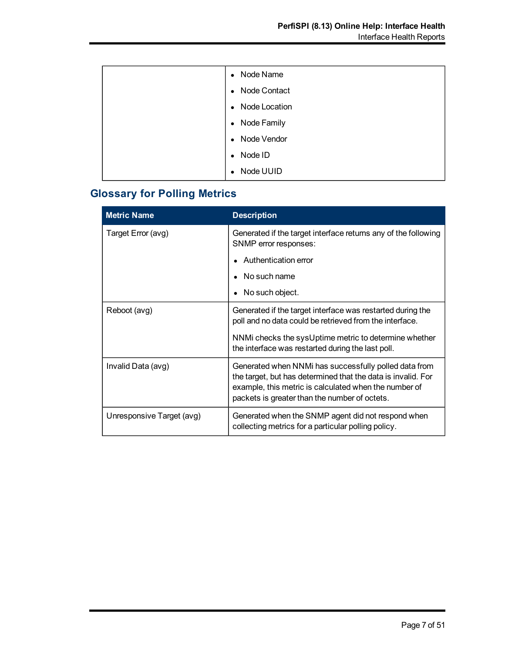| Node Name<br>$\bullet$     |
|----------------------------|
| Node Contact<br>$\bullet$  |
| Node Location<br>$\bullet$ |
| Node Family<br>$\bullet$   |
| Node Vendor<br>$\bullet$   |
| Node ID<br>$\bullet$       |
| Node UUID                  |

# **Glossary for Polling Metrics**

| <b>Metric Name</b>        | <b>Description</b>                                                                                                                                                                                                              |
|---------------------------|---------------------------------------------------------------------------------------------------------------------------------------------------------------------------------------------------------------------------------|
| Target Error (avg)        | Generated if the target interface returns any of the following<br>SNMP error responses:                                                                                                                                         |
|                           | Authentication error                                                                                                                                                                                                            |
|                           | No such name                                                                                                                                                                                                                    |
|                           | No such object.                                                                                                                                                                                                                 |
| Reboot (avg)              | Generated if the target interface was restarted during the<br>poll and no data could be retrieved from the interface.                                                                                                           |
|                           | NNMi checks the sysUptime metric to determine whether<br>the interface was restarted during the last poll.                                                                                                                      |
| Invalid Data (avg)        | Generated when NNMi has successfully polled data from<br>the target, but has determined that the data is invalid. For<br>example, this metric is calculated when the number of<br>packets is greater than the number of octets. |
| Unresponsive Target (avg) | Generated when the SNMP agent did not respond when<br>collecting metrics for a particular polling policy.                                                                                                                       |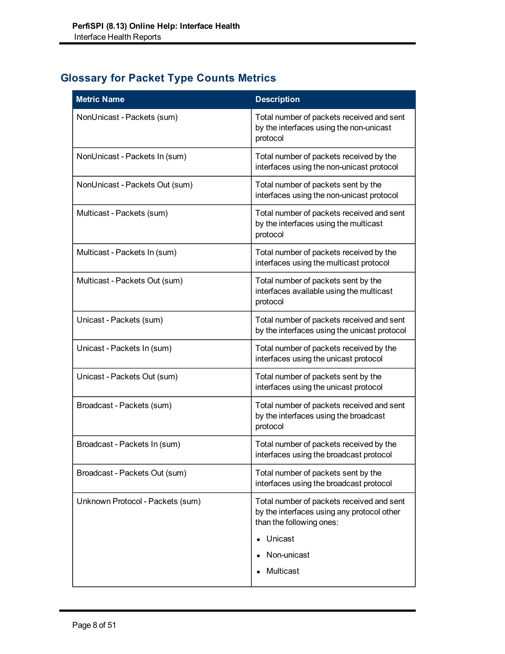# **Glossary for Packet Type Counts Metrics**

| <b>Metric Name</b>               | <b>Description</b>                                                                                                  |
|----------------------------------|---------------------------------------------------------------------------------------------------------------------|
| NonUnicast - Packets (sum)       | Total number of packets received and sent<br>by the interfaces using the non-unicast<br>protocol                    |
| NonUnicast - Packets In (sum)    | Total number of packets received by the<br>interfaces using the non-unicast protocol                                |
| NonUnicast - Packets Out (sum)   | Total number of packets sent by the<br>interfaces using the non-unicast protocol                                    |
| Multicast - Packets (sum)        | Total number of packets received and sent<br>by the interfaces using the multicast<br>protocol                      |
| Multicast - Packets In (sum)     | Total number of packets received by the<br>interfaces using the multicast protocol                                  |
| Multicast - Packets Out (sum)    | Total number of packets sent by the<br>interfaces available using the multicast<br>protocol                         |
| Unicast - Packets (sum)          | Total number of packets received and sent<br>by the interfaces using the unicast protocol                           |
| Unicast - Packets In (sum)       | Total number of packets received by the<br>interfaces using the unicast protocol                                    |
| Unicast - Packets Out (sum)      | Total number of packets sent by the<br>interfaces using the unicast protocol                                        |
| Broadcast - Packets (sum)        | Total number of packets received and sent<br>by the interfaces using the broadcast<br>protocol                      |
| Broadcast - Packets In (sum)     | Total number of packets received by the<br>interfaces using the broadcast protocol                                  |
| Broadcast - Packets Out (sum)    | Total number of packets sent by the<br>interfaces using the broadcast protocol                                      |
| Unknown Protocol - Packets (sum) | Total number of packets received and sent<br>by the interfaces using any protocol other<br>than the following ones: |
|                                  | Unicast                                                                                                             |
|                                  | Non-unicast                                                                                                         |
|                                  | Multicast                                                                                                           |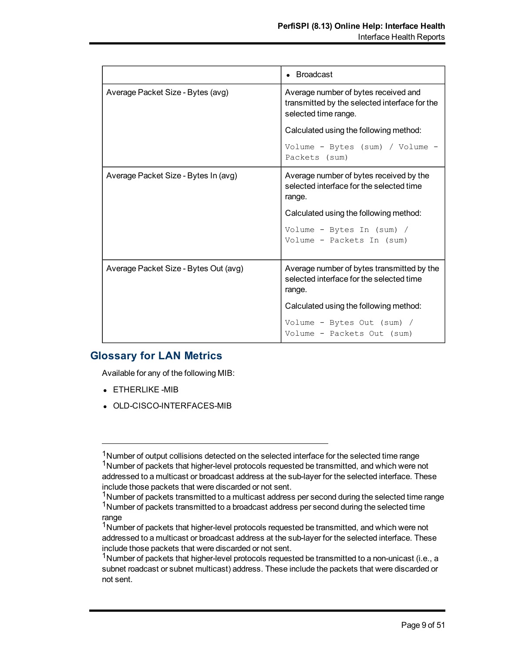|                                       | • Broadcast                                                                                                   |
|---------------------------------------|---------------------------------------------------------------------------------------------------------------|
| Average Packet Size - Bytes (avg)     | Average number of bytes received and<br>transmitted by the selected interface for the<br>selected time range. |
|                                       | Calculated using the following method:                                                                        |
|                                       | Volume - Bytes (sum) / Volume -<br>Packets (sum)                                                              |
| Average Packet Size - Bytes In (avg)  | Average number of bytes received by the<br>selected interface for the selected time<br>range.                 |
|                                       | Calculated using the following method:                                                                        |
|                                       | Volume - Bytes In (sum) /<br>Volume - Packets In (sum)                                                        |
| Average Packet Size - Bytes Out (avg) | Average number of bytes transmitted by the<br>selected interface for the selected time<br>range.              |
|                                       | Calculated using the following method:                                                                        |
|                                       | Volume - Bytes Out (sum) /<br>Volume - Packets Out (sum)                                                      |

### **Glossary for LAN Metrics**

Available for any of the following MIB:

- ETHERLIKE -MIB
- OLD-CISCO-INTERFACES-MIB

<sup>&</sup>lt;sup>1</sup>Number of output collisions detected on the selected interface for the selected time range <sup>1</sup>Number of packets that higher-level protocols requested be transmitted, and which were not addressed to a multicast or broadcast address at the sub-layer for the selected interface. These include those packets that were discarded or not sent.

 $1$ Number of packets transmitted to a multicast address per second during the selected time range  $1$ Number of packets transmitted to a broadcast address per second during the selected time range

<sup>&</sup>lt;sup>1</sup>Number of packets that higher-level protocols requested be transmitted, and which were not addressed to a multicast or broadcast address at the sub-layer for the selected interface. These include those packets that were discarded or not sent.

<sup>&</sup>lt;sup>1</sup>Number of packets that higher-level protocols requested be transmitted to a non-unicast (i.e., a subnet roadcast or subnet multicast) address. These include the packets that were discarded or not sent.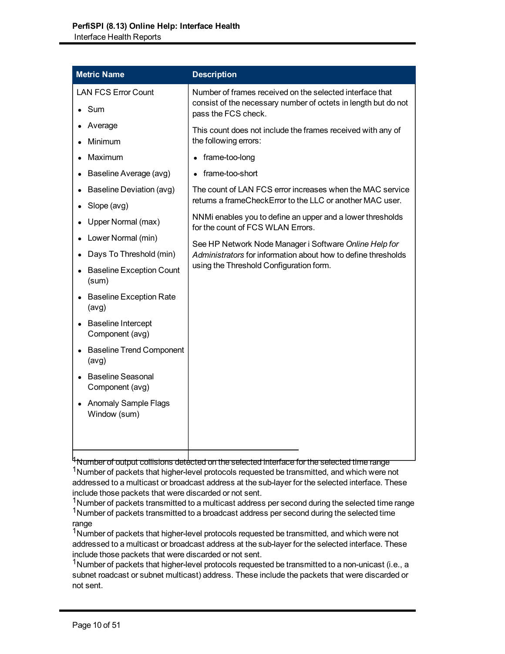| <b>Metric Name</b>                           | <b>Description</b>                                                                                                                                        |
|----------------------------------------------|-----------------------------------------------------------------------------------------------------------------------------------------------------------|
| <b>LAN FCS Error Count</b>                   | Number of frames received on the selected interface that                                                                                                  |
| Sum                                          | consist of the necessary number of octets in length but do not<br>pass the FCS check.                                                                     |
| Average                                      | This count does not include the frames received with any of                                                                                               |
| Minimum                                      | the following errors:                                                                                                                                     |
| Maximum                                      | frame-too-long                                                                                                                                            |
| Baseline Average (avg)                       | frame-too-short                                                                                                                                           |
| <b>Baseline Deviation (avg)</b>              | The count of LAN FCS error increases when the MAC service                                                                                                 |
| Slope (avg)                                  | returns a frameCheckError to the LLC or another MAC user.                                                                                                 |
| Upper Normal (max)                           | NNMi enables you to define an upper and a lower thresholds<br>for the count of FCS WLAN Errors.<br>See HP Network Node Manager i Software Online Help for |
| Lower Normal (min)                           |                                                                                                                                                           |
| Days To Threshold (min)                      | Administrators for information about how to define thresholds                                                                                             |
| <b>Baseline Exception Count</b><br>(sum)     | using the Threshold Configuration form.                                                                                                                   |
| <b>Baseline Exception Rate</b><br>(avg)      |                                                                                                                                                           |
| <b>Baseline Intercept</b><br>Component (avg) |                                                                                                                                                           |
| <b>Baseline Trend Component</b><br>(avg)     |                                                                                                                                                           |
| <b>Baseline Seasonal</b><br>Component (avg)  |                                                                                                                                                           |
| <b>Anomaly Sample Flags</b><br>Window (sum)  |                                                                                                                                                           |
|                                              |                                                                                                                                                           |

<sup>4</sup>Number of output collisions detected on the selected interface for the selected time range <sup>1</sup>Number of packets that higher-level protocols requested be transmitted, and which were not addressed to a multicast or broadcast address at the sub-layer for the selected interface. These include those packets that were discarded or not sent.

<sup>1</sup>Number of packets transmitted to a multicast address per second during the selected time range <sup>1</sup>Number of packets transmitted to a broadcast address per second during the selected time range

<sup>1</sup>Number of packets that higher-level protocols requested be transmitted, and which were not addressed to a multicast or broadcast address at the sub-layer for the selected interface. These include those packets that were discarded or not sent.

<sup>1</sup>Number of packets that higher-level protocols requested be transmitted to a non-unicast (i.e., a subnet roadcast or subnet multicast) address. These include the packets that were discarded or not sent.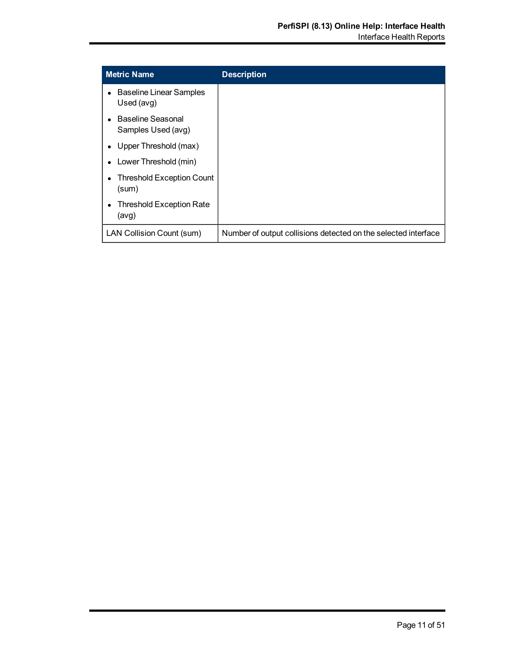| <b>Metric Name</b>                           | <b>Description</b>                                             |
|----------------------------------------------|----------------------------------------------------------------|
| <b>Baseline Linear Samples</b><br>Used (avg) |                                                                |
| Baseline Seasonal<br>Samples Used (avg)      |                                                                |
| Upper Threshold (max)                        |                                                                |
| Lower Threshold (min)                        |                                                                |
| <b>Threshold Exception Count</b><br>(sum)    |                                                                |
| <b>Threshold Exception Rate</b><br>(avg)     |                                                                |
| LAN Collision Count (sum)                    | Number of output collisions detected on the selected interface |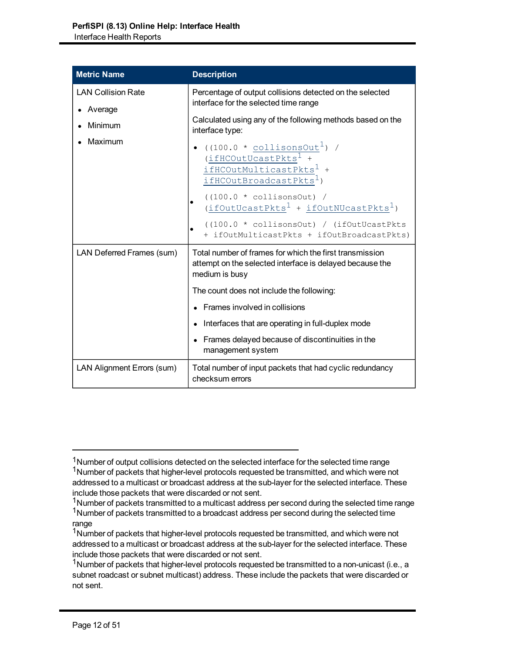| <b>Metric Name</b>                   | <b>Description</b>                                                                                                                                |
|--------------------------------------|---------------------------------------------------------------------------------------------------------------------------------------------------|
| <b>LAN Collision Rate</b><br>Average | Percentage of output collisions detected on the selected<br>interface for the selected time range                                                 |
| Minimum                              | Calculated using any of the following methods based on the<br>interface type:                                                                     |
| Maximum                              | $((100.0 * collisonsOut1)$ /<br>$(i$ fHCOutUcastPkts <sup>1</sup> +<br>ifHCOutMulticastPkts <sup>1</sup> +<br>ifHCOutBroadcastPkts <sup>1</sup> ) |
|                                      | $((100.0 * collisonsOut) /$<br>$(i$ fOutUcastPkts <sup>1</sup> + ifOutNUcastPkts <sup>1</sup> )                                                   |
|                                      | $(100.0 * collisonsOut) / (ifOutUcastPkts)$<br>+ ifOutMulticastPkts + ifOutBroadcastPkts)                                                         |
| LAN Deferred Frames (sum)            | Total number of frames for which the first transmission<br>attempt on the selected interface is delayed because the<br>medium is busy             |
|                                      | The count does not include the following:                                                                                                         |
|                                      | • Frames involved in collisions                                                                                                                   |
|                                      | Interfaces that are operating in full-duplex mode                                                                                                 |
|                                      | • Frames delayed because of discontinuities in the<br>management system                                                                           |
| LAN Alignment Errors (sum)           | Total number of input packets that had cyclic redundancy<br>checksum errors                                                                       |

<sup>&</sup>lt;sup>1</sup>Number of output collisions detected on the selected interface for the selected time range

<sup>&</sup>lt;sup>1</sup>Number of packets that higher-level protocols requested be transmitted, and which were not addressed to a multicast or broadcast address at the sub-layer for the selected interface. These include those packets that were discarded or not sent.

<sup>&</sup>lt;sup>1</sup>Number of packets transmitted to a multicast address per second during the selected time range <sup>1</sup>Number of packets transmitted to a broadcast address per second during the selected time range

<sup>&</sup>lt;sup>1</sup>Number of packets that higher-level protocols requested be transmitted, and which were not addressed to a multicast or broadcast address at the sub-layer for the selected interface. These include those packets that were discarded or not sent.

<sup>&</sup>lt;sup>1</sup>Number of packets that higher-level protocols requested be transmitted to a non-unicast (i.e., a subnet roadcast or subnet multicast) address. These include the packets that were discarded or not sent.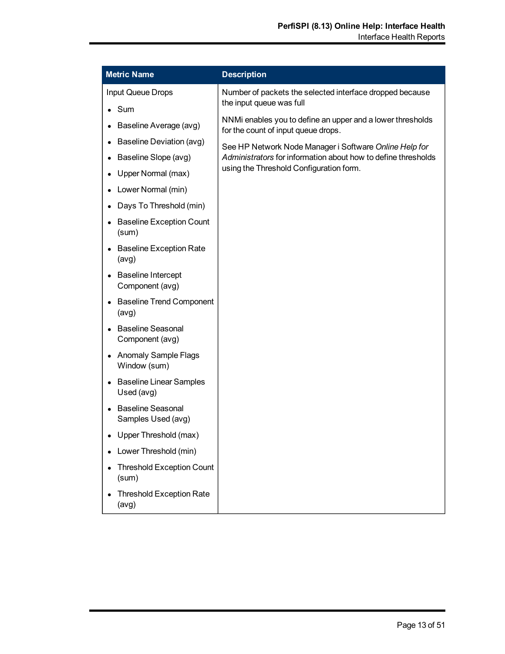| <b>Metric Name</b>                             | <b>Description</b>                                                                                |
|------------------------------------------------|---------------------------------------------------------------------------------------------------|
| Input Queue Drops                              | Number of packets the selected interface dropped because<br>the input queue was full              |
| $\bullet$ Sum                                  |                                                                                                   |
| Baseline Average (avg)                         | NNMi enables you to define an upper and a lower thresholds<br>for the count of input queue drops. |
| Baseline Deviation (avg)                       | See HP Network Node Manager i Software Online Help for                                            |
| Baseline Slope (avg)                           | Administrators for information about how to define thresholds                                     |
| Upper Normal (max)                             | using the Threshold Configuration form.                                                           |
| Lower Normal (min)                             |                                                                                                   |
| Days To Threshold (min)                        |                                                                                                   |
| <b>Baseline Exception Count</b><br>(sum)       |                                                                                                   |
| <b>Baseline Exception Rate</b><br>(avg)        |                                                                                                   |
| <b>Baseline Intercept</b><br>Component (avg)   |                                                                                                   |
| <b>Baseline Trend Component</b><br>(avg)       |                                                                                                   |
| <b>Baseline Seasonal</b><br>Component (avg)    |                                                                                                   |
| <b>Anomaly Sample Flags</b><br>Window (sum)    |                                                                                                   |
| <b>Baseline Linear Samples</b><br>Used (avg)   |                                                                                                   |
| <b>Baseline Seasonal</b><br>Samples Used (avg) |                                                                                                   |
| Upper Threshold (max)                          |                                                                                                   |
| Lower Threshold (min)                          |                                                                                                   |
| <b>Threshold Exception Count</b><br>(sum)      |                                                                                                   |
| <b>Threshold Exception Rate</b><br>(avg)       |                                                                                                   |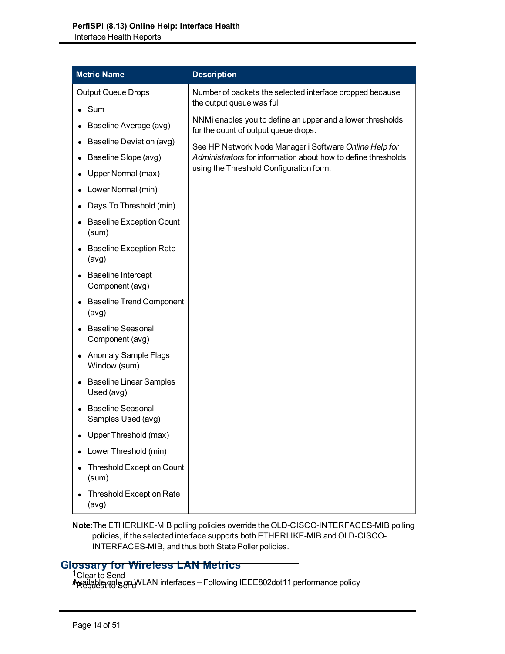| <b>Metric Name</b>                                      | <b>Description</b>                                                                                       |
|---------------------------------------------------------|----------------------------------------------------------------------------------------------------------|
| <b>Output Queue Drops</b>                               | Number of packets the selected interface dropped because<br>the output queue was full                    |
| $\bullet$ Sum<br>Baseline Average (avg)                 | NNMi enables you to define an upper and a lower thresholds                                               |
| <b>Baseline Deviation (avg)</b>                         | for the count of output queue drops.<br>See HP Network Node Manager i Software Online Help for           |
| Baseline Slope (avg)<br>$\bullet$<br>Upper Normal (max) | Administrators for information about how to define thresholds<br>using the Threshold Configuration form. |
| Lower Normal (min)                                      |                                                                                                          |
| Days To Threshold (min)                                 |                                                                                                          |
| <b>Baseline Exception Count</b><br>$\bullet$<br>(sum)   |                                                                                                          |
| <b>Baseline Exception Rate</b><br>(avg)                 |                                                                                                          |
| <b>Baseline Intercept</b><br>Component (avg)            |                                                                                                          |
| <b>Baseline Trend Component</b><br>(avg)                |                                                                                                          |
| <b>Baseline Seasonal</b><br>Component (avg)             |                                                                                                          |
| <b>Anomaly Sample Flags</b><br>Window (sum)             |                                                                                                          |
| • Baseline Linear Samples<br>Used (avg)                 |                                                                                                          |
| <b>Baseline Seasonal</b><br>Samples Used (avg)          |                                                                                                          |
| Upper Threshold (max)                                   |                                                                                                          |
| Lower Threshold (min)                                   |                                                                                                          |
| <b>Threshold Exception Count</b><br>(sum)               |                                                                                                          |
| <b>Threshold Exception Rate</b><br>(avg)                |                                                                                                          |

#### **Note:**The ETHERLIKE-MIB polling policies override the OLD-CISCO-INTERFACES-MIB polling policies, if the selected interface supports both ETHERLIKE-MIB and OLD-CISCO-INTERFACES-MIB, and thus both State Poller policies.

# **Glossary for Wireless LAN Metrics**

<sup>1</sup>Clear to Send

Available only only only interfaces – Following IEEE802dot11 performance policy A<del>N SURBER O</del>R SEND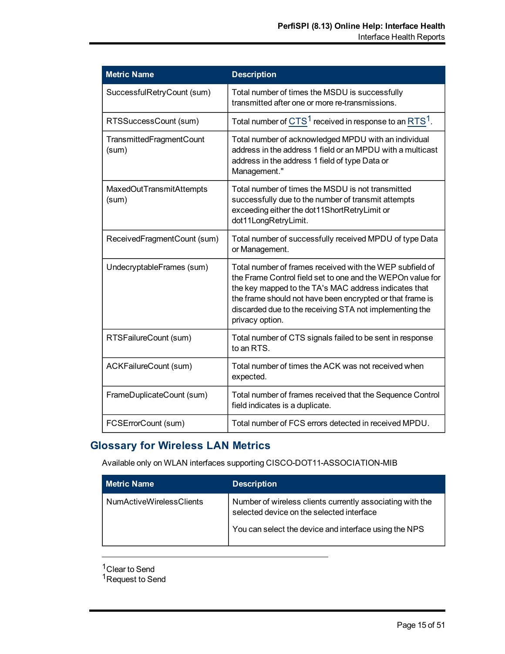| <b>Metric Name</b>                | <b>Description</b>                                                                                                                                                                                                                                                                                                         |
|-----------------------------------|----------------------------------------------------------------------------------------------------------------------------------------------------------------------------------------------------------------------------------------------------------------------------------------------------------------------------|
| SuccessfulRetryCount (sum)        | Total number of times the MSDU is successfully<br>transmitted after one or more re-transmissions.                                                                                                                                                                                                                          |
| RTSSuccessCount (sum)             | Total number of $CTS1$ received in response to an RTS <sup>1</sup> .                                                                                                                                                                                                                                                       |
| TransmittedFragmentCount<br>(sum) | Total number of acknowledged MPDU with an individual<br>address in the address 1 field or an MPDU with a multicast<br>address in the address 1 field of type Data or<br>Management."                                                                                                                                       |
| MaxedOutTransmitAttempts<br>(sum) | Total number of times the MSDU is not transmitted<br>successfully due to the number of transmit attempts<br>exceeding either the dot11ShortRetryLimit or<br>dot11LongRetryLimit.                                                                                                                                           |
| ReceivedFragmentCount (sum)       | Total number of successfully received MPDU of type Data<br>or Management.                                                                                                                                                                                                                                                  |
| UndecryptableFrames (sum)         | Total number of frames received with the WEP subfield of<br>the Frame Control field set to one and the WEPOn value for<br>the key mapped to the TA's MAC address indicates that<br>the frame should not have been encrypted or that frame is<br>discarded due to the receiving STA not implementing the<br>privacy option. |
| RTSFailureCount (sum)             | Total number of CTS signals failed to be sent in response<br>to an RTS.                                                                                                                                                                                                                                                    |
| ACKFailureCount (sum)             | Total number of times the ACK was not received when<br>expected.                                                                                                                                                                                                                                                           |
| FrameDuplicateCount (sum)         | Total number of frames received that the Sequence Control<br>field indicates is a duplicate.                                                                                                                                                                                                                               |
| FCSErrorCount (sum)               | Total number of FCS errors detected in received MPDU.                                                                                                                                                                                                                                                                      |

# **Glossary for Wireless LAN Metrics**

Available only on WLAN interfaces supporting CISCO-DOT11-ASSOCIATION-MIB

| <b>Metric Name</b>       | <b>Description</b>                                                                                     |
|--------------------------|--------------------------------------------------------------------------------------------------------|
| NumActiveWirelessClients | Number of wireless clients currently associating with the<br>selected device on the selected interface |
|                          | You can select the device and interface using the NPS                                                  |

 $1$ Clear to Send <sup>1</sup>Request to Send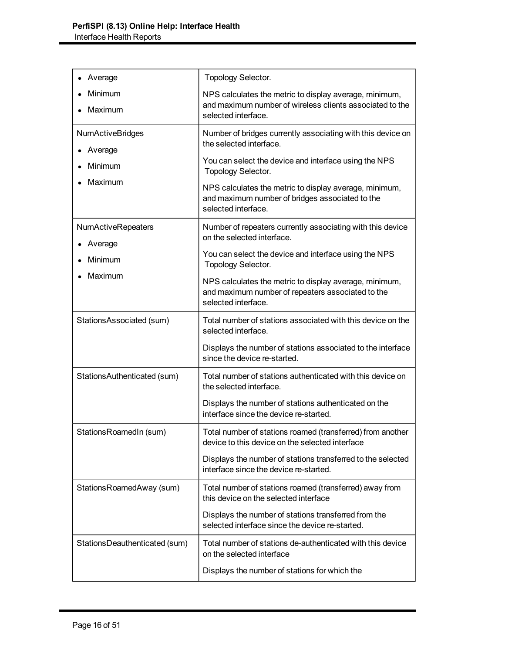| Average                              | <b>Topology Selector.</b>                                                                                                                 |
|--------------------------------------|-------------------------------------------------------------------------------------------------------------------------------------------|
| Minimum<br>Maximum                   | NPS calculates the metric to display average, minimum,<br>and maximum number of wireless clients associated to the<br>selected interface. |
| <b>NumActiveBridges</b><br>Average   | Number of bridges currently associating with this device on<br>the selected interface.                                                    |
| Minimum                              | You can select the device and interface using the NPS<br>Topology Selector.                                                               |
| Maximum                              | NPS calculates the metric to display average, minimum,<br>and maximum number of bridges associated to the<br>selected interface.          |
| <b>NumActiveRepeaters</b><br>Average | Number of repeaters currently associating with this device<br>on the selected interface.                                                  |
| Minimum                              | You can select the device and interface using the NPS<br><b>Topology Selector.</b>                                                        |
| Maximum                              | NPS calculates the metric to display average, minimum,<br>and maximum number of repeaters associated to the<br>selected interface.        |
| StationsAssociated (sum)             | Total number of stations associated with this device on the<br>selected interface.                                                        |
|                                      | Displays the number of stations associated to the interface<br>since the device re-started.                                               |
| StationsAuthenticated (sum)          | Total number of stations authenticated with this device on<br>the selected interface.                                                     |
|                                      | Displays the number of stations authenticated on the<br>interface since the device re-started.                                            |
| StationsRoamedIn (sum)               | Total number of stations roamed (transferred) from another<br>device to this device on the selected interface                             |
|                                      | Displays the number of stations transferred to the selected<br>interface since the device re-started.                                     |
| StationsRoamedAway (sum)             | Total number of stations roamed (transferred) away from<br>this device on the selected interface                                          |
|                                      | Displays the number of stations transferred from the<br>selected interface since the device re-started.                                   |
| StationsDeauthenticated (sum)        | Total number of stations de-authenticated with this device<br>on the selected interface                                                   |
|                                      | Displays the number of stations for which the                                                                                             |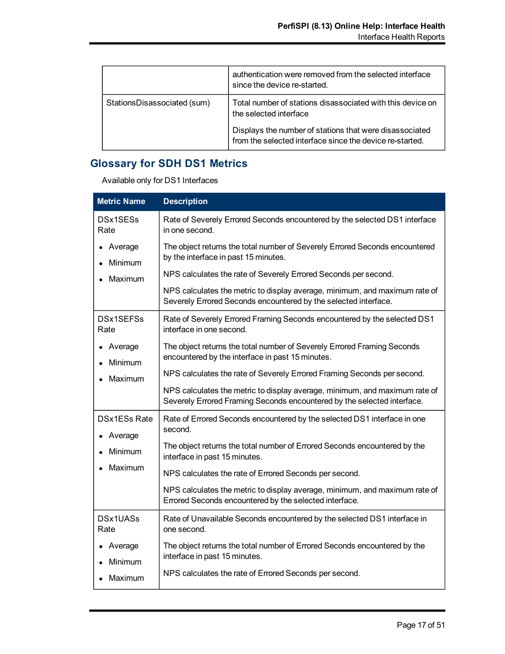|                             | authentication were removed from the selected interface<br>since the device re-started.                             |
|-----------------------------|---------------------------------------------------------------------------------------------------------------------|
| StationsDisassociated (sum) | Total number of stations disassociated with this device on<br>the selected interface                                |
|                             | Displays the number of stations that were disassociated<br>from the selected interface since the device re-started. |

# **Glossary for SDH DS1 Metrics**

Available only for DS1 Interfaces

| <b>Metric Name</b>             | <b>Description</b>                                                                                                                                    |
|--------------------------------|-------------------------------------------------------------------------------------------------------------------------------------------------------|
| DSx1SESs<br>Rate               | Rate of Severely Errored Seconds encountered by the selected DS1 interface<br>in one second.                                                          |
| Average<br>Minimum             | The object returns the total number of Severely Errored Seconds encountered<br>by the interface in past 15 minutes.                                   |
| Maximum                        | NPS calculates the rate of Severely Errored Seconds per second.                                                                                       |
|                                | NPS calculates the metric to display average, minimum, and maximum rate of<br>Severely Errored Seconds encountered by the selected interface.         |
| DSx1SEFSs<br>Rate              | Rate of Severely Errored Framing Seconds encountered by the selected DS1<br>interface in one second.                                                  |
| Average<br>Minimum             | The object returns the total number of Severely Errored Framing Seconds<br>encountered by the interface in past 15 minutes.                           |
| Maximum                        | NPS calculates the rate of Severely Errored Framing Seconds per second.                                                                               |
|                                | NPS calculates the metric to display average, minimum, and maximum rate of<br>Severely Errored Framing Seconds encountered by the selected interface. |
| <b>DSx1ESs Rate</b><br>Average | Rate of Errored Seconds encountered by the selected DS1 interface in one<br>second.                                                                   |
| Minimum                        | The object returns the total number of Errored Seconds encountered by the<br>interface in past 15 minutes.                                            |
| Maximum                        | NPS calculates the rate of Errored Seconds per second.                                                                                                |
|                                | NPS calculates the metric to display average, minimum, and maximum rate of<br>Errored Seconds encountered by the selected interface.                  |
| <b>DSx1UASs</b><br>Rate        | Rate of Unavailable Seconds encountered by the selected DS1 interface in<br>one second.                                                               |
| Average<br><b>Minimum</b>      | The object returns the total number of Errored Seconds encountered by the<br>interface in past 15 minutes.                                            |
| Maximum<br>$\bullet$           | NPS calculates the rate of Errored Seconds per second.                                                                                                |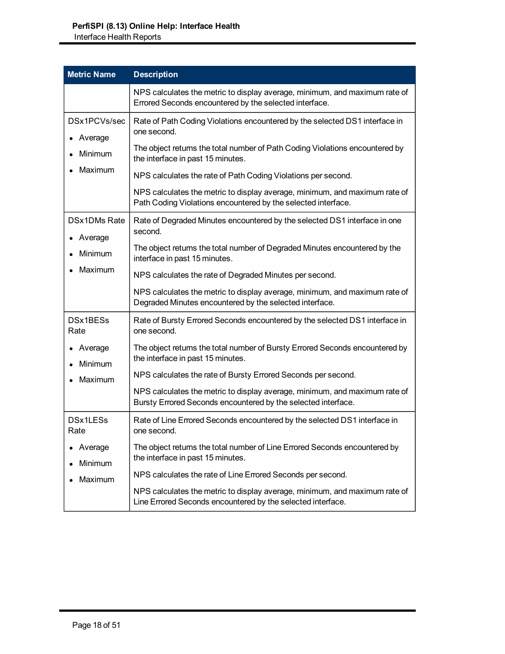| <b>Metric Name</b>      | <b>Description</b>                                                                                                                          |
|-------------------------|---------------------------------------------------------------------------------------------------------------------------------------------|
|                         | NPS calculates the metric to display average, minimum, and maximum rate of<br>Errored Seconds encountered by the selected interface.        |
| DSx1PCVs/sec<br>Average | Rate of Path Coding Violations encountered by the selected DS1 interface in<br>one second.                                                  |
| <b>Minimum</b>          | The object returns the total number of Path Coding Violations encountered by<br>the interface in past 15 minutes.                           |
| Maximum                 | NPS calculates the rate of Path Coding Violations per second.                                                                               |
|                         | NPS calculates the metric to display average, minimum, and maximum rate of<br>Path Coding Violations encountered by the selected interface. |
| DSx1DMs Rate<br>Average | Rate of Degraded Minutes encountered by the selected DS1 interface in one<br>second.                                                        |
| Minimum                 | The object returns the total number of Degraded Minutes encountered by the<br>interface in past 15 minutes.                                 |
| Maximum                 | NPS calculates the rate of Degraded Minutes per second.                                                                                     |
|                         | NPS calculates the metric to display average, minimum, and maximum rate of<br>Degraded Minutes encountered by the selected interface.       |
| DSx1BESs<br>Rate        | Rate of Bursty Errored Seconds encountered by the selected DS1 interface in<br>one second.                                                  |
| Average<br>Minimum      | The object returns the total number of Bursty Errored Seconds encountered by<br>the interface in past 15 minutes.                           |
| Maximum                 | NPS calculates the rate of Bursty Errored Seconds per second.                                                                               |
|                         | NPS calculates the metric to display average, minimum, and maximum rate of<br>Bursty Errored Seconds encountered by the selected interface. |
| DSx1LESs<br>Rate        | Rate of Line Errored Seconds encountered by the selected DS1 interface in<br>one second.                                                    |
| Average<br>Minimum      | The object returns the total number of Line Errored Seconds encountered by<br>the interface in past 15 minutes.                             |
| Maximum                 | NPS calculates the rate of Line Errored Seconds per second.                                                                                 |
|                         | NPS calculates the metric to display average, minimum, and maximum rate of<br>Line Errored Seconds encountered by the selected interface.   |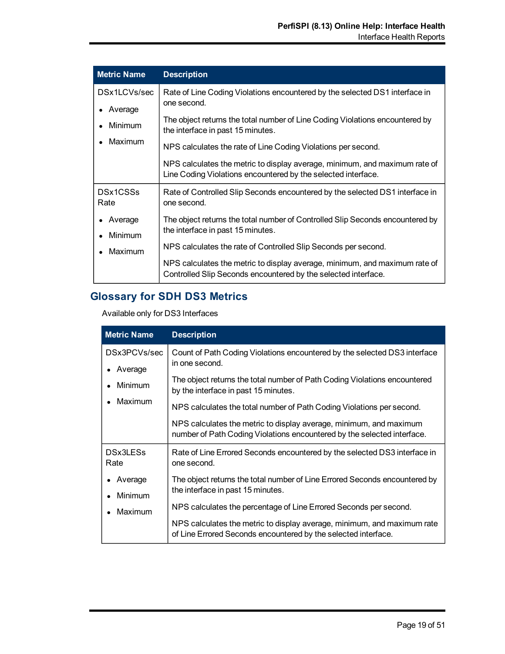| <b>Metric Name</b>      | <b>Description</b>                                                                                                                           |
|-------------------------|----------------------------------------------------------------------------------------------------------------------------------------------|
| DSx1LCVs/sec<br>Average | Rate of Line Coding Violations encountered by the selected DS1 interface in<br>one second.                                                   |
| Minimum                 | The object returns the total number of Line Coding Violations encountered by<br>the interface in past 15 minutes.                            |
| Maximum                 | NPS calculates the rate of Line Coding Violations per second.                                                                                |
|                         | NPS calculates the metric to display average, minimum, and maximum rate of<br>Line Coding Violations encountered by the selected interface.  |
| DSx1CSSs<br>Rate        | Rate of Controlled Slip Seconds encountered by the selected DS1 interface in<br>one second.                                                  |
| Average                 | The object returns the total number of Controlled Slip Seconds encountered by                                                                |
| Minimum                 | the interface in past 15 minutes.                                                                                                            |
| Maximum                 | NPS calculates the rate of Controlled Slip Seconds per second.                                                                               |
|                         | NPS calculates the metric to display average, minimum, and maximum rate of<br>Controlled Slip Seconds encountered by the selected interface. |

# **Glossary for SDH DS3 Metrics**

Available only for DS3 Interfaces

| <b>Metric Name</b>                            | <b>Description</b>                                                                                                                            |
|-----------------------------------------------|-----------------------------------------------------------------------------------------------------------------------------------------------|
| DSx3PCVs/sec<br>Average<br>Minimum<br>Maximum | Count of Path Coding Violations encountered by the selected DS3 interface<br>in one second.                                                   |
|                                               | The object returns the total number of Path Coding Violations encountered<br>by the interface in past 15 minutes.                             |
|                                               | NPS calculates the total number of Path Coding Violations per second.                                                                         |
|                                               | NPS calculates the metric to display average, minimum, and maximum<br>number of Path Coding Violations encountered by the selected interface. |
| DSx3LESs<br>Rate                              | Rate of Line Errored Seconds encountered by the selected DS3 interface in<br>one second.                                                      |
| Average<br><b>Minimum</b>                     | The object returns the total number of Line Errored Seconds encountered by<br>the interface in past 15 minutes.                               |
| Maximum                                       | NPS calculates the percentage of Line Errored Seconds per second.                                                                             |
|                                               | NPS calculates the metric to display average, minimum, and maximum rate<br>of Line Errored Seconds encountered by the selected interface.     |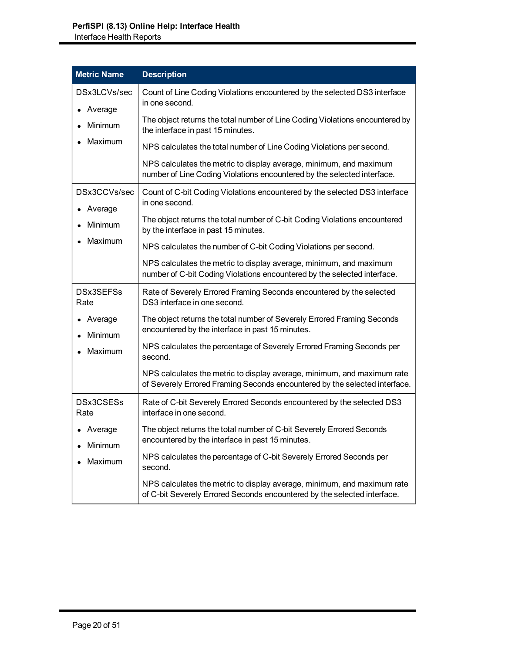| <b>Metric Name</b>                        | <b>Description</b>                                                                                                                                    |
|-------------------------------------------|-------------------------------------------------------------------------------------------------------------------------------------------------------|
| DSx3LCVs/sec<br>Average<br><b>Minimum</b> | Count of Line Coding Violations encountered by the selected DS3 interface<br>in one second.                                                           |
|                                           | The object returns the total number of Line Coding Violations encountered by<br>the interface in past 15 minutes.                                     |
| Maximum                                   | NPS calculates the total number of Line Coding Violations per second.                                                                                 |
|                                           | NPS calculates the metric to display average, minimum, and maximum<br>number of Line Coding Violations encountered by the selected interface.         |
| DSx3CCVs/sec<br>Average<br>Minimum        | Count of C-bit Coding Violations encountered by the selected DS3 interface<br>in one second.                                                          |
|                                           | The object returns the total number of C-bit Coding Violations encountered<br>by the interface in past 15 minutes.                                    |
| Maximum                                   | NPS calculates the number of C-bit Coding Violations per second.                                                                                      |
|                                           | NPS calculates the metric to display average, minimum, and maximum<br>number of C-bit Coding Violations encountered by the selected interface.        |
| DSx3SEFSs<br>Rate                         | Rate of Severely Errored Framing Seconds encountered by the selected<br>DS3 interface in one second.                                                  |
| Average<br>Minimum<br>Maximum             | The object returns the total number of Severely Errored Framing Seconds<br>encountered by the interface in past 15 minutes.                           |
|                                           | NPS calculates the percentage of Severely Errored Framing Seconds per<br>second.                                                                      |
|                                           | NPS calculates the metric to display average, minimum, and maximum rate<br>of Severely Errored Framing Seconds encountered by the selected interface. |
| DSx3CSESs<br>Rate                         | Rate of C-bit Severely Errored Seconds encountered by the selected DS3<br>interface in one second.                                                    |
| • Average<br>Minimum<br>Maximum           | The object returns the total number of C-bit Severely Errored Seconds<br>encountered by the interface in past 15 minutes.                             |
|                                           | NPS calculates the percentage of C-bit Severely Errored Seconds per<br>second.                                                                        |
|                                           | NPS calculates the metric to display average, minimum, and maximum rate<br>of C-bit Severely Errored Seconds encountered by the selected interface.   |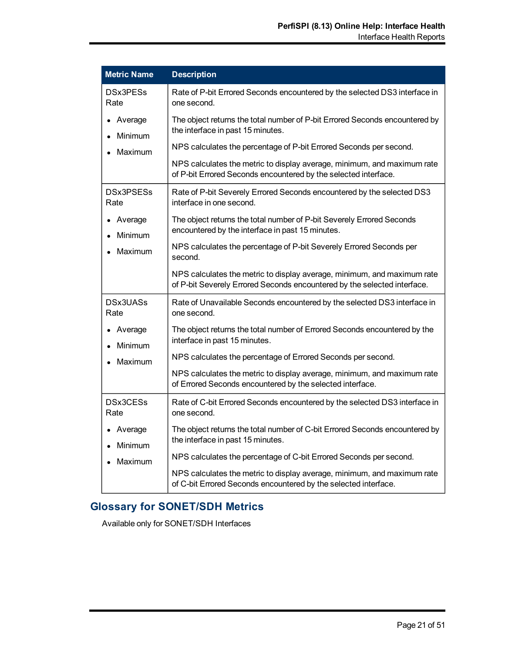| <b>Metric Name</b>            | <b>Description</b>                                                                                                                                  |
|-------------------------------|-----------------------------------------------------------------------------------------------------------------------------------------------------|
| DSx3PESs<br>Rate              | Rate of P-bit Errored Seconds encountered by the selected DS3 interface in<br>one second.                                                           |
| Average<br>Minimum<br>Maximum | The object returns the total number of P-bit Errored Seconds encountered by<br>the interface in past 15 minutes.                                    |
|                               | NPS calculates the percentage of P-bit Errored Seconds per second.                                                                                  |
|                               | NPS calculates the metric to display average, minimum, and maximum rate<br>of P-bit Errored Seconds encountered by the selected interface.          |
| DSx3PSESs<br>Rate             | Rate of P-bit Severely Errored Seconds encountered by the selected DS3<br>interface in one second.                                                  |
| Average<br>Minimum<br>Maximum | The object returns the total number of P-bit Severely Errored Seconds<br>encountered by the interface in past 15 minutes.                           |
|                               | NPS calculates the percentage of P-bit Severely Errored Seconds per<br>second.                                                                      |
|                               | NPS calculates the metric to display average, minimum, and maximum rate<br>of P-bit Severely Errored Seconds encountered by the selected interface. |
| DSx3UASs<br>Rate              | Rate of Unavailable Seconds encountered by the selected DS3 interface in<br>one second.                                                             |
| Average<br>Minimum            | The object returns the total number of Errored Seconds encountered by the<br>interface in past 15 minutes.                                          |
| Maximum                       | NPS calculates the percentage of Errored Seconds per second.                                                                                        |
|                               | NPS calculates the metric to display average, minimum, and maximum rate<br>of Errored Seconds encountered by the selected interface.                |
| DSx3CESs<br>Rate              | Rate of C-bit Errored Seconds encountered by the selected DS3 interface in<br>one second.                                                           |
| Average<br>Minimum            | The object returns the total number of C-bit Errored Seconds encountered by<br>the interface in past 15 minutes.                                    |
| Maximum                       | NPS calculates the percentage of C-bit Errored Seconds per second.                                                                                  |
|                               | NPS calculates the metric to display average, minimum, and maximum rate<br>of C-bit Errored Seconds encountered by the selected interface.          |

# **Glossary for SONET/SDH Metrics**

Available only for SONET/SDH Interfaces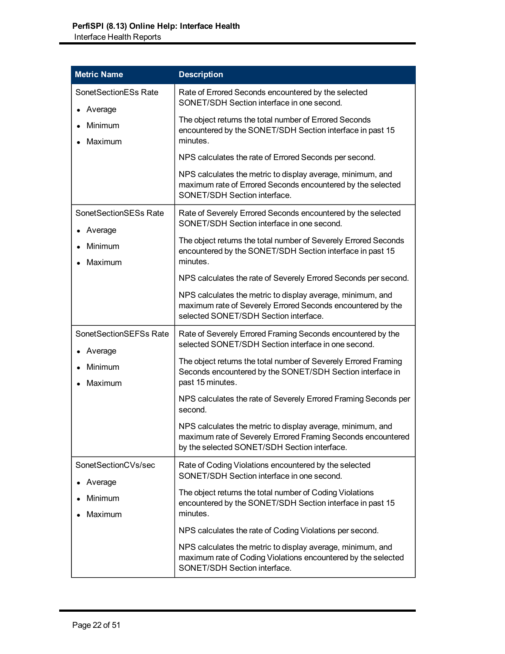| <b>Metric Name</b>                                      | <b>Description</b>                                                                                                                                                                                                                                                                                                                                                                                                                                                                                                                 |
|---------------------------------------------------------|------------------------------------------------------------------------------------------------------------------------------------------------------------------------------------------------------------------------------------------------------------------------------------------------------------------------------------------------------------------------------------------------------------------------------------------------------------------------------------------------------------------------------------|
| SonetSectionESs Rate<br>Average<br>Minimum<br>Maximum   | Rate of Errored Seconds encountered by the selected<br>SONET/SDH Section interface in one second.<br>The object returns the total number of Errored Seconds<br>encountered by the SONET/SDH Section interface in past 15<br>minutes.<br>NPS calculates the rate of Errored Seconds per second.<br>NPS calculates the metric to display average, minimum, and<br>maximum rate of Errored Seconds encountered by the selected<br>SONET/SDH Section interface.                                                                        |
| SonetSectionSESs Rate<br>Average<br>Minimum<br>Maximum  | Rate of Severely Errored Seconds encountered by the selected<br>SONET/SDH Section interface in one second.<br>The object returns the total number of Severely Errored Seconds<br>encountered by the SONET/SDH Section interface in past 15<br>minutes.<br>NPS calculates the rate of Severely Errored Seconds per second.<br>NPS calculates the metric to display average, minimum, and<br>maximum rate of Severely Errored Seconds encountered by the<br>selected SONET/SDH Section interface.                                    |
| SonetSectionSEFSs Rate<br>Average<br>Minimum<br>Maximum | Rate of Severely Errored Framing Seconds encountered by the<br>selected SONET/SDH Section interface in one second.<br>The object returns the total number of Severely Errored Framing<br>Seconds encountered by the SONET/SDH Section interface in<br>past 15 minutes.<br>NPS calculates the rate of Severely Errored Framing Seconds per<br>second.<br>NPS calculates the metric to display average, minimum, and<br>maximum rate of Severely Errored Framing Seconds encountered<br>by the selected SONET/SDH Section interface. |
| SonetSectionCVs/sec<br>Average<br>Minimum<br>Maximum    | Rate of Coding Violations encountered by the selected<br>SONET/SDH Section interface in one second.<br>The object returns the total number of Coding Violations<br>encountered by the SONET/SDH Section interface in past 15<br>minutes.<br>NPS calculates the rate of Coding Violations per second.<br>NPS calculates the metric to display average, minimum, and<br>maximum rate of Coding Violations encountered by the selected<br>SONET/SDH Section interface.                                                                |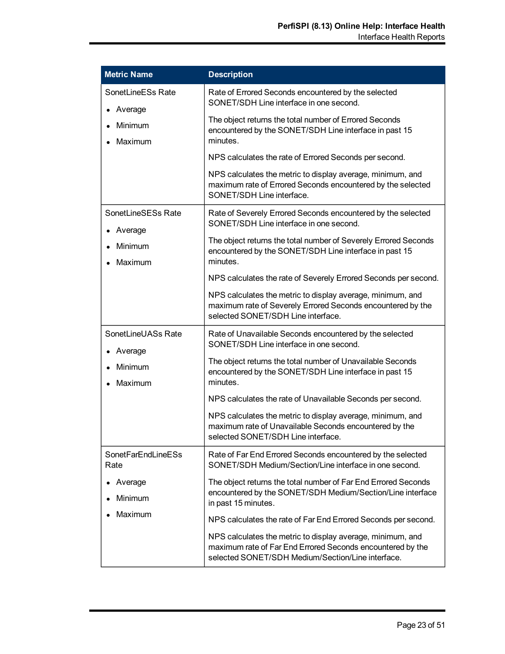| <b>Metric Name</b>                                 | <b>Description</b>                                                                                                                                                                                                             |
|----------------------------------------------------|--------------------------------------------------------------------------------------------------------------------------------------------------------------------------------------------------------------------------------|
| SonetLineESs Rate<br>Average<br>Minimum<br>Maximum | Rate of Errored Seconds encountered by the selected<br>SONET/SDH Line interface in one second.<br>The object returns the total number of Errored Seconds<br>encountered by the SONET/SDH Line interface in past 15<br>minutes. |
|                                                    | NPS calculates the rate of Errored Seconds per second.                                                                                                                                                                         |
|                                                    | NPS calculates the metric to display average, minimum, and<br>maximum rate of Errored Seconds encountered by the selected<br>SONET/SDH Line interface.                                                                         |
| SonetLineSESs Rate<br>Average                      | Rate of Severely Errored Seconds encountered by the selected<br>SONET/SDH Line interface in one second.                                                                                                                        |
| Minimum<br>Maximum                                 | The object returns the total number of Severely Errored Seconds<br>encountered by the SONET/SDH Line interface in past 15<br>minutes.                                                                                          |
|                                                    | NPS calculates the rate of Severely Errored Seconds per second.                                                                                                                                                                |
|                                                    | NPS calculates the metric to display average, minimum, and<br>maximum rate of Severely Errored Seconds encountered by the<br>selected SONET/SDH Line interface.                                                                |
| SonetLineUASs Rate<br>• Average                    | Rate of Unavailable Seconds encountered by the selected<br>SONET/SDH Line interface in one second.                                                                                                                             |
| Minimum<br>Maximum                                 | The object returns the total number of Unavailable Seconds<br>encountered by the SONET/SDH Line interface in past 15<br>minutes.                                                                                               |
|                                                    | NPS calculates the rate of Unavailable Seconds per second.                                                                                                                                                                     |
|                                                    | NPS calculates the metric to display average, minimum, and<br>maximum rate of Unavailable Seconds encountered by the<br>selected SONET/SDH Line interface.                                                                     |
| SonetFarEndLineESs<br>Rate                         | Rate of Far End Errored Seconds encountered by the selected<br>SONET/SDH Medium/Section/Line interface in one second.                                                                                                          |
| Average                                            | The object returns the total number of Far End Errored Seconds<br>encountered by the SONET/SDH Medium/Section/Line interface                                                                                                   |
| Minimum<br>Maximum                                 | in past 15 minutes.                                                                                                                                                                                                            |
|                                                    | NPS calculates the rate of Far End Errored Seconds per second.                                                                                                                                                                 |
|                                                    | NPS calculates the metric to display average, minimum, and<br>maximum rate of Far End Errored Seconds encountered by the<br>selected SONET/SDH Medium/Section/Line interface.                                                  |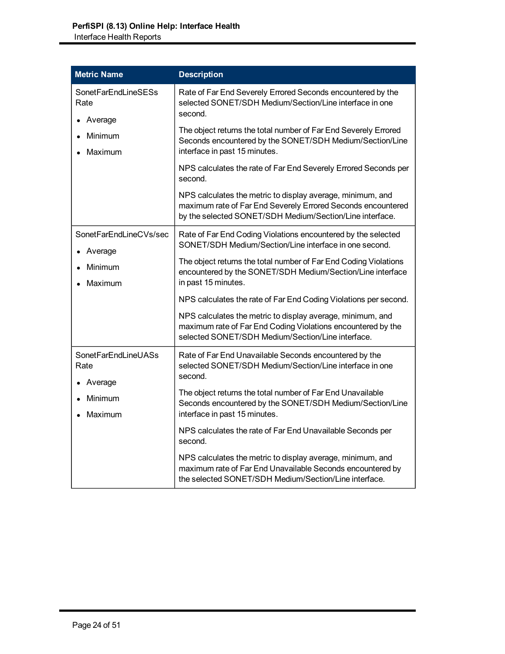| <b>Metric Name</b>                     | <b>Description</b>                                                                                                                                                                     |
|----------------------------------------|----------------------------------------------------------------------------------------------------------------------------------------------------------------------------------------|
| SonetFarEndLineSESs<br>Rate<br>Average | Rate of Far End Severely Errored Seconds encountered by the<br>selected SONET/SDH Medium/Section/Line interface in one<br>second.                                                      |
| Minimum<br>Maximum                     | The object returns the total number of Far End Severely Errored<br>Seconds encountered by the SONET/SDH Medium/Section/Line<br>interface in past 15 minutes.                           |
|                                        | NPS calculates the rate of Far End Severely Errored Seconds per<br>second.                                                                                                             |
|                                        | NPS calculates the metric to display average, minimum, and<br>maximum rate of Far End Severely Errored Seconds encountered<br>by the selected SONET/SDH Medium/Section/Line interface. |
| SonetFarEndLineCVs/sec<br>Average      | Rate of Far End Coding Violations encountered by the selected<br>SONET/SDH Medium/Section/Line interface in one second.                                                                |
| Minimum<br>Maximum                     | The object returns the total number of Far End Coding Violations<br>encountered by the SONET/SDH Medium/Section/Line interface<br>in past 15 minutes.                                  |
|                                        | NPS calculates the rate of Far End Coding Violations per second.                                                                                                                       |
|                                        | NPS calculates the metric to display average, minimum, and<br>maximum rate of Far End Coding Violations encountered by the<br>selected SONET/SDH Medium/Section/Line interface.        |
| SonetFarEndLineUASs<br>Rate<br>Average | Rate of Far End Unavailable Seconds encountered by the<br>selected SONET/SDH Medium/Section/Line interface in one<br>second.                                                           |
| Minimum<br>Maximum                     | The object returns the total number of Far End Unavailable<br>Seconds encountered by the SONET/SDH Medium/Section/Line<br>interface in past 15 minutes.                                |
|                                        | NPS calculates the rate of Far End Unavailable Seconds per<br>second.                                                                                                                  |
|                                        | NPS calculates the metric to display average, minimum, and<br>maximum rate of Far End Unavailable Seconds encountered by<br>the selected SONET/SDH Medium/Section/Line interface.      |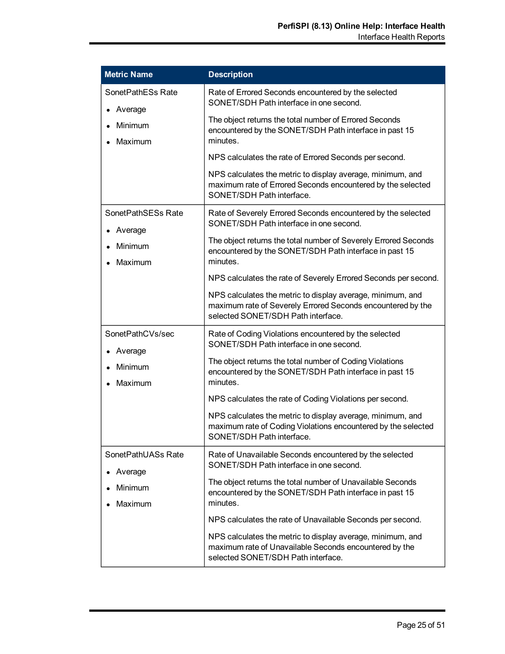| <b>Metric Name</b>            | <b>Description</b>                                                                                                                                              |
|-------------------------------|-----------------------------------------------------------------------------------------------------------------------------------------------------------------|
| SonetPathESs Rate<br>Average  | Rate of Errored Seconds encountered by the selected<br>SONET/SDH Path interface in one second.                                                                  |
| Minimum<br>Maximum            | The object returns the total number of Errored Seconds<br>encountered by the SONET/SDH Path interface in past 15<br>minutes.                                    |
|                               | NPS calculates the rate of Errored Seconds per second.                                                                                                          |
|                               | NPS calculates the metric to display average, minimum, and<br>maximum rate of Errored Seconds encountered by the selected<br>SONET/SDH Path interface.          |
| SonetPathSESs Rate<br>Average | Rate of Severely Errored Seconds encountered by the selected<br>SONET/SDH Path interface in one second.                                                         |
| Minimum<br>Maximum            | The object returns the total number of Severely Errored Seconds<br>encountered by the SONET/SDH Path interface in past 15<br>minutes.                           |
|                               | NPS calculates the rate of Severely Errored Seconds per second.                                                                                                 |
|                               | NPS calculates the metric to display average, minimum, and<br>maximum rate of Severely Errored Seconds encountered by the<br>selected SONET/SDH Path interface. |
| SonetPathCVs/sec<br>Average   | Rate of Coding Violations encountered by the selected<br>SONET/SDH Path interface in one second.                                                                |
| Minimum<br>Maximum            | The object returns the total number of Coding Violations<br>encountered by the SONET/SDH Path interface in past 15<br>minutes.                                  |
|                               | NPS calculates the rate of Coding Violations per second.                                                                                                        |
|                               | NPS calculates the metric to display average, minimum, and<br>maximum rate of Coding Violations encountered by the selected<br>SONET/SDH Path interface.        |
| SonetPathUASs Rate<br>Average | Rate of Unavailable Seconds encountered by the selected<br>SONET/SDH Path interface in one second.                                                              |
| Minimum<br>Maximum            | The object returns the total number of Unavailable Seconds<br>encountered by the SONET/SDH Path interface in past 15<br>minutes.                                |
|                               | NPS calculates the rate of Unavailable Seconds per second.                                                                                                      |
|                               | NPS calculates the metric to display average, minimum, and<br>maximum rate of Unavailable Seconds encountered by the<br>selected SONET/SDH Path interface.      |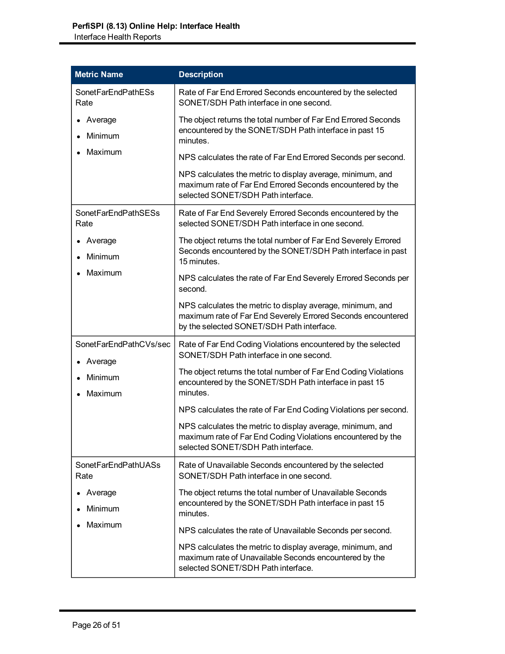| <b>Metric Name</b>                 | <b>Description</b>                                                                                                                                                      |
|------------------------------------|-------------------------------------------------------------------------------------------------------------------------------------------------------------------------|
| SonetFarEndPathESs<br>Rate         | Rate of Far End Errored Seconds encountered by the selected<br>SONET/SDH Path interface in one second.                                                                  |
| Average<br>Minimum                 | The object returns the total number of Far End Errored Seconds<br>encountered by the SONET/SDH Path interface in past 15<br>minutes.                                    |
| Maximum                            | NPS calculates the rate of Far End Errored Seconds per second.                                                                                                          |
|                                    | NPS calculates the metric to display average, minimum, and<br>maximum rate of Far End Errored Seconds encountered by the<br>selected SONET/SDH Path interface.          |
| <b>SonetFarEndPathSESs</b><br>Rate | Rate of Far End Severely Errored Seconds encountered by the<br>selected SONET/SDH Path interface in one second.                                                         |
| Average<br>Minimum                 | The object returns the total number of Far End Severely Errored<br>Seconds encountered by the SONET/SDH Path interface in past<br>15 minutes.                           |
| Maximum                            | NPS calculates the rate of Far End Severely Errored Seconds per<br>second.                                                                                              |
|                                    | NPS calculates the metric to display average, minimum, and<br>maximum rate of Far End Severely Errored Seconds encountered<br>by the selected SONET/SDH Path interface. |
| SonetFarEndPathCVs/sec<br>Average  | Rate of Far End Coding Violations encountered by the selected<br>SONET/SDH Path interface in one second.                                                                |
| Minimum<br>Maximum                 | The object returns the total number of Far End Coding Violations<br>encountered by the SONET/SDH Path interface in past 15<br>minutes.                                  |
|                                    | NPS calculates the rate of Far End Coding Violations per second.                                                                                                        |
|                                    | NPS calculates the metric to display average, minimum, and<br>maximum rate of Far End Coding Violations encountered by the<br>selected SONET/SDH Path interface.        |
| SonetFarEndPathUASs<br>Rate        | Rate of Unavailable Seconds encountered by the selected<br>SONET/SDH Path interface in one second.                                                                      |
| Average<br>Minimum                 | The object returns the total number of Unavailable Seconds<br>encountered by the SONET/SDH Path interface in past 15<br>minutes.                                        |
| Maximum                            | NPS calculates the rate of Unavailable Seconds per second.                                                                                                              |
|                                    | NPS calculates the metric to display average, minimum, and<br>maximum rate of Unavailable Seconds encountered by the<br>selected SONET/SDH Path interface.              |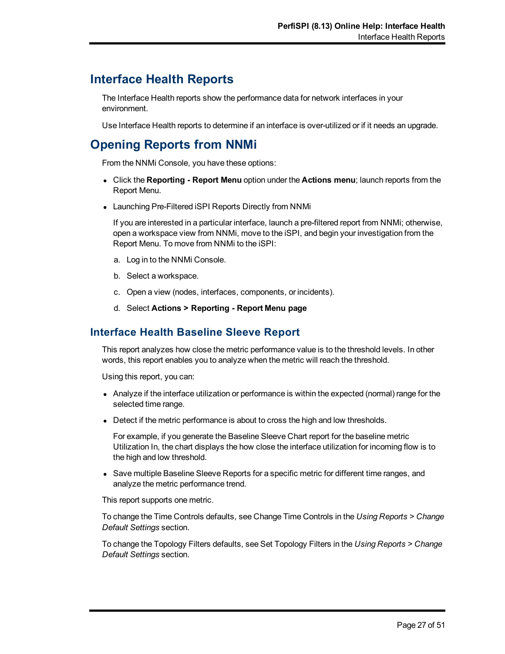# **Interface Health Reports**

The Interface Health reports show the performance data for network interfaces in your environment.

Use Interface Health reports to determine if an interface is over-utilized or if it needs an upgrade.

# **Opening Reports from NNMi**

From the NNMi Console, you have these options:

- <sup>l</sup> Click the **Reporting Report Menu** option under the **Actions menu**; launch reports from the Report Menu.
- Launching Pre-Filtered iSPI Reports Directly from NNMi

If you are interested in a particular interface, launch a pre-filtered report from NNMi; otherwise, open a workspace view from NNMi, move to the iSPI, and begin your investigation from the Report Menu. To move from NNMi to the iSPI:

- a. Log in to the NNMi Console.
- b. Select a workspace.
- c. Open a view (nodes, interfaces, components, or incidents).
- d. Select **Actions > Reporting Report Menu page**

## **Interface Health Baseline Sleeve Report**

This report analyzes how close the metric performance value is to the threshold levels. In other words, this report enables you to analyze when the metric will reach the threshold.

Using this report, you can:

- Analyze if the interface utilization or performance is within the expected (normal) range for the selected time range.
- Detect if the metric performance is about to cross the high and low thresholds.

For example, if you generate the Baseline Sleeve Chart report for the baseline metric Utilization In, the chart displays the how close the interface utilization for incoming flow is to the high and low threshold.

• Save multiple Baseline Sleeve Reports for a specific metric for different time ranges, and analyze the metric performance trend.

This report supports one metric.

To change the Time Controls defaults, see Change Time Controls in the *Using Reports > Change Default Settings* section.

To change the Topology Filters defaults, see Set Topology Filters in the *Using Reports > Change Default Settings* section.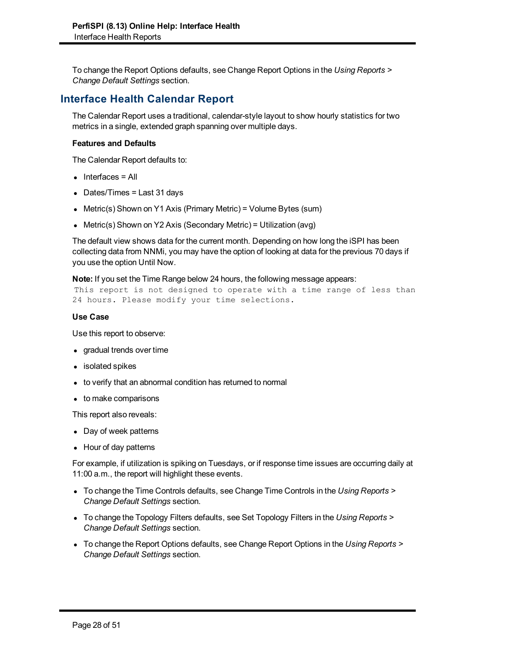To change the Report Options defaults, see Change Report Options in the *Using Reports > Change Default Settings* section.

# **Interface Health Calendar Report**

The Calendar Report uses a traditional, calendar-style layout to show hourly statistics for two metrics in a single, extended graph spanning over multiple days.

#### **Features and Defaults**

The Calendar Report defaults to:

- $\bullet$  Interfaces = All
- Dates/Times = Last 31 days
- Metric(s) Shown on Y1 Axis (Primary Metric) = Volume Bytes (sum)
- Metric(s) Shown on Y2 Axis (Secondary Metric) = Utilization (avg)

The default view shows data for the current month. Depending on how long the iSPI has been collecting data from NNMi, you may have the option of looking at data for the previous 70 days if you use the option Until Now.

#### **Note:** If you set the Time Range below 24 hours, the following message appears:

This report is not designed to operate with a time range of less than 24 hours. Please modify your time selections.

#### **Use Case**

Use this report to observe:

- gradual trends over time
- isolated spikes
- to verify that an abnormal condition has returned to normal
- to make comparisons

This report also reveals:

- Day of week patterns
- $\bullet$  Hour of day patterns

For example, if utilization is spiking on Tuesdays, or if response time issues are occurring daily at 11:00 a.m., the report will highlight these events.

- To change the Time Controls defaults, see Change Time Controls in the *Using Reports* > *Change Default Settings* section.
- To change the Topology Filters defaults, see Set Topology Filters in the *Using Reports* > *Change Default Settings* section.
- To change the Report Options defaults, see Change Report Options in the *Using Reports* > *Change Default Settings* section.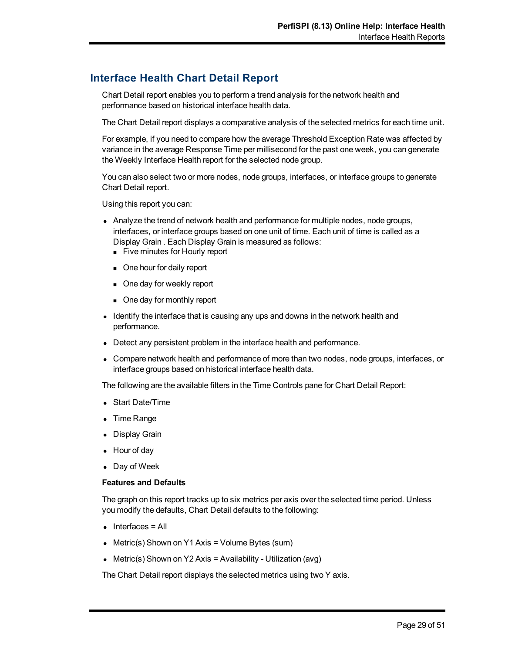# **Interface Health Chart Detail Report**

Chart Detail report enables you to perform a trend analysis for the network health and performance based on historical interface health data.

The Chart Detail report displays a comparative analysis of the selected metrics for each time unit.

For example, if you need to compare how the average Threshold Exception Rate was affected by variance in the average Response Time per millisecond for the past one week, you can generate the Weekly Interface Health report for the selected node group.

You can also select two or more nodes, node groups, interfaces, or interface groups to generate Chart Detail report.

Using this report you can:

- Analyze the trend of network health and performance for multiple nodes, node groups, interfaces, or interface groups based on one unit of time. Each unit of time is called as a Display Grain . Each Display Grain is measured as follows:
	- Five minutes for Hourly report
	- One hour for daily report
	- One day for weekly report
	- One day for monthly report
- Identify the interface that is causing any ups and downs in the network health and performance.
- Detect any persistent problem in the interface health and performance.
- Compare network health and performance of more than two nodes, node groups, interfaces, or interface groups based on historical interface health data.

The following are the available filters in the Time Controls pane for Chart Detail Report:

- Start Date/Time
- Time Range
- Display Grain
- $\bullet$  Hour of day
- Day of Week

#### **Features and Defaults**

The graph on this report tracks up to six metrics per axis over the selected time period. Unless you modify the defaults, Chart Detail defaults to the following:

- $\bullet$  Interfaces = All
- Metric(s) Shown on Y1 Axis = Volume Bytes (sum)
- Metric(s) Shown on Y2 Axis = Availability Utilization (avg)

The Chart Detail report displays the selected metrics using two Y axis.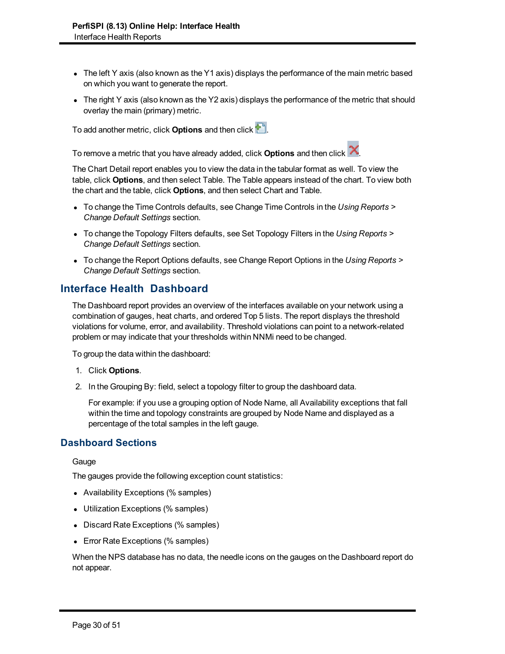- $\bullet$  The left Y axis (also known as the Y1 axis) displays the performance of the main metric based on which you want to generate the report.
- The right Y axis (also known as the Y2 axis) displays the performance of the metric that should overlay the main (primary) metric.

To add another metric, click **Options** and then click .

To remove a metric that you have already added, click **Options** and then click .

The Chart Detail report enables you to view the data in the tabular format as well. To view the table, click **Options**, and then select Table. The Table appears instead of the chart. To view both the chart and the table, click **Options**, and then select Chart and Table.

- To change the Time Controls defaults, see Change Time Controls in the *Using Reports* > *Change Default Settings* section.
- To change the Topology Filters defaults, see Set Topology Filters in the *Using Reports* > *Change Default Settings* section.
- To change the Report Options defaults, see Change Report Options in the *Using Reports* > *Change Default Settings* section.

## **Interface Health Dashboard**

The Dashboard report provides an overview of the interfaces available on your network using a combination of gauges, heat charts, and ordered Top 5 lists. The report displays the threshold violations for volume, error, and availability. Threshold violations can point to a network-related problem or may indicate that your thresholds within NNMi need to be changed.

To group the data within the dashboard:

- 1. Click **Options**.
- 2. In the Grouping By: field, select a topology filter to group the dashboard data.

For example: if you use a grouping option of Node Name, all Availability exceptions that fall within the time and topology constraints are grouped by Node Name and displayed as a percentage of the total samples in the left gauge.

#### **Dashboard Sections**

**Gauge** 

The gauges provide the following exception count statistics:

- Availability Exceptions (% samples)
- Utilization Exceptions (% samples)
- Discard Rate Exceptions (% samples)
- Error Rate Exceptions (% samples)

When the NPS database has no data, the needle icons on the gauges on the Dashboard report do not appear.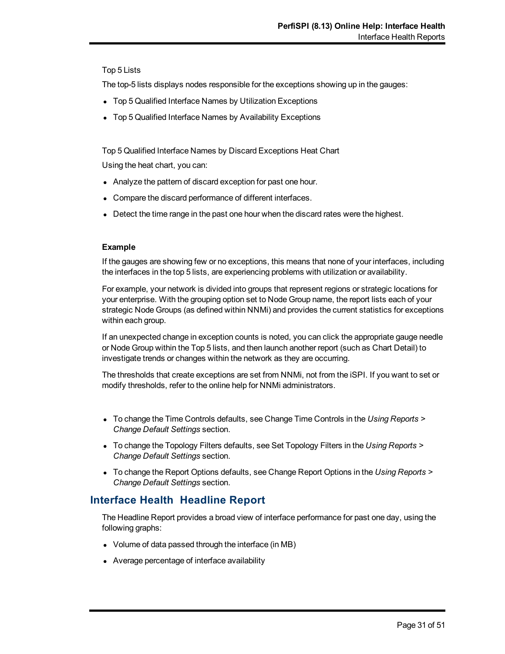#### Top 5 Lists

The top-5 lists displays nodes responsible for the exceptions showing up in the gauges:

- Top 5 Qualified Interface Names by Utilization Exceptions
- Top 5 Qualified Interface Names by Availability Exceptions

Top 5 Qualified Interface Names by Discard Exceptions Heat Chart Using the heat chart, you can:

- Analyze the pattern of discard exception for past one hour.
- Compare the discard performance of different interfaces.
- Detect the time range in the past one hour when the discard rates were the highest.

#### **Example**

If the gauges are showing few or no exceptions, this means that none of your interfaces, including the interfaces in the top 5 lists, are experiencing problems with utilization or availability.

For example, your network is divided into groups that represent regions or strategic locations for your enterprise. With the grouping option set to Node Group name, the report lists each of your strategic Node Groups (as defined within NNMi) and provides the current statistics for exceptions within each group.

If an unexpected change in exception counts is noted, you can click the appropriate gauge needle or Node Group within the Top 5 lists, and then launch another report (such as Chart Detail) to investigate trends or changes within the network as they are occurring.

The thresholds that create exceptions are set from NNMi, not from the iSPI. If you want to set or modify thresholds, refer to the online help for NNMi administrators.

- To change the Time Controls defaults, see Change Time Controls in the *Using Reports* > *Change Default Settings* section.
- To change the Topology Filters defaults, see Set Topology Filters in the *Using Reports* > *Change Default Settings* section.
- To change the Report Options defaults, see Change Report Options in the *Using Reports* > *Change Default Settings* section.

# **Interface Health Headline Report**

The Headline Report provides a broad view of interface performance for past one day, using the following graphs:

- Volume of data passed through the interface (in MB)
- Average percentage of interface availability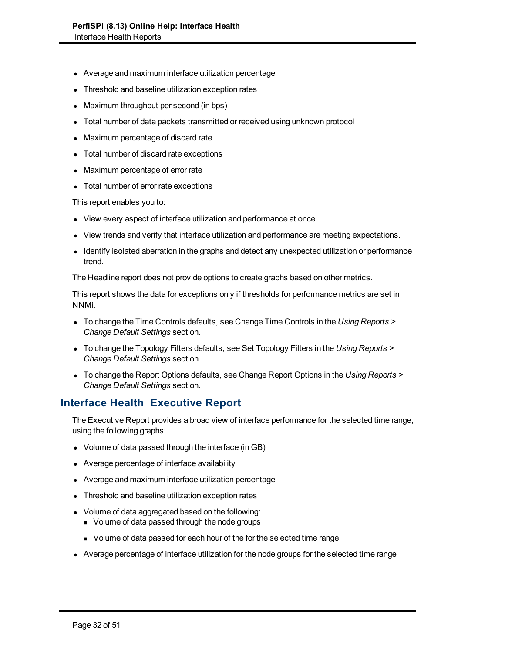- Average and maximum interface utilization percentage
- Threshold and baseline utilization exception rates
- Maximum throughput per second (in bps)
- Total number of data packets transmitted or received using unknown protocol
- Maximum percentage of discard rate
- Total number of discard rate exceptions
- Maximum percentage of error rate
- Total number of error rate exceptions

This report enables you to:

- View every aspect of interface utilization and performance at once.
- View trends and verify that interface utilization and performance are meeting expectations.
- Identify isolated aberration in the graphs and detect any unexpected utilization or performance trend.

The Headline report does not provide options to create graphs based on other metrics.

This report shows the data for exceptions only if thresholds for performance metrics are set in NNMi.

- **To change the Time Controls defaults, see Change Time Controls in the** *Using Reports* **>** *Change Default Settings* section.
- **To change the Topology Filters defaults, see Set Topology Filters in the Using Reports >** *Change Default Settings* section.
- **To change the Report Options defaults, see Change Report Options in the Using Reports >** *Change Default Settings* section.

## **Interface Health Executive Report**

The Executive Report provides a broad view of interface performance for the selected time range, using the following graphs:

- Volume of data passed through the interface (in GB)
- Average percentage of interface availability
- Average and maximum interface utilization percentage
- Threshold and baseline utilization exception rates
- Volume of data aggregated based on the following:
	- Volume of data passed through the node groups
	- <sup>n</sup> Volume of data passed for each hour of the for the selected time range
- Average percentage of interface utilization for the node groups for the selected time range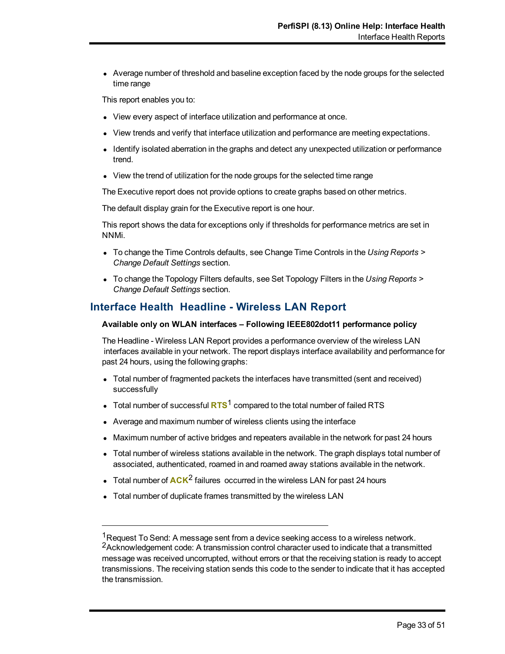• Average number of threshold and baseline exception faced by the node groups for the selected time range

This report enables you to:

- View every aspect of interface utilization and performance at once.
- View trends and verify that interface utilization and performance are meeting expectations.
- Identify isolated aberration in the graphs and detect any unexpected utilization or performance trend.
- View the trend of utilization for the node groups for the selected time range

The Executive report does not provide options to create graphs based on other metrics.

The default display grain for the Executive report is one hour.

This report shows the data for exceptions only if thresholds for performance metrics are set in NNMi.

- To change the Time Controls defaults, see Change Time Controls in the *Using Reports* > *Change Default Settings* section.
- To change the Topology Filters defaults, see Set Topology Filters in the *Using Reports* > *Change Default Settings* section.

### **Interface Health Headline - Wireless LAN Report**

#### **Available only on WLAN interfaces – Following IEEE802dot11 performance policy**

The Headline - Wireless LAN Report provides a performance overview of the wireless LAN interfaces available in your network. The report displays interface availability and performance for past 24 hours, using the following graphs:

- Total number of fragmented packets the interfaces have transmitted (sent and received) successfully
- Total number of successful RTS<sup>1</sup> compared to the total number of failed RTS
- Average and maximum number of wireless clients using the interface
- Maximum number of active bridges and repeaters available in the network for past 24 hours
- Total number of wireless stations available in the network. The graph displays total number of associated, authenticated, roamed in and roamed away stations available in the network.
- Total number of  $ACK^2$  failures occurred in the wireless LAN for past 24 hours
- Total number of duplicate frames transmitted by the wireless LAN

 $1$ Request To Send: A message sent from a device seeking access to a wireless network. <sup>2</sup>Acknowledgement code: A transmission control character used to indicate that a transmitted message was received uncorrupted, without errors or that the receiving station is ready to accept transmissions. The receiving station sends this code to the sender to indicate that it has accepted the transmission.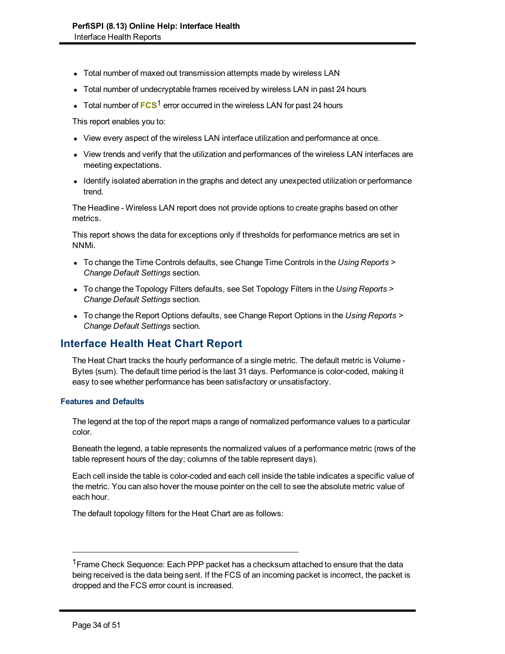- Total number of maxed out transmission attempts made by wireless LAN
- Total number of undecryptable frames received by wireless LAN in past 24 hours
- **Total number of FCS<sup>1</sup> error occurred in the wireless LAN for past 24 hours**

This report enables you to:

- View every aspect of the wireless LAN interface utilization and performance at once.
- View trends and verify that the utilization and performances of the wireless LAN interfaces are meeting expectations.
- Identify isolated aberration in the graphs and detect any unexpected utilization or performance trend.

The Headline - Wireless LAN report does not provide options to create graphs based on other metrics.

This report shows the data for exceptions only if thresholds for performance metrics are set in NNMi.

- To change the Time Controls defaults, see Change Time Controls in the *Using Reports* > *Change Default Settings* section.
- To change the Topology Filters defaults, see Set Topology Filters in the *Using Reports* > *Change Default Settings* section.
- To change the Report Options defaults, see Change Report Options in the *Using Reports* > *Change Default Settings* section.

# **Interface Health Heat Chart Report**

The Heat Chart tracks the hourly performance of a single metric. The default metric is Volume - Bytes (sum). The default time period is the last 31 days. Performance is color-coded, making it easy to see whether performance has been satisfactory or unsatisfactory.

#### **Features and Defaults**

The legend at the top of the report maps a range of normalized performance values to a particular color.

Beneath the legend, a table represents the normalized values of a performance metric (rows of the table represent hours of the day; columns of the table represent days).

Each cell inside the table is color-coded and each cell inside the table indicates a specific value of the metric. You can also hover the mouse pointer on the cell to see the absolute metric value of each hour.

The default topology filters for the Heat Chart are as follows:

<sup>&</sup>lt;sup>1</sup> Frame Check Sequence: Each PPP packet has a checksum attached to ensure that the data being received is the data being sent. If the FCS of an incoming packet is incorrect, the packet is dropped and the FCS error count is increased.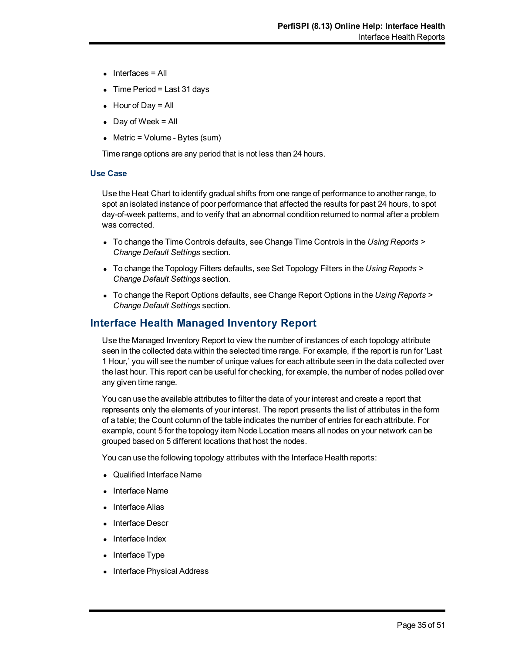- $\bullet$  Interfaces = All
- $\bullet$  Time Period = Last 31 days
- $\bullet$  Hour of Day = All
- $\bullet$  Day of Week = All
- $\bullet$  Metric = Volume Bytes (sum)

Time range options are any period that is not less than 24 hours.

#### **Use Case**

Use the Heat Chart to identify gradual shifts from one range of performance to another range, to spot an isolated instance of poor performance that affected the results for past 24 hours, to spot day-of-week patterns, and to verify that an abnormal condition returned to normal after a problem was corrected.

- To change the Time Controls defaults, see Change Time Controls in the *Using Reports* > *Change Default Settings* section.
- To change the Topology Filters defaults, see Set Topology Filters in the *Using Reports* > *Change Default Settings* section.
- To change the Report Options defaults, see Change Report Options in the *Using Reports* > *Change Default Settings* section.

### **Interface Health Managed Inventory Report**

Use the Managed Inventory Report to view the number of instances of each topology attribute seen in the collected data within the selected time range. For example, if the report is run for 'Last 1 Hour,' you will see the number of unique values for each attribute seen in the data collected over the last hour. This report can be useful for checking, for example, the number of nodes polled over any given time range.

You can use the available attributes to filter the data of your interest and create a report that represents only the elements of your interest. The report presents the list of attributes in the form of a table; the Count column of the table indicates the number of entries for each attribute. For example, count 5 for the topology item Node Location means all nodes on your network can be grouped based on 5 different locations that host the nodes.

You can use the following topology attributes with the Interface Health reports:

- Qualified Interface Name
- <sup>l</sup> Interface Name
- Interface Alias
- Interface Descr
- Interface Index
- $\bullet$  Interface Type
- Interface Physical Address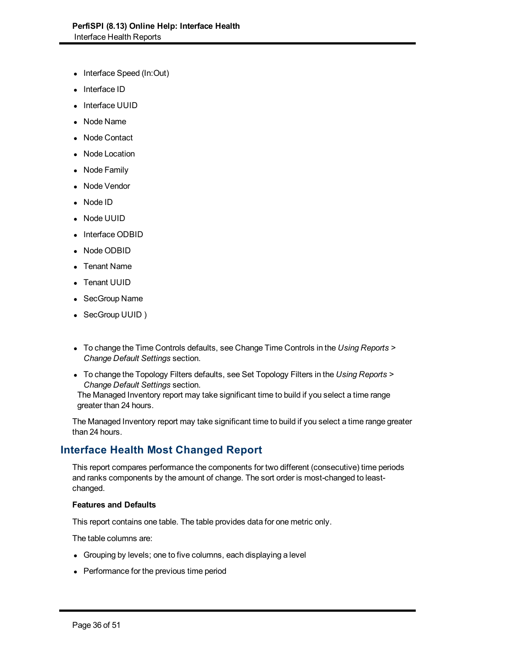- Interface Speed (In:Out)
- Interface ID
- Interface UUID
- Node Name
- Node Contact
- Node Location
- Node Family
- Node Vendor
- Node ID
- Node UUID
- Interface ODBID
- Node ODBID
- Tenant Name
- Tenant UUID
- SecGroup Name
- SecGroup UUID)
- To change the Time Controls defaults, see Change Time Controls in the *Using Reports* > *Change Default Settings* section.
- **To change the Topology Filters defaults, see Set Topology Filters in the Using Reports >** *Change Default Settings* section.

The Managed Inventory report may take significant time to build if you select a time range greater than 24 hours.

The Managed Inventory report may take significant time to build if you select a time range greater than 24 hours.

## **Interface Health Most Changed Report**

This report compares performance the components for two different (consecutive) time periods and ranks components by the amount of change. The sort order is most-changed to leastchanged.

#### **Features and Defaults**

This report contains one table. The table provides data for one metric only.

The table columns are:

- Grouping by levels; one to five columns, each displaying a level
- Performance for the previous time period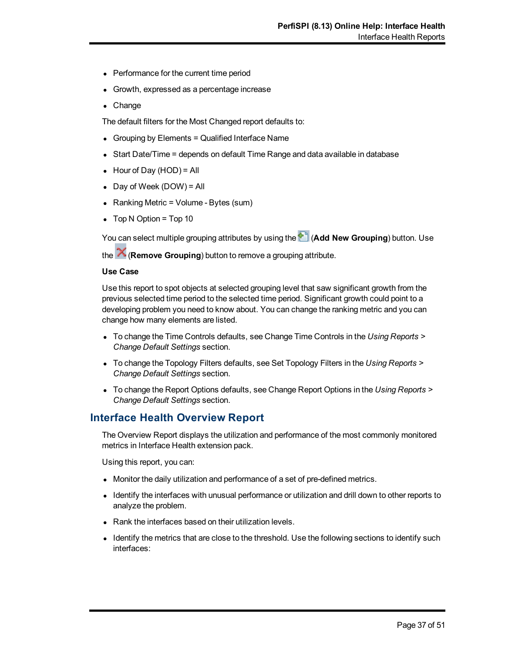- Performance for the current time period
- Growth, expressed as a percentage increase
- $\bullet$  Change

The default filters for the Most Changed report defaults to:

- $\bullet$  Grouping by Elements = Qualified Interface Name
- Start Date/Time = depends on default Time Range and data available in database
- $\bullet$  Hour of Day (HOD) = All
- $\bullet$  Day of Week (DOW) = All
- Ranking Metric = Volume Bytes (sum)
- $\bullet$  Top N Option = Top 10

You can select multiple grouping attributes by using the **<sup>4</sup>D** (Add New Grouping) button. Use

the (**Remove Grouping**) button to remove a grouping attribute.

#### **Use Case**

Use this report to spot objects at selected grouping level that saw significant growth from the previous selected time period to the selected time period. Significant growth could point to a developing problem you need to know about. You can change the ranking metric and you can change how many elements are listed.

- To change the Time Controls defaults, see Change Time Controls in the *Using Reports* > *Change Default Settings* section.
- To change the Topology Filters defaults, see Set Topology Filters in the *Using Reports* > *Change Default Settings* section.
- To change the Report Options defaults, see Change Report Options in the *Using Reports* > *Change Default Settings* section.

### **Interface Health Overview Report**

The Overview Report displays the utilization and performance of the most commonly monitored metrics in Interface Health extension pack.

Using this report, you can:

- Monitor the daily utilization and performance of a set of pre-defined metrics.
- Identify the interfaces with unusual performance or utilization and drill down to other reports to analyze the problem.
- $\bullet$  Rank the interfaces based on their utilization levels.
- Identify the metrics that are close to the threshold. Use the following sections to identify such interfaces: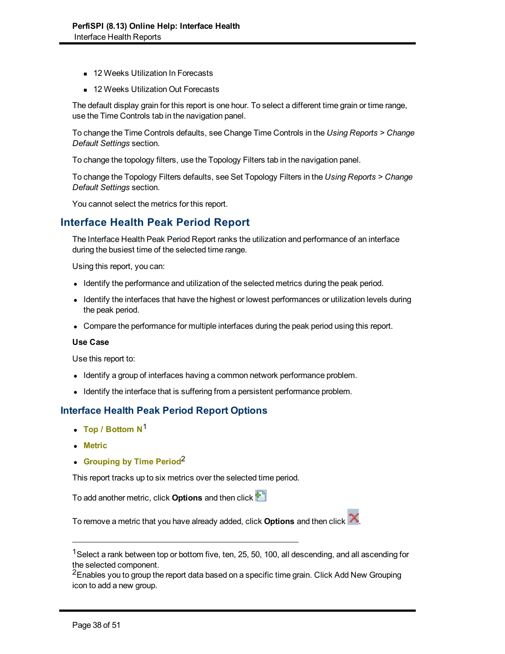- 12 Weeks Utilization In Forecasts
- 12 Weeks Utilization Out Forecasts

The default display grain for this report is one hour. To select a different time grain or time range, use the Time Controls tab in the navigation panel.

To change the Time Controls defaults, see Change Time Controls in the *Using Reports > Change Default Settings* section.

To change the topology filters, use the Topology Filters tab in the navigation panel.

To change the Topology Filters defaults, see Set Topology Filters in the *Using Reports > Change Default Settings* section.

You cannot select the metrics for this report.

## **Interface Health Peak Period Report**

The Interface Health Peak Period Report ranks the utilization and performance of an interface during the busiest time of the selected time range.

Using this report, you can:

- Identify the performance and utilization of the selected metrics during the peak period.
- Identify the interfaces that have the highest or lowest performances or utilization levels during the peak period.
- Compare the performance for multiple interfaces during the peak period using this report.

#### **Use Case**

Use this report to:

- Identify a group of interfaces having a common network performance problem.
- Identify the interface that is suffering from a persistent performance problem.

#### **Interface Health Peak Period Report Options**

- Top / Bottom N<sup>1</sup>
- **.** Metric
- **Grouping by Time Period<sup>2</sup>**

This report tracks up to six metrics over the selected time period.

To add another metric, click **Options** and then click

To remove a metric that you have already added, click **Options** and then click .

<sup>2</sup>Enables you to group the report data based on a specific time grain. Click Add New Grouping icon to add a new group.

<sup>&</sup>lt;sup>1</sup> Select a rank between top or bottom five, ten, 25, 50, 100, all descending, and all ascending for the selected component.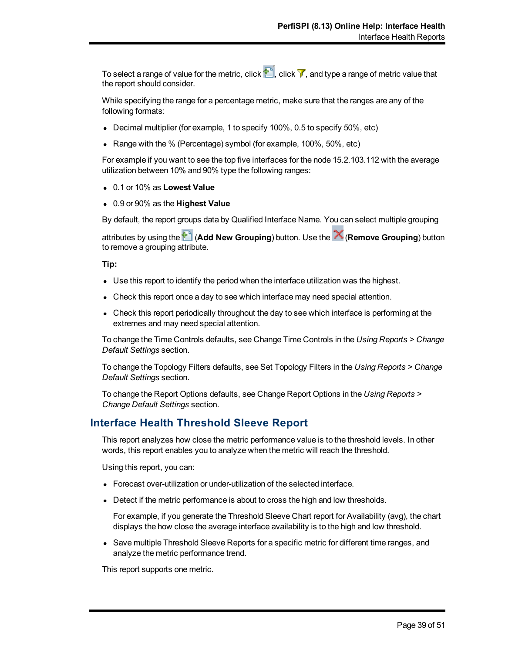To select a range of value for the metric, click  $\mathbf{r}$ , click  $\mathbf{v}$ , and type a range of metric value that the report should consider.

While specifying the range for a percentage metric, make sure that the ranges are any of the following formats:

- **Decimal multiplier (for example, 1 to specify 100%, 0.5 to specify 50%, etc)**
- Range with the % (Percentage) symbol (for example,  $100\%$ ,  $50\%$ , etc)

For example if you want to see the top five interfaces for the node 15.2.103.112 with the average utilization between 10% and 90% type the following ranges:

- <sup>l</sup> 0.1 or 10% as **Lowest Value**
- <sup>l</sup> 0.9 or 90% as the **Highest Value**

By default, the report groups data by Qualified Interface Name. You can select multiple grouping

attributes by using the (**Add New Grouping**) button. Use the (**Remove Grouping**) button to remove a grouping attribute.

**Tip:**

- Use this report to identify the period when the interface utilization was the highest.
- Check this report once a day to see which interface may need special attention.
- Check this report periodically throughout the day to see which interface is performing at the extremes and may need special attention.

To change the Time Controls defaults, see Change Time Controls in the *Using Reports > Change Default Settings* section.

To change the Topology Filters defaults, see Set Topology Filters in the *Using Reports > Change Default Settings* section.

To change the Report Options defaults, see Change Report Options in the *Using Reports > Change Default Settings* section.

### **Interface Health Threshold Sleeve Report**

This report analyzes how close the metric performance value is to the threshold levels. In other words, this report enables you to analyze when the metric will reach the threshold.

Using this report, you can:

- Forecast over-utilization or under-utilization of the selected interface.
- Detect if the metric performance is about to cross the high and low thresholds.

For example, if you generate the Threshold Sleeve Chart report for Availability (avg), the chart displays the how close the average interface availability is to the high and low threshold.

• Save multiple Threshold Sleeve Reports for a specific metric for different time ranges, and analyze the metric performance trend.

This report supports one metric.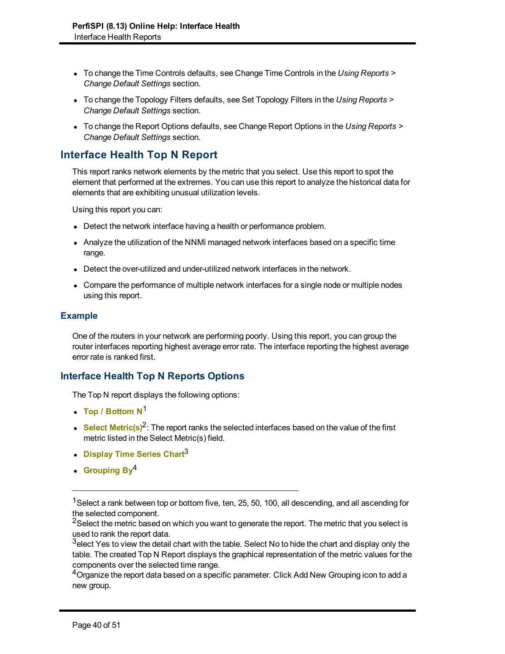- <sup>l</sup> To change the Time Controls defaults, see Change Time Controls in the *Using Reports > Change Default Settings* section.
- To change the Topology Filters defaults, see Set Topology Filters in the *Using Reports* > *Change Default Settings* section.
- To change the Report Options defaults, see Change Report Options in the *Using Reports* > *Change Default Settings* section.

# **Interface Health Top N Report**

This report ranks network elements by the metric that you select. Use this report to spot the element that performed at the extremes. You can use this report to analyze the historical data for elements that are exhibiting unusual utilization levels.

Using this report you can:

- Detect the network interface having a health or performance problem.
- Analyze the utilization of the NNMi managed network interfaces based on a specific time range.
- Detect the over-utilized and under-utilized network interfaces in the network.
- Compare the performance of multiple network interfaces for a single node or multiple nodes using this report.

#### **Example**

One of the routers in your network are performing poorly. Using this report, you can group the router interfaces reporting highest average error rate. The interface reporting the highest average error rate is ranked first.

### **Interface Health Top N Reports Options**

The Top N report displays the following options:

- Top / Bottom N<sup>1</sup>
- **Select Metric(s)<sup>2</sup>:** The report ranks the selected interfaces based on the value of the first metric listed in the Select Metric(s) field.
- **Display Time Series Chart<sup>3</sup>**
- **Grouping By**<sup>4</sup>

<sup>&</sup>lt;sup>1</sup>Select a rank between top or bottom five, ten, 25, 50, 100, all descending, and all ascending for the selected component.

<sup>&</sup>lt;sup>2</sup>Select the metric based on which you want to generate the report. The metric that you select is used to rank the report data.

 $3$ elect Yes to view the detail chart with the table. Select No to hide the chart and display only the table. The created Top N Report displays the graphical representation of the metric values for the components over the selected time range.

 $4$ Organize the report data based on a specific parameter. Click Add New Grouping icon to add a new group.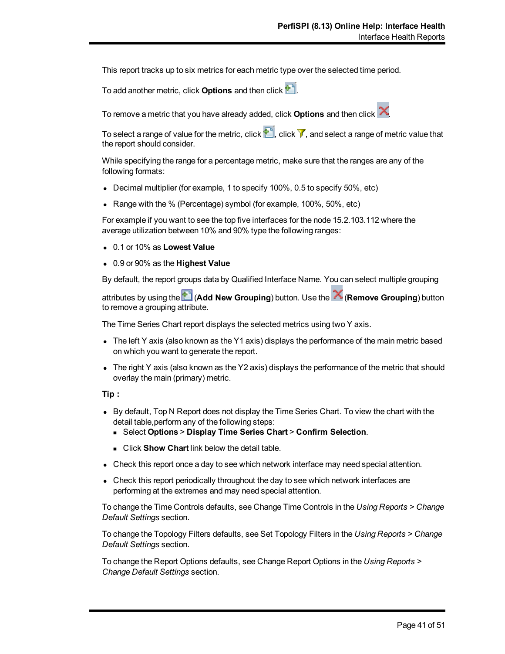This report tracks up to six metrics for each metric type over the selected time period.

To add another metric, click **Options** and then click .

To remove a metric that you have already added, click **Options** and then click .

To select a range of value for the metric, click  $\mathbb{P}^n$ , click  $\mathbb{V}$ , and select a range of metric value that the report should consider.

While specifying the range for a percentage metric, make sure that the ranges are any of the following formats:

- Decimal multiplier (for example, 1 to specify  $100\%$ , 0.5 to specify  $50\%$ , etc)
- Range with the % (Percentage) symbol (for example,  $100\%$ ,  $50\%$ , etc)

For example if you want to see the top five interfaces for the node 15.2.103.112 where the average utilization between 10% and 90% type the following ranges:

- <sup>l</sup> 0.1 or 10% as **Lowest Value**
- <sup>l</sup> 0.9 or 90% as the **Highest Value**

By default, the report groups data by Qualified Interface Name. You can select multiple grouping

attributes by using the (**Add New Grouping**) button. Use the (**Remove Grouping**) button to remove a grouping attribute.

The Time Series Chart report displays the selected metrics using two Y axis.

- The left Y axis (also known as the Y1 axis) displays the performance of the main metric based on which you want to generate the report.
- The right Y axis (also known as the Y2 axis) displays the performance of the metric that should overlay the main (primary) metric.

#### **Tip :**

- By default, Top N Report does not display the Time Series Chart. To view the chart with the detail table,perform any of the following steps:
	- <sup>n</sup> Select **Options** > **Display Time Series Chart** > **Confirm Selection**.
	- **EXECUTE:** Click **Show Chart** link below the detail table.
- Check this report once a day to see which network interface may need special attention.
- Check this report periodically throughout the day to see which network interfaces are performing at the extremes and may need special attention.

To change the Time Controls defaults, see Change Time Controls in the *Using Reports > Change Default Settings* section.

To change the Topology Filters defaults, see Set Topology Filters in the *Using Reports > Change Default Settings* section.

To change the Report Options defaults, see Change Report Options in the *Using Reports > Change Default Settings* section.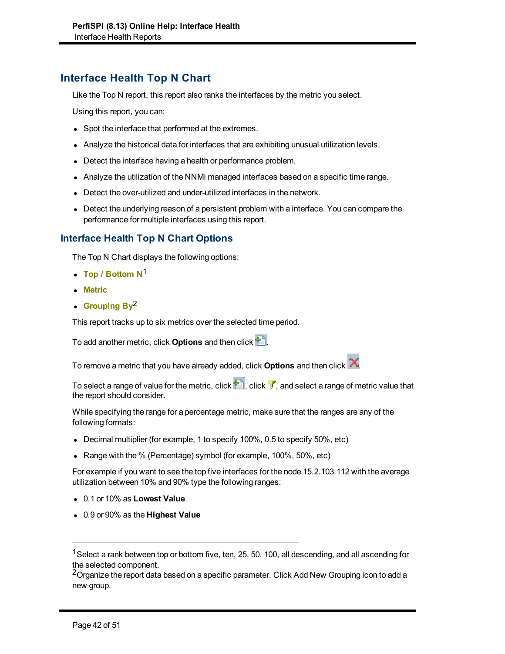# **Interface Health Top N Chart**

Like the Top N report, this report also ranks the interfaces by the metric you select.

Using this report, you can:

- Spot the interface that performed at the extremes.
- Analyze the historical data for interfaces that are exhibiting unusual utilization levels.
- Detect the interface having a health or performance problem.
- Analyze the utilization of the NNMi managed interfaces based on a specific time range.
- Detect the over-utilized and under-utilized interfaces in the network.
- Detect the underlying reason of a persistent problem with a interface. You can compare the performance for multiple interfaces using this report.

### **Interface Health Top N Chart Options**

The Top N Chart displays the following options:

- Top / Bottom N<sup>1</sup>
- <sup>l</sup> **Metric**
- **Grouping By<sup>2</sup>**

This report tracks up to six metrics over the selected time period.

To add another metric, click **Options** and then click .

To remove a metric that you have already added, click **Options** and then click .

To select a range of value for the metric, click  $\mathbb{P}^n$ , click  $\mathbb{V}$ , and select a range of metric value that the report should consider.

While specifying the range for a percentage metric, make sure that the ranges are any of the following formats:

- Decimal multiplier (for example, 1 to specify 100%, 0.5 to specify 50%, etc)
- Range with the % (Percentage) symbol (for example, 100%, 50%, etc)

For example if you want to see the top five interfaces for the node 15.2.103.112 with the average utilization between 10% and 90% type the following ranges:

- <sup>l</sup> 0.1 or 10% as **Lowest Value**
- <sup>l</sup> 0.9 or 90% as the **Highest Value**

<sup>2</sup>Organize the report data based on a specific parameter. Click Add New Grouping icon to add a new group.

<sup>&</sup>lt;sup>1</sup> Select a rank between top or bottom five, ten, 25, 50, 100, all descending, and all ascending for the selected component.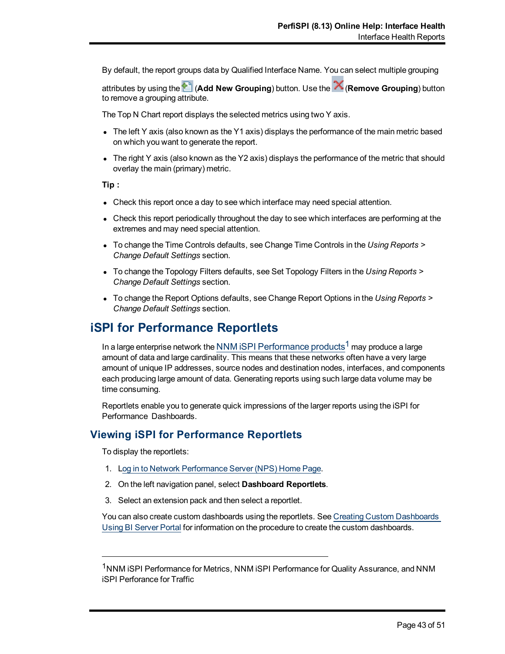By default, the report groups data by Qualified Interface Name. You can select multiple grouping

attributes by using the (**Add New Grouping**) button. Use the (**Remove Grouping**) button to remove a grouping attribute.

The Top N Chart report displays the selected metrics using two Y axis.

- The left Y axis (also known as the Y1 axis) displays the performance of the main metric based on which you want to generate the report.
- The right Y axis (also known as the Y2 axis) displays the performance of the metric that should overlay the main (primary) metric.

**Tip :**

- Check this report once a day to see which interface may need special attention.
- Check this report periodically throughout the day to see which interfaces are performing at the extremes and may need special attention.
- To change the Time Controls defaults, see Change Time Controls in the *Using Reports* > *Change Default Settings* section.
- To change the Topology Filters defaults, see Set Topology Filters in the *Using Reports* > *Change Default Settings* section.
- To change the Report Options defaults, see Change Report Options in the *Using Reports* > *Change Default Settings* section.

# **iSPI for Performance Reportlets**

In a large enterprise network the NNM iSPI Performance products<sup>1</sup> may produce a large amount of data and large cardinality. This means that these networks often have a very large amount of unique IP addresses, source nodes and destination nodes, interfaces, and components each producing large amount of data. Generating reports using such large data volume may be time consuming.

Reportlets enable you to generate quick impressions of the larger reports using the iSPI for Performance Dashboards.

## **Viewing iSPI for Performance Reportlets**

To display the reportlets:

- 1. [Log](../../../../../../Administration/Content/Administration/PerfSPI_Admin_LoggingSSO.htm) [in](../../../../../../Administration/Content/Administration/PerfSPI_Admin_LoggingSSO.htm) [to](../../../../../../Administration/Content/Administration/PerfSPI_Admin_LoggingSSO.htm) [Network](../../../../../../Administration/Content/Administration/PerfSPI_Admin_LoggingSSO.htm) [Performance](../../../../../../Administration/Content/Administration/PerfSPI_Admin_LoggingSSO.htm) [Server](../../../../../../Administration/Content/Administration/PerfSPI_Admin_LoggingSSO.htm) [\(NPS\) Home](../../../../../../Administration/Content/Administration/PerfSPI_Admin_LoggingSSO.htm) [Page](../../../../../../Administration/Content/Administration/PerfSPI_Admin_LoggingSSO.htm).
- 2. On the left navigation panel, select **Dashboard Reportlets**.
- 3. Select an extension pack and then select a reportlet.

You can also create custom dashboards using the reportlets. See [Creating](../../../../../../Administration/Content/Integration_iSPI/nnmPerfSPI_CreateCustDash.htm) [Custom](../../../../../../Administration/Content/Integration_iSPI/nnmPerfSPI_CreateCustDash.htm) [Dashboards](../../../../../../Administration/Content/Integration_iSPI/nnmPerfSPI_CreateCustDash.htm) [Using](../../../../../../Administration/Content/Integration_iSPI/nnmPerfSPI_CreateCustDash.htm) [BI Server](../../../../../../Administration/Content/Integration_iSPI/nnmPerfSPI_CreateCustDash.htm) [Portal](../../../../../../Administration/Content/Integration_iSPI/nnmPerfSPI_CreateCustDash.htm) for information on the procedure to create the custom dashboards.

<sup>&</sup>lt;sup>1</sup>NNM ISPI Performance for Metrics, NNM ISPI Performance for Quality Assurance, and NNM iSPI Perforance for Traffic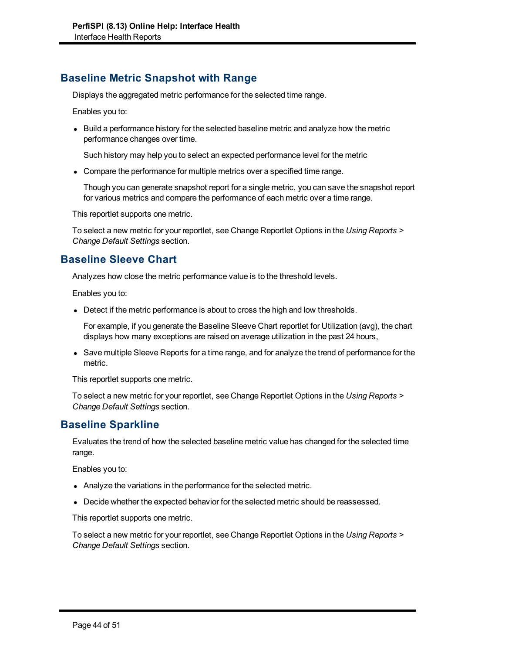# **Baseline Metric Snapshot with Range**

Displays the aggregated metric performance for the selected time range.

Enables you to:

• Build a performance history for the selected baseline metric and analyze how the metric performance changes over time.

Such history may help you to select an expected performance level for the metric

• Compare the performance for multiple metrics over a specified time range.

Though you can generate snapshot report for a single metric, you can save the snapshot report for various metrics and compare the performance of each metric over a time range.

This reportlet supports one metric.

To select a new metric for your reportlet, see Change Reportlet Options in the *Using Reports > Change Default Settings* section.

# **Baseline Sleeve Chart**

Analyzes how close the metric performance value is to the threshold levels.

Enables you to:

• Detect if the metric performance is about to cross the high and low thresholds.

For example, if you generate the Baseline Sleeve Chart reportlet for Utilization (avg), the chart displays how many exceptions are raised on average utilization in the past 24 hours,

• Save multiple Sleeve Reports for a time range, and for analyze the trend of performance for the metric.

This reportlet supports one metric.

To select a new metric for your reportlet, see Change Reportlet Options in the *Using Reports > Change Default Settings* section.

## **Baseline Sparkline**

Evaluates the trend of how the selected baseline metric value has changed for the selected time range.

Enables you to:

- Analyze the variations in the performance for the selected metric.
- Decide whether the expected behavior for the selected metric should be reassessed.

This reportlet supports one metric.

To select a new metric for your reportlet, see Change Reportlet Options in the *Using Reports > Change Default Settings* section.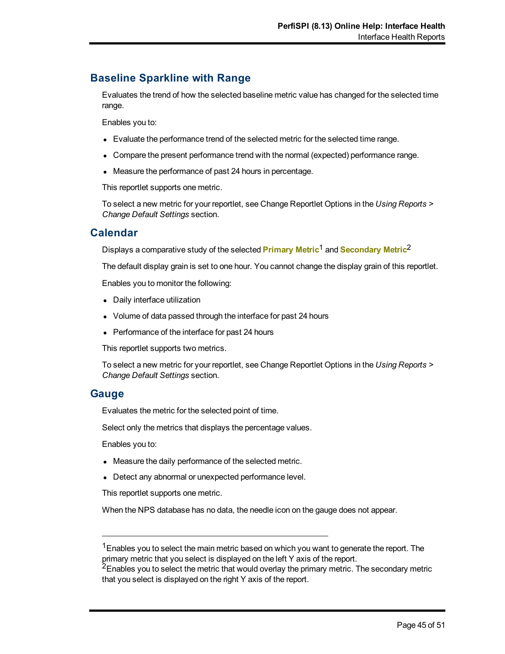# **Baseline Sparkline with Range**

Evaluates the trend of how the selected baseline metric value has changed for the selected time range.

Enables you to:

- Evaluate the performance trend of the selected metric for the selected time range.
- Compare the present performance trend with the normal (expected) performance range.
- Measure the performance of past 24 hours in percentage.

This reportlet supports one metric.

To select a new metric for your reportlet, see Change Reportlet Options in the *Using Reports > Change Default Settings* section.

### **Calendar**

Displays a comparative study of the selected **Primary Metric**<sup>1</sup> and **Secondary Metric**<sup>2</sup>

The default display grain is set to one hour. You cannot change the display grain of this reportlet.

Enables you to monitor the following:

- Daily interface utilization
- Volume of data passed through the interface for past 24 hours
- Performance of the interface for past 24 hours

This reportlet supports two metrics.

To select a new metric for your reportlet, see Change Reportlet Options in the *Using Reports > Change Default Settings* section.

#### **Gauge**

Evaluates the metric for the selected point of time.

Select only the metrics that displays the percentage values.

Enables you to:

- Measure the daily performance of the selected metric.
- Detect any abnormal or unexpected performance level.

This reportlet supports one metric.

When the NPS database has no data, the needle icon on the gauge does not appear.

<sup>1</sup> Enables you to select the main metric based on which you want to generate the report. The primary metric that you select is displayed on the left Y axis of the report.

 $2$ Enables you to select the metric that would overlay the primary metric. The secondary metric that you select is displayed on the right Y axis of the report.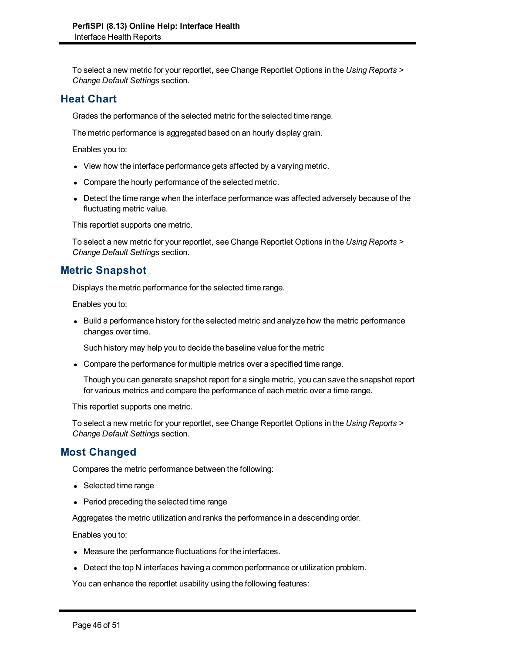To select a new metric for your reportlet, see Change Reportlet Options in the *Using Reports > Change Default Settings* section.

## **Heat Chart**

Grades the performance of the selected metric for the selected time range.

The metric performance is aggregated based on an hourly display grain.

Enables you to:

- View how the interface performance gets affected by a varying metric.
- Compare the hourly performance of the selected metric.
- Detect the time range when the interface performance was affected adversely because of the fluctuating metric value.

This reportlet supports one metric.

To select a new metric for your reportlet, see Change Reportlet Options in the *Using Reports > Change Default Settings* section.

### **Metric Snapshot**

Displays the metric performance for the selected time range.

Enables you to:

• Build a performance history for the selected metric and analyze how the metric performance changes over time.

Such history may help you to decide the baseline value for the metric

• Compare the performance for multiple metrics over a specified time range.

Though you can generate snapshot report for a single metric, you can save the snapshot report for various metrics and compare the performance of each metric over a time range.

This reportlet supports one metric.

To select a new metric for your reportlet, see Change Reportlet Options in the *Using Reports > Change Default Settings* section.

## **Most Changed**

Compares the metric performance between the following:

- Selected time range
- Period preceding the selected time range

Aggregates the metric utilization and ranks the performance in a descending order.

Enables you to:

- Measure the performance fluctuations for the interfaces.
- Detect the top N interfaces having a common performance or utilization problem.

You can enhance the reportlet usability using the following features: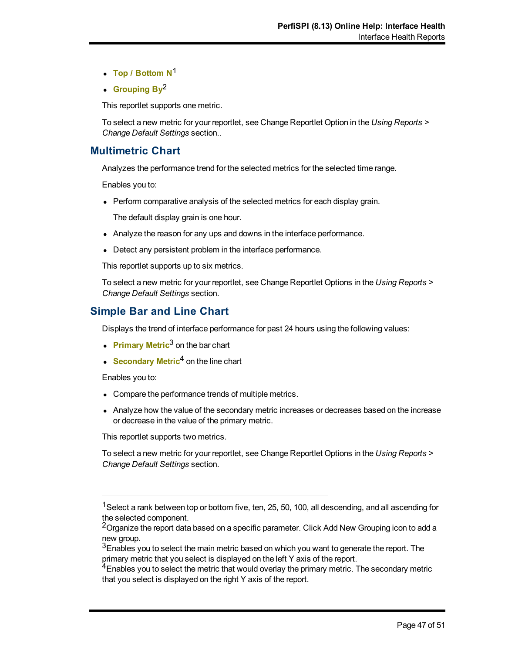- Top / Bottom N<sup>1</sup>
- **Grouping By**<sup>2</sup>

This reportlet supports one metric.

To select a new metric for your reportlet, see Change Reportlet Option in the *Using Reports > Change Default Settings* section..

### **Multimetric Chart**

Analyzes the performance trend for the selected metrics for the selected time range.

Enables you to:

• Perform comparative analysis of the selected metrics for each display grain.

The default display grain is one hour.

- Analyze the reason for any ups and downs in the interface performance.
- Detect any persistent problem in the interface performance.

This reportlet supports up to six metrics.

To select a new metric for your reportlet, see Change Reportlet Options in the *Using Reports > Change Default Settings* section.

### **Simple Bar and Line Chart**

Displays the trend of interface performance for past 24 hours using the following values:

- **Primary Metric<sup>3</sup> on the bar chart**
- **Secondary Metric<sup>4</sup> on the line chart**

Enables you to:

- Compare the performance trends of multiple metrics.
- Analyze how the value of the secondary metric increases or decreases based on the increase or decrease in the value of the primary metric.

This reportlet supports two metrics.

To select a new metric for your reportlet, see Change Reportlet Options in the *Using Reports > Change Default Settings* section.

<sup>&</sup>lt;sup>1</sup> Select a rank between top or bottom five, ten, 25, 50, 100, all descending, and all ascending for the selected component.

 $2$ Organize the report data based on a specific parameter. Click Add New Grouping icon to add a new group.

<sup>&</sup>lt;sup>3</sup>Enables you to select the main metric based on which you want to generate the report. The primary metric that you select is displayed on the left Y axis of the report.

 $4$ Enables you to select the metric that would overlay the primary metric. The secondary metric that you select is displayed on the right Y axis of the report.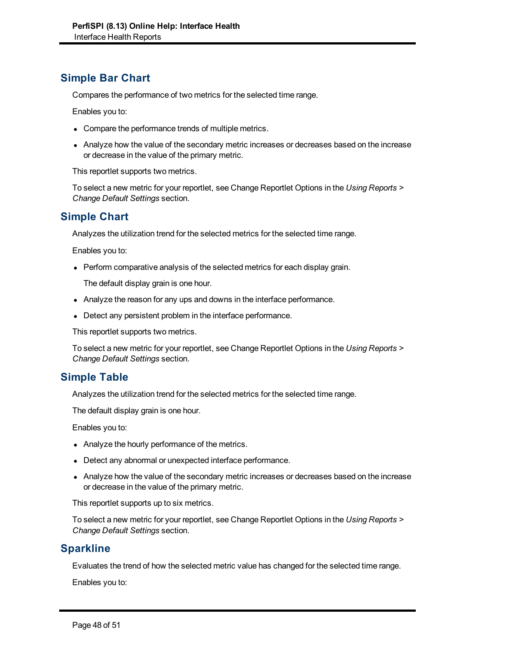## **Simple Bar Chart**

Compares the performance of two metrics for the selected time range.

Enables you to:

- Compare the performance trends of multiple metrics.
- Analyze how the value of the secondary metric increases or decreases based on the increase or decrease in the value of the primary metric.

This reportlet supports two metrics.

To select a new metric for your reportlet, see Change Reportlet Options in the *Using Reports > Change Default Settings* section.

### **Simple Chart**

Analyzes the utilization trend for the selected metrics for the selected time range.

Enables you to:

• Perform comparative analysis of the selected metrics for each display grain.

The default display grain is one hour.

- Analyze the reason for any ups and downs in the interface performance.
- Detect any persistent problem in the interface performance.

This reportlet supports two metrics.

To select a new metric for your reportlet, see Change Reportlet Options in the *Using Reports > Change Default Settings* section.

### **Simple Table**

Analyzes the utilization trend for the selected metrics for the selected time range.

The default display grain is one hour.

Enables you to:

- Analyze the hourly performance of the metrics.
- Detect any abnormal or unexpected interface performance.
- Analyze how the value of the secondary metric increases or decreases based on the increase or decrease in the value of the primary metric.

This reportlet supports up to six metrics.

To select a new metric for your reportlet, see Change Reportlet Options in the *Using Reports > Change Default Settings* section.

## **Sparkline**

Evaluates the trend of how the selected metric value has changed for the selected time range.

Enables you to: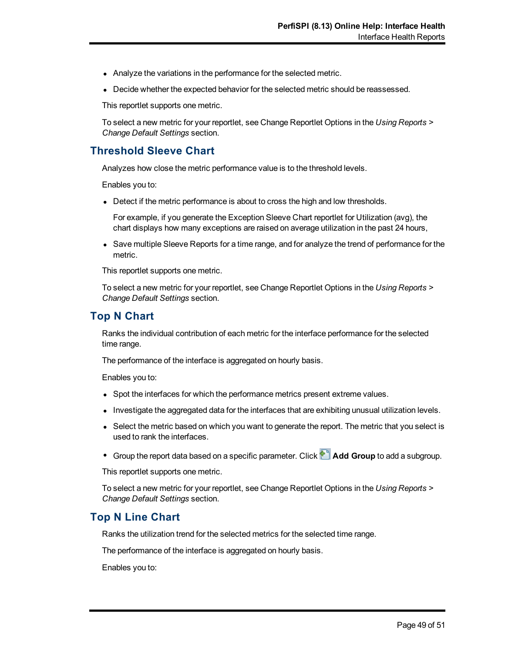- Analyze the variations in the performance for the selected metric.
- Decide whether the expected behavior for the selected metric should be reassessed.

This reportlet supports one metric.

To select a new metric for your reportlet, see Change Reportlet Options in the *Using Reports > Change Default Settings* section.

### **Threshold Sleeve Chart**

Analyzes how close the metric performance value is to the threshold levels.

Enables you to:

• Detect if the metric performance is about to cross the high and low thresholds.

For example, if you generate the Exception Sleeve Chart reportlet for Utilization (avg), the chart displays how many exceptions are raised on average utilization in the past 24 hours,

• Save multiple Sleeve Reports for a time range, and for analyze the trend of performance for the metric.

This reportlet supports one metric.

To select a new metric for your reportlet, see Change Reportlet Options in the *Using Reports > Change Default Settings* section.

## **Top N Chart**

Ranks the individual contribution of each metric for the interface performance for the selected time range.

The performance of the interface is aggregated on hourly basis.

Enables you to:

- Spot the interfaces for which the performance metrics present extreme values.
- Investigate the aggregated data for the interfaces that are exhibiting unusual utilization levels.
- Select the metric based on which you want to generate the report. The metric that you select is used to rank the interfaces.
- <sup>•</sup> Group the report data based on a specific parameter. Click **Add Group** to add a subgroup.

This reportlet supports one metric.

To select a new metric for your reportlet, see Change Reportlet Options in the *Using Reports > Change Default Settings* section.

## **Top N Line Chart**

Ranks the utilization trend for the selected metrics for the selected time range.

The performance of the interface is aggregated on hourly basis.

Enables you to: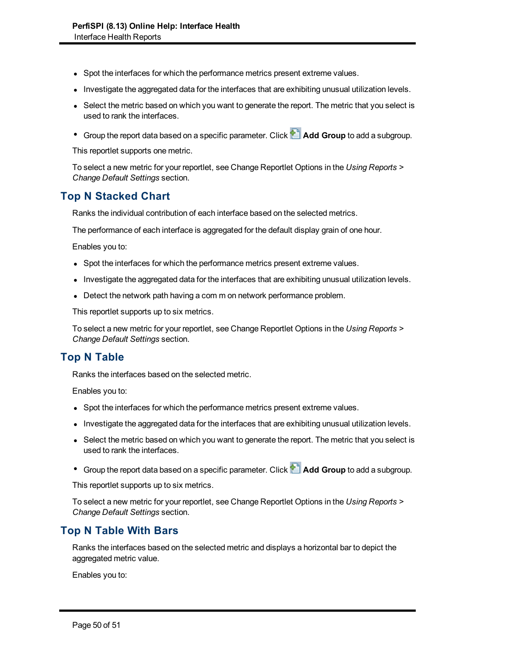- Spot the interfaces for which the performance metrics present extreme values.
- Investigate the aggregated data for the interfaces that are exhibiting unusual utilization levels.
- Select the metric based on which you want to generate the report. The metric that you select is used to rank the interfaces.
- **C** Group the report data based on a specific parameter. Click **Add Group** to add a subgroup.

This reportlet supports one metric.

To select a new metric for your reportlet, see Change Reportlet Options in the *Using Reports > Change Default Settings* section.

## **Top N Stacked Chart**

Ranks the individual contribution of each interface based on the selected metrics.

The performance of each interface is aggregated for the default display grain of one hour.

Enables you to:

- Spot the interfaces for which the performance metrics present extreme values.
- Investigate the aggregated data for the interfaces that are exhibiting unusual utilization levels.
- Detect the network path having a com m on network performance problem.

This reportlet supports up to six metrics.

To select a new metric for your reportlet, see Change Reportlet Options in the *Using Reports > Change Default Settings* section.

## **Top N Table**

Ranks the interfaces based on the selected metric.

Enables you to:

- Spot the interfaces for which the performance metrics present extreme values.
- Investigate the aggregated data for the interfaces that are exhibiting unusual utilization levels.
- Select the metric based on which you want to generate the report. The metric that you select is used to rank the interfaces.
- **City** Group the report data based on a specific parameter. Click **Add Group** to add a subgroup.

This reportlet supports up to six metrics.

To select a new metric for your reportlet, see Change Reportlet Options in the *Using Reports > Change Default Settings* section.

### **Top N Table With Bars**

Ranks the interfaces based on the selected metric and displays a horizontal bar to depict the aggregated metric value.

Enables you to: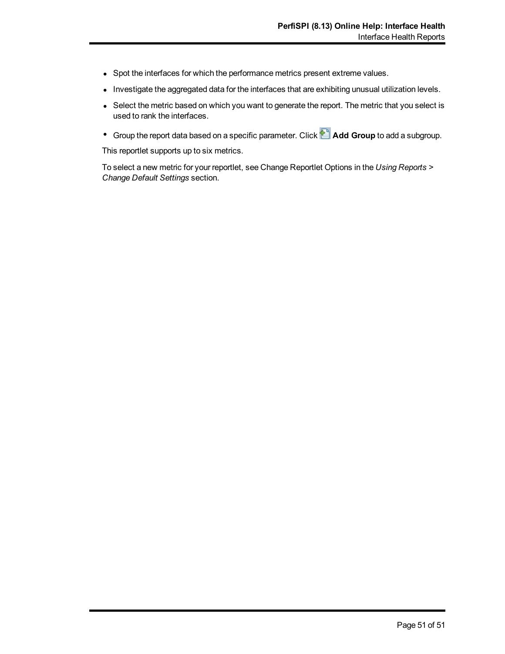- Spot the interfaces for which the performance metrics present extreme values.
- Investigate the aggregated data for the interfaces that are exhibiting unusual utilization levels.
- Select the metric based on which you want to generate the report. The metric that you select is used to rank the interfaces.
- **•** Group the report data based on a specific parameter. Click **Add Group** to add a subgroup.

This reportlet supports up to six metrics.

To select a new metric for your reportlet, see Change Reportlet Options in the *Using Reports > Change Default Settings* section.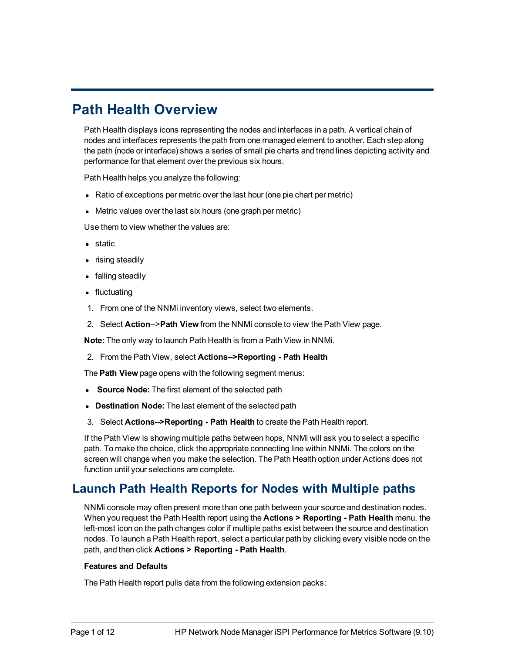# <span id="page-185-0"></span>**Path Health Overview**

Path Health displays icons representing the nodes and interfaces in a path. A vertical chain of nodes and interfaces represents the path from one managed element to another. Each step along the path (node or interface) shows a series of small pie charts and trend lines depicting activity and performance for that element over the previous six hours.

Path Health helps you analyze the following:

- Ratio of exceptions per metric over the last hour (one pie chart per metric)
- Metric values over the last six hours (one graph per metric)

Use them to view whether the values are:

- $\bullet$  static
- rising steadily
- falling steadily
- fluctuating
- 1. From one of the NNMi inventory views, select two elements.
- 2. Select **Action**-->**Path View** from the NNMi console to view the Path View page.

**Note:** The only way to launch Path Health is from a Path View in NNMi.

2. From the Path View, select **Actions-->Reporting - Path Health**

The **Path View** page opens with the following segment menus:

- **Source Node:** The first element of the selected path
- **Destination Node:** The last element of the selected path
- 3. Select **Actions-->Reporting Path Health** to create the Path Health report.

If the Path View is showing multiple paths between hops, NNMi will ask you to select a specific path. To make the choice, click the appropriate connecting line within NNMi. The colors on the screen will change when you make the selection. The Path Health option under Actions does not function until your selections are complete.

## **Launch Path Health Reports for Nodes with Multiple paths**

NNMi console may often present more than one path between your source and destination nodes. When you request the Path Health report using the **Actions > Reporting - Path Health** menu, the left-most icon on the path changes color if multiple paths exist between the source and destination nodes. To launch a Path Health report, select a particular path by clicking every visible node on the path, and then click **Actions > Reporting - Path Health**.

#### **Features and Defaults**

The Path Health report pulls data from the following extension packs: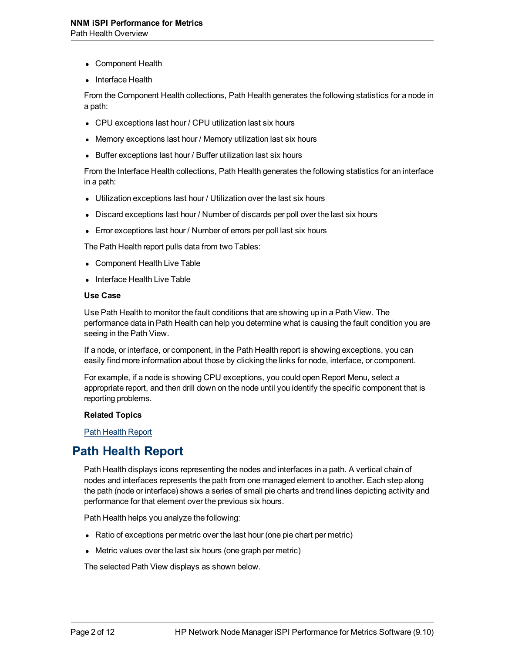- Component Health
- Interface Health

From the Component Health collections, Path Health generates the following statistics for a node in a path:

- CPU exceptions last hour / CPU utilization last six hours
- Memory exceptions last hour / Memory utilization last six hours
- Buffer exceptions last hour / Buffer utilization last six hours

From the Interface Health collections, Path Health generates the following statistics for an interface in a path:

- Utilization exceptions last hour / Utilization over the last six hours
- Discard exceptions last hour / Number of discards per poll over the last six hours
- Error exceptions last hour / Number of errors per poll last six hours

The Path Health report pulls data from two Tables:

- Component Health Live Table
- Interface Health Live Table

#### **Use Case**

Use Path Health to monitor the fault conditions that are showing up in a Path View. The performance data in Path Health can help you determine what is causing the fault condition you are seeing in the Path View.

If a node, or interface, or component, in the Path Health report is showing exceptions, you can easily find more information about those by clicking the links for node, interface, or component.

For example, if a node is showing CPU exceptions, you could open Report Menu, select a appropriate report, and then drill down on the node until you identify the specific component that is reporting problems.

#### **Related Topics**

<span id="page-186-0"></span>[Path](#page-186-0) [Health](#page-186-0) [Report](#page-186-0)

## **Path Health Report**

Path Health displays icons representing the nodes and interfaces in a path. A vertical chain of nodes and interfaces represents the path from one managed element to another. Each step along the path (node or interface) shows a series of small pie charts and trend lines depicting activity and performance for that element over the previous six hours.

Path Health helps you analyze the following:

- $\bullet$  Ratio of exceptions per metric over the last hour (one pie chart per metric)
- Metric values over the last six hours (one graph per metric)

The selected Path View displays as shown below.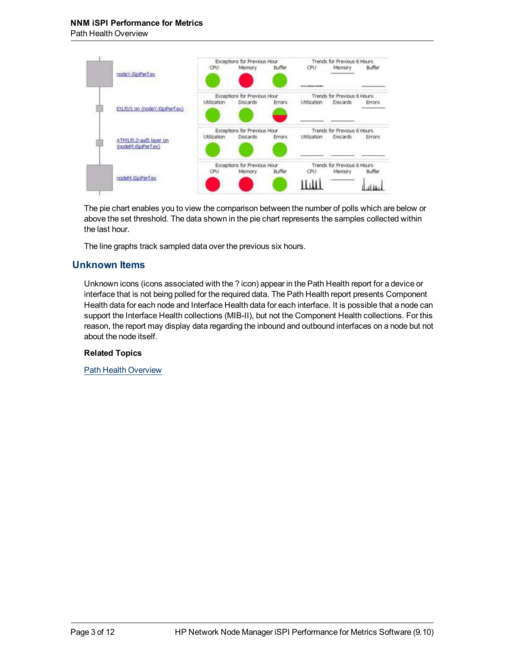

The pie chart enables you to view the comparison between the number of polls which are below or above the set threshold. The data shown in the pie chart represents the samples collected within the last hour.

The line graphs track sampled data over the previous six hours.

### **Unknown Items**

Unknown icons (icons associated with the ? icon) appear in the Path Health report for a device or interface that is not being polled for the required data. The Path Health report presents Component Health data for each node and Interface Health data for each interface. It is possible that a node can support the Interface Health collections (MIB-II), but not the Component Health collections. For this reason, the report may display data regarding the inbound and outbound interfaces on a node but not about the node itself.

#### **Related Topics**

[Path](#page-185-0) [Health](#page-185-0) [Overview](#page-185-0)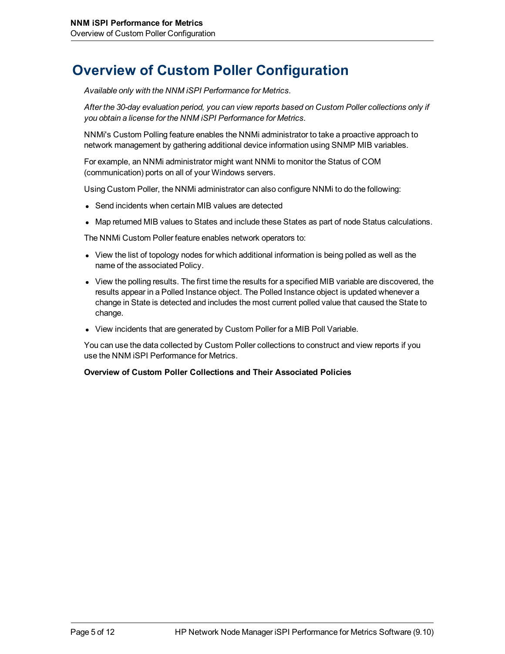# **Overview of Custom Poller Configuration**

*Available only with the NNM iSPI Performance for Metrics.*

*After the 30-day evaluation period, you can view reports based on Custom Poller collections only if you obtain a license for the NNM iSPI Performance for Metrics.*

NNMi's Custom Polling feature enables the NNMi administrator to take a proactive approach to network management by gathering additional device information using SNMP MIB variables.

For example, an NNMi administrator might want NNMi to monitor the Status of COM (communication) ports on all of your Windows servers.

Using Custom Poller, the NNMi administrator can also configure NNMi to do the following:

- Send incidents when certain MIB values are detected
- Map returned MIB values to States and include these States as part of node Status calculations.

The NNMi Custom Poller feature enables network operators to:

- View the list of topology nodes for which additional information is being polled as well as the name of the associated Policy.
- View the polling results. The first time the results for a specified MIB variable are discovered, the results appear in a Polled Instance object. The Polled Instance object is updated whenever a change in State is detected and includes the most current polled value that caused the State to change.
- View incidents that are generated by Custom Poller for a MIB Poll Variable.

You can use the data collected by Custom Poller collections to construct and view reports if you use the NNM iSPI Performance for Metrics.

#### **Overview of Custom Poller Collections and Their Associated Policies**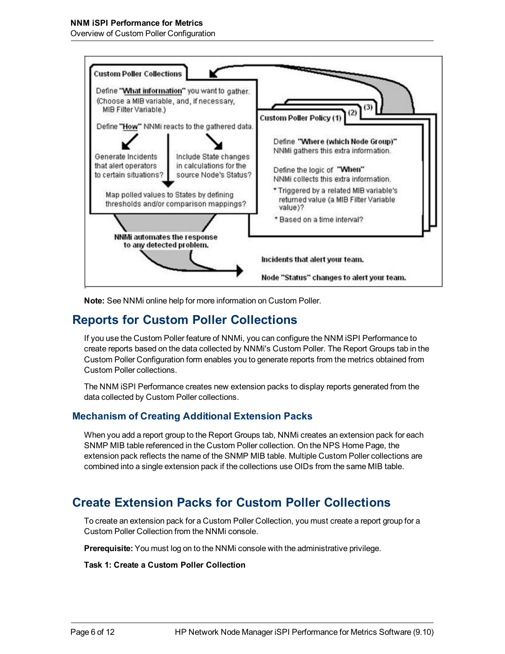Overview of Custom Poller Configuration



**Note:** See NNMi online help for more information on Custom Poller.

## **Reports for Custom Poller Collections**

If you use the Custom Poller feature of NNMi, you can configure the NNM iSPI Performance to create reports based on the data collected by NNMi's Custom Poller. The Report Groups tab in the Custom Poller Configuration form enables you to generate reports from the metrics obtained from Custom Poller collections.

The NNM iSPI Performance creates new extension packs to display reports generated from the data collected by Custom Poller collections.

## **Mechanism of Creating Additional Extension Packs**

When you add a report group to the Report Groups tab, NNMi creates an extension pack for each SNMP MIB table referenced in the Custom Poller collection. On the NPS Home Page, the extension pack reflects the name of the SNMP MIB table. Multiple Custom Poller collections are combined into a single extension pack if the collections use OIDs from the same MIB table.

## **Create Extension Packs for Custom Poller Collections**

To create an extension pack for a Custom Poller Collection, you must create a report group for a Custom Poller Collection from the NNMi console.

**Prerequisite:** You must log on to the NNMi console with the administrative privilege.

#### **Task 1: Create a Custom Poller Collection**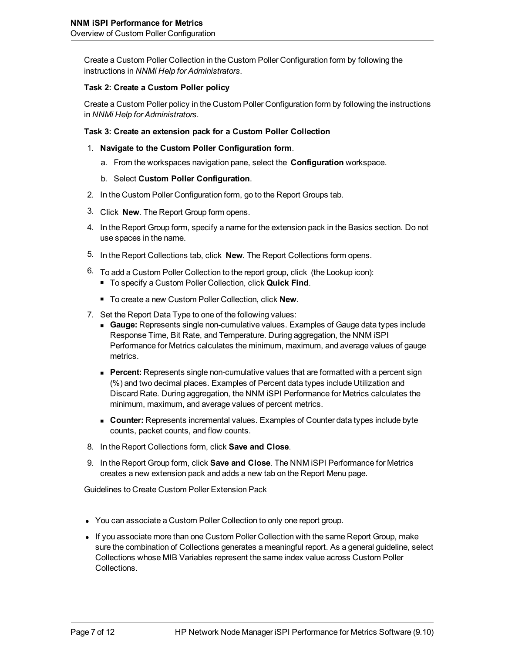Create a Custom Poller Collection in the Custom Poller Configuration form by following the instructions in *NNMi Help for Administrators*.

#### **Task 2: Create a Custom Poller policy**

Create a Custom Poller policy in the Custom Poller Configuration form by following the instructions in *NNMi Help for Administrators*.

#### **Task 3: Create an extension pack for a Custom Poller Collection**

- 1. **Navigate to the Custom Poller Configuration form**.
	- a. From the workspaces navigation pane, select the **Configuration** workspace.
	- b. Select **Custom Poller Configuration**.
- 2. In the Custom Poller Configuration form, go to the Report Groups tab.
- 3. Click **New**. The Report Group form opens.
- 4. In the Report Group form, specify a name for the extension pack in the Basics section. Do not use spaces in the name.
- 5. In the Report Collections tab, click **New**. The Report Collections form opens.
- 6. To add a Custom Poller Collection to the report group, click (the Lookup icon):
	- To specify a Custom Poller Collection, click **Quick Find**.
	- To create a new Custom Poller Collection, click **New**.
- 7. Set the Report Data Type to one of the following values:
	- **Gauge:** Represents single non-cumulative values. Examples of Gauge data types include Response Time, Bit Rate, and Temperature. During aggregation, the NNM iSPI Performance for Metrics calculates the minimum, maximum, and average values of gauge metrics.
	- **Percent:** Represents single non-cumulative values that are formatted with a percent sign (%) and two decimal places. Examples of Percent data types include Utilization and Discard Rate. During aggregation, the NNM iSPI Performance for Metrics calculates the minimum, maximum, and average values of percent metrics.
	- **Counter:** Represents incremental values. Examples of Counter data types include byte counts, packet counts, and flow counts.
- 8. In the Report Collections form, click **Save and Close**.
- 9. In the Report Group form, click **Save and Close**. The NNM iSPI Performance for Metrics creates a new extension pack and adds a new tab on the Report Menu page.

Guidelines to Create Custom Poller Extension Pack

- You can associate a Custom Poller Collection to only one report group.
- If you associate more than one Custom Poller Collection with the same Report Group, make sure the combination of Collections generates a meaningful report. As a general guideline, select Collections whose MIB Variables represent the same index value across Custom Poller Collections.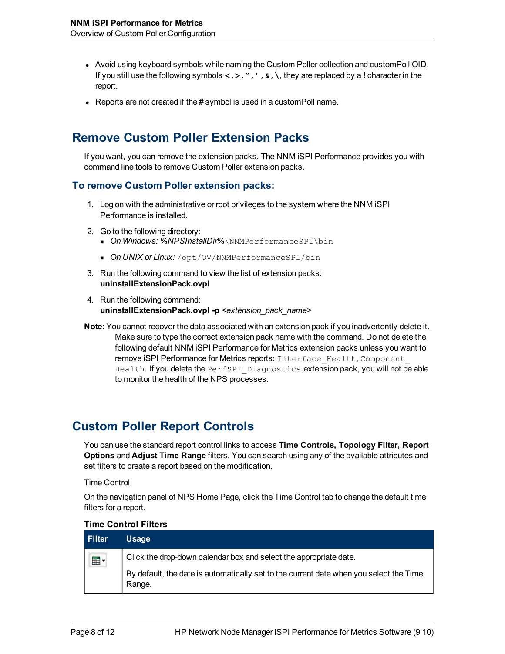- Avoid using keyboard symbols while naming the Custom Poller collection and customPoll OID. If you still use the following symbols **<,>,",',&,\**, they are replaced by a **!** character in the report.
- **EXECT** Reports are not created if the # symbol is used in a customPoll name.

## **Remove Custom Poller Extension Packs**

If you want, you can remove the extension packs. The NNM iSPI Performance provides you with command line tools to remove Custom Poller extension packs.

#### **To remove Custom Poller extension packs:**

- 1. Log on with the administrative or root privileges to the system where the NNM iSPI Performance is installed.
- 2. Go to the following directory:
	- **n** *On Windows: %NPSInstallDir%*\NNMPerformanceSPI\bin
	- **n** On UNIX or Linux: /opt/OV/NNMPerformanceSPI/bin
- 3. Run the following command to view the list of extension packs: **uninstallExtensionPack.ovpl**
- 4. Run the following command: **uninstallExtensionPack.ovpl -p** *<extension\_pack\_name>*
- **Note:** You cannot recover the data associated with an extension pack if you inadvertently delete it. Make sure to type the correct extension pack name with the command. Do not delete the following default NNM iSPI Performance for Metrics extension packs unless you want to remove iSPI Performance for Metrics reports: Interface Health, Component Health. If you delete the PerfSPI Diagnostics.extension pack, you will not be able to monitor the health of the NPS processes.

## **Custom Poller Report Controls**

You can use the standard report control links to access **Time Controls, Topology Filter, Report Options** and **Adjust Time Range** filters. You can search using any of the available attributes and set filters to create a report based on the modification.

Time Control

On the navigation panel of NPS Home Page, click the Time Control tab to change the default time filters for a report.

#### **Time Control Filters**

| <b>Filter</b> | <b>Usage</b>                                                                                                                                                          |
|---------------|-----------------------------------------------------------------------------------------------------------------------------------------------------------------------|
| ⊞ -           | Click the drop-down calendar box and select the appropriate date.<br>By default, the date is automatically set to the current date when you select the Time<br>Range. |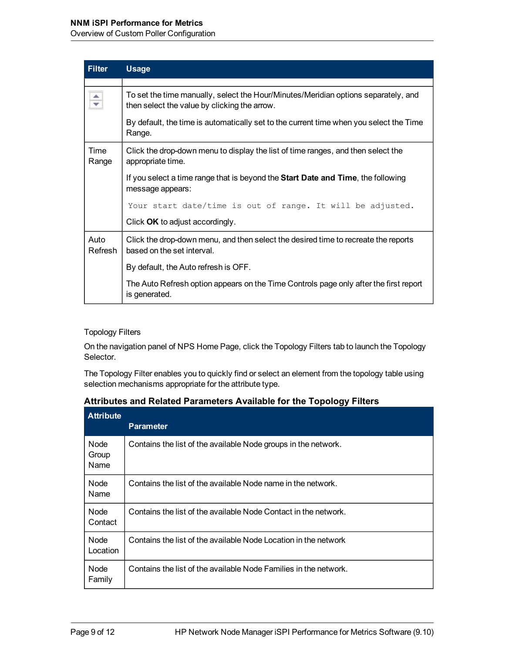#### **NNM iSPI Performance for Metrics**

Overview of Custom Poller Configuration

| <b>Filter</b>   | <b>Usage</b>                                                                                                                       |  |  |  |  |
|-----------------|------------------------------------------------------------------------------------------------------------------------------------|--|--|--|--|
|                 |                                                                                                                                    |  |  |  |  |
| $\frac{1}{x}$   | To set the time manually, select the Hour/Minutes/Meridian options separately, and<br>then select the value by clicking the arrow. |  |  |  |  |
|                 | By default, the time is automatically set to the current time when you select the Time<br>Range.                                   |  |  |  |  |
| Time<br>Range   | Click the drop-down menu to display the list of time ranges, and then select the<br>appropriate time.                              |  |  |  |  |
|                 | If you select a time range that is beyond the <b>Start Date and Time</b> , the following<br>message appears:                       |  |  |  |  |
|                 | Your start date/time is out of range. It will be adjusted.                                                                         |  |  |  |  |
|                 | Click OK to adjust accordingly.                                                                                                    |  |  |  |  |
| Auto<br>Refresh | Click the drop-down menu, and then select the desired time to recreate the reports<br>based on the set interval.                   |  |  |  |  |
|                 | By default, the Auto refresh is OFF.                                                                                               |  |  |  |  |
|                 | The Auto Refresh option appears on the Time Controls page only after the first report<br>is generated.                             |  |  |  |  |

#### Topology Filters

On the navigation panel of NPS Home Page, click the Topology Filters tab to launch the Topology Selector.

The Topology Filter enables you to quickly find or select an element from the topology table using selection mechanisms appropriate for the attribute type.

| <b>Attribute</b>      | <b>Parameter</b>                                                 |
|-----------------------|------------------------------------------------------------------|
| Node<br>Group<br>Name | Contains the list of the available Node groups in the network.   |
| Node<br>Name          | Contains the list of the available Node name in the network.     |
| Node<br>Contact       | Contains the list of the available Node Contact in the network.  |
| Node<br>Location      | Contains the list of the available Node Location in the network  |
| Node<br>Family        | Contains the list of the available Node Families in the network. |

| <b>Attributes and Related Parameters Available for the Topology Filters</b> |  |  |  |  |  |
|-----------------------------------------------------------------------------|--|--|--|--|--|
|-----------------------------------------------------------------------------|--|--|--|--|--|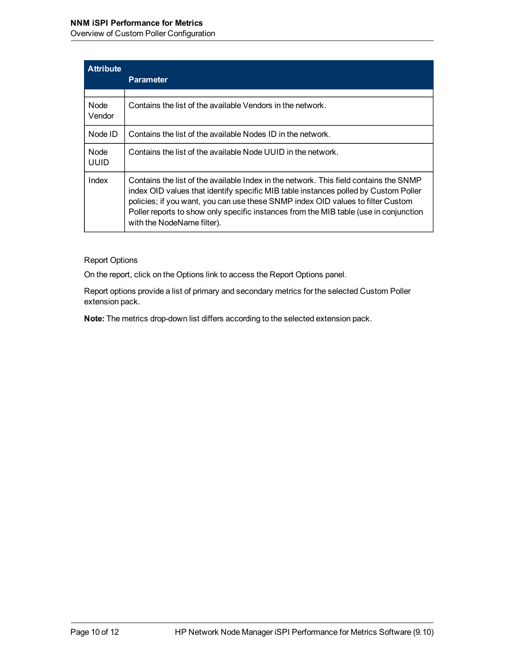## **NNM iSPI Performance for Metrics**

Overview of Custom Poller Configuration

| <b>Attribute</b> | <b>Parameter</b>                                                                                                                                                                                                                                                                                                                                                                       |
|------------------|----------------------------------------------------------------------------------------------------------------------------------------------------------------------------------------------------------------------------------------------------------------------------------------------------------------------------------------------------------------------------------------|
| Node.<br>Vendor  | Contains the list of the available Vendors in the network.                                                                                                                                                                                                                                                                                                                             |
| Node ID          | Contains the list of the available Nodes ID in the network.                                                                                                                                                                                                                                                                                                                            |
| Node<br>UUID     | Contains the list of the available Node UUID in the network.                                                                                                                                                                                                                                                                                                                           |
| Index            | Contains the list of the available Index in the network. This field contains the SNMP<br>index OID values that identify specific MIB table instances polled by Custom Poller<br>policies; if you want, you can use these SNMP index OID values to filter Custom<br>Poller reports to show only specific instances from the MIB table (use in conjunction<br>with the NodeName filter). |

Report Options

On the report, click on the Options link to access the Report Options panel.

Report options provide a list of primary and secondary metrics for the selected Custom Poller extension pack.

**Note:** The metrics drop-down list differs according to the selected extension pack.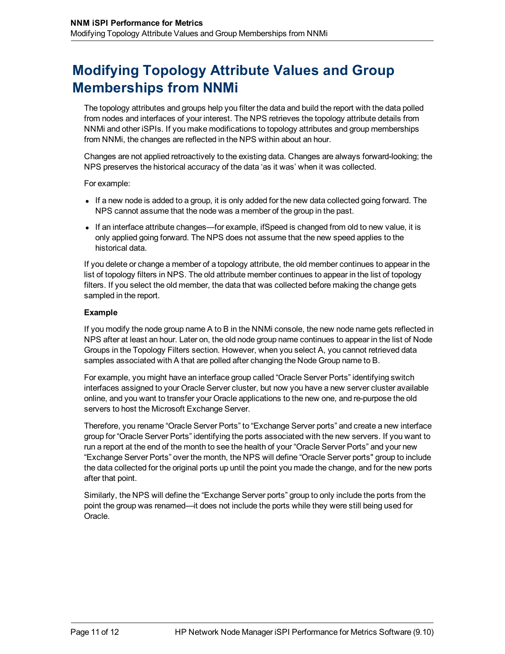# **Modifying Topology Attribute Values and Group Memberships from NNMi**

The topology attributes and groups help you filter the data and build the report with the data polled from nodes and interfaces of your interest. The NPS retrieves the topology attribute details from NNMi and other iSPIs. If you make modifications to topology attributes and group memberships from NNMi, the changes are reflected in the NPS within about an hour.

Changes are not applied retroactively to the existing data. Changes are always forward-looking; the NPS preserves the historical accuracy of the data 'as it was' when it was collected.

For example:

- If a new node is added to a group, it is only added for the new data collected going forward. The NPS cannot assume that the node was a member of the group in the past.
- If an interface attribute changes—for example, ifSpeed is changed from old to new value, it is only applied going forward. The NPS does not assume that the new speed applies to the historical data.

If you delete or change a member of a topology attribute, the old member continues to appear in the list of topology filters in NPS. The old attribute member continues to appear in the list of topology filters. If you select the old member, the data that was collected before making the change gets sampled in the report.

#### **Example**

If you modify the node group name A to B in the NNMi console, the new node name gets reflected in NPS after at least an hour. Later on, the old node group name continues to appear in the list of Node Groups in the Topology Filters section. However, when you select A, you cannot retrieved data samples associated with A that are polled after changing the Node Group name to B.

For example, you might have an interface group called "Oracle Server Ports" identifying switch interfaces assigned to your Oracle Server cluster, but now you have a new server cluster available online, and you want to transfer your Oracle applications to the new one, and re-purpose the old servers to host the Microsoft Exchange Server.

Therefore, you rename "Oracle Server Ports" to "Exchange Server ports" and create a new interface group for "Oracle Server Ports" identifying the ports associated with the new servers. If you want to run a report at the end of the month to see the health of your "Oracle Server Ports" and your new "Exchange Server Ports" over the month, the NPS will define "Oracle Server ports" group to include the data collected for the original ports up until the point you made the change, and for the new ports after that point.

Similarly, the NPS will define the "Exchange Server ports" group to only include the ports from the point the group was renamed—it does not include the ports while they were still being used for Oracle.